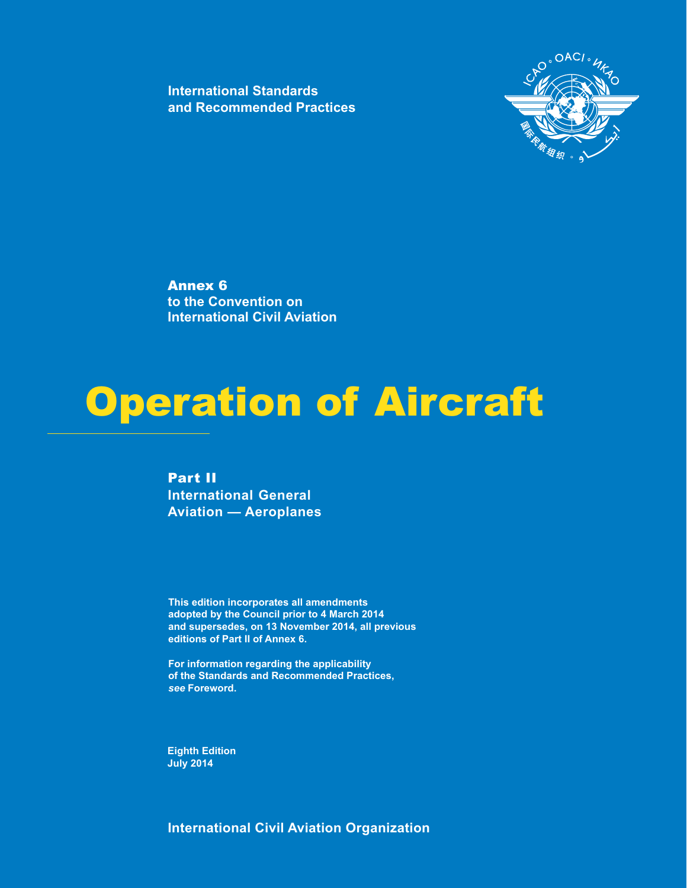**International Standards and Recommended Practices**



Annex 6 **to the Convention on International Civil Aviation**

## Operation of Aircraft

Part II **International General Aviation — Aeroplanes**

**This edition incorporates all amendments** adopted by the Council prior to 4 March 2014 and supersedes, on 13 November 2014, all previous editions of Part II of Annex 6.

**For information regarding the applicability of the Standards and Recommended Practices,** *see* **Foreword.**

**Eighth Edition July 2014**

**International Civil Aviation Organization**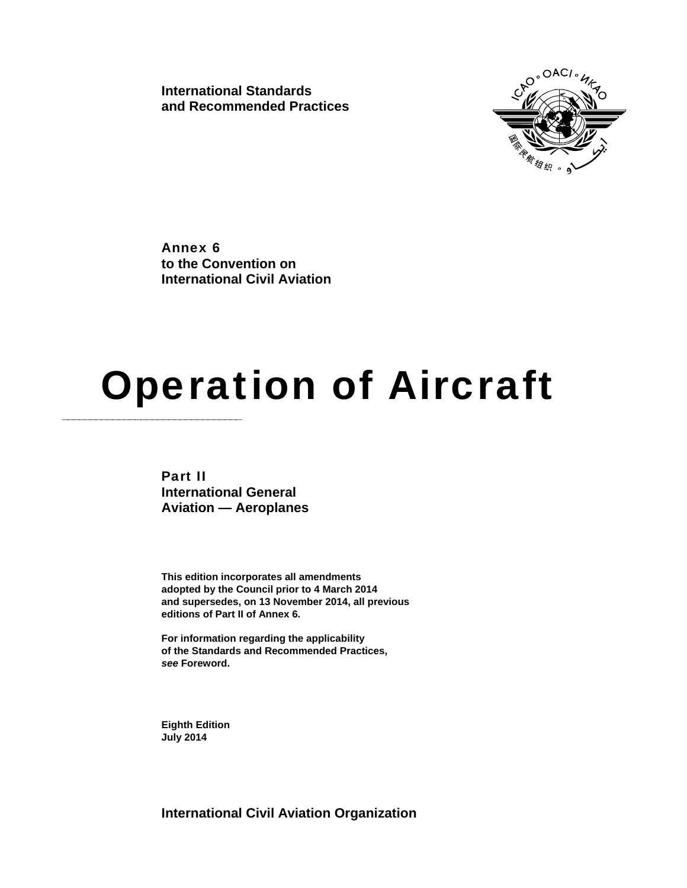**International Standards and Recommended Practices** 



Annex 6 **to the Convention on International Civil Aviation** 

# **Operation of Aircraft**

Part II **International General Aviation — Aeroplanes** 

**This edition incorporates all amendments adopted by the Council prior to 4 March 2014 and supersedes, on 13 November 2014, all previous editions of Part II of Annex 6.** 

**For information regarding the applicability of the Standards and Recommended Practices,**  *see* **Foreword.** 

**Eighth Edition July 2014** 

**International Civil Aviation Organization**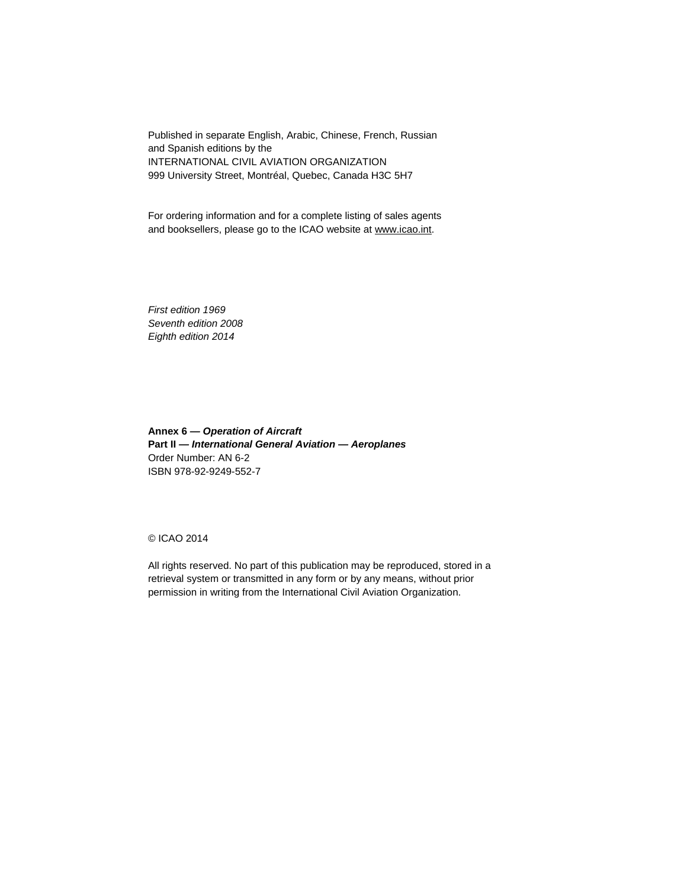Published in separate English, Arabic, Chinese, French, Russian and Spanish editions by the INTERNATIONAL CIVIL AVIATION ORGANIZATION 999 University Street, Montréal, Quebec, Canada H3C 5H7

For ordering information and for a complete listing of sales agents and booksellers, please go to the ICAO website at www.icao.int.

*First edition 1969 Seventh edition 2008 Eighth edition 2014* 

**Annex 6** *— Operation of Aircraft*  **Part II** *— International General Aviation — Aeroplanes*  Order Number: AN 6-2 ISBN 978-92-9249-552-7

#### © ICAO 2014

All rights reserved. No part of this publication may be reproduced, stored in a retrieval system or transmitted in any form or by any means, without prior permission in writing from the International Civil Aviation Organization.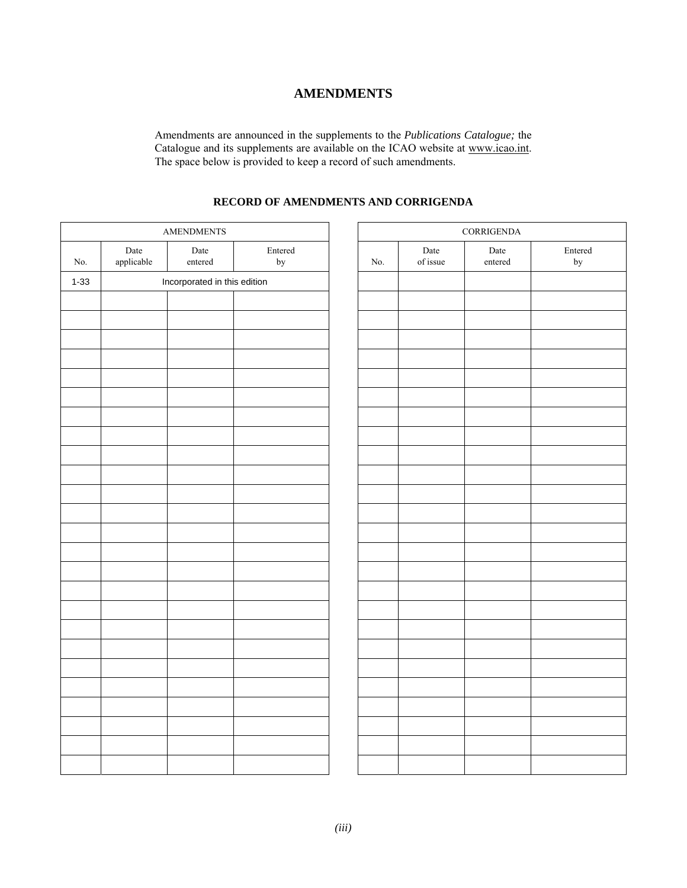## **AMENDMENTS**

Amendments are announced in the supplements to the *Publications Catalogue;* the Catalogue and its supplements are available on the ICAO website at www.icao.int. The space below is provided to keep a record of such amendments.

| <b>AMENDMENTS</b> |                    |                              |                        | $\mbox{CORRIGENDA}$ |                  |
|-------------------|--------------------|------------------------------|------------------------|---------------------|------------------|
| $\rm No.$         | Date<br>applicable | Date<br>entered              | Entered<br>$_{\rm by}$ | $\rm No.$           | Date<br>of issue |
| $1 - 33$          |                    | Incorporated in this edition |                        |                     |                  |
|                   |                    |                              |                        |                     |                  |
|                   |                    |                              |                        |                     |                  |
|                   |                    |                              |                        |                     |                  |
|                   |                    |                              |                        |                     |                  |
|                   |                    |                              |                        |                     |                  |
|                   |                    |                              |                        |                     |                  |
|                   |                    |                              |                        |                     |                  |
|                   |                    |                              |                        |                     |                  |
|                   |                    |                              |                        |                     |                  |
|                   |                    |                              |                        |                     |                  |
|                   |                    |                              |                        |                     |                  |
|                   |                    |                              |                        |                     |                  |
|                   |                    |                              |                        |                     |                  |
|                   |                    |                              |                        |                     |                  |
|                   |                    |                              |                        |                     |                  |
|                   |                    |                              |                        |                     |                  |
|                   |                    |                              |                        |                     |                  |
|                   |                    |                              |                        |                     |                  |
|                   |                    |                              |                        |                     |                  |
|                   |                    |                              |                        |                     |                  |
|                   |                    |                              |                        |                     |                  |
|                   |                    |                              |                        |                     |                  |
|                   |                    |                              |                        |                     |                  |
|                   |                    |                              |                        |                     |                  |
|                   |                    |                              |                        |                     |                  |
|                   |                    |                              |                        |                     |                  |

#### **RECORD OF AMENDMENTS AND CORRIGENDA**

| CORRIGENDA |                  |                 |                        |  |
|------------|------------------|-----------------|------------------------|--|
| No.        | Date<br>of issue | Date<br>entered | Entered<br>$_{\rm by}$ |  |
|            |                  |                 |                        |  |
|            |                  |                 |                        |  |
|            |                  |                 |                        |  |
|            |                  |                 |                        |  |
|            |                  |                 |                        |  |
|            |                  |                 |                        |  |
|            |                  |                 |                        |  |
|            |                  |                 |                        |  |
|            |                  |                 |                        |  |
|            |                  |                 |                        |  |
|            |                  |                 |                        |  |
|            |                  |                 |                        |  |
|            |                  |                 |                        |  |
|            |                  |                 |                        |  |
|            |                  |                 |                        |  |
|            |                  |                 |                        |  |
|            |                  |                 |                        |  |
|            |                  |                 |                        |  |
|            |                  |                 |                        |  |
|            |                  |                 |                        |  |
|            |                  |                 |                        |  |
|            |                  |                 |                        |  |
|            |                  |                 |                        |  |
|            |                  |                 |                        |  |
|            |                  |                 |                        |  |
|            |                  |                 |                        |  |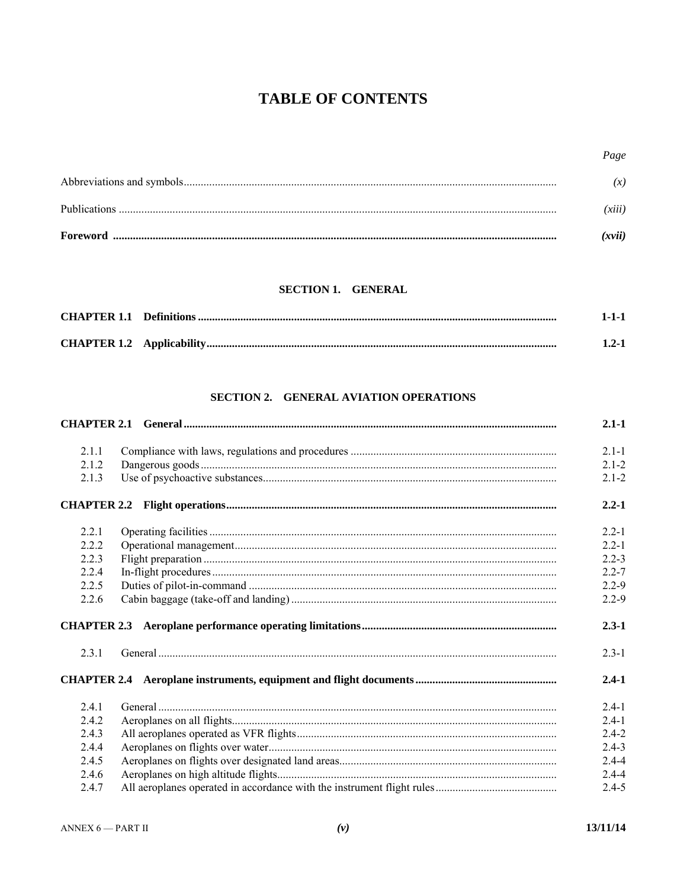## **TABLE OF CONTENTS**

|          | xiii) |
|----------|-------|
| Foreword | (xvii |

#### SECTION 1. GENERAL

|  | 1-1-1     |
|--|-----------|
|  | $1.2 - 1$ |

## SECTION 2. GENERAL AVIATION OPERATIONS

|       | $2.1 - 1$ |
|-------|-----------|
| 2.1.1 | $2.1 - 1$ |
| 2.1.2 | $2.1 - 2$ |
| 2.1.3 | $2.1 - 2$ |
|       | $2.2 - 1$ |
| 221   | $2.2 - 1$ |
| 2.2.2 | $2.2 - 1$ |
| 2.2.3 | $2.2 - 3$ |
| 2.2.4 | $2.2 - 7$ |
| 2.2.5 | $2.2 - 9$ |
| 2.2.6 | $2.2 - 9$ |
|       | $2.3 - 1$ |
| 2.3.1 | $2.3 - 1$ |
|       | $2.4 - 1$ |
| 241   | $2.4 - 1$ |
| 2.4.2 | $2.4 - 1$ |
| 2.4.3 | $2.4 - 2$ |
| 2.4.4 | $2.4 - 3$ |
| 2.4.5 | $2.4 - 4$ |
| 2.4.6 | $2.4 - 4$ |
| 2.4.7 | $2.4 - 5$ |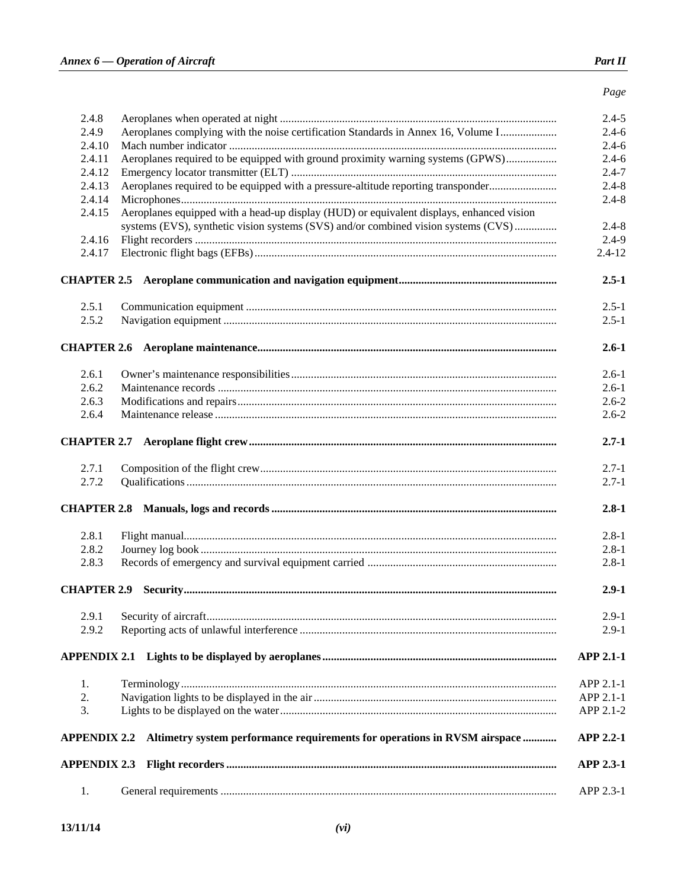| ×<br>٧ |
|--------|
|--------|

| 2.4.8               |                                                                                                           | $2.4 - 5$              |  |
|---------------------|-----------------------------------------------------------------------------------------------------------|------------------------|--|
| 2.4.9               | Aeroplanes complying with the noise certification Standards in Annex 16, Volume I                         | $2.4 - 6$              |  |
| 2.4.10              |                                                                                                           |                        |  |
| 2.4.11              | $2.4 - 6$<br>Aeroplanes required to be equipped with ground proximity warning systems (GPWS)<br>$2.4 - 6$ |                        |  |
| 2.4.12              |                                                                                                           |                        |  |
| 2.4.13              | Aeroplanes required to be equipped with a pressure-altitude reporting transponder                         | $2.4 - 7$<br>$2.4 - 8$ |  |
| 2.4.14              |                                                                                                           | $2.4 - 8$              |  |
| 2.4.15              | Aeroplanes equipped with a head-up display (HUD) or equivalent displays, enhanced vision                  |                        |  |
|                     | systems (EVS), synthetic vision systems (SVS) and/or combined vision systems (CVS)                        | $2.4 - 8$              |  |
| 2.4.16              |                                                                                                           | $2.4 - 9$              |  |
| 2.4.17              |                                                                                                           | $2.4 - 12$             |  |
|                     |                                                                                                           |                        |  |
|                     |                                                                                                           | $2.5 - 1$              |  |
| 2.5.1               |                                                                                                           | $2.5 - 1$              |  |
| 2.5.2               |                                                                                                           | $2.5 - 1$              |  |
|                     |                                                                                                           |                        |  |
|                     |                                                                                                           | $2.6 - 1$              |  |
| 2.6.1               |                                                                                                           | $2.6 - 1$              |  |
| 2.6.2               |                                                                                                           | $2.6 - 1$              |  |
| 2.6.3               |                                                                                                           | $2.6 - 2$              |  |
| 2.6.4               |                                                                                                           | $2.6 - 2$              |  |
| <b>CHAPTER 2.7</b>  |                                                                                                           | $2.7 - 1$              |  |
| 2.7.1               |                                                                                                           | $2.7 - 1$              |  |
| 2.7.2               |                                                                                                           | $2.7 - 1$              |  |
|                     |                                                                                                           |                        |  |
|                     |                                                                                                           | $2.8 - 1$              |  |
| 2.8.1               |                                                                                                           | $2.8 - 1$              |  |
| 2.8.2               |                                                                                                           | $2.8 - 1$              |  |
| 2.8.3               |                                                                                                           |                        |  |
| <b>CHAPTER 2.9</b>  |                                                                                                           | $2.9 - 1$              |  |
|                     |                                                                                                           |                        |  |
| 2.9.1               |                                                                                                           | $2.9 - 1$              |  |
| 2.9.2               |                                                                                                           | $2.9 - 1$              |  |
|                     |                                                                                                           | <b>APP 2.1-1</b>       |  |
| 1.                  |                                                                                                           | APP 2.1-1              |  |
| 2.                  |                                                                                                           | APP 2.1-1              |  |
| 3.                  |                                                                                                           | APP 2.1-2              |  |
| <b>APPENDIX 2.2</b> | Altimetry system performance requirements for operations in RVSM airspace                                 | <b>APP 2.2-1</b>       |  |
| <b>APPENDIX 2.3</b> |                                                                                                           | APP 2.3-1              |  |
|                     |                                                                                                           |                        |  |
| 1.                  |                                                                                                           | APP 2.3-1              |  |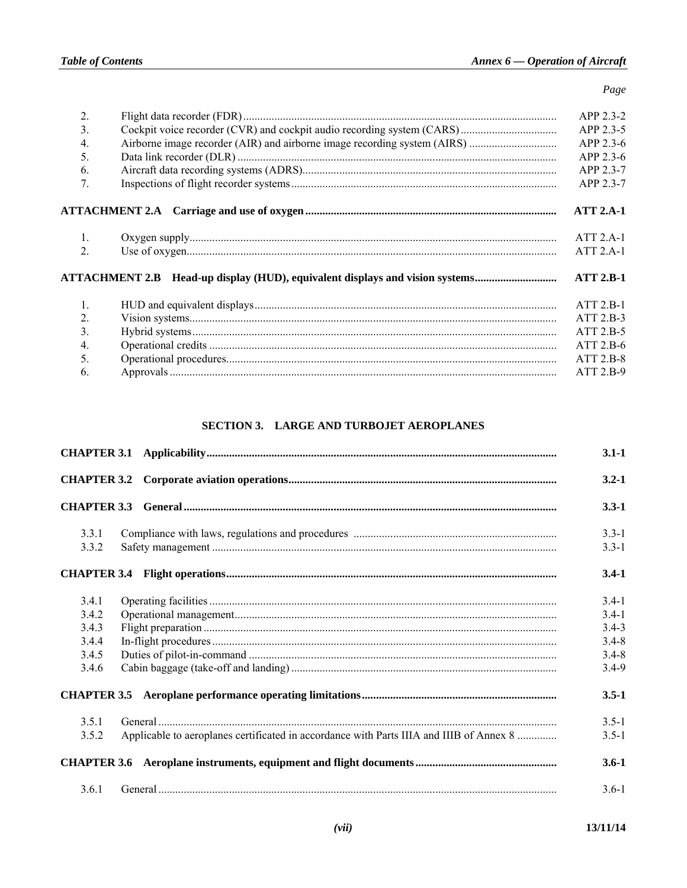Page

| 2.               |                                                                              | $APP 2.3-2$      |  |
|------------------|------------------------------------------------------------------------------|------------------|--|
| $\mathfrak{Z}$ . | APP 2.3-5                                                                    |                  |  |
| $\overline{4}$ . |                                                                              | APP 2.3-6        |  |
| 5.               |                                                                              | APP 2.3-6        |  |
| 6.               |                                                                              | APP 2.3-7        |  |
| 7.               | APP 2.3-7                                                                    |                  |  |
|                  |                                                                              | <b>ATT 2.A-1</b> |  |
| 1.               |                                                                              | $ATT 2.A-1$      |  |
| $\overline{2}$ . |                                                                              | ATT 2.A-1        |  |
|                  | ATTACHMENT 2.B Head-up display (HUD), equivalent displays and vision systems | <b>ATT 2.B-1</b> |  |
| 1.               |                                                                              | ATT 2.B-1        |  |
| 2.               |                                                                              | ATT $2.B-3$      |  |
| $\mathfrak{Z}$ . |                                                                              | $ATT 2.B-5$      |  |
| $\overline{4}$ . |                                                                              | $ATT 2.B-6$      |  |
| 5.               |                                                                              | $ATT 2.B-8$      |  |
| 6.               |                                                                              | $ATT 2.B-9$      |  |

### SECTION 3. LARGE AND TURBOJET AEROPLANES

|                    |                                                                                         | $3.1 - 1$              |
|--------------------|-----------------------------------------------------------------------------------------|------------------------|
|                    |                                                                                         | $3.2 - 1$              |
| <b>CHAPTER 3.3</b> |                                                                                         | $3.3 - 1$              |
| 3.3.1<br>3.3.2     |                                                                                         | $3.3 - 1$<br>$3.3 - 1$ |
|                    |                                                                                         | $3.4 - 1$              |
| 3.4.1              |                                                                                         | $3.4 - 1$              |
| 3.4.2              |                                                                                         | $3.4 - 1$              |
| 3.4.3              |                                                                                         | $3.4 - 3$              |
| 3.4.4              |                                                                                         | $3.4 - 8$              |
| 3.4.5              |                                                                                         | $3.4 - 8$              |
| 3.4.6              | $3.4 - 9$                                                                               |                        |
|                    |                                                                                         | $3.5 - 1$              |
| 3.51               |                                                                                         | $3.5 - 1$              |
| 3.5.2              | Applicable to aeroplanes certificated in accordance with Parts IIIA and IIIB of Annex 8 | $3.5 - 1$              |
|                    |                                                                                         | $3.6 - 1$              |
| 3.6.1              |                                                                                         | $3.6 - 1$              |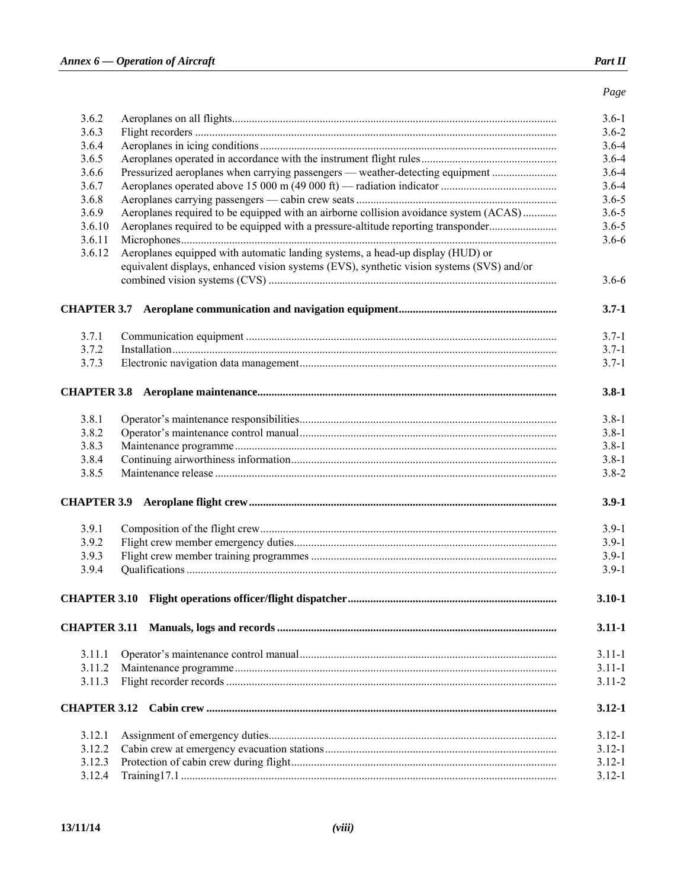| 3.6.2               |                                                                                           |  |
|---------------------|-------------------------------------------------------------------------------------------|--|
| 3.6.3               |                                                                                           |  |
| 3.6.4               |                                                                                           |  |
| 3.6.5               |                                                                                           |  |
| 3.6.6               | Pressurized aeroplanes when carrying passengers — weather-detecting equipment             |  |
| 3.6.7               |                                                                                           |  |
| 3.6.8               |                                                                                           |  |
|                     |                                                                                           |  |
| 3.6.9               | Aeroplanes required to be equipped with an airborne collision avoidance system (ACAS)     |  |
| 3.6.10              | Aeroplanes required to be equipped with a pressure-altitude reporting transponder         |  |
| 3.6.11              |                                                                                           |  |
| 3.6.12              | Aeroplanes equipped with automatic landing systems, a head-up display (HUD) or            |  |
|                     | equivalent displays, enhanced vision systems (EVS), synthetic vision systems (SVS) and/or |  |
|                     |                                                                                           |  |
| 3.7.1               |                                                                                           |  |
| 3.7.2               |                                                                                           |  |
| 3.7.3               |                                                                                           |  |
|                     |                                                                                           |  |
|                     |                                                                                           |  |
| 3.8.1               |                                                                                           |  |
| 3.8.2               |                                                                                           |  |
| 3.8.3               |                                                                                           |  |
| 3.8.4               |                                                                                           |  |
| 3.8.5               |                                                                                           |  |
| <b>CHAPTER 3.9</b>  |                                                                                           |  |
|                     |                                                                                           |  |
| 3.9.1               |                                                                                           |  |
| 3.9.2               |                                                                                           |  |
| 3.9.3               |                                                                                           |  |
| 3.9.4               |                                                                                           |  |
|                     |                                                                                           |  |
| <b>CHAPTER 3.11</b> |                                                                                           |  |
|                     |                                                                                           |  |
| 3.11.1              |                                                                                           |  |
| 3.11.2              |                                                                                           |  |
| 3.11.3              |                                                                                           |  |
| <b>CHAPTER 3.12</b> |                                                                                           |  |
| 3.12.1              |                                                                                           |  |
| 3.12.2              |                                                                                           |  |
| 3.12.3              |                                                                                           |  |
|                     |                                                                                           |  |
| 3.12.4              |                                                                                           |  |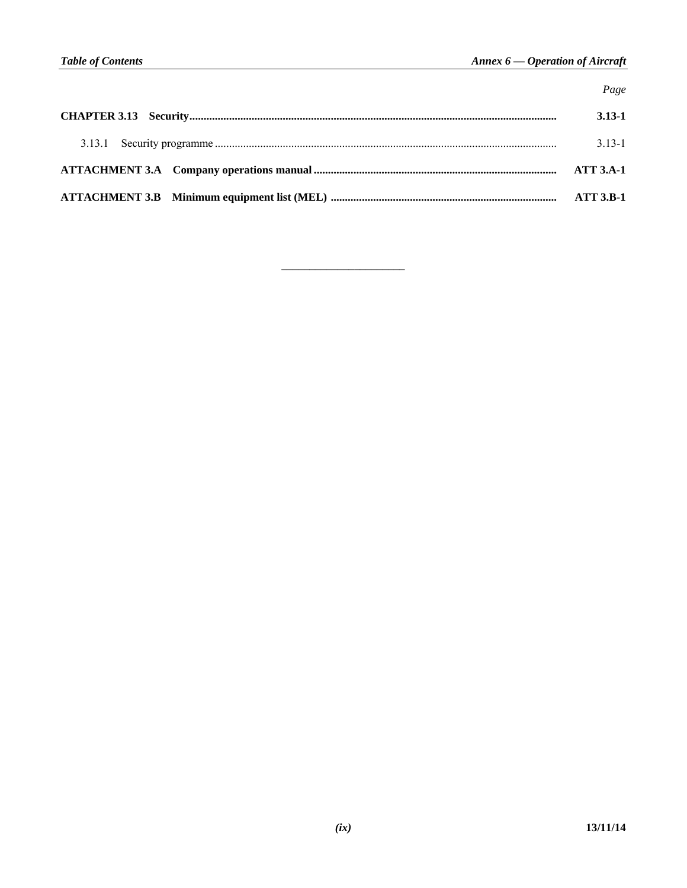| Page             |
|------------------|
| $3.13 - 1$       |
| $313-1$          |
| <b>ATT 3.A-1</b> |
| <b>ATT 3.B-1</b> |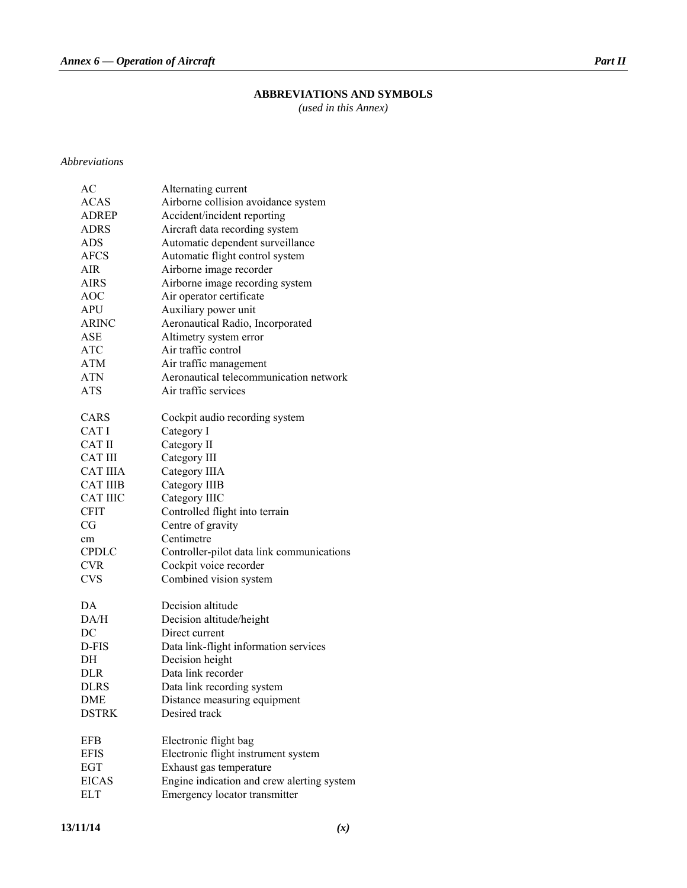#### **ABBREVIATIONS AND SYMBOLS**

*(used in this Annex)* 

#### *Abbreviations*

| AC                       | Alternating current                        |
|--------------------------|--------------------------------------------|
| <b>ACAS</b>              | Airborne collision avoidance system        |
| <b>ADREP</b>             | Accident/incident reporting                |
| <b>ADRS</b>              | Aircraft data recording system             |
| <b>ADS</b>               | Automatic dependent surveillance           |
| <b>AFCS</b>              | Automatic flight control system            |
| AIR                      | Airborne image recorder                    |
| AIRS                     | Airborne image recording system            |
| AOC                      | Air operator certificate                   |
| APU                      | Auxiliary power unit                       |
| <b>ARINC</b>             | Aeronautical Radio, Incorporated           |
| ASE                      | Altimetry system error                     |
| <b>ATC</b>               | Air traffic control                        |
| <b>ATM</b>               | Air traffic management                     |
| ATN                      | Aeronautical telecommunication network     |
| ATS                      | Air traffic services                       |
|                          |                                            |
| CARS                     | Cockpit audio recording system             |
| CAT I                    | Category I                                 |
| CAT II                   | Category II                                |
| CAT III                  | Category III                               |
| CAT IIIA                 | Category IIIA                              |
| CAT IIIB                 | Category IIIB                              |
| <b>CAT IIIC</b>          | Category IIIC                              |
| <b>CFIT</b>              | Controlled flight into terrain             |
| CG                       |                                            |
|                          | Centre of gravity<br>Centimetre            |
| cm                       |                                            |
| <b>CPDLC</b>             | Controller-pilot data link communications  |
| <b>CVR</b><br><b>CVS</b> | Cockpit voice recorder                     |
|                          | Combined vision system                     |
| DA                       |                                            |
| DA/H                     | Decision altitude                          |
| DC                       | Decision altitude/height<br>Direct current |
|                          |                                            |
| D-FIS                    | Data link-flight information services      |
| DH                       | Decision height                            |
| <b>DLR</b>               | Data link recorder                         |
| <b>DLRS</b>              | Data link recording system                 |
| DME                      | Distance measuring equipment               |
| <b>DSTRK</b>             | Desired track                              |
|                          |                                            |
| EFB                      | Electronic flight bag                      |
| <b>EFIS</b>              | Electronic flight instrument system        |
| EGT                      | Exhaust gas temperature                    |
| <b>EICAS</b>             | Engine indication and crew alerting system |
| <b>ELT</b>               | Emergency locator transmitter              |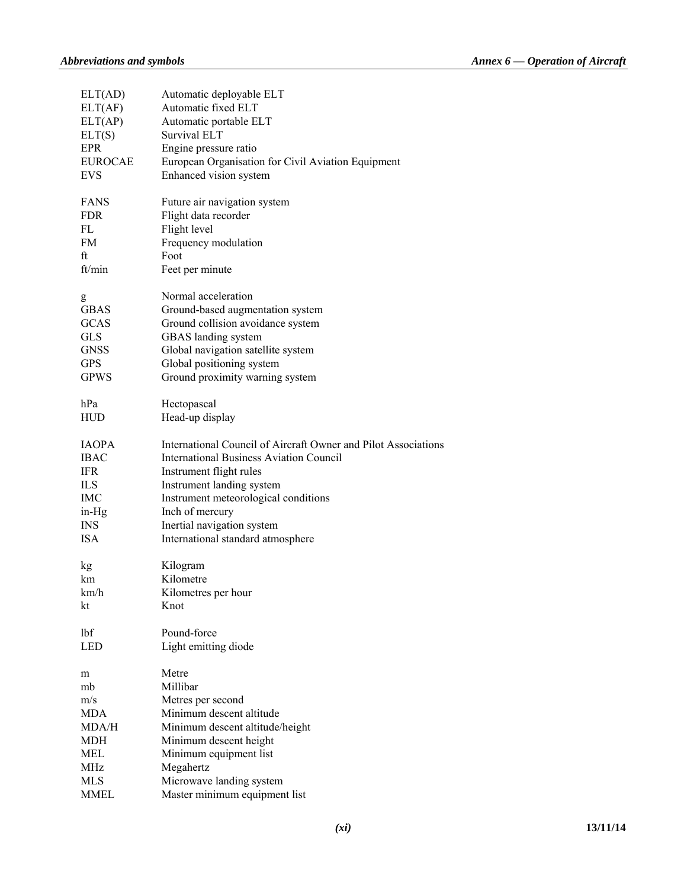| ELT(AD)          | Automatic deployable ELT                                       |
|------------------|----------------------------------------------------------------|
| ELT(AF)          | Automatic fixed ELT                                            |
| ELT(AP)          | Automatic portable ELT                                         |
| ELT(S)           | Survival ELT                                                   |
| <b>EPR</b>       | Engine pressure ratio                                          |
| <b>EUROCAE</b>   | European Organisation for Civil Aviation Equipment             |
| <b>EVS</b>       | Enhanced vision system                                         |
|                  |                                                                |
| <b>FANS</b>      | Future air navigation system                                   |
| <b>FDR</b>       | Flight data recorder                                           |
| FL               | Flight level                                                   |
| FM               | Frequency modulation                                           |
| ft               | Foot                                                           |
| ft/min           | Feet per minute                                                |
|                  | Normal acceleration                                            |
| g<br><b>GBAS</b> |                                                                |
|                  | Ground-based augmentation system                               |
| <b>GCAS</b>      | Ground collision avoidance system                              |
| <b>GLS</b>       | GBAS landing system                                            |
| <b>GNSS</b>      | Global navigation satellite system                             |
| <b>GPS</b>       | Global positioning system                                      |
| <b>GPWS</b>      | Ground proximity warning system                                |
| hPa              | Hectopascal                                                    |
| <b>HUD</b>       | Head-up display                                                |
|                  |                                                                |
| <b>IAOPA</b>     | International Council of Aircraft Owner and Pilot Associations |
| <b>IBAC</b>      | <b>International Business Aviation Council</b>                 |
| <b>IFR</b>       | Instrument flight rules                                        |
| ILS              | Instrument landing system                                      |
| <b>IMC</b>       | Instrument meteorological conditions                           |
| in-Hg            | Inch of mercury                                                |
| <b>INS</b>       | Inertial navigation system                                     |
| <b>ISA</b>       | International standard atmosphere                              |
| kg               | Kilogram                                                       |
| km               | Kilometre                                                      |
| km/h             | Kilometres per hour                                            |
| kt               | Knot                                                           |
|                  |                                                                |
| lbf              | Pound-force                                                    |
| <b>LED</b>       | Light emitting diode                                           |
| m                | Metre                                                          |
| mb               | Millibar                                                       |
| m/s              | Metres per second                                              |
| MDA              | Minimum descent altitude                                       |
| MDA/H            | Minimum descent altitude/height                                |
| <b>MDH</b>       | Minimum descent height                                         |
| MEL              | Minimum equipment list                                         |
| MHz              | Megahertz                                                      |
| <b>MLS</b>       | Microwave landing system                                       |
| MMEL             | Master minimum equipment list                                  |
|                  |                                                                |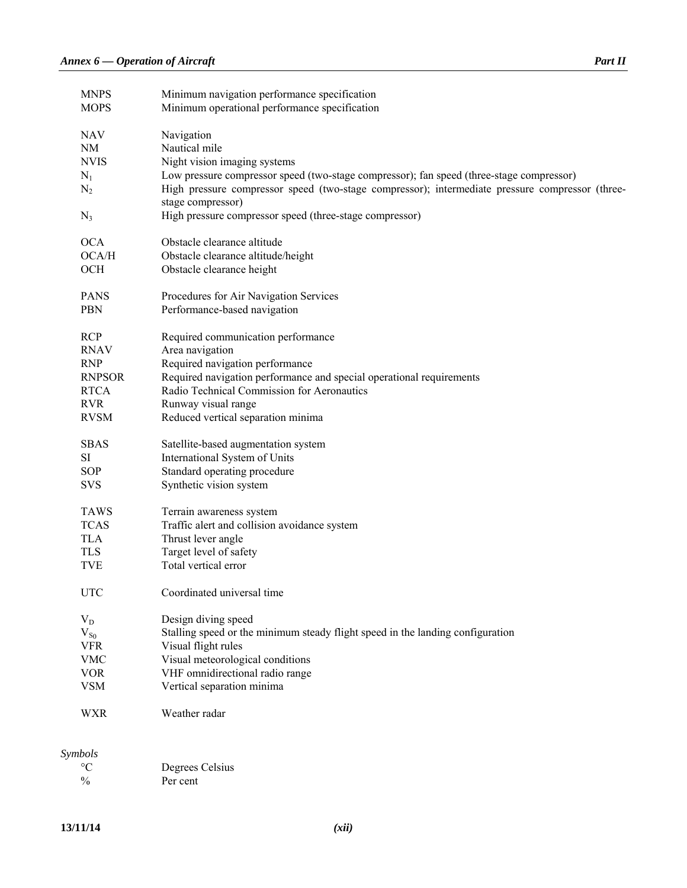| <b>MNPS</b><br><b>MOPS</b> | Minimum navigation performance specification<br>Minimum operational performance specification                        |
|----------------------------|----------------------------------------------------------------------------------------------------------------------|
| NAV                        | Navigation                                                                                                           |
| NM                         | Nautical mile                                                                                                        |
| <b>NVIS</b>                | Night vision imaging systems                                                                                         |
| $N_1$                      | Low pressure compressor speed (two-stage compressor); fan speed (three-stage compressor)                             |
| $N_2$                      | High pressure compressor speed (two-stage compressor); intermediate pressure compressor (three-<br>stage compressor) |
| $N_3$                      | High pressure compressor speed (three-stage compressor)                                                              |
| <b>OCA</b>                 | Obstacle clearance altitude                                                                                          |
| OCA/H                      | Obstacle clearance altitude/height                                                                                   |
| OCH                        | Obstacle clearance height                                                                                            |
| <b>PANS</b>                | Procedures for Air Navigation Services                                                                               |
| <b>PBN</b>                 | Performance-based navigation                                                                                         |
| <b>RCP</b>                 | Required communication performance                                                                                   |
| <b>RNAV</b>                | Area navigation                                                                                                      |
| <b>RNP</b>                 | Required navigation performance                                                                                      |
| <b>RNPSOR</b>              | Required navigation performance and special operational requirements                                                 |
| <b>RTCA</b>                | Radio Technical Commission for Aeronautics                                                                           |
| <b>RVR</b>                 | Runway visual range                                                                                                  |
| <b>RVSM</b>                | Reduced vertical separation minima                                                                                   |
| <b>SBAS</b>                | Satellite-based augmentation system                                                                                  |
| SI                         | International System of Units                                                                                        |
| <b>SOP</b>                 | Standard operating procedure                                                                                         |
| <b>SVS</b>                 | Synthetic vision system                                                                                              |
| <b>TAWS</b>                | Terrain awareness system                                                                                             |
| <b>TCAS</b>                | Traffic alert and collision avoidance system                                                                         |
| TLA                        | Thrust lever angle                                                                                                   |
| <b>TLS</b>                 | Target level of safety                                                                                               |
| <b>TVE</b>                 | Total vertical error                                                                                                 |
| <b>UTC</b>                 | Coordinated universal time                                                                                           |
| $V_D$                      | Design diving speed                                                                                                  |
| $V_{S_0}$                  | Stalling speed or the minimum steady flight speed in the landing configuration                                       |
| <b>VFR</b>                 | Visual flight rules                                                                                                  |
| <b>VMC</b>                 | Visual meteorological conditions                                                                                     |
| <b>VOR</b>                 | VHF omnidirectional radio range                                                                                      |
| <b>VSM</b>                 | Vertical separation minima                                                                                           |
| <b>WXR</b>                 | Weather radar                                                                                                        |
| Symbols                    |                                                                                                                      |
| $^{\circ}C$                | Degrees Celsius                                                                                                      |
| $\frac{0}{0}$              | Per cent                                                                                                             |
|                            |                                                                                                                      |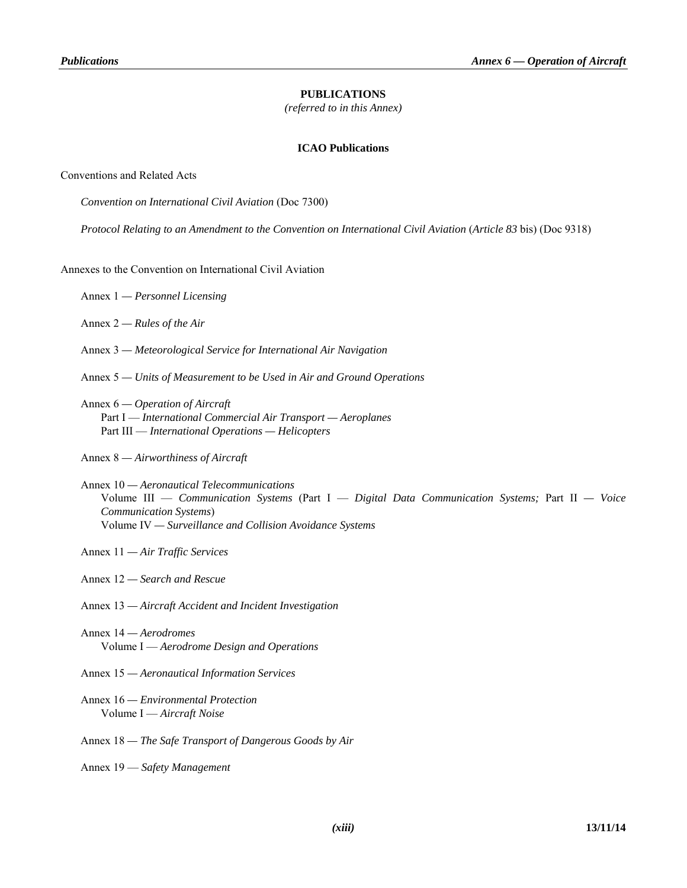#### **PUBLICATIONS**

*(referred to in this Annex)* 

#### **ICAO Publications**

Conventions and Related Acts

 *Convention on International Civil Aviation* (Doc 7300)

 *Protocol Relating to an Amendment to the Convention on International Civil Aviation* (*Article 83* bis) (Doc 9318)

Annexes to the Convention on International Civil Aviation

- Annex 1  *Personnel Licensing*
- Annex 2 *Rules of the Air*
- Annex 3 *Meteorological Service for International Air Navigation*

Annex 5 *— Units of Measurement to be Used in Air and Ground Operations* 

- Annex 6  *Operation of Aircraft*  Part I — *International Commercial Air Transport — Aeroplanes*  Part III — *International Operations — Helicopters*
- Annex 8 *Airworthiness of Aircraft*

Annex 10 *— Aeronautical Telecommunications*  Volume III — *Communication Systems* (Part I — *Digital Data Communication Systems;* Part II *— Voice Communication Systems*) Volume IV *— Surveillance and Collision Avoidance Systems* 

Annex 11 *— Air Traffic Services* 

- Annex 12 *Search and Rescue*
- Annex 13 *Aircraft Accident and Incident Investigation*
- Annex 14  *Aerodromes*  Volume I — *Aerodrome Design and Operations*
- Annex 15 *Aeronautical Information Services*
- Annex 16 *Environmental Protection*  Volume I — *Aircraft Noise*
- Annex 18 *The Safe Transport of Dangerous Goods by Air*
- Annex 19 *Safety Management*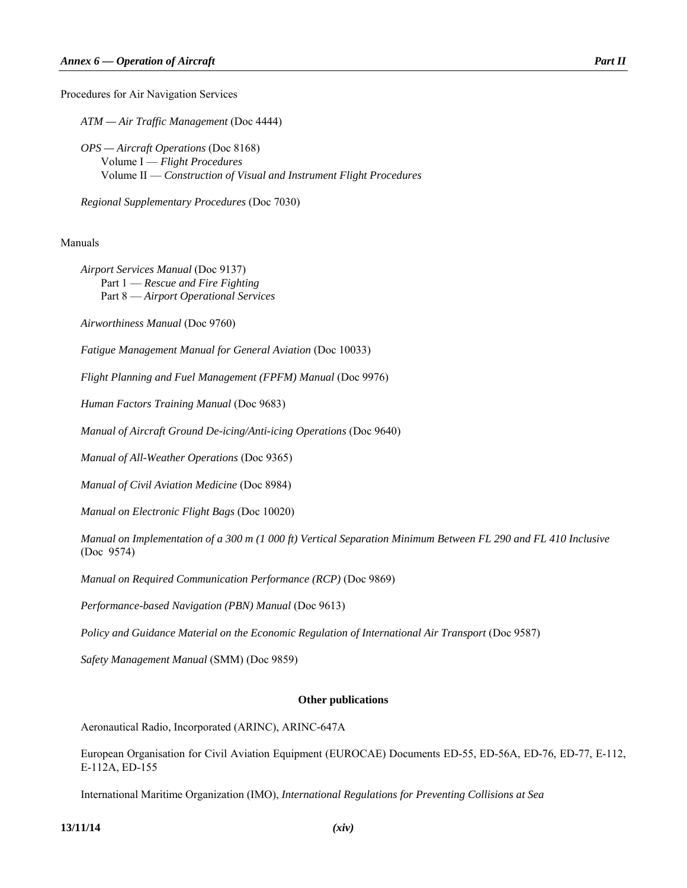Procedures for Air Navigation Services

 *ATM — Air Traffic Management* (Doc 4444)

*OPS — Aircraft Operations* (Doc 8168) Volume I — *Flight Procedures*  Volume II — *Construction of Visual and Instrument Flight Procedures* 

 *Regional Supplementary Procedures* (Doc 7030)

#### Manuals

```
Airport Services Manual (Doc 9137) 
Part 1 — Rescue and Fire Fighting 
Part 8 — Airport Operational Services
```
 *Airworthiness Manual* (Doc 9760)

*Fatigue Management Manual for General Aviation* (Doc 10033)

*Flight Planning and Fuel Management (FPFM) Manual* (Doc 9976)

*Human Factors Training Manual* (Doc 9683)

*Manual of Aircraft Ground De-icing/Anti-icing Operations* (Doc 9640)

 *Manual of All-Weather Operations* (Doc 9365)

 *Manual of Civil Aviation Medicine* (Doc 8984)

 *Manual on Electronic Flight Bags* (Doc 10020)

 *Manual on Implementation of a 300 m (1 000 ft) Vertical Separation Minimum Between FL 290 and FL 410 Inclusive*  (Doc 9574)

 *Manual on Required Communication Performance (RCP)* (Doc 9869)

 *Performance-based Navigation (PBN) Manual* (Doc 9613)

*Policy and Guidance Material on the Economic Regulation of International Air Transport (Doc 9587)* 

*Safety Management Manual* (SMM) (Doc 9859)

#### **Other publications**

Aeronautical Radio, Incorporated (ARINC), ARINC*-*647A

 European Organisation for Civil Aviation Equipment (EUROCAE) Documents ED-55, ED-56A, ED-76, ED-77, E-112, E-112A, ED-155

International Maritime Organization (IMO), *International Regulations for Preventing Collisions at Sea*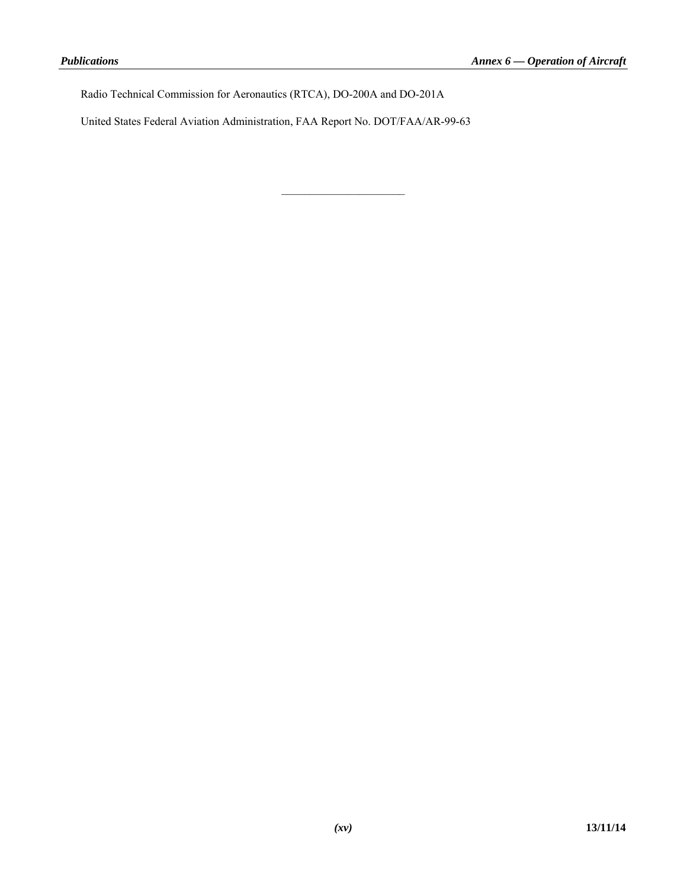Radio Technical Commission for Aeronautics (RTCA), DO-200A and DO-201A

United States Federal Aviation Administration, FAA Report No. DOT/FAA/AR-99-63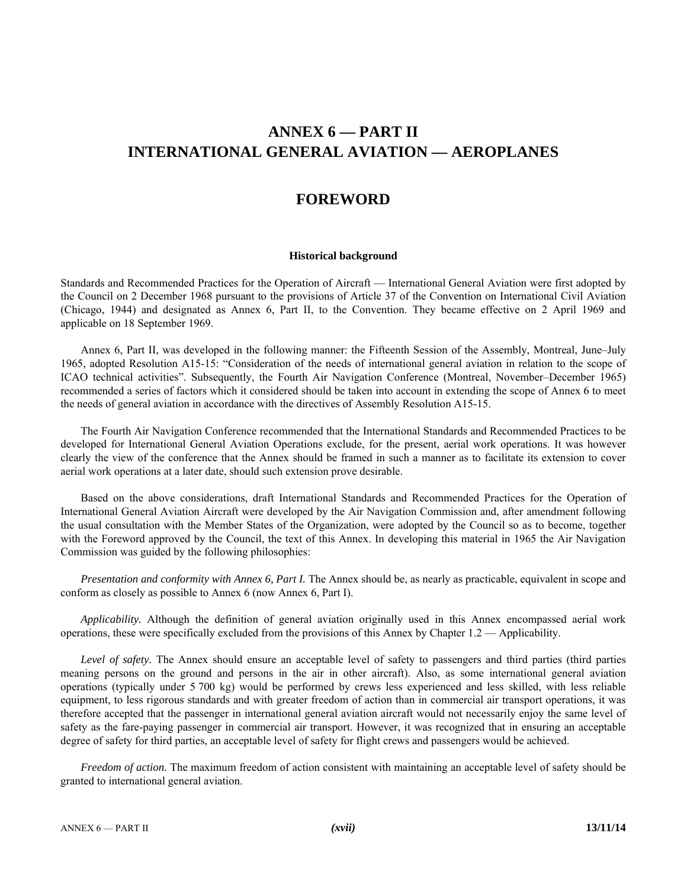## **ANNEX 6 — PART II INTERNATIONAL GENERAL AVIATION — AEROPLANES**

## **FOREWORD**

#### **Historical background**

Standards and Recommended Practices for the Operation of Aircraft — International General Aviation were first adopted by the Council on 2 December 1968 pursuant to the provisions of Article 37 of the Convention on International Civil Aviation (Chicago, 1944) and designated as Annex 6, Part II, to the Convention. They became effective on 2 April 1969 and applicable on 18 September 1969.

 Annex 6, Part II, was developed in the following manner: the Fifteenth Session of the Assembly, Montreal, June–July 1965, adopted Resolution A15-15: "Consideration of the needs of international general aviation in relation to the scope of ICAO technical activities". Subsequently, the Fourth Air Navigation Conference (Montreal, November–December 1965) recommended a series of factors which it considered should be taken into account in extending the scope of Annex 6 to meet the needs of general aviation in accordance with the directives of Assembly Resolution A15-15.

 The Fourth Air Navigation Conference recommended that the International Standards and Recommended Practices to be developed for International General Aviation Operations exclude, for the present, aerial work operations. It was however clearly the view of the conference that the Annex should be framed in such a manner as to facilitate its extension to cover aerial work operations at a later date, should such extension prove desirable.

 Based on the above considerations, draft International Standards and Recommended Practices for the Operation of International General Aviation Aircraft were developed by the Air Navigation Commission and, after amendment following the usual consultation with the Member States of the Organization, were adopted by the Council so as to become, together with the Foreword approved by the Council, the text of this Annex. In developing this material in 1965 the Air Navigation Commission was guided by the following philosophies:

*Presentation and conformity with Annex 6, Part I.* The Annex should be, as nearly as practicable, equivalent in scope and conform as closely as possible to Annex 6 (now Annex 6, Part I).

*Applicability.* Although the definition of general aviation originally used in this Annex encompassed aerial work operations, these were specifically excluded from the provisions of this Annex by Chapter 1.2 — Applicability.

*Level of safety.* The Annex should ensure an acceptable level of safety to passengers and third parties (third parties meaning persons on the ground and persons in the air in other aircraft). Also, as some international general aviation operations (typically under 5 700 kg) would be performed by crews less experienced and less skilled, with less reliable equipment, to less rigorous standards and with greater freedom of action than in commercial air transport operations, it was therefore accepted that the passenger in international general aviation aircraft would not necessarily enjoy the same level of safety as the fare-paying passenger in commercial air transport. However, it was recognized that in ensuring an acceptable degree of safety for third parties, an acceptable level of safety for flight crews and passengers would be achieved.

*Freedom of action.* The maximum freedom of action consistent with maintaining an acceptable level of safety should be granted to international general aviation.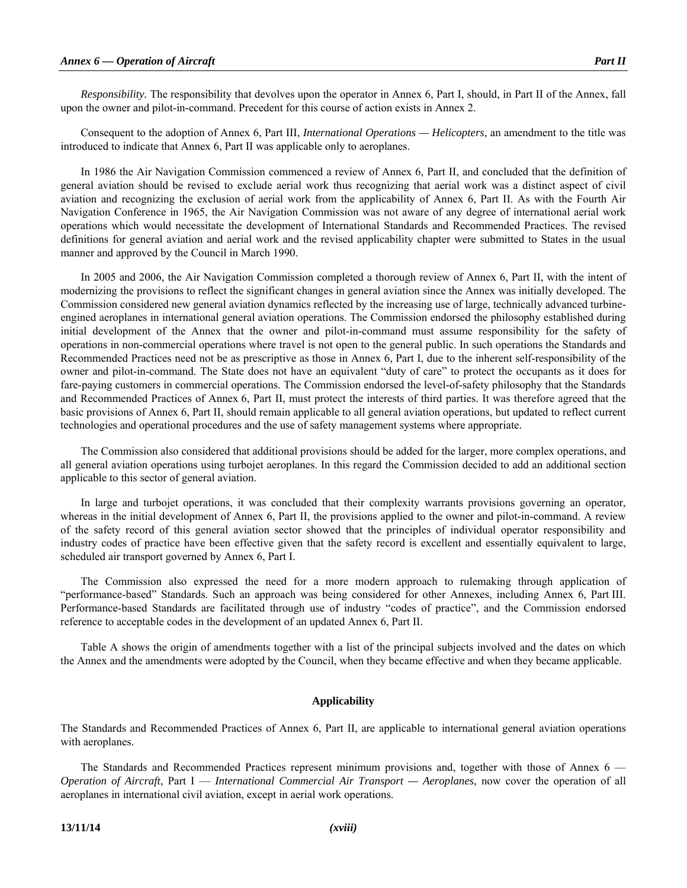*Responsibility.* The responsibility that devolves upon the operator in Annex 6, Part I, should, in Part II of the Annex, fall upon the owner and pilot-in-command. Precedent for this course of action exists in Annex 2.

 Consequent to the adoption of Annex 6, Part III, *International Operations — Helicopters*, an amendment to the title was introduced to indicate that Annex 6, Part II was applicable only to aeroplanes.

 In 1986 the Air Navigation Commission commenced a review of Annex 6, Part II, and concluded that the definition of general aviation should be revised to exclude aerial work thus recognizing that aerial work was a distinct aspect of civil aviation and recognizing the exclusion of aerial work from the applicability of Annex 6, Part II. As with the Fourth Air Navigation Conference in 1965, the Air Navigation Commission was not aware of any degree of international aerial work operations which would necessitate the development of International Standards and Recommended Practices. The revised definitions for general aviation and aerial work and the revised applicability chapter were submitted to States in the usual manner and approved by the Council in March 1990.

 In 2005 and 2006, the Air Navigation Commission completed a thorough review of Annex 6, Part II, with the intent of modernizing the provisions to reflect the significant changes in general aviation since the Annex was initially developed. The Commission considered new general aviation dynamics reflected by the increasing use of large, technically advanced turbineengined aeroplanes in international general aviation operations. The Commission endorsed the philosophy established during initial development of the Annex that the owner and pilot-in-command must assume responsibility for the safety of operations in non-commercial operations where travel is not open to the general public. In such operations the Standards and Recommended Practices need not be as prescriptive as those in Annex 6, Part I, due to the inherent self-responsibility of the owner and pilot-in-command. The State does not have an equivalent "duty of care" to protect the occupants as it does for fare-paying customers in commercial operations. The Commission endorsed the level-of-safety philosophy that the Standards and Recommended Practices of Annex 6, Part II, must protect the interests of third parties. It was therefore agreed that the basic provisions of Annex 6, Part II, should remain applicable to all general aviation operations, but updated to reflect current technologies and operational procedures and the use of safety management systems where appropriate.

 The Commission also considered that additional provisions should be added for the larger, more complex operations, and all general aviation operations using turbojet aeroplanes. In this regard the Commission decided to add an additional section applicable to this sector of general aviation.

 In large and turbojet operations, it was concluded that their complexity warrants provisions governing an operator, whereas in the initial development of Annex 6, Part II, the provisions applied to the owner and pilot-in-command. A review of the safety record of this general aviation sector showed that the principles of individual operator responsibility and industry codes of practice have been effective given that the safety record is excellent and essentially equivalent to large, scheduled air transport governed by Annex 6, Part I.

 The Commission also expressed the need for a more modern approach to rulemaking through application of "performance-based" Standards. Such an approach was being considered for other Annexes, including Annex 6, Part III. Performance-based Standards are facilitated through use of industry "codes of practice", and the Commission endorsed reference to acceptable codes in the development of an updated Annex 6, Part II.

 Table A shows the origin of amendments together with a list of the principal subjects involved and the dates on which the Annex and the amendments were adopted by the Council, when they became effective and when they became applicable.

#### **Applicability**

The Standards and Recommended Practices of Annex 6, Part II, are applicable to international general aviation operations with aeroplanes.

 The Standards and Recommended Practices represent minimum provisions and, together with those of Annex 6 — *Operation of Aircraft*, Part I — *International Commercial Air Transport — Aeroplanes*, now cover the operation of all aeroplanes in international civil aviation, except in aerial work operations.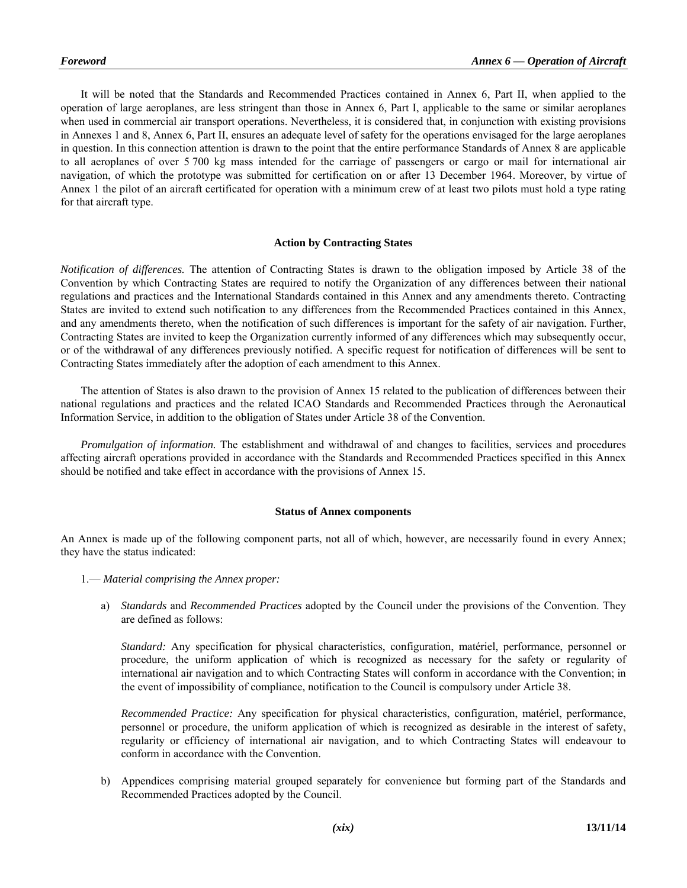It will be noted that the Standards and Recommended Practices contained in Annex 6, Part II, when applied to the operation of large aeroplanes, are less stringent than those in Annex 6, Part I, applicable to the same or similar aeroplanes when used in commercial air transport operations. Nevertheless, it is considered that, in conjunction with existing provisions in Annexes 1 and 8, Annex 6, Part II, ensures an adequate level of safety for the operations envisaged for the large aeroplanes in question. In this connection attention is drawn to the point that the entire performance Standards of Annex 8 are applicable to all aeroplanes of over 5 700 kg mass intended for the carriage of passengers or cargo or mail for international air navigation, of which the prototype was submitted for certification on or after 13 December 1964. Moreover, by virtue of Annex 1 the pilot of an aircraft certificated for operation with a minimum crew of at least two pilots must hold a type rating for that aircraft type.

#### **Action by Contracting States**

*Notification of differences.* The attention of Contracting States is drawn to the obligation imposed by Article 38 of the Convention by which Contracting States are required to notify the Organization of any differences between their national regulations and practices and the International Standards contained in this Annex and any amendments thereto. Contracting States are invited to extend such notification to any differences from the Recommended Practices contained in this Annex, and any amendments thereto, when the notification of such differences is important for the safety of air navigation. Further, Contracting States are invited to keep the Organization currently informed of any differences which may subsequently occur, or of the withdrawal of any differences previously notified. A specific request for notification of differences will be sent to Contracting States immediately after the adoption of each amendment to this Annex.

 The attention of States is also drawn to the provision of Annex 15 related to the publication of differences between their national regulations and practices and the related ICAO Standards and Recommended Practices through the Aeronautical Information Service, in addition to the obligation of States under Article 38 of the Convention.

*Promulgation of information.* The establishment and withdrawal of and changes to facilities, services and procedures affecting aircraft operations provided in accordance with the Standards and Recommended Practices specified in this Annex should be notified and take effect in accordance with the provisions of Annex 15.

#### **Status of Annex components**

An Annex is made up of the following component parts, not all of which, however, are necessarily found in every Annex; they have the status indicated:

- 1.— *Material comprising the Annex proper:*
	- a) *Standards* and *Recommended Practices* adopted by the Council under the provisions of the Convention. They are defined as follows:

 *Standard:* Any specification for physical characteristics, configuration, matériel, performance, personnel or procedure, the uniform application of which is recognized as necessary for the safety or regularity of international air navigation and to which Contracting States will conform in accordance with the Convention; in the event of impossibility of compliance, notification to the Council is compulsory under Article 38.

 *Recommended Practice:* Any specification for physical characteristics, configuration, matériel, performance, personnel or procedure, the uniform application of which is recognized as desirable in the interest of safety, regularity or efficiency of international air navigation, and to which Contracting States will endeavour to conform in accordance with the Convention.

 b) Appendices comprising material grouped separately for convenience but forming part of the Standards and Recommended Practices adopted by the Council.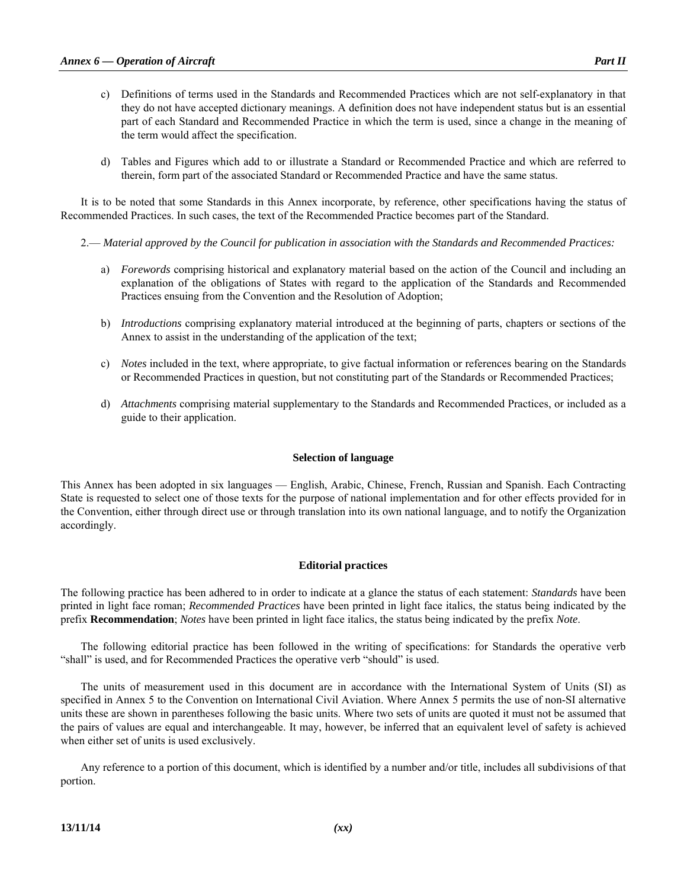- c) Definitions of terms used in the Standards and Recommended Practices which are not self-explanatory in that they do not have accepted dictionary meanings. A definition does not have independent status but is an essential part of each Standard and Recommended Practice in which the term is used, since a change in the meaning of the term would affect the specification.
- d) Tables and Figures which add to or illustrate a Standard or Recommended Practice and which are referred to therein, form part of the associated Standard or Recommended Practice and have the same status.

 It is to be noted that some Standards in this Annex incorporate, by reference, other specifications having the status of Recommended Practices. In such cases, the text of the Recommended Practice becomes part of the Standard.

- 2.— *Material approved by the Council for publication in association with the Standards and Recommended Practices:*
	- a) *Forewords* comprising historical and explanatory material based on the action of the Council and including an explanation of the obligations of States with regard to the application of the Standards and Recommended Practices ensuing from the Convention and the Resolution of Adoption;
	- b) *Introductions* comprising explanatory material introduced at the beginning of parts, chapters or sections of the Annex to assist in the understanding of the application of the text;
	- c) *Notes* included in the text, where appropriate, to give factual information or references bearing on the Standards or Recommended Practices in question, but not constituting part of the Standards or Recommended Practices;
	- d) *Attachments* comprising material supplementary to the Standards and Recommended Practices, or included as a guide to their application.

#### **Selection of language**

This Annex has been adopted in six languages — English, Arabic, Chinese, French, Russian and Spanish. Each Contracting State is requested to select one of those texts for the purpose of national implementation and for other effects provided for in the Convention, either through direct use or through translation into its own national language, and to notify the Organization accordingly.

#### **Editorial practices**

The following practice has been adhered to in order to indicate at a glance the status of each statement: *Standards* have been printed in light face roman; *Recommended Practices* have been printed in light face italics, the status being indicated by the prefix **Recommendation**; *Notes* have been printed in light face italics, the status being indicated by the prefix *Note*.

 The following editorial practice has been followed in the writing of specifications: for Standards the operative verb "shall" is used, and for Recommended Practices the operative verb "should" is used.

 The units of measurement used in this document are in accordance with the International System of Units (SI) as specified in Annex 5 to the Convention on International Civil Aviation. Where Annex 5 permits the use of non-SI alternative units these are shown in parentheses following the basic units. Where two sets of units are quoted it must not be assumed that the pairs of values are equal and interchangeable. It may, however, be inferred that an equivalent level of safety is achieved when either set of units is used exclusively.

 Any reference to a portion of this document, which is identified by a number and/or title, includes all subdivisions of that portion.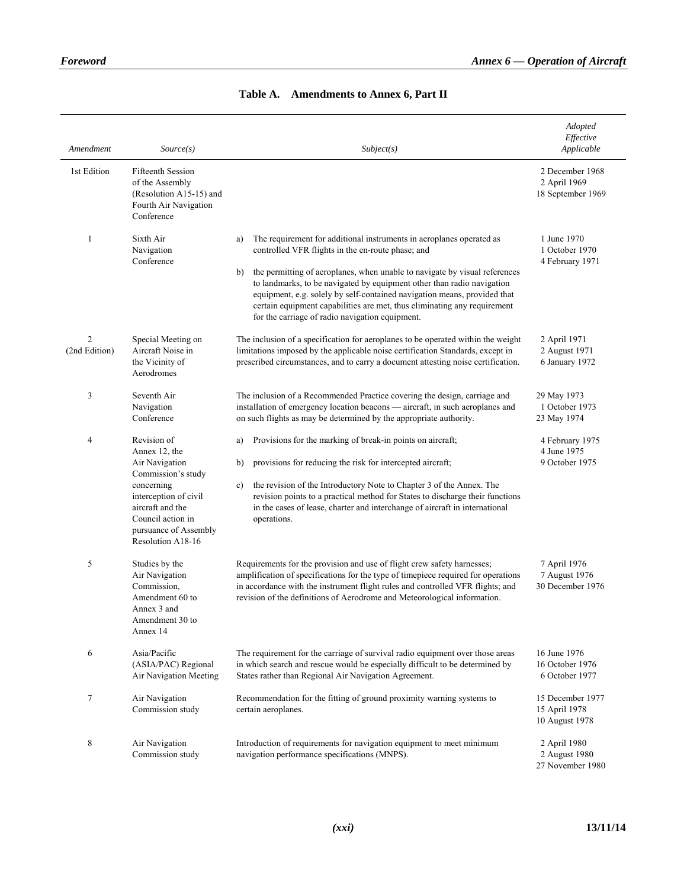| Amendment          | Source(s)                                                                                                                                                                                          | Subject(s)                                                                                                                                                                                                                                                                                                                                                                                                                                                                                               | Adopted<br>Effective<br>Applicable                   |
|--------------------|----------------------------------------------------------------------------------------------------------------------------------------------------------------------------------------------------|----------------------------------------------------------------------------------------------------------------------------------------------------------------------------------------------------------------------------------------------------------------------------------------------------------------------------------------------------------------------------------------------------------------------------------------------------------------------------------------------------------|------------------------------------------------------|
| 1st Edition        | Fifteenth Session<br>of the Assembly<br>(Resolution A15-15) and<br>Fourth Air Navigation<br>Conference                                                                                             |                                                                                                                                                                                                                                                                                                                                                                                                                                                                                                          | 2 December 1968<br>2 April 1969<br>18 September 1969 |
| $\mathbf{1}$       | Sixth Air<br>Navigation<br>Conference                                                                                                                                                              | The requirement for additional instruments in aeroplanes operated as<br>a)<br>controlled VFR flights in the en-route phase; and<br>the permitting of aeroplanes, when unable to navigate by visual references<br>b)<br>to landmarks, to be navigated by equipment other than radio navigation<br>equipment, e.g. solely by self-contained navigation means, provided that<br>certain equipment capabilities are met, thus eliminating any requirement<br>for the carriage of radio navigation equipment. | 1 June 1970<br>1 October 1970<br>4 February 1971     |
| 2<br>(2nd Edition) | Special Meeting on<br>Aircraft Noise in<br>the Vicinity of<br>Aerodromes                                                                                                                           | The inclusion of a specification for aeroplanes to be operated within the weight<br>limitations imposed by the applicable noise certification Standards, except in<br>prescribed circumstances, and to carry a document attesting noise certification.                                                                                                                                                                                                                                                   | 2 April 1971<br>2 August 1971<br>6 January 1972      |
| 3                  | Seventh Air<br>Navigation<br>Conference                                                                                                                                                            | The inclusion of a Recommended Practice covering the design, carriage and<br>installation of emergency location beacons — aircraft, in such aeroplanes and<br>on such flights as may be determined by the appropriate authority.                                                                                                                                                                                                                                                                         | 29 May 1973<br>1 October 1973<br>23 May 1974         |
| 4                  | Revision of<br>Annex 12, the<br>Air Navigation<br>Commission's study<br>concerning<br>interception of civil<br>aircraft and the<br>Council action in<br>pursuance of Assembly<br>Resolution A18-16 | Provisions for the marking of break-in points on aircraft;<br>a)<br>provisions for reducing the risk for intercepted aircraft;<br>b)<br>the revision of the Introductory Note to Chapter 3 of the Annex. The<br>c)<br>revision points to a practical method for States to discharge their functions<br>in the cases of lease, charter and interchange of aircraft in international<br>operations.                                                                                                        | 4 February 1975<br>4 June 1975<br>9 October 1975     |
| 5                  | Studies by the<br>Air Navigation<br>Commission.<br>Amendment 60 to<br>Annex 3 and<br>Amendment 30 to<br>Annex 14                                                                                   | Requirements for the provision and use of flight crew safety harnesses;<br>amplification of specifications for the type of timepiece required for operations<br>in accordance with the instrument flight rules and controlled VFR flights; and<br>revision of the definitions of Aerodrome and Meteorological information.                                                                                                                                                                               | 7 April 1976<br>7 August 1976<br>30 December 1976    |
| 6                  | Asia/Pacific<br>(ASIA/PAC) Regional<br>Air Navigation Meeting                                                                                                                                      | The requirement for the carriage of survival radio equipment over those areas<br>in which search and rescue would be especially difficult to be determined by<br>States rather than Regional Air Navigation Agreement.                                                                                                                                                                                                                                                                                   | 16 June 1976<br>16 October 1976<br>6 October 1977    |
| 7                  | Air Navigation<br>Commission study                                                                                                                                                                 | Recommendation for the fitting of ground proximity warning systems to<br>certain aeroplanes.                                                                                                                                                                                                                                                                                                                                                                                                             | 15 December 1977<br>15 April 1978<br>10 August 1978  |
| 8                  | Air Navigation<br>Commission study                                                                                                                                                                 | Introduction of requirements for navigation equipment to meet minimum<br>navigation performance specifications (MNPS).                                                                                                                                                                                                                                                                                                                                                                                   | 2 April 1980<br>2 August 1980<br>27 November 1980    |

## **Table A. Amendments to Annex 6, Part II**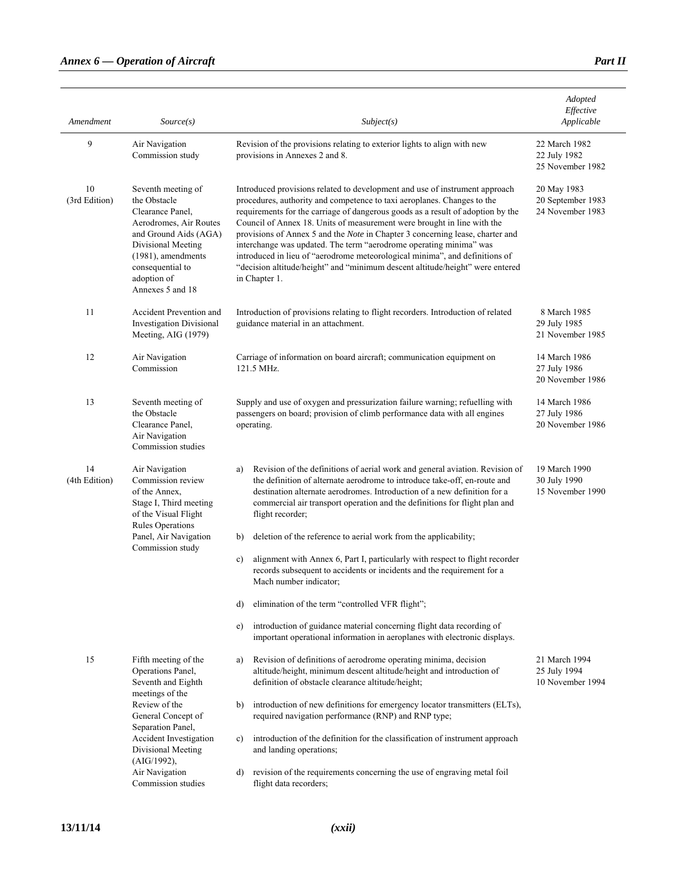|                     |                                                                                                                                                                                                                 |                                                                                                                                                                                                                                                                                                                                                                                                                                                                                                                                                                                                                                                              | Adopted                                              |
|---------------------|-----------------------------------------------------------------------------------------------------------------------------------------------------------------------------------------------------------------|--------------------------------------------------------------------------------------------------------------------------------------------------------------------------------------------------------------------------------------------------------------------------------------------------------------------------------------------------------------------------------------------------------------------------------------------------------------------------------------------------------------------------------------------------------------------------------------------------------------------------------------------------------------|------------------------------------------------------|
| Amendment           | Source(s)                                                                                                                                                                                                       | Subject(s)                                                                                                                                                                                                                                                                                                                                                                                                                                                                                                                                                                                                                                                   | Effective<br>Applicable                              |
| 9                   | Air Navigation<br>Commission study                                                                                                                                                                              | Revision of the provisions relating to exterior lights to align with new<br>provisions in Annexes 2 and 8.                                                                                                                                                                                                                                                                                                                                                                                                                                                                                                                                                   | 22 March 1982<br>22 July 1982<br>25 November 1982    |
| 10<br>(3rd Edition) | Seventh meeting of<br>the Obstacle<br>Clearance Panel,<br>Aerodromes, Air Routes<br>and Ground Aids (AGA)<br>Divisional Meeting<br>$(1981)$ , amendments<br>consequential to<br>adoption of<br>Annexes 5 and 18 | Introduced provisions related to development and use of instrument approach<br>procedures, authority and competence to taxi aeroplanes. Changes to the<br>requirements for the carriage of dangerous goods as a result of adoption by the<br>Council of Annex 18. Units of measurement were brought in line with the<br>provisions of Annex 5 and the Note in Chapter 3 concerning lease, charter and<br>interchange was updated. The term "aerodrome operating minima" was<br>introduced in lieu of "aerodrome meteorological minima", and definitions of<br>"decision altitude/height" and "minimum descent altitude/height" were entered<br>in Chapter 1. | 20 May 1983<br>20 September 1983<br>24 November 1983 |
| 11                  | Accident Prevention and<br><b>Investigation Divisional</b><br>Meeting, AIG (1979)                                                                                                                               | Introduction of provisions relating to flight recorders. Introduction of related<br>guidance material in an attachment.                                                                                                                                                                                                                                                                                                                                                                                                                                                                                                                                      | 8 March 1985<br>29 July 1985<br>21 November 1985     |
| 12                  | Air Navigation<br>Commission                                                                                                                                                                                    | Carriage of information on board aircraft; communication equipment on<br>121.5 MHz.                                                                                                                                                                                                                                                                                                                                                                                                                                                                                                                                                                          | 14 March 1986<br>27 July 1986<br>20 November 1986    |
| 13                  | Seventh meeting of<br>the Obstacle<br>Clearance Panel,<br>Air Navigation<br>Commission studies                                                                                                                  | Supply and use of oxygen and pressurization failure warning; refuelling with<br>passengers on board; provision of climb performance data with all engines<br>operating.                                                                                                                                                                                                                                                                                                                                                                                                                                                                                      | 14 March 1986<br>27 July 1986<br>20 November 1986    |
| 14<br>(4th Edition) | Air Navigation<br>Commission review<br>of the Annex,<br>Stage I, Third meeting<br>of the Visual Flight<br>Rules Operations                                                                                      | Revision of the definitions of aerial work and general aviation. Revision of<br>a)<br>the definition of alternate aerodrome to introduce take-off, en-route and<br>destination alternate aerodromes. Introduction of a new definition for a<br>commercial air transport operation and the definitions for flight plan and<br>flight recorder;                                                                                                                                                                                                                                                                                                                | 19 March 1990<br>30 July 1990<br>15 November 1990    |
|                     | Panel, Air Navigation<br>Commission study                                                                                                                                                                       | deletion of the reference to aerial work from the applicability;<br>b)                                                                                                                                                                                                                                                                                                                                                                                                                                                                                                                                                                                       |                                                      |
|                     |                                                                                                                                                                                                                 | alignment with Annex 6, Part I, particularly with respect to flight recorder<br>c)<br>records subsequent to accidents or incidents and the requirement for a<br>Mach number indicator;                                                                                                                                                                                                                                                                                                                                                                                                                                                                       |                                                      |
|                     |                                                                                                                                                                                                                 | elimination of the term "controlled VFR flight";<br>d)                                                                                                                                                                                                                                                                                                                                                                                                                                                                                                                                                                                                       |                                                      |
|                     |                                                                                                                                                                                                                 | introduction of guidance material concerning flight data recording of<br>e)<br>important operational information in aeroplanes with electronic displays.                                                                                                                                                                                                                                                                                                                                                                                                                                                                                                     |                                                      |
| 15                  | Fifth meeting of the<br>Operations Panel,<br>Seventh and Eighth<br>meetings of the                                                                                                                              | Revision of definitions of aerodrome operating minima, decision<br>a)<br>altitude/height, minimum descent altitude/height and introduction of<br>definition of obstacle clearance altitude/height;                                                                                                                                                                                                                                                                                                                                                                                                                                                           | 21 March 1994<br>25 July 1994<br>10 November 1994    |
|                     | Review of the<br>General Concept of<br>Separation Panel,                                                                                                                                                        | introduction of new definitions for emergency locator transmitters (ELTs),<br>b)<br>required navigation performance (RNP) and RNP type;                                                                                                                                                                                                                                                                                                                                                                                                                                                                                                                      |                                                      |
|                     | Accident Investigation<br>Divisional Meeting<br>(AIG/1992),                                                                                                                                                     | introduction of the definition for the classification of instrument approach<br>c)<br>and landing operations;                                                                                                                                                                                                                                                                                                                                                                                                                                                                                                                                                |                                                      |
|                     | Air Navigation<br>Commission studies                                                                                                                                                                            | revision of the requirements concerning the use of engraving metal foil<br>d)<br>flight data recorders;                                                                                                                                                                                                                                                                                                                                                                                                                                                                                                                                                      |                                                      |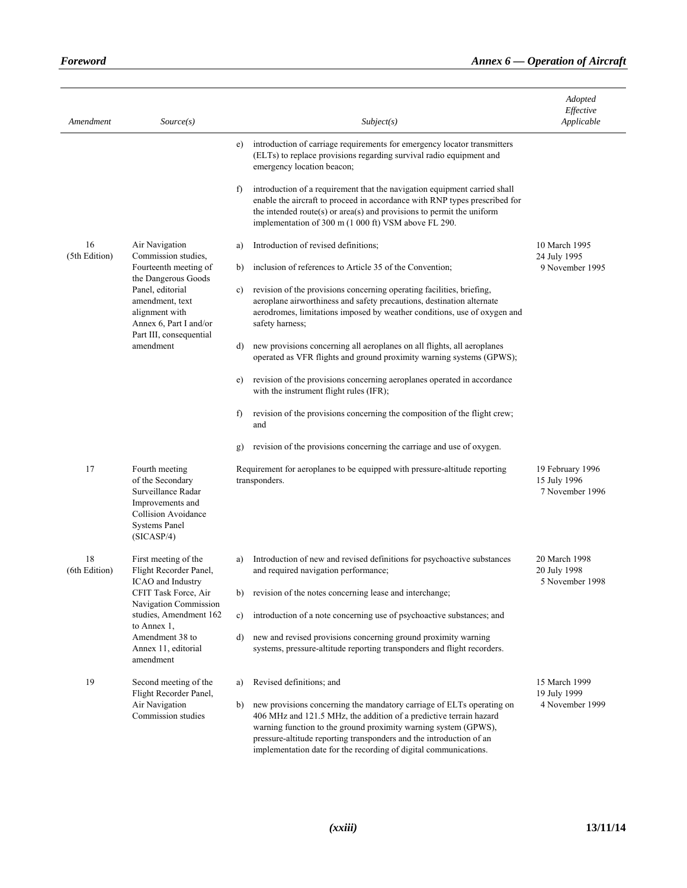| Amendment           | Source(s)                                                                                                                                                               | Subject(s)                                                                                                                                                                                                                                                                                                                                                      | Adopted<br>Effective<br>Applicable                  |
|---------------------|-------------------------------------------------------------------------------------------------------------------------------------------------------------------------|-----------------------------------------------------------------------------------------------------------------------------------------------------------------------------------------------------------------------------------------------------------------------------------------------------------------------------------------------------------------|-----------------------------------------------------|
|                     |                                                                                                                                                                         | introduction of carriage requirements for emergency locator transmitters<br>e)<br>(ELTs) to replace provisions regarding survival radio equipment and<br>emergency location beacon;                                                                                                                                                                             |                                                     |
|                     |                                                                                                                                                                         | introduction of a requirement that the navigation equipment carried shall<br>f)<br>enable the aircraft to proceed in accordance with RNP types prescribed for<br>the intended route(s) or $area(s)$ and provisions to permit the uniform<br>implementation of 300 m (1 000 ft) VSM above FL 290.                                                                |                                                     |
| 16<br>(5th Edition) | Air Navigation<br>Commission studies,                                                                                                                                   | Introduction of revised definitions;<br>a)                                                                                                                                                                                                                                                                                                                      | 10 March 1995<br>24 July 1995                       |
|                     | Fourteenth meeting of<br>the Dangerous Goods<br>Panel, editorial<br>amendment, text<br>alignment with<br>Annex 6, Part I and/or<br>Part III, consequential<br>amendment | inclusion of references to Article 35 of the Convention;<br>b)                                                                                                                                                                                                                                                                                                  | 9 November 1995                                     |
|                     |                                                                                                                                                                         | revision of the provisions concerning operating facilities, briefing,<br>c)<br>aeroplane airworthiness and safety precautions, destination alternate<br>aerodromes, limitations imposed by weather conditions, use of oxygen and<br>safety harness;                                                                                                             |                                                     |
|                     |                                                                                                                                                                         | new provisions concerning all aeroplanes on all flights, all aeroplanes<br>d)<br>operated as VFR flights and ground proximity warning systems (GPWS);                                                                                                                                                                                                           |                                                     |
|                     |                                                                                                                                                                         | revision of the provisions concerning aeroplanes operated in accordance<br>e)<br>with the instrument flight rules (IFR);                                                                                                                                                                                                                                        |                                                     |
|                     |                                                                                                                                                                         | revision of the provisions concerning the composition of the flight crew;<br>f)<br>and                                                                                                                                                                                                                                                                          |                                                     |
|                     |                                                                                                                                                                         | revision of the provisions concerning the carriage and use of oxygen.<br>g)                                                                                                                                                                                                                                                                                     |                                                     |
| 17                  | Fourth meeting<br>of the Secondary<br>Surveillance Radar<br>Improvements and<br>Collision Avoidance<br><b>Systems Panel</b><br>(SICASP/4)                               | Requirement for aeroplanes to be equipped with pressure-altitude reporting<br>transponders.                                                                                                                                                                                                                                                                     | 19 February 1996<br>15 July 1996<br>7 November 1996 |
| 18<br>(6th Edition) | First meeting of the<br>Flight Recorder Panel,<br><b>ICAO</b> and Industry                                                                                              | Introduction of new and revised definitions for psychoactive substances<br>a)<br>and required navigation performance;                                                                                                                                                                                                                                           | 20 March 1998<br>20 July 1998<br>5 November 1998    |
|                     | CFIT Task Force, Air<br>Navigation Commission                                                                                                                           | revision of the notes concerning lease and interchange;<br>b)                                                                                                                                                                                                                                                                                                   |                                                     |
|                     | studies, Amendment 162<br>to Annex 1,                                                                                                                                   | introduction of a note concerning use of psychoactive substances; and<br>c)                                                                                                                                                                                                                                                                                     |                                                     |
|                     | Amendment 38 to<br>Annex 11, editorial<br>amendment                                                                                                                     | new and revised provisions concerning ground proximity warning<br>d)<br>systems, pressure-altitude reporting transponders and flight recorders.                                                                                                                                                                                                                 |                                                     |
| 19                  | Second meeting of the                                                                                                                                                   | Revised definitions; and<br>a)                                                                                                                                                                                                                                                                                                                                  | 15 March 1999                                       |
|                     | Flight Recorder Panel,<br>Air Navigation<br>Commission studies                                                                                                          | new provisions concerning the mandatory carriage of ELTs operating on<br>b)<br>406 MHz and 121.5 MHz, the addition of a predictive terrain hazard<br>warning function to the ground proximity warning system (GPWS),<br>pressure-altitude reporting transponders and the introduction of an<br>implementation date for the recording of digital communications. | 19 July 1999<br>4 November 1999                     |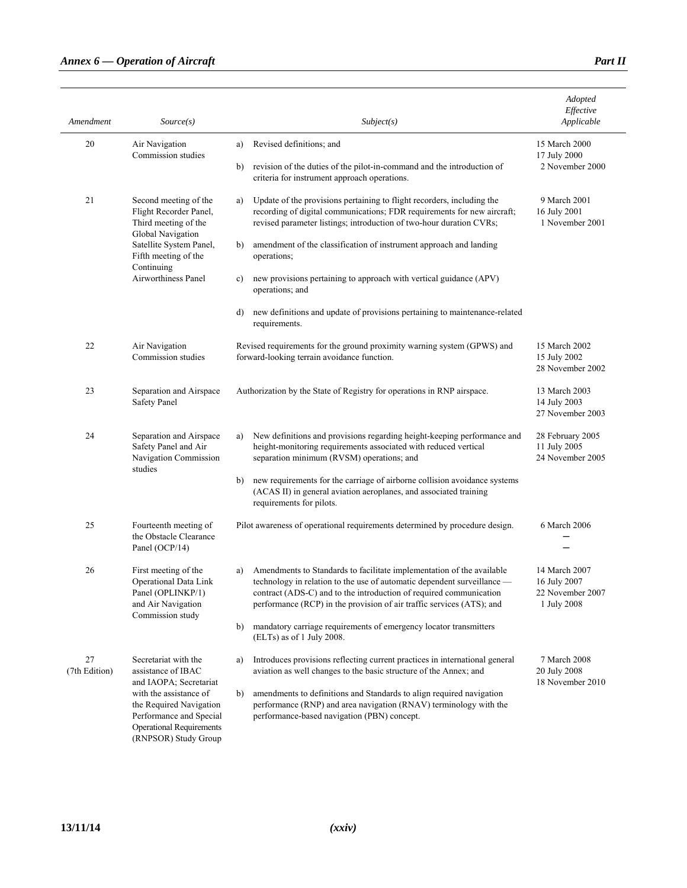| Amendment           | Source(s)                                                                                                                               | Subject(s)                                                                                                                                                                                                                                                                                            | Adopted<br>Effective<br>Applicable                               |
|---------------------|-----------------------------------------------------------------------------------------------------------------------------------------|-------------------------------------------------------------------------------------------------------------------------------------------------------------------------------------------------------------------------------------------------------------------------------------------------------|------------------------------------------------------------------|
|                     |                                                                                                                                         |                                                                                                                                                                                                                                                                                                       |                                                                  |
| 20                  | Air Navigation<br>Commission studies                                                                                                    | Revised definitions; and<br>a)<br>revision of the duties of the pilot-in-command and the introduction of<br>b)<br>criteria for instrument approach operations.                                                                                                                                        | 15 March 2000<br>17 July 2000<br>2 November 2000                 |
| 21                  | Second meeting of the<br>Flight Recorder Panel,<br>Third meeting of the<br>Global Navigation                                            | Update of the provisions pertaining to flight recorders, including the<br>a)<br>recording of digital communications; FDR requirements for new aircraft;<br>revised parameter listings; introduction of two-hour duration CVRs;                                                                        | 9 March 2001<br>16 July 2001<br>1 November 2001                  |
|                     | Satellite System Panel,<br>Fifth meeting of the<br>Continuing                                                                           | amendment of the classification of instrument approach and landing<br>b)<br>operations;                                                                                                                                                                                                               |                                                                  |
|                     | Airworthiness Panel                                                                                                                     | new provisions pertaining to approach with vertical guidance (APV)<br>c)<br>operations; and                                                                                                                                                                                                           |                                                                  |
|                     |                                                                                                                                         | new definitions and update of provisions pertaining to maintenance-related<br>d)<br>requirements.                                                                                                                                                                                                     |                                                                  |
| 22                  | Air Navigation<br>Commission studies                                                                                                    | Revised requirements for the ground proximity warning system (GPWS) and<br>forward-looking terrain avoidance function.                                                                                                                                                                                | 15 March 2002<br>15 July 2002<br>28 November 2002                |
| 23                  | Separation and Airspace<br><b>Safety Panel</b>                                                                                          | Authorization by the State of Registry for operations in RNP airspace.                                                                                                                                                                                                                                | 13 March 2003<br>14 July 2003<br>27 November 2003                |
| 24                  | Separation and Airspace<br>Safety Panel and Air<br>Navigation Commission<br>studies                                                     | New definitions and provisions regarding height-keeping performance and<br>a)<br>height-monitoring requirements associated with reduced vertical<br>separation minimum (RVSM) operations; and                                                                                                         | 28 February 2005<br>11 July 2005<br>24 November 2005             |
|                     |                                                                                                                                         | new requirements for the carriage of airborne collision avoidance systems<br>b)<br>(ACAS II) in general aviation aeroplanes, and associated training<br>requirements for pilots.                                                                                                                      |                                                                  |
| 25                  | Fourteenth meeting of<br>the Obstacle Clearance<br>Panel (OCP/14)                                                                       | Pilot awareness of operational requirements determined by procedure design.                                                                                                                                                                                                                           | 6 March 2006                                                     |
| 26                  | First meeting of the<br>Operational Data Link<br>Panel (OPLINKP/1)<br>and Air Navigation<br>Commission study                            | Amendments to Standards to facilitate implementation of the available<br>a)<br>technology in relation to the use of automatic dependent surveillance -<br>contract (ADS-C) and to the introduction of required communication<br>performance (RCP) in the provision of air traffic services (ATS); and | 14 March 2007<br>16 July 2007<br>22 November 2007<br>1 July 2008 |
|                     |                                                                                                                                         | mandatory carriage requirements of emergency locator transmitters<br>b)<br>(ELTs) as of 1 July 2008.                                                                                                                                                                                                  |                                                                  |
| 27<br>(7th Edition) | Secretariat with the<br>assistance of IBAC<br>and IAOPA; Secretariat                                                                    | Introduces provisions reflecting current practices in international general<br>a)<br>aviation as well changes to the basic structure of the Annex; and                                                                                                                                                | 7 March 2008<br>20 July 2008<br>18 November 2010                 |
|                     | with the assistance of<br>the Required Navigation<br>Performance and Special<br><b>Operational Requirements</b><br>(RNPSOR) Study Group | amendments to definitions and Standards to align required navigation<br>b)<br>performance (RNP) and area navigation (RNAV) terminology with the<br>performance-based navigation (PBN) concept.                                                                                                        |                                                                  |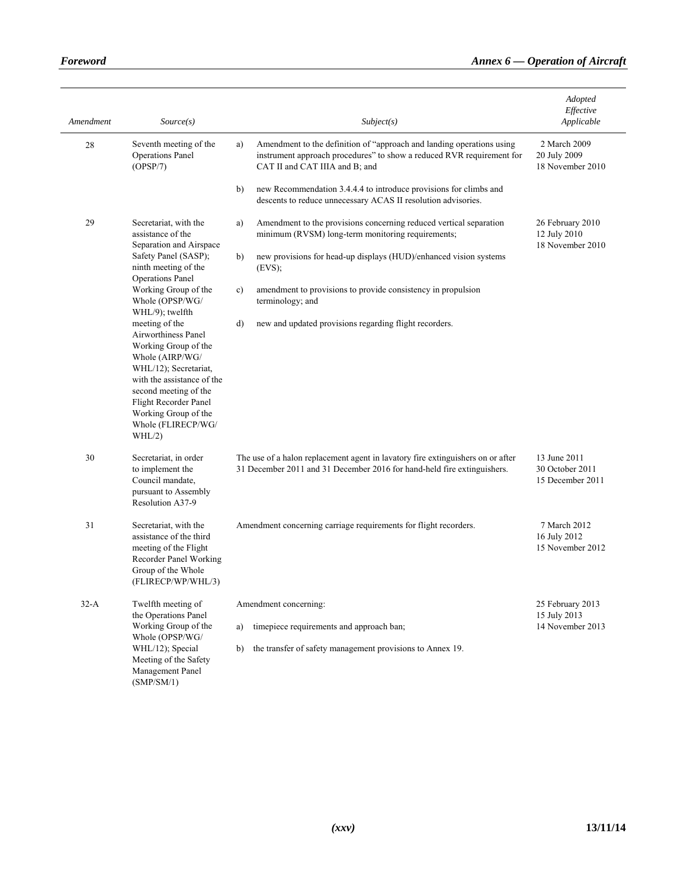| Amendment | Source(s)                                                                                                                                                                                                                                         | Subject(s)                                                                                                                                                                             | Adopted<br>Effective<br>Applicable                   |
|-----------|---------------------------------------------------------------------------------------------------------------------------------------------------------------------------------------------------------------------------------------------------|----------------------------------------------------------------------------------------------------------------------------------------------------------------------------------------|------------------------------------------------------|
| 28        | Seventh meeting of the<br><b>Operations Panel</b><br>(OPSP/7)                                                                                                                                                                                     | Amendment to the definition of "approach and landing operations using<br>a)<br>instrument approach procedures" to show a reduced RVR requirement for<br>CAT II and CAT IIIA and B; and | 2 March 2009<br>20 July 2009<br>18 November 2010     |
|           |                                                                                                                                                                                                                                                   | new Recommendation 3.4.4.4 to introduce provisions for climbs and<br>b)<br>descents to reduce unnecessary ACAS II resolution advisories.                                               |                                                      |
| 29        | Secretariat, with the<br>assistance of the<br>Separation and Airspace                                                                                                                                                                             | Amendment to the provisions concerning reduced vertical separation<br>a)<br>minimum (RVSM) long-term monitoring requirements;                                                          | 26 February 2010<br>12 July 2010<br>18 November 2010 |
|           | Safety Panel (SASP);<br>ninth meeting of the<br><b>Operations Panel</b>                                                                                                                                                                           | b)<br>new provisions for head-up displays (HUD)/enhanced vision systems<br>(EVS);                                                                                                      |                                                      |
|           | Working Group of the<br>Whole (OPSP/WG/<br>WHL/9); twelfth                                                                                                                                                                                        | amendment to provisions to provide consistency in propulsion<br>c)<br>terminology; and                                                                                                 |                                                      |
|           | meeting of the<br>Airworthiness Panel<br>Working Group of the<br>Whole (AIRP/WG/<br>WHL/12); Secretariat,<br>with the assistance of the<br>second meeting of the<br>Flight Recorder Panel<br>Working Group of the<br>Whole (FLIRECP/WG/<br>WHL/2) | d)<br>new and updated provisions regarding flight recorders.                                                                                                                           |                                                      |
| 30        | Secretariat, in order<br>to implement the<br>Council mandate,<br>pursuant to Assembly<br>Resolution A37-9                                                                                                                                         | The use of a halon replacement agent in lavatory fire extinguishers on or after<br>31 December 2011 and 31 December 2016 for hand-held fire extinguishers.                             | 13 June 2011<br>30 October 2011<br>15 December 2011  |
| 31        | Secretariat, with the<br>assistance of the third<br>meeting of the Flight<br>Recorder Panel Working<br>Group of the Whole<br>(FLIRECP/WP/WHL/3)                                                                                                   | Amendment concerning carriage requirements for flight recorders.                                                                                                                       | 7 March 2012<br>16 July 2012<br>15 November 2012     |
| $32-A$    | Twelfth meeting of<br>the Operations Panel                                                                                                                                                                                                        | Amendment concerning:                                                                                                                                                                  | 25 February 2013<br>15 July 2013                     |
|           | Working Group of the<br>Whole (OPSP/WG/                                                                                                                                                                                                           | timepiece requirements and approach ban;<br>a)                                                                                                                                         | 14 November 2013                                     |
|           | WHL/12); Special<br>Meeting of the Safety<br>Management Panel<br>(SMP/SM/1)                                                                                                                                                                       | the transfer of safety management provisions to Annex 19.<br>b)                                                                                                                        |                                                      |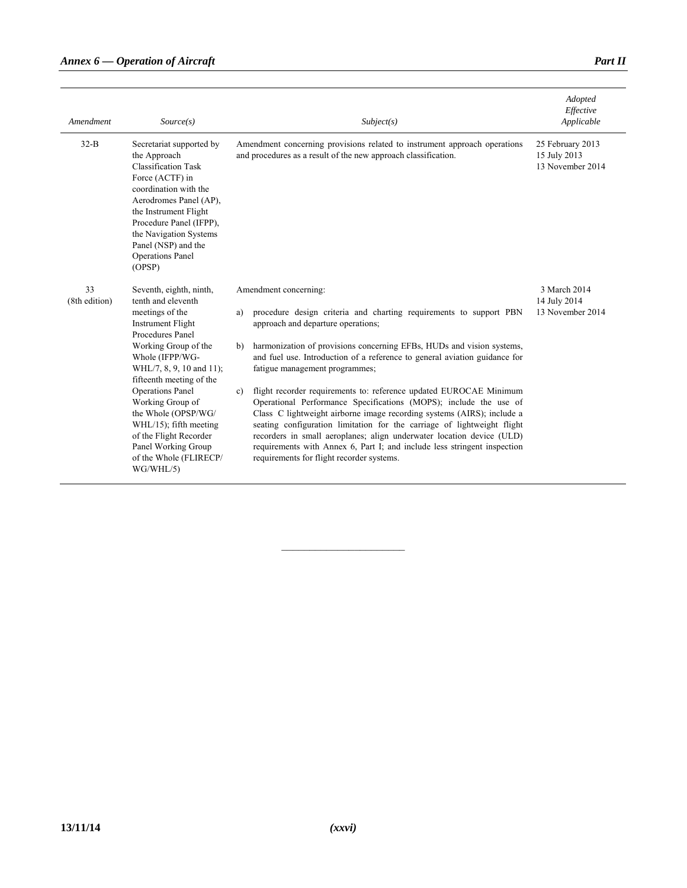| Part |  |
|------|--|
|      |  |

| Amendment           | Source(s)                                                                                                                                                                                                                                                                                                                                                                                                     | Subject(s)                                                                                                                                                                                                                                                                                                                                                                                                                                                                                                                                                                                                                                                                                                                                                                                                                                                 | Adopted<br>Effective<br>Applicable                   |
|---------------------|---------------------------------------------------------------------------------------------------------------------------------------------------------------------------------------------------------------------------------------------------------------------------------------------------------------------------------------------------------------------------------------------------------------|------------------------------------------------------------------------------------------------------------------------------------------------------------------------------------------------------------------------------------------------------------------------------------------------------------------------------------------------------------------------------------------------------------------------------------------------------------------------------------------------------------------------------------------------------------------------------------------------------------------------------------------------------------------------------------------------------------------------------------------------------------------------------------------------------------------------------------------------------------|------------------------------------------------------|
| $32-B$              | Secretariat supported by<br>the Approach<br><b>Classification Task</b><br>Force (ACTF) in<br>coordination with the<br>Aerodromes Panel (AP),<br>the Instrument Flight<br>Procedure Panel (IFPP).<br>the Navigation Systems<br>Panel (NSP) and the<br><b>Operations Panel</b><br>(OPSP)                                                                                                                        | Amendment concerning provisions related to instrument approach operations<br>and procedures as a result of the new approach classification.                                                                                                                                                                                                                                                                                                                                                                                                                                                                                                                                                                                                                                                                                                                | 25 February 2013<br>15 July 2013<br>13 November 2014 |
| 33<br>(8th edition) | Seventh, eighth, ninth,<br>tenth and eleventh<br>meetings of the<br><b>Instrument Flight</b><br>Procedures Panel<br>Working Group of the<br>Whole (IFPP/WG-<br>WHL/7, 8, 9, 10 and 11);<br>fifteenth meeting of the<br><b>Operations Panel</b><br>Working Group of<br>the Whole (OPSP/WG/<br>$WHL/15$ ; fifth meeting<br>of the Flight Recorder<br>Panel Working Group<br>of the Whole (FLIRECP/<br>WG/WHL/5) | Amendment concerning:<br>procedure design criteria and charting requirements to support PBN<br>a)<br>approach and departure operations;<br>harmonization of provisions concerning EFBs, HUDs and vision systems,<br>b)<br>and fuel use. Introduction of a reference to general aviation guidance for<br>fatigue management programmes;<br>flight recorder requirements to: reference updated EUROCAE Minimum<br>$\mathbf{c}$ )<br>Operational Performance Specifications (MOPS); include the use of<br>Class C lightweight airborne image recording systems (AIRS); include a<br>seating configuration limitation for the carriage of lightweight flight<br>recorders in small aeroplanes; align underwater location device (ULD)<br>requirements with Annex 6, Part I; and include less stringent inspection<br>requirements for flight recorder systems. | 3 March 2014<br>14 July 2014<br>13 November 2014     |

 $\mathcal{L}=\{1,2,3,4,5\}$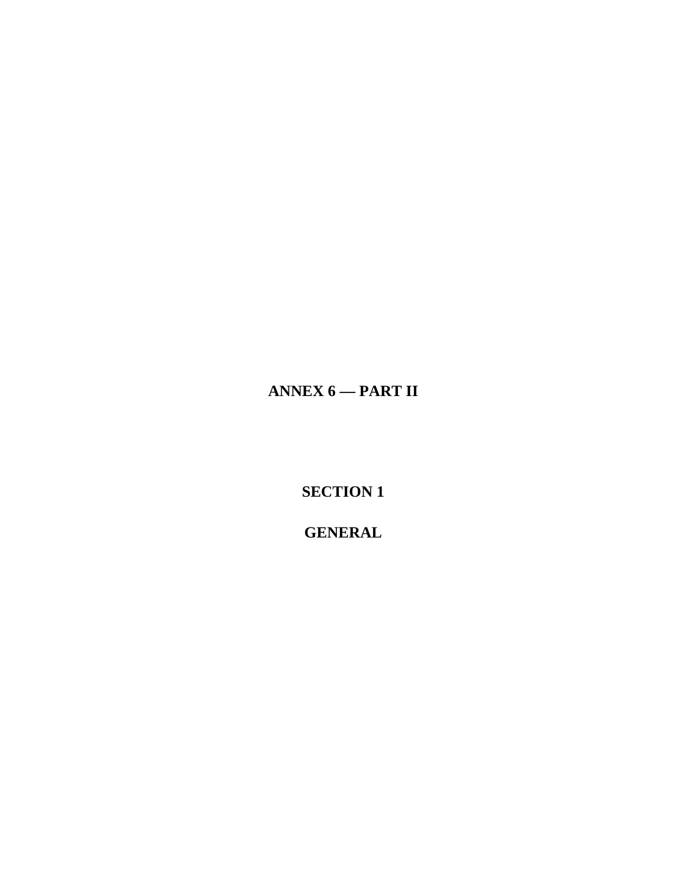**ANNEX 6 — PART II** 

**SECTION 1** 

**GENERAL**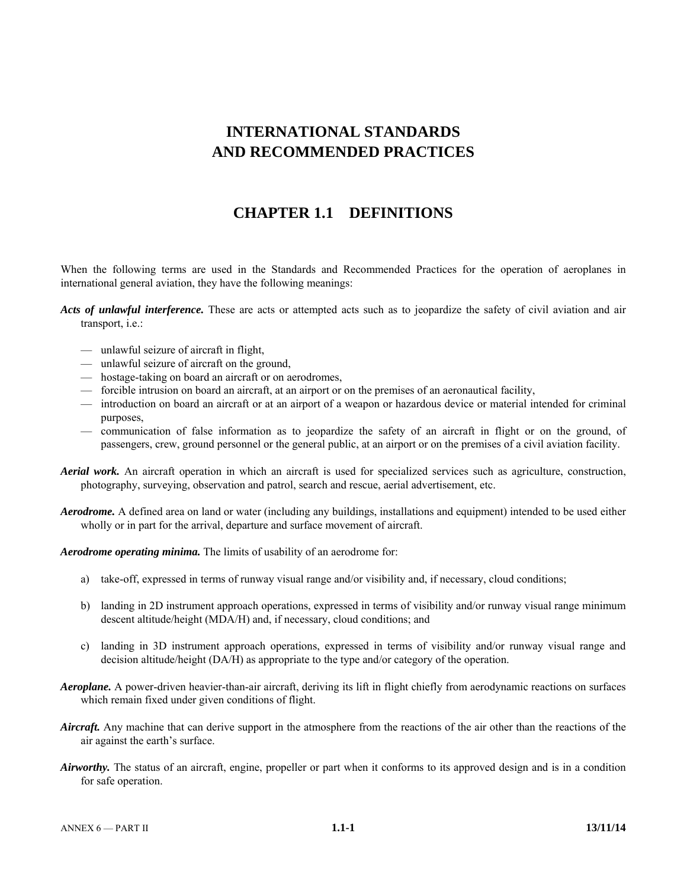## **INTERNATIONAL STANDARDS AND RECOMMENDED PRACTICES**

## **CHAPTER 1.1 DEFINITIONS**

When the following terms are used in the Standards and Recommended Practices for the operation of aeroplanes in international general aviation, they have the following meanings:

- *Acts of unlawful interference.* These are acts or attempted acts such as to jeopardize the safety of civil aviation and air transport, i.e.:
	- unlawful seizure of aircraft in flight,
	- unlawful seizure of aircraft on the ground,
	- hostage-taking on board an aircraft or on aerodromes,
	- forcible intrusion on board an aircraft, at an airport or on the premises of an aeronautical facility,
	- introduction on board an aircraft or at an airport of a weapon or hazardous device or material intended for criminal purposes,
	- communication of false information as to jeopardize the safety of an aircraft in flight or on the ground, of passengers, crew, ground personnel or the general public, at an airport or on the premises of a civil aviation facility.
- *Aerial work.* An aircraft operation in which an aircraft is used for specialized services such as agriculture, construction, photography, surveying, observation and patrol, search and rescue, aerial advertisement, etc.
- *Aerodrome.* A defined area on land or water (including any buildings, installations and equipment) intended to be used either wholly or in part for the arrival, departure and surface movement of aircraft.

*Aerodrome operating minima.* The limits of usability of an aerodrome for:

- a) take-off, expressed in terms of runway visual range and/or visibility and, if necessary, cloud conditions;
- b) landing in 2D instrument approach operations, expressed in terms of visibility and/or runway visual range minimum descent altitude/height (MDA/H) and, if necessary, cloud conditions; and
- c) landing in 3D instrument approach operations, expressed in terms of visibility and/or runway visual range and decision altitude/height (DA/H) as appropriate to the type and/or category of the operation.
- *Aeroplane.* A power-driven heavier-than-air aircraft, deriving its lift in flight chiefly from aerodynamic reactions on surfaces which remain fixed under given conditions of flight.
- *Aircraft.* Any machine that can derive support in the atmosphere from the reactions of the air other than the reactions of the air against the earth's surface.
- *Airworthy.* The status of an aircraft, engine, propeller or part when it conforms to its approved design and is in a condition for safe operation.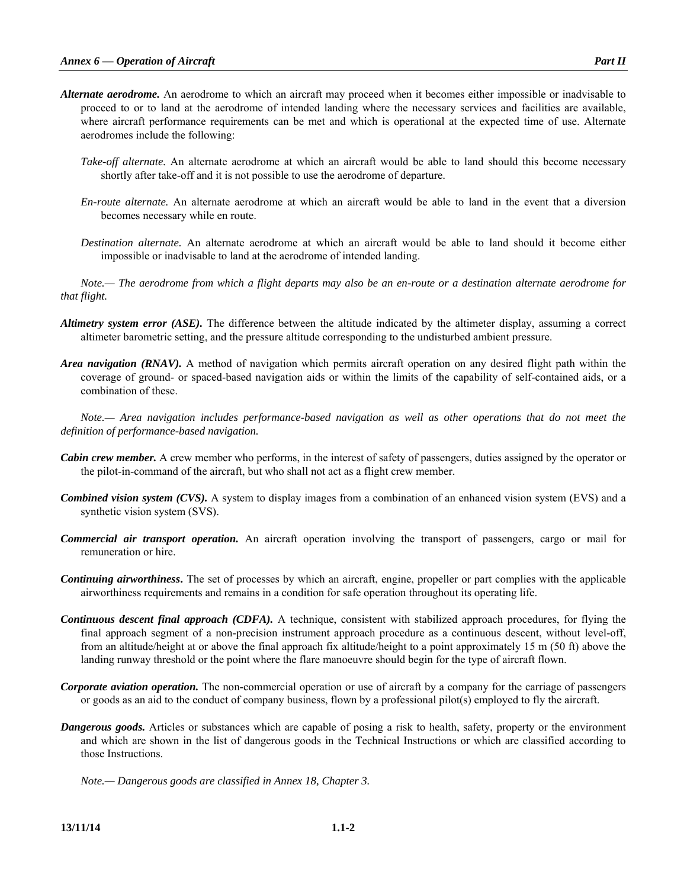- *Alternate aerodrome.* An aerodrome to which an aircraft may proceed when it becomes either impossible or inadvisable to proceed to or to land at the aerodrome of intended landing where the necessary services and facilities are available, where aircraft performance requirements can be met and which is operational at the expected time of use. Alternate aerodromes include the following:
	- *Take-off alternate.* An alternate aerodrome at which an aircraft would be able to land should this become necessary shortly after take-off and it is not possible to use the aerodrome of departure.
	- *En-route alternate.* An alternate aerodrome at which an aircraft would be able to land in the event that a diversion becomes necessary while en route.
	- *Destination alternate.* An alternate aerodrome at which an aircraft would be able to land should it become either impossible or inadvisable to land at the aerodrome of intended landing.

*Note.— The aerodrome from which a flight departs may also be an en-route or a destination alternate aerodrome for that flight.* 

- *Altimetry system error (ASE).* The difference between the altitude indicated by the altimeter display, assuming a correct altimeter barometric setting, and the pressure altitude corresponding to the undisturbed ambient pressure.
- *Area navigation (RNAV).* A method of navigation which permits aircraft operation on any desired flight path within the coverage of ground- or spaced-based navigation aids or within the limits of the capability of self-contained aids, or a combination of these.

 *Note.— Area navigation includes performance-based navigation as well as other operations that do not meet the definition of performance-based navigation.* 

- *Cabin crew member.* A crew member who performs, in the interest of safety of passengers, duties assigned by the operator or the pilot-in-command of the aircraft, but who shall not act as a flight crew member.
- *Combined vision system (CVS).* A system to display images from a combination of an enhanced vision system (EVS) and a synthetic vision system (SVS).
- *Commercial air transport operation.* An aircraft operation involving the transport of passengers, cargo or mail for remuneration or hire.
- *Continuing airworthiness***.** The set of processes by which an aircraft, engine, propeller or part complies with the applicable airworthiness requirements and remains in a condition for safe operation throughout its operating life.
- *Continuous descent final approach (CDFA).* A technique, consistent with stabilized approach procedures, for flying the final approach segment of a non-precision instrument approach procedure as a continuous descent, without level-off, from an altitude/height at or above the final approach fix altitude/height to a point approximately 15 m (50 ft) above the landing runway threshold or the point where the flare manoeuvre should begin for the type of aircraft flown.
- *Corporate aviation operation.* The non-commercial operation or use of aircraft by a company for the carriage of passengers or goods as an aid to the conduct of company business, flown by a professional pilot(s) employed to fly the aircraft.
- *Dangerous goods.* Articles or substances which are capable of posing a risk to health, safety, property or the environment and which are shown in the list of dangerous goods in the Technical Instructions or which are classified according to those Instructions.

*Note.— Dangerous goods are classified in Annex 18, Chapter 3.*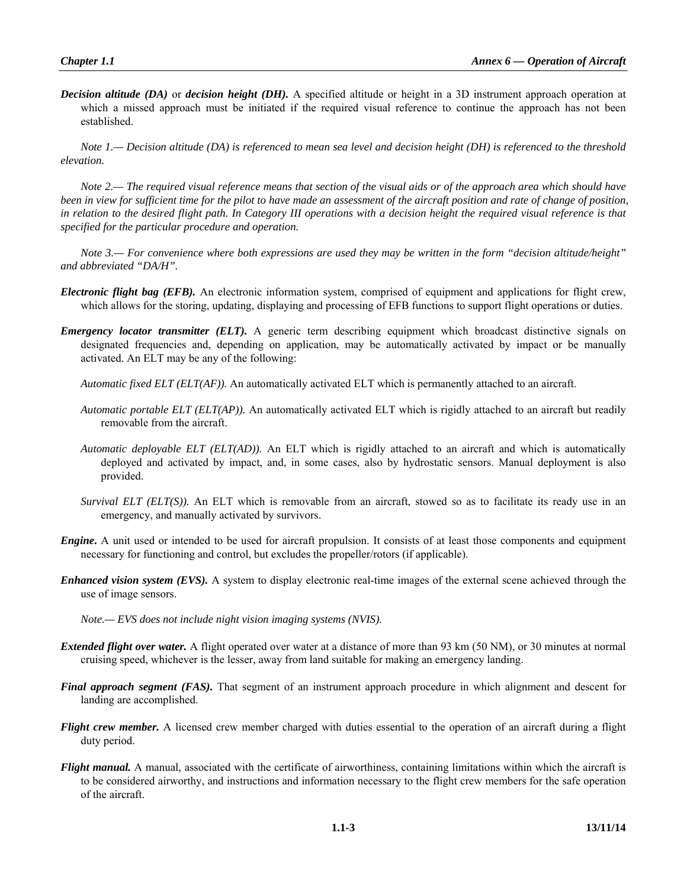*Decision altitude (DA)* or *decision height (DH).* A specified altitude or height in a 3D instrument approach operation at which a missed approach must be initiated if the required visual reference to continue the approach has not been established.

*Note 1.— Decision altitude (DA) is referenced to mean sea level and decision height (DH) is referenced to the threshold elevation.* 

*Note 2.— The required visual reference means that section of the visual aids or of the approach area which should have been in view for sufficient time for the pilot to have made an assessment of the aircraft position and rate of change of position, in relation to the desired flight path. In Category III operations with a decision height the required visual reference is that specified for the particular procedure and operation.* 

 *Note 3.— For convenience where both expressions are used they may be written in the form "decision altitude/height" and abbreviated "DA/H".* 

- *Electronic flight bag (EFB).* An electronic information system, comprised of equipment and applications for flight crew, which allows for the storing, updating, displaying and processing of EFB functions to support flight operations or duties.
- *Emergency locator transmitter (ELT).* A generic term describing equipment which broadcast distinctive signals on designated frequencies and, depending on application, may be automatically activated by impact or be manually activated. An ELT may be any of the following:

 *Automatic fixed ELT (ELT(AF)).* An automatically activated ELT which is permanently attached to an aircraft.

- *Automatic portable ELT (ELT(AP)).* An automatically activated ELT which is rigidly attached to an aircraft but readily removable from the aircraft.
- *Automatic deployable ELT (ELT(AD)).* An ELT which is rigidly attached to an aircraft and which is automatically deployed and activated by impact, and, in some cases, also by hydrostatic sensors. Manual deployment is also provided.
- *Survival ELT (ELT(S)).* An ELT which is removable from an aircraft, stowed so as to facilitate its ready use in an emergency, and manually activated by survivors.
- *Engine*. A unit used or intended to be used for aircraft propulsion. It consists of at least those components and equipment necessary for functioning and control, but excludes the propeller/rotors (if applicable).
- *Enhanced vision system (EVS).* A system to display electronic real-time images of the external scene achieved through the use of image sensors.
	- *Note.— EVS does not include night vision imaging systems (NVIS).*
- *Extended flight over water.* A flight operated over water at a distance of more than 93 km (50 NM), or 30 minutes at normal cruising speed, whichever is the lesser, away from land suitable for making an emergency landing.
- *Final approach segment (FAS).* That segment of an instrument approach procedure in which alignment and descent for landing are accomplished.
- *Flight crew member.* A licensed crew member charged with duties essential to the operation of an aircraft during a flight duty period.
- *Flight manual.* A manual, associated with the certificate of airworthiness, containing limitations within which the aircraft is to be considered airworthy, and instructions and information necessary to the flight crew members for the safe operation of the aircraft.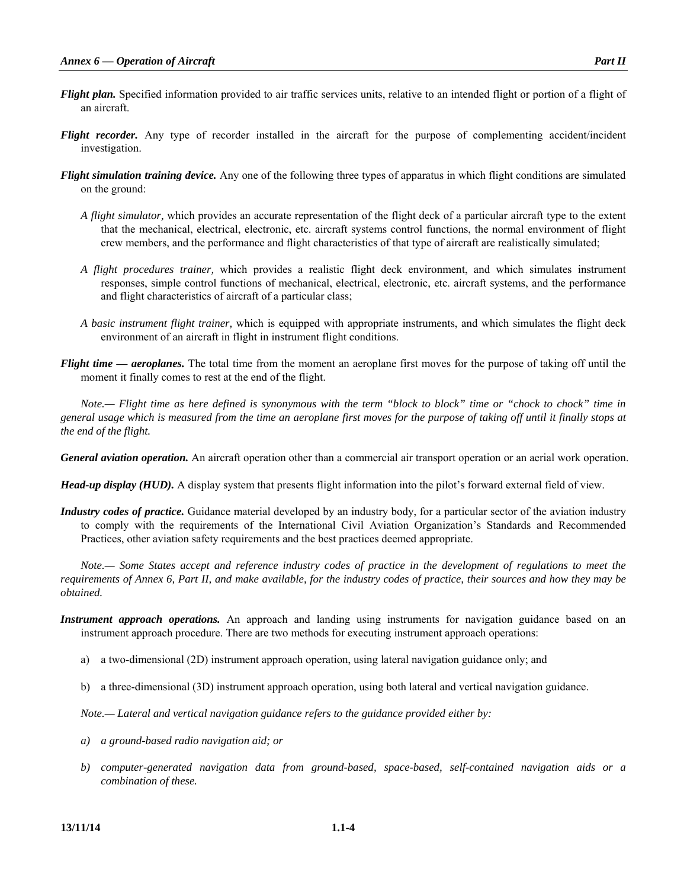- *Flight recorder.* Any type of recorder installed in the aircraft for the purpose of complementing accident/incident investigation.
- *Flight simulation training device.* Any one of the following three types of apparatus in which flight conditions are simulated on the ground:
	- *A flight simulator,* which provides an accurate representation of the flight deck of a particular aircraft type to the extent that the mechanical, electrical, electronic, etc. aircraft systems control functions, the normal environment of flight crew members, and the performance and flight characteristics of that type of aircraft are realistically simulated;
	- *A flight procedures trainer,* which provides a realistic flight deck environment, and which simulates instrument responses, simple control functions of mechanical, electrical, electronic, etc. aircraft systems, and the performance and flight characteristics of aircraft of a particular class;
	- *A basic instrument flight trainer,* which is equipped with appropriate instruments, and which simulates the flight deck environment of an aircraft in flight in instrument flight conditions.
- *Flight time aeroplanes.* The total time from the moment an aeroplane first moves for the purpose of taking off until the moment it finally comes to rest at the end of the flight.

*Note.— Flight time as here defined is synonymous with the term "block to block" time or "chock to chock" time in general usage which is measured from the time an aeroplane first moves for the purpose of taking off until it finally stops at the end of the flight.*

*General aviation operation.* An aircraft operation other than a commercial air transport operation or an aerial work operation.

*Head-up display (HUD).* A display system that presents flight information into the pilot's forward external field of view.

*Industry codes of practice.* Guidance material developed by an industry body, for a particular sector of the aviation industry to comply with the requirements of the International Civil Aviation Organization's Standards and Recommended Practices, other aviation safety requirements and the best practices deemed appropriate.

*Note.— Some States accept and reference industry codes of practice in the development of regulations to meet the requirements of Annex 6, Part II, and make available, for the industry codes of practice, their sources and how they may be obtained.* 

- *Instrument approach operations.* An approach and landing using instruments for navigation guidance based on an instrument approach procedure. There are two methods for executing instrument approach operations:
	- a) a two-dimensional (2D) instrument approach operation, using lateral navigation guidance only; and
	- b) a three-dimensional (3D) instrument approach operation, using both lateral and vertical navigation guidance.

 *Note.— Lateral and vertical navigation guidance refers to the guidance provided either by:* 

- *a) a ground-based radio navigation aid; or*
- *b) computer-generated navigation data from ground-based, space-based, self-contained navigation aids or a combination of these.*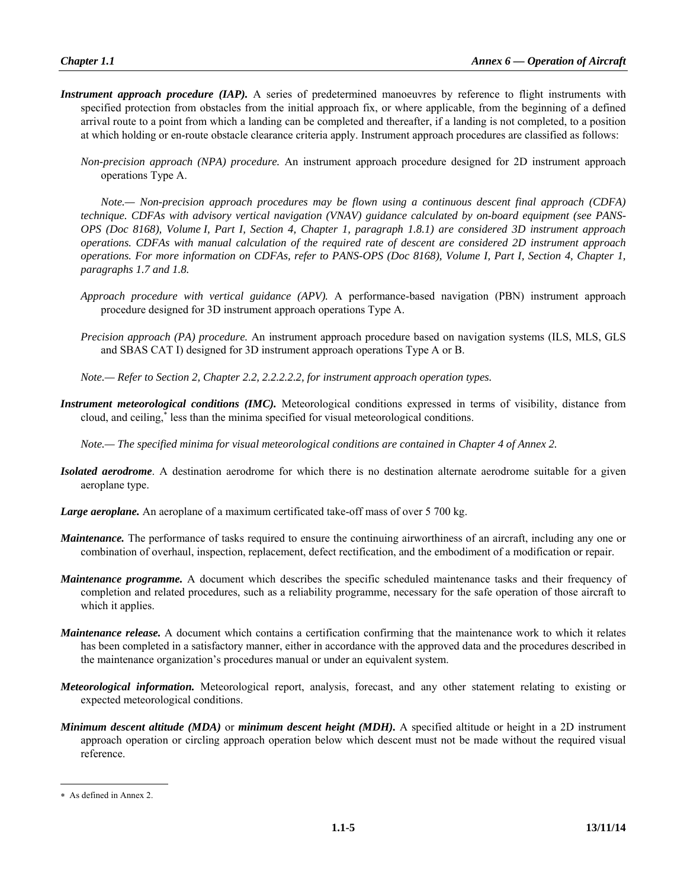- *Instrument approach procedure (IAP).* A series of predetermined manoeuvres by reference to flight instruments with specified protection from obstacles from the initial approach fix, or where applicable, from the beginning of a defined arrival route to a point from which a landing can be completed and thereafter, if a landing is not completed, to a position at which holding or en-route obstacle clearance criteria apply. Instrument approach procedures are classified as follows:
	- *Non-precision approach (NPA) procedure.* An instrument approach procedure designed for 2D instrument approach operations Type A.

 *Note.— Non-precision approach procedures may be flown using a continuous descent final approach (CDFA) technique. CDFAs with advisory vertical navigation (VNAV) guidance calculated by on-board equipment (see PANS-OPS (Doc 8168), Volume I, Part I, Section 4, Chapter 1, paragraph 1.8.1) are considered 3D instrument approach operations. CDFAs with manual calculation of the required rate of descent are considered 2D instrument approach operations. For more information on CDFAs, refer to PANS-OPS (Doc 8168), Volume I, Part I, Section 4, Chapter 1, paragraphs 1.7 and 1.8.* 

- *Approach procedure with vertical guidance (APV).* A performance-based navigation (PBN) instrument approach procedure designed for 3D instrument approach operations Type A.
- *Precision approach (PA) procedure.* An instrument approach procedure based on navigation systems (ILS, MLS, GLS and SBAS CAT I) designed for 3D instrument approach operations Type A or B.
- *Note.— Refer to Section 2, Chapter 2.2, 2.2.2.2.2, for instrument approach operation types.*
- *Instrument meteorological conditions (IMC).* Meteorological conditions expressed in terms of visibility, distance from cloud, and ceiling,<sup>\*</sup> less than the minima specified for visual meteorological conditions.

*Note.— The specified minima for visual meteorological conditions are contained in Chapter 4 of Annex 2.* 

- *Isolated aerodrome*. A destination aerodrome for which there is no destination alternate aerodrome suitable for a given aeroplane type.
- *Large aeroplane.* An aeroplane of a maximum certificated take-off mass of over 5 700 kg.
- *Maintenance*. The performance of tasks required to ensure the continuing airworthiness of an aircraft, including any one or combination of overhaul, inspection, replacement, defect rectification, and the embodiment of a modification or repair.
- *Maintenance programme.* A document which describes the specific scheduled maintenance tasks and their frequency of completion and related procedures, such as a reliability programme, necessary for the safe operation of those aircraft to which it applies.
- *Maintenance release.* A document which contains a certification confirming that the maintenance work to which it relates has been completed in a satisfactory manner, either in accordance with the approved data and the procedures described in the maintenance organization's procedures manual or under an equivalent system.
- *Meteorological information.* Meteorological report, analysis, forecast, and any other statement relating to existing or expected meteorological conditions.
- *Minimum descent altitude (MDA)* or *minimum descent height (MDH).* A specified altitude or height in a 2D instrument approach operation or circling approach operation below which descent must not be made without the required visual reference.

 $\overline{a}$ 

As defined in Annex 2.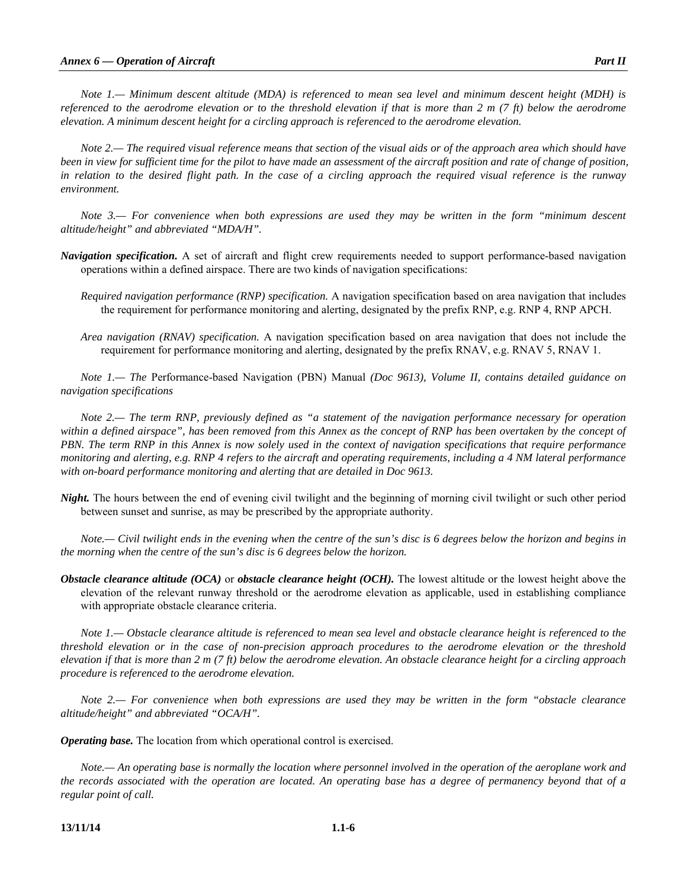*Note 1.— Minimum descent altitude (MDA) is referenced to mean sea level and minimum descent height (MDH) is referenced to the aerodrome elevation or to the threshold elevation if that is more than 2 m (7 ft) below the aerodrome elevation. A minimum descent height for a circling approach is referenced to the aerodrome elevation.* 

 *Note 2.— The required visual reference means that section of the visual aids or of the approach area which should have been in view for sufficient time for the pilot to have made an assessment of the aircraft position and rate of change of position, in relation to the desired flight path. In the case of a circling approach the required visual reference is the runway environment.* 

 *Note 3.— For convenience when both expressions are used they may be written in the form "minimum descent altitude/height" and abbreviated "MDA/H".*

- *Navigation specification.* A set of aircraft and flight crew requirements needed to support performance-based navigation operations within a defined airspace. There are two kinds of navigation specifications:
	- *Required navigation performance (RNP) specification.* A navigation specification based on area navigation that includes the requirement for performance monitoring and alerting, designated by the prefix RNP, e.g. RNP 4, RNP APCH.
	- *Area navigation (RNAV) specification.* A navigation specification based on area navigation that does not include the requirement for performance monitoring and alerting, designated by the prefix RNAV, e.g. RNAV 5, RNAV 1.

 *Note 1.— The* Performance-based Navigation (PBN) Manual *(Doc 9613), Volume II, contains detailed guidance on navigation specifications* 

 *Note 2.— The term RNP, previously defined as "a statement of the navigation performance necessary for operation*  within a defined airspace", has been removed from this Annex as the concept of RNP has been overtaken by the concept of *PBN. The term RNP in this Annex is now solely used in the context of navigation specifications that require performance monitoring and alerting, e.g. RNP 4 refers to the aircraft and operating requirements, including a 4 NM lateral performance with on-board performance monitoring and alerting that are detailed in Doc 9613.* 

*Night.* The hours between the end of evening civil twilight and the beginning of morning civil twilight or such other period between sunset and sunrise, as may be prescribed by the appropriate authority.

 *Note.— Civil twilight ends in the evening when the centre of the sun's disc is 6 degrees below the horizon and begins in the morning when the centre of the sun's disc is 6 degrees below the horizon.* 

*Obstacle clearance altitude (OCA)* or *obstacle clearance height (OCH).* The lowest altitude or the lowest height above the elevation of the relevant runway threshold or the aerodrome elevation as applicable, used in establishing compliance with appropriate obstacle clearance criteria.

*Note 1.— Obstacle clearance altitude is referenced to mean sea level and obstacle clearance height is referenced to the threshold elevation or in the case of non-precision approach procedures to the aerodrome elevation or the threshold elevation if that is more than 2 m (7 ft) below the aerodrome elevation. An obstacle clearance height for a circling approach procedure is referenced to the aerodrome elevation.* 

 *Note 2.— For convenience when both expressions are used they may be written in the form "obstacle clearance altitude/height" and abbreviated "OCA/H".*

*Operating base.* The location from which operational control is exercised.

*Note.— An operating base is normally the location where personnel involved in the operation of the aeroplane work and the records associated with the operation are located. An operating base has a degree of permanency beyond that of a regular point of call.*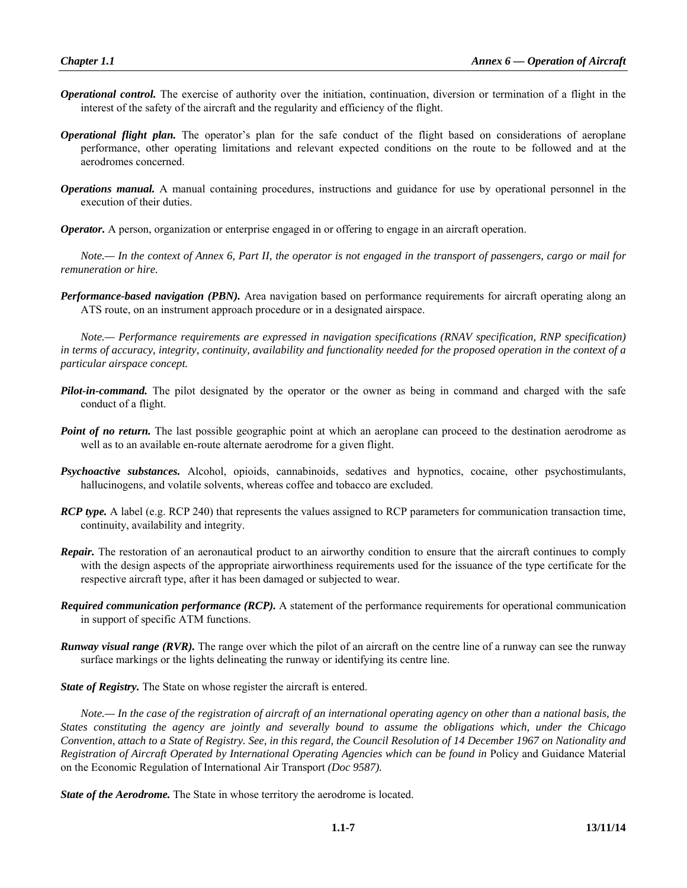- *Operational control.* The exercise of authority over the initiation, continuation, diversion or termination of a flight in the interest of the safety of the aircraft and the regularity and efficiency of the flight.
- *Operational flight plan.* The operator's plan for the safe conduct of the flight based on considerations of aeroplane performance, other operating limitations and relevant expected conditions on the route to be followed and at the aerodromes concerned.
- *Operations manual.* A manual containing procedures, instructions and guidance for use by operational personnel in the execution of their duties.
- *Operator.* A person, organization or enterprise engaged in or offering to engage in an aircraft operation.

 *Note.— In the context of Annex 6, Part II, the operator is not engaged in the transport of passengers, cargo or mail for remuneration or hire.*

*Performance-based navigation (PBN).* Area navigation based on performance requirements for aircraft operating along an ATS route, on an instrument approach procedure or in a designated airspace.

 *Note.— Performance requirements are expressed in navigation specifications (RNAV specification, RNP specification) in terms of accuracy, integrity, continuity, availability and functionality needed for the proposed operation in the context of a particular airspace concept.* 

- *Pilot-in-command.* The pilot designated by the operator or the owner as being in command and charged with the safe conduct of a flight.
- *Point of no return.* The last possible geographic point at which an aeroplane can proceed to the destination aerodrome as well as to an available en-route alternate aerodrome for a given flight.
- *Psychoactive substances.* Alcohol, opioids, cannabinoids, sedatives and hypnotics, cocaine, other psychostimulants, hallucinogens, and volatile solvents, whereas coffee and tobacco are excluded.
- *RCP type.* A label (e.g. RCP 240) that represents the values assigned to RCP parameters for communication transaction time, continuity, availability and integrity.
- *Repair.* The restoration of an aeronautical product to an airworthy condition to ensure that the aircraft continues to comply with the design aspects of the appropriate airworthiness requirements used for the issuance of the type certificate for the respective aircraft type, after it has been damaged or subjected to wear.
- *Required communication performance (RCP).* A statement of the performance requirements for operational communication in support of specific ATM functions.
- *Runway visual range (RVR)*. The range over which the pilot of an aircraft on the centre line of a runway can see the runway surface markings or the lights delineating the runway or identifying its centre line.

*State of Registry.* The State on whose register the aircraft is entered.

*Note.— In the case of the registration of aircraft of an international operating agency on other than a national basis, the States constituting the agency are jointly and severally bound to assume the obligations which, under the Chicago Convention, attach to a State of Registry. See, in this regard, the Council Resolution of 14 December 1967 on Nationality and Registration of Aircraft Operated by International Operating Agencies which can be found in* Policy and Guidance Material on the Economic Regulation of International Air Transport *(Doc 9587).* 

**State of the Aerodrome.** The State in whose territory the aerodrome is located.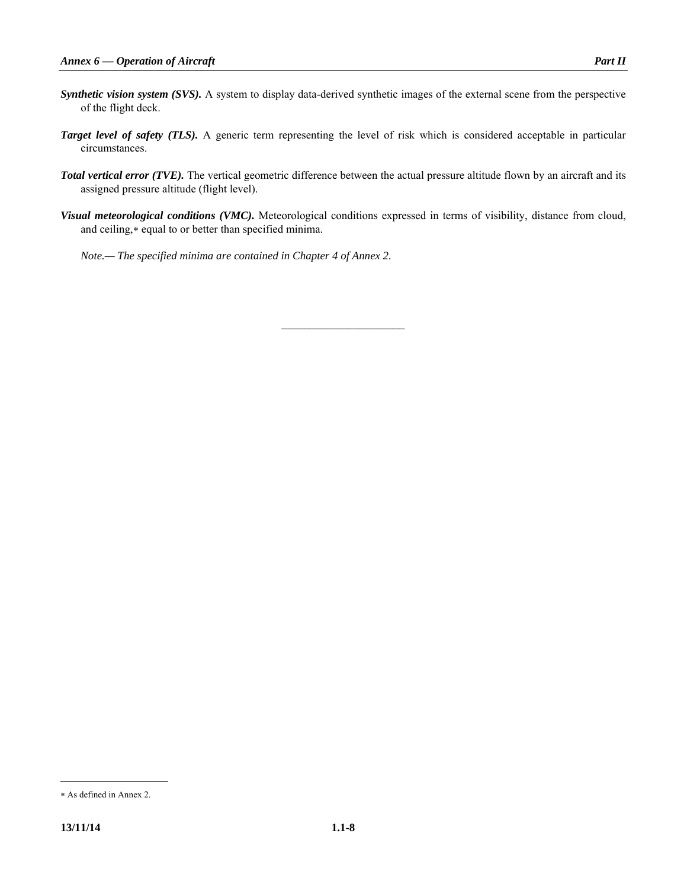- *Synthetic vision system (SVS).* A system to display data-derived synthetic images of the external scene from the perspective of the flight deck.
- *Target level of safety (TLS).* A generic term representing the level of risk which is considered acceptable in particular circumstances.
- *Total vertical error (TVE).* The vertical geometric difference between the actual pressure altitude flown by an aircraft and its assigned pressure altitude (flight level).
- *Visual meteorological conditions (VMC).* Meteorological conditions expressed in terms of visibility, distance from cloud, and ceiling, \* equal to or better than specified minima.

 $\mathcal{L}=\{1,2,3,4,5\}$ 

 *Note.— The specified minima are contained in Chapter 4 of Annex 2.*

 $\overline{a}$ 

As defined in Annex 2.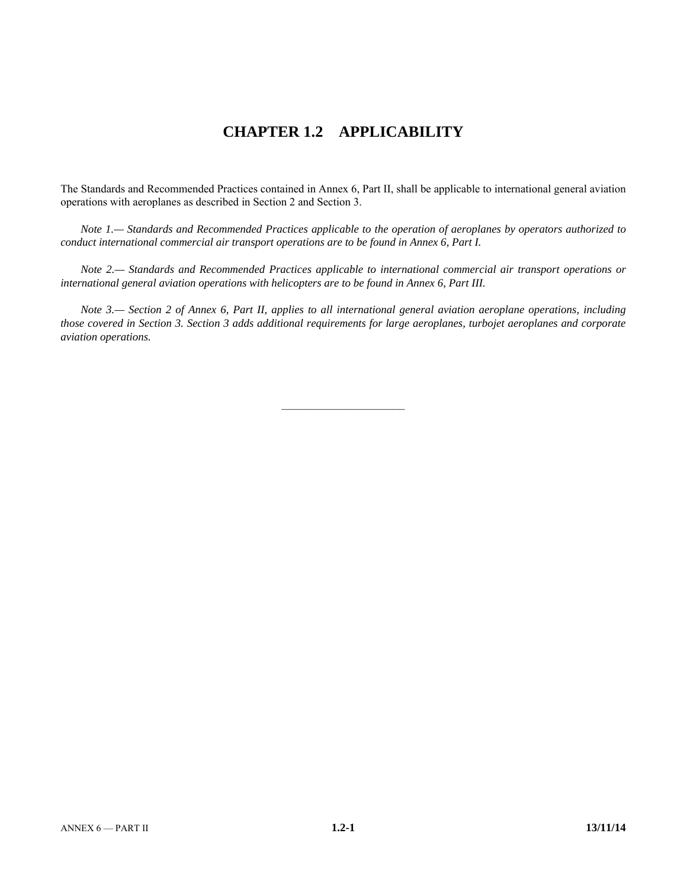## **CHAPTER 1.2 APPLICABILITY**

The Standards and Recommended Practices contained in Annex 6, Part II, shall be applicable to international general aviation operations with aeroplanes as described in Section 2 and Section 3.

*Note 1.— Standards and Recommended Practices applicable to the operation of aeroplanes by operators authorized to conduct international commercial air transport operations are to be found in Annex 6, Part I.* 

 *Note 2.— Standards and Recommended Practices applicable to international commercial air transport operations or international general aviation operations with helicopters are to be found in Annex 6, Part III.* 

 *Note 3.— Section 2 of Annex 6, Part II, applies to all international general aviation aeroplane operations, including those covered in Section 3. Section 3 adds additional requirements for large aeroplanes, turbojet aeroplanes and corporate aviation operations.* 

 $\mathcal{L}=\{1,2,3,4,5\}$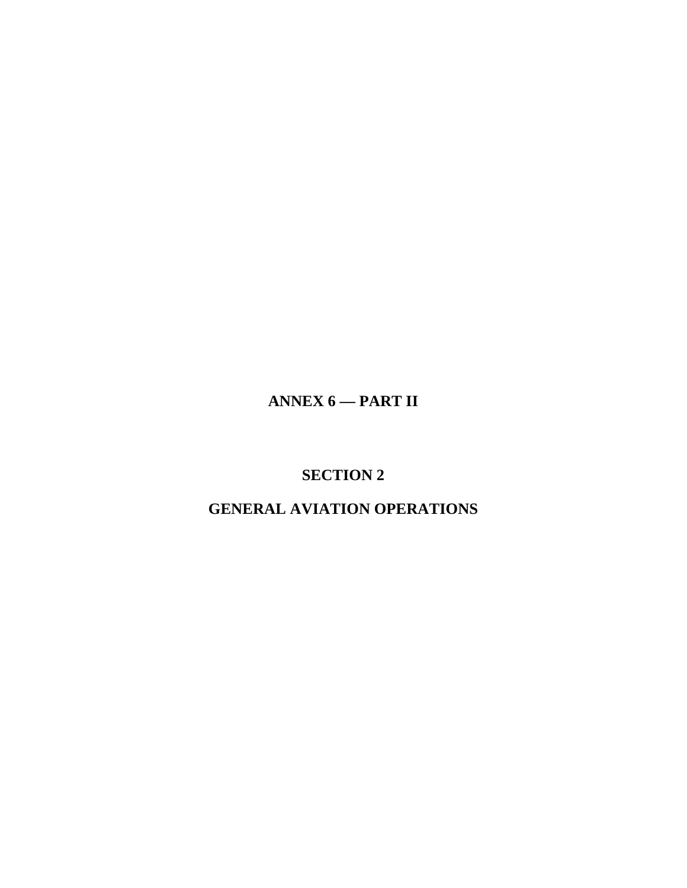**ANNEX 6 — PART II** 

# **SECTION 2**

# **GENERAL AVIATION OPERATIONS**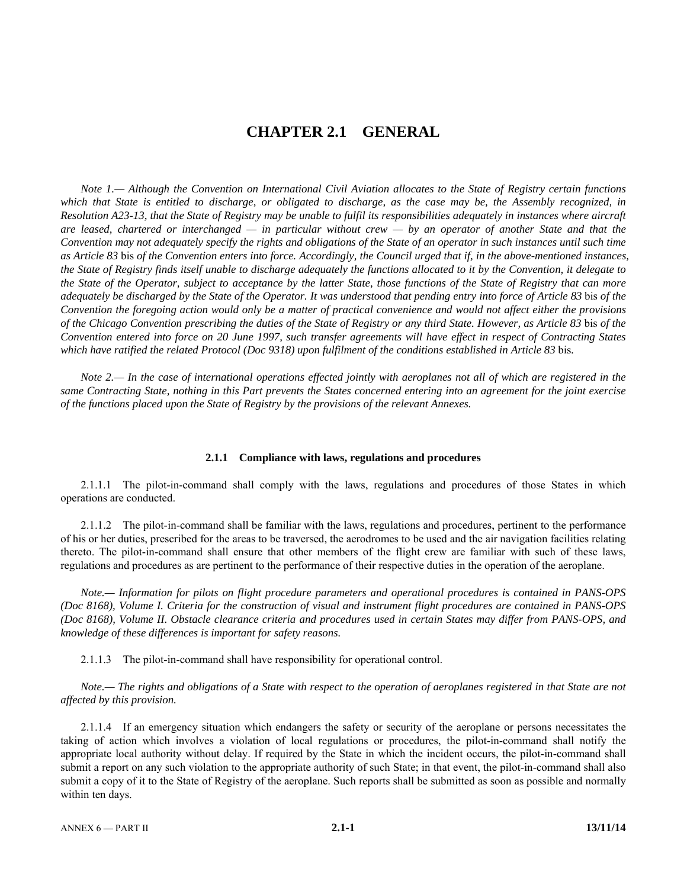## **CHAPTER 2.1 GENERAL**

 *Note 1.— Although the Convention on International Civil Aviation allocates to the State of Registry certain functions which that State is entitled to discharge, or obligated to discharge, as the case may be, the Assembly recognized, in Resolution A23-13, that the State of Registry may be unable to fulfil its responsibilities adequately in instances where aircraft are leased, chartered or interchanged — in particular without crew — by an operator of another State and that the Convention may not adequately specify the rights and obligations of the State of an operator in such instances until such time as Article 83* bis *of the Convention enters into force. Accordingly, the Council urged that if, in the above-mentioned instances, the State of Registry finds itself unable to discharge adequately the functions allocated to it by the Convention, it delegate to the State of the Operator, subject to acceptance by the latter State, those functions of the State of Registry that can more adequately be discharged by the State of the Operator. It was understood that pending entry into force of Article 83* bis *of the Convention the foregoing action would only be a matter of practical convenience and would not affect either the provisions of the Chicago Convention prescribing the duties of the State of Registry or any third State. However, as Article 83* bis *of the Convention entered into force on 20 June 1997, such transfer agreements will have effect in respect of Contracting States which have ratified the related Protocol (Doc 9318) upon fulfilment of the conditions established in Article 83* bis*.* 

*Note 2.— In the case of international operations effected jointly with aeroplanes not all of which are registered in the same Contracting State, nothing in this Part prevents the States concerned entering into an agreement for the joint exercise of the functions placed upon the State of Registry by the provisions of the relevant Annexes.* 

#### **2.1.1 Compliance with laws, regulations and procedures**

 2.1.1.1 The pilot-in-command shall comply with the laws, regulations and procedures of those States in which operations are conducted.

 2.1.1.2 The pilot-in-command shall be familiar with the laws, regulations and procedures, pertinent to the performance of his or her duties, prescribed for the areas to be traversed, the aerodromes to be used and the air navigation facilities relating thereto. The pilot-in-command shall ensure that other members of the flight crew are familiar with such of these laws, regulations and procedures as are pertinent to the performance of their respective duties in the operation of the aeroplane.

 *Note.— Information for pilots on flight procedure parameters and operational procedures is contained in PANS-OPS (Doc 8168), Volume I. Criteria for the construction of visual and instrument flight procedures are contained in PANS-OPS (Doc 8168), Volume II. Obstacle clearance criteria and procedures used in certain States may differ from PANS-OPS, and knowledge of these differences is important for safety reasons.*

2.1.1.3 The pilot-in-command shall have responsibility for operational control.

*Note.— The rights and obligations of a State with respect to the operation of aeroplanes registered in that State are not affected by this provision.* 

 2.1.1.4 If an emergency situation which endangers the safety or security of the aeroplane or persons necessitates the taking of action which involves a violation of local regulations or procedures, the pilot-in-command shall notify the appropriate local authority without delay. If required by the State in which the incident occurs, the pilot-in-command shall submit a report on any such violation to the appropriate authority of such State; in that event, the pilot-in-command shall also submit a copy of it to the State of Registry of the aeroplane. Such reports shall be submitted as soon as possible and normally within ten days.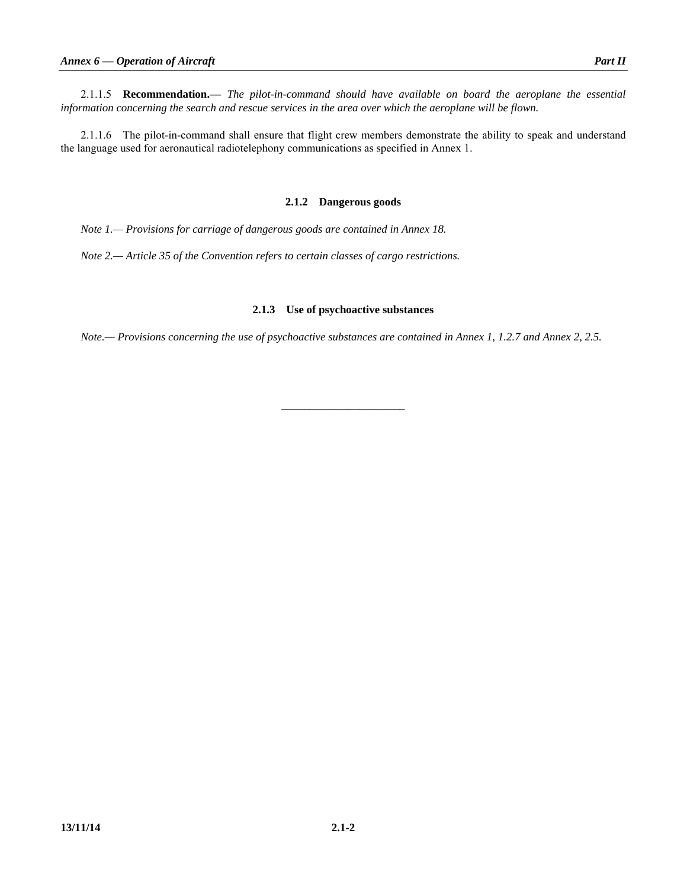2.1.1.5 **Recommendation.—** *The pilot-in-command should have available on board the aeroplane the essential information concerning the search and rescue services in the area over which the aeroplane will be flown.* 

 2.1.1.6 The pilot-in-command shall ensure that flight crew members demonstrate the ability to speak and understand the language used for aeronautical radiotelephony communications as specified in Annex 1.

## **2.1.2 Dangerous goods**

*Note 1.— Provisions for carriage of dangerous goods are contained in Annex 18.* 

*Note 2.— Article 35 of the Convention refers to certain classes of cargo restrictions.* 

## **2.1.3 Use of psychoactive substances**

*Note.— Provisions concerning the use of psychoactive substances are contained in Annex 1, 1.2.7 and Annex 2, 2.5.* 

 $\mathcal{L}=\{1,2,3,4,5\}$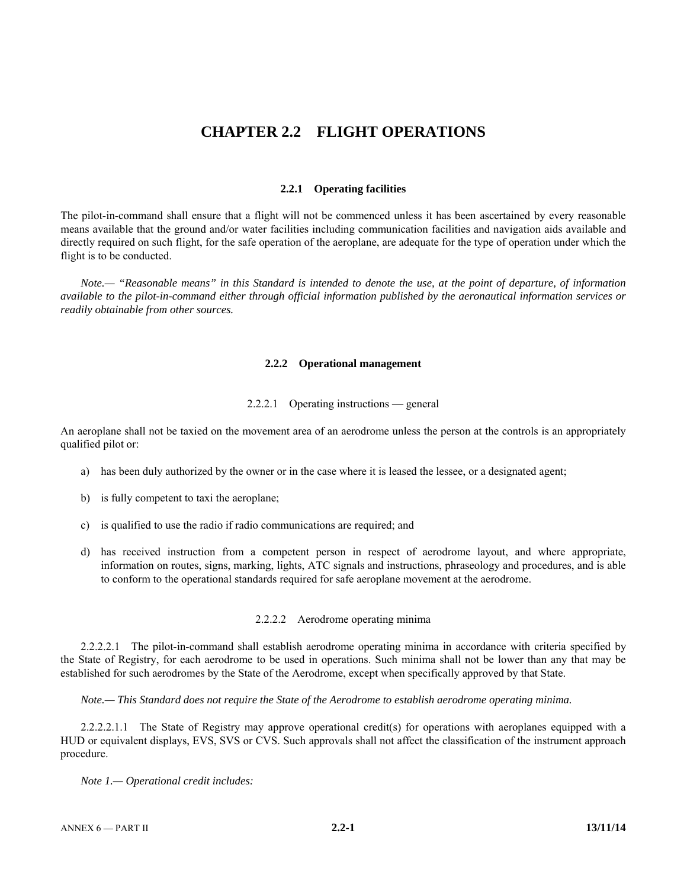## **CHAPTER 2.2 FLIGHT OPERATIONS**

### **2.2.1 Operating facilities**

The pilot-in-command shall ensure that a flight will not be commenced unless it has been ascertained by every reasonable means available that the ground and/or water facilities including communication facilities and navigation aids available and directly required on such flight, for the safe operation of the aeroplane, are adequate for the type of operation under which the flight is to be conducted.

*Note.— "Reasonable means" in this Standard is intended to denote the use, at the point of departure, of information available to the pilot-in-command either through official information published by the aeronautical information services or readily obtainable from other sources.* 

#### **2.2.2 Operational management**

## 2.2.2.1 Operating instructions — general

An aeroplane shall not be taxied on the movement area of an aerodrome unless the person at the controls is an appropriately qualified pilot or:

- a) has been duly authorized by the owner or in the case where it is leased the lessee, or a designated agent;
- b) is fully competent to taxi the aeroplane;
- c) is qualified to use the radio if radio communications are required; and
- d) has received instruction from a competent person in respect of aerodrome layout, and where appropriate, information on routes, signs, marking, lights, ATC signals and instructions, phraseology and procedures, and is able to conform to the operational standards required for safe aeroplane movement at the aerodrome.

#### 2.2.2.2 Aerodrome operating minima

 2.2.2.2.1 The pilot-in-command shall establish aerodrome operating minima in accordance with criteria specified by the State of Registry, for each aerodrome to be used in operations. Such minima shall not be lower than any that may be established for such aerodromes by the State of the Aerodrome, except when specifically approved by that State.

*Note.— This Standard does not require the State of the Aerodrome to establish aerodrome operating minima.* 

 2.2.2.2.1.1 The State of Registry may approve operational credit(s) for operations with aeroplanes equipped with a HUD or equivalent displays, EVS, SVS or CVS. Such approvals shall not affect the classification of the instrument approach procedure.

*Note 1.— Operational credit includes:*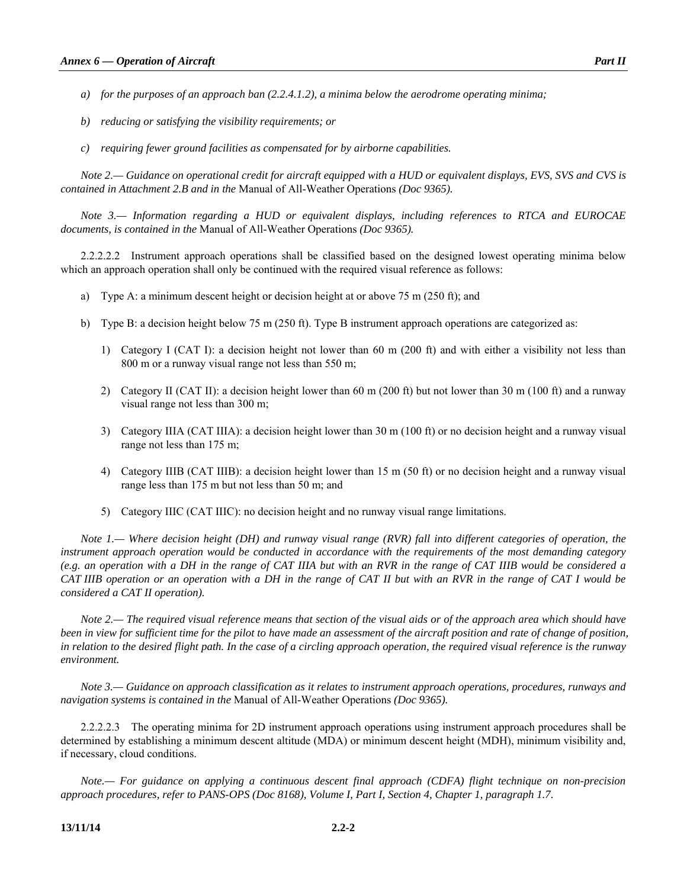- *a) for the purposes of an approach ban (2.2.4.1.2), a minima below the aerodrome operating minima;*
- *b) reducing or satisfying the visibility requirements; or*
- *c) requiring fewer ground facilities as compensated for by airborne capabilities.*

 *Note 2.— Guidance on operational credit for aircraft equipped with a HUD or equivalent displays, EVS, SVS and CVS is contained in Attachment 2.B and in the* Manual of All-Weather Operations *(Doc 9365).* 

 *Note 3.— Information regarding a HUD or equivalent displays, including references to RTCA and EUROCAE documents, is contained in the* Manual of All-Weather Operations *(Doc 9365).* 

 2.2.2.2.2 Instrument approach operations shall be classified based on the designed lowest operating minima below which an approach operation shall only be continued with the required visual reference as follows:

- a) Type A: a minimum descent height or decision height at or above 75 m (250 ft); and
- b) Type B: a decision height below 75 m (250 ft). Type B instrument approach operations are categorized as:
	- 1) Category I (CAT I): a decision height not lower than 60 m (200 ft) and with either a visibility not less than 800 m or a runway visual range not less than 550 m;
	- 2) Category II (CAT II): a decision height lower than 60 m (200 ft) but not lower than 30 m (100 ft) and a runway visual range not less than 300 m;
	- 3) Category IIIA (CAT IIIA): a decision height lower than 30 m (100 ft) or no decision height and a runway visual range not less than 175 m;
	- 4) Category IIIB (CAT IIIB): a decision height lower than 15 m (50 ft) or no decision height and a runway visual range less than 175 m but not less than 50 m; and
	- 5) Category IIIC (CAT IIIC): no decision height and no runway visual range limitations.

*Note 1.— Where decision height (DH) and runway visual range (RVR) fall into different categories of operation, the instrument approach operation would be conducted in accordance with the requirements of the most demanding category (e.g. an operation with a DH in the range of CAT IIIA but with an RVR in the range of CAT IIIB would be considered a CAT IIIB operation or an operation with a DH in the range of CAT II but with an RVR in the range of CAT I would be considered a CAT II operation).* 

 *Note 2.— The required visual reference means that section of the visual aids or of the approach area which should have been in view for sufficient time for the pilot to have made an assessment of the aircraft position and rate of change of position, in relation to the desired flight path. In the case of a circling approach operation, the required visual reference is the runway environment.* 

 *Note 3.— Guidance on approach classification as it relates to instrument approach operations, procedures, runways and navigation systems is contained in the* Manual of All-Weather Operations *(Doc 9365).* 

 2.2.2.2.3 The operating minima for 2D instrument approach operations using instrument approach procedures shall be determined by establishing a minimum descent altitude (MDA) or minimum descent height (MDH), minimum visibility and, if necessary, cloud conditions.

 *Note.— For guidance on applying a continuous descent final approach (CDFA) flight technique on non-precision approach procedures, refer to PANS-OPS (Doc 8168), Volume I, Part I, Section 4, Chapter 1, paragraph 1.7.*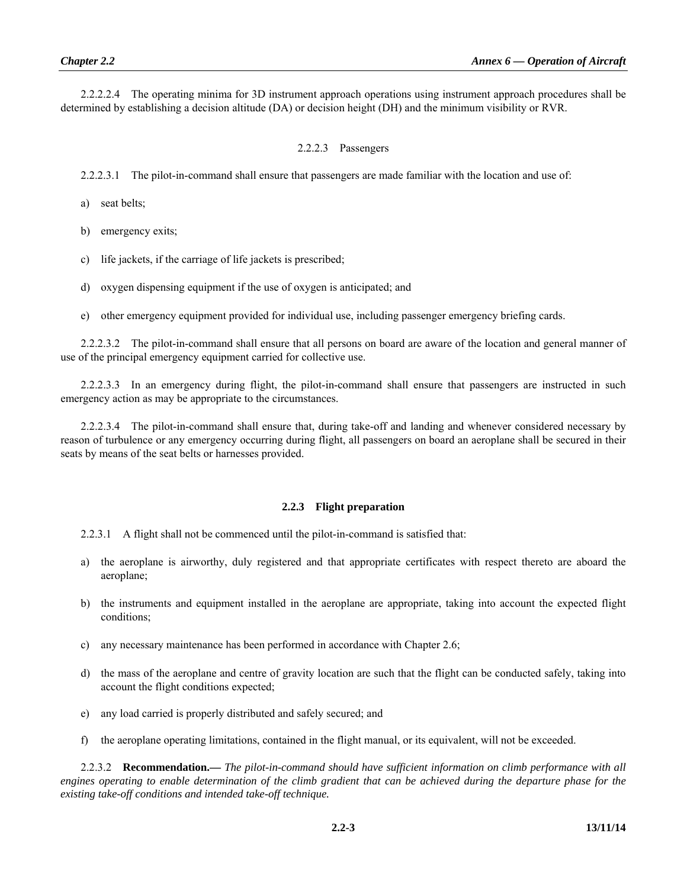2.2.2.2.4 The operating minima for 3D instrument approach operations using instrument approach procedures shall be determined by establishing a decision altitude (DA) or decision height (DH) and the minimum visibility or RVR.

## 2.2.2.3 Passengers

2.2.2.3.1 The pilot-in-command shall ensure that passengers are made familiar with the location and use of:

a) seat belts;

- b) emergency exits;
- c) life jackets, if the carriage of life jackets is prescribed;
- d) oxygen dispensing equipment if the use of oxygen is anticipated; and
- e) other emergency equipment provided for individual use, including passenger emergency briefing cards.

 2.2.2.3.2 The pilot-in-command shall ensure that all persons on board are aware of the location and general manner of use of the principal emergency equipment carried for collective use.

 2.2.2.3.3 In an emergency during flight, the pilot-in-command shall ensure that passengers are instructed in such emergency action as may be appropriate to the circumstances.

 2.2.2.3.4 The pilot-in-command shall ensure that, during take-off and landing and whenever considered necessary by reason of turbulence or any emergency occurring during flight, all passengers on board an aeroplane shall be secured in their seats by means of the seat belts or harnesses provided.

## **2.2.3 Flight preparation**

2.2.3.1 A flight shall not be commenced until the pilot-in-command is satisfied that:

- a) the aeroplane is airworthy, duly registered and that appropriate certificates with respect thereto are aboard the aeroplane;
- b) the instruments and equipment installed in the aeroplane are appropriate, taking into account the expected flight conditions;
- c) any necessary maintenance has been performed in accordance with Chapter 2.6;
- d) the mass of the aeroplane and centre of gravity location are such that the flight can be conducted safely, taking into account the flight conditions expected;
- e) any load carried is properly distributed and safely secured; and
- f) the aeroplane operating limitations, contained in the flight manual, or its equivalent, will not be exceeded.

2.2.3.2**Recommendation.—** *The pilot-in-command should have sufficient information on climb performance with all engines operating to enable determination of the climb gradient that can be achieved during the departure phase for the existing take-off conditions and intended take-off technique.*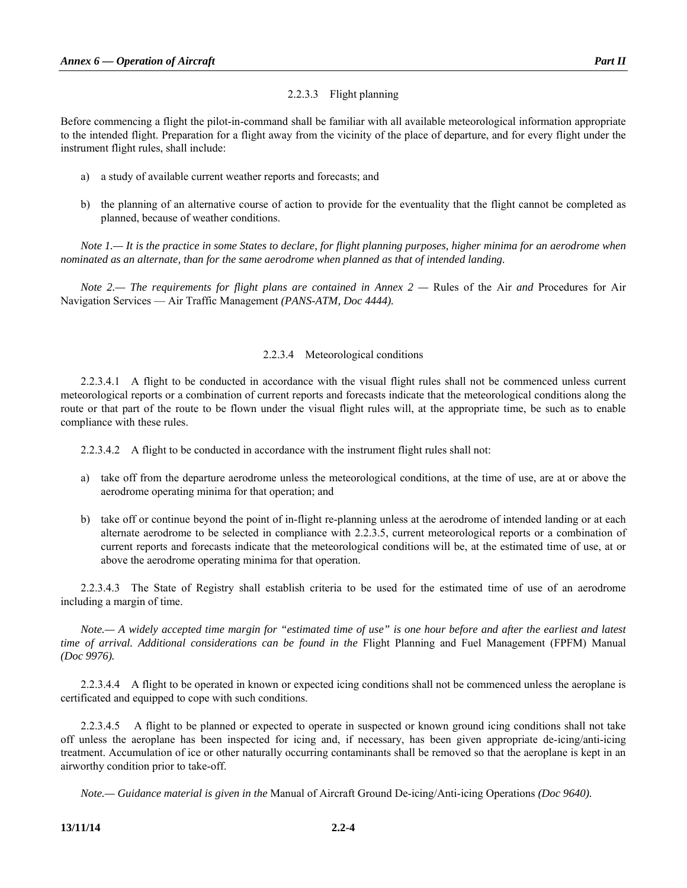#### 2.2.3.3 Flight planning

Before commencing a flight the pilot-in-command shall be familiar with all available meteorological information appropriate to the intended flight. Preparation for a flight away from the vicinity of the place of departure, and for every flight under the instrument flight rules, shall include:

- a) a study of available current weather reports and forecasts; and
- b) the planning of an alternative course of action to provide for the eventuality that the flight cannot be completed as planned, because of weather conditions.

 *Note 1.— It is the practice in some States to declare, for flight planning purposes, higher minima for an aerodrome when nominated as an alternate, than for the same aerodrome when planned as that of intended landing.* 

*Note 2.— The requirements for flight plans are contained in Annex 2 — Rules of the Air and Procedures for Air* Navigation Services — Air Traffic Management *(PANS-ATM, Doc 4444).* 

## 2.2.3.4 Meteorological conditions

 2.2.3.4.1 A flight to be conducted in accordance with the visual flight rules shall not be commenced unless current meteorological reports or a combination of current reports and forecasts indicate that the meteorological conditions along the route or that part of the route to be flown under the visual flight rules will, at the appropriate time, be such as to enable compliance with these rules.

2.2.3.4.2 A flight to be conducted in accordance with the instrument flight rules shall not:

- a) take off from the departure aerodrome unless the meteorological conditions, at the time of use, are at or above the aerodrome operating minima for that operation; and
- b) take off or continue beyond the point of in-flight re-planning unless at the aerodrome of intended landing or at each alternate aerodrome to be selected in compliance with 2.2.3.5, current meteorological reports or a combination of current reports and forecasts indicate that the meteorological conditions will be, at the estimated time of use, at or above the aerodrome operating minima for that operation.

 2.2.3.4.3 The State of Registry shall establish criteria to be used for the estimated time of use of an aerodrome including a margin of time.

*Note.*— A widely accepted time margin for "estimated time of use" is one hour before and after the earliest and latest *time of arrival. Additional considerations can be found in the* Flight Planning and Fuel Management (FPFM) Manual *(Doc 9976).* 

 2.2.3.4.4 A flight to be operated in known or expected icing conditions shall not be commenced unless the aeroplane is certificated and equipped to cope with such conditions.

 2.2.3.4.5 A flight to be planned or expected to operate in suspected or known ground icing conditions shall not take off unless the aeroplane has been inspected for icing and, if necessary, has been given appropriate de-icing/anti-icing treatment. Accumulation of ice or other naturally occurring contaminants shall be removed so that the aeroplane is kept in an airworthy condition prior to take-off.

*Note.— Guidance material is given in the* Manual of Aircraft Ground De-icing/Anti-icing Operations *(Doc 9640).*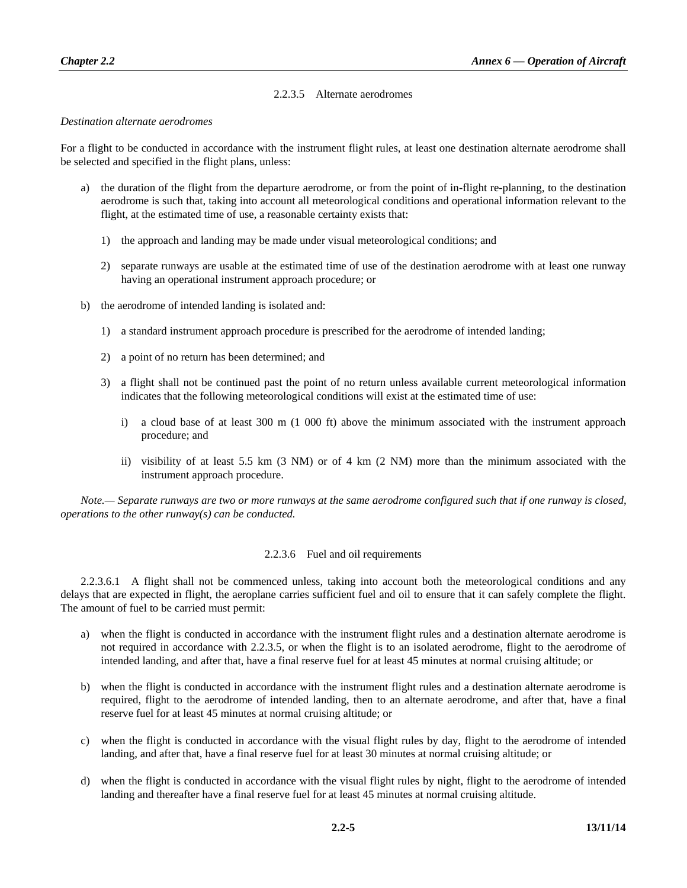## 2.2.3.5 Alternate aerodromes

## *Destination alternate aerodromes*

For a flight to be conducted in accordance with the instrument flight rules, at least one destination alternate aerodrome shall be selected and specified in the flight plans, unless:

- a) the duration of the flight from the departure aerodrome, or from the point of in-flight re-planning, to the destination aerodrome is such that, taking into account all meteorological conditions and operational information relevant to the flight, at the estimated time of use, a reasonable certainty exists that:
	- 1) the approach and landing may be made under visual meteorological conditions; and
	- 2) separate runways are usable at the estimated time of use of the destination aerodrome with at least one runway having an operational instrument approach procedure; or
- b) the aerodrome of intended landing is isolated and:
	- 1) a standard instrument approach procedure is prescribed for the aerodrome of intended landing;
	- 2) a point of no return has been determined; and
	- 3) a flight shall not be continued past the point of no return unless available current meteorological information indicates that the following meteorological conditions will exist at the estimated time of use:
		- i) a cloud base of at least 300 m (1 000 ft) above the minimum associated with the instrument approach procedure; and
		- ii) visibility of at least 5.5 km (3 NM) or of 4 km (2 NM) more than the minimum associated with the instrument approach procedure.

*Note.— Separate runways are two or more runways at the same aerodrome configured such that if one runway is closed, operations to the other runway(s) can be conducted.* 

## 2.2.3.6 Fuel and oil requirements

 2.2.3.6.1 A flight shall not be commenced unless, taking into account both the meteorological conditions and any delays that are expected in flight, the aeroplane carries sufficient fuel and oil to ensure that it can safely complete the flight. The amount of fuel to be carried must permit:

- a) when the flight is conducted in accordance with the instrument flight rules and a destination alternate aerodrome is not required in accordance with 2.2.3.5, or when the flight is to an isolated aerodrome, flight to the aerodrome of intended landing, and after that, have a final reserve fuel for at least 45 minutes at normal cruising altitude; or
- b) when the flight is conducted in accordance with the instrument flight rules and a destination alternate aerodrome is required, flight to the aerodrome of intended landing, then to an alternate aerodrome, and after that, have a final reserve fuel for at least 45 minutes at normal cruising altitude; or
- c) when the flight is conducted in accordance with the visual flight rules by day, flight to the aerodrome of intended landing, and after that, have a final reserve fuel for at least 30 minutes at normal cruising altitude; or
- d) when the flight is conducted in accordance with the visual flight rules by night, flight to the aerodrome of intended landing and thereafter have a final reserve fuel for at least 45 minutes at normal cruising altitude.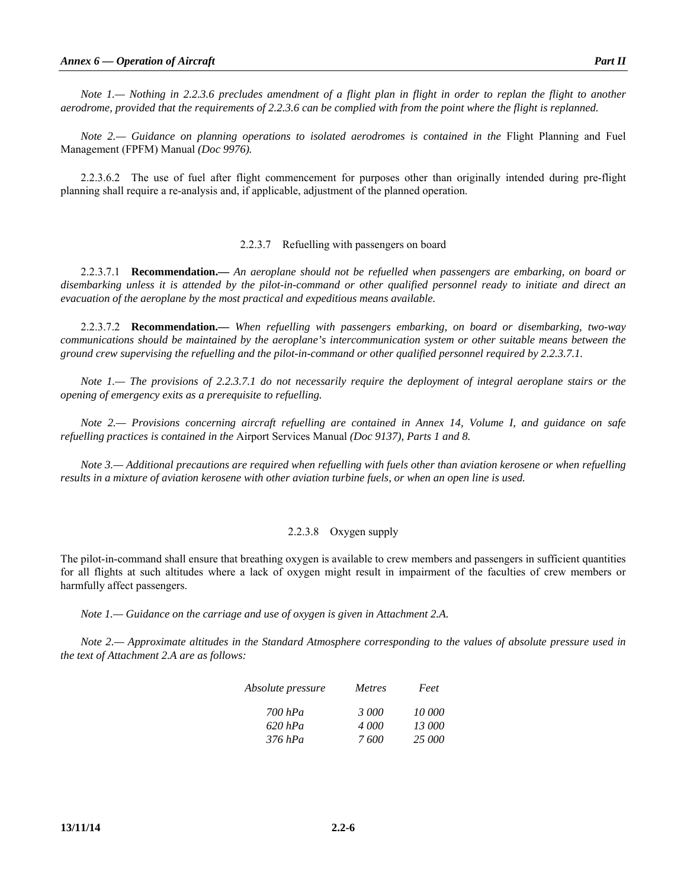*Note 1.*— *Nothing in 2.2.3.6 precludes amendment of a flight plan in flight in order to replan the flight to another aerodrome, provided that the requirements of 2.2.3.6 can be complied with from the point where the flight is replanned.* 

*Note 2.— Guidance on planning operations to isolated aerodromes is contained in the Flight Planning and Fuel* Management (FPFM) Manual *(Doc 9976).* 

 2.2.3.6.2 The use of fuel after flight commencement for purposes other than originally intended during pre-flight planning shall require a re-analysis and, if applicable, adjustment of the planned operation.

2.2.3.7 Refuelling with passengers on board

2.2.3.7.1 **Recommendation.—** *An aeroplane should not be refuelled when passengers are embarking, on board or disembarking unless it is attended by the pilot-in-command or other qualified personnel ready to initiate and direct an evacuation of the aeroplane by the most practical and expeditious means available.* 

2.2.3.7.2 **Recommendation.—** *When refuelling with passengers embarking, on board or disembarking, two-way communications should be maintained by the aeroplane's intercommunication system or other suitable means between the ground crew supervising the refuelling and the pilot-in-command or other qualified personnel required by 2.2.3.7.1.* 

*Note 1.*— The provisions of 2.2.3.7.1 do not necessarily require the deployment of integral aeroplane stairs or the *opening of emergency exits as a prerequisite to refuelling.* 

 *Note 2.— Provisions concerning aircraft refuelling are contained in Annex 14, Volume I, and guidance on safe refuelling practices is contained in the* Airport Services Manual *(Doc 9137), Parts 1 and 8.* 

 *Note 3.— Additional precautions are required when refuelling with fuels other than aviation kerosene or when refuelling results in a mixture of aviation kerosene with other aviation turbine fuels, or when an open line is used.* 

#### 2.2.3.8 Oxygen supply

The pilot-in-command shall ensure that breathing oxygen is available to crew members and passengers in sufficient quantities for all flights at such altitudes where a lack of oxygen might result in impairment of the faculties of crew members or harmfully affect passengers.

 *Note 1.— Guidance on the carriage and use of oxygen is given in Attachment 2.A.* 

 *Note 2.— Approximate altitudes in the Standard Atmosphere corresponding to the values of absolute pressure used in the text of Attachment 2.A are as follows:* 

| Absolute pressure | <i>Metres</i> | Feet   |
|-------------------|---------------|--------|
| 700 hPa           | 3000          | 10 000 |
| $620$ hPa         | 4 000         | 13 000 |
| $376$ hPa         | 7600          | 25 000 |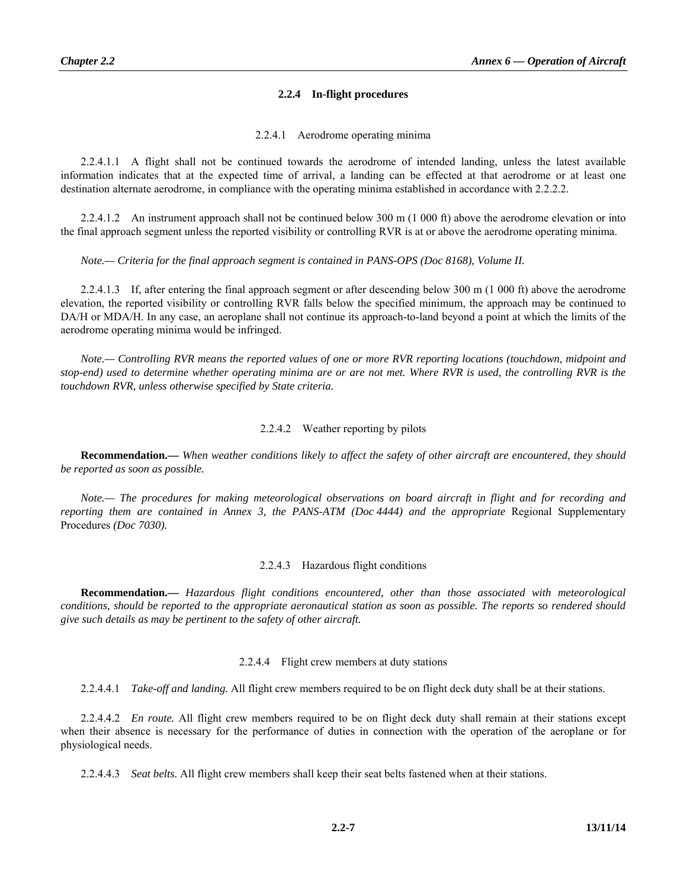## **2.2.4 In-flight procedures**

## 2.2.4.1 Aerodrome operating minima

 2.2.4.1.1 A flight shall not be continued towards the aerodrome of intended landing, unless the latest available information indicates that at the expected time of arrival, a landing can be effected at that aerodrome or at least one destination alternate aerodrome, in compliance with the operating minima established in accordance with 2.2.2.2.

 2.2.4.1.2 An instrument approach shall not be continued below 300 m (1 000 ft) above the aerodrome elevation or into the final approach segment unless the reported visibility or controlling RVR is at or above the aerodrome operating minima.

## *Note.— Criteria for the final approach segment is contained in PANS-OPS (Doc 8168), Volume II.*

 2.2.4.1.3 If, after entering the final approach segment or after descending below 300 m (1 000 ft) above the aerodrome elevation, the reported visibility or controlling RVR falls below the specified minimum, the approach may be continued to DA/H or MDA/H. In any case, an aeroplane shall not continue its approach-to-land beyond a point at which the limits of the aerodrome operating minima would be infringed.

*Note.— Controlling RVR means the reported values of one or more RVR reporting locations (touchdown, midpoint and stop-end) used to determine whether operating minima are or are not met. Where RVR is used, the controlling RVR is the touchdown RVR, unless otherwise specified by State criteria.* 

## 2.2.4.2 Weather reporting by pilots

 **Recommendation.—** *When weather conditions likely to affect the safety of other aircraft are encountered, they should be reported as soon as possible.* 

*Note.*— The procedures for making meteorological observations on board aircraft in flight and for recording and *reporting them are contained in Annex 3, the PANS-ATM (Doc 4444) and the appropriate* Regional Supplementary Procedures *(Doc 7030).* 

## 2.2.4.3 Hazardous flight conditions

 **Recommendation.—** *Hazardous flight conditions encountered, other than those associated with meteorological conditions, should be reported to the appropriate aeronautical station as soon as possible. The reports so rendered should give such details as may be pertinent to the safety of other aircraft.* 

## 2.2.4.4 Flight crew members at duty stations

2.2.4.4.1 *Take-off and landing.* All flight crew members required to be on flight deck duty shall be at their stations.

 2.2.4.4.2 *En route.* All flight crew members required to be on flight deck duty shall remain at their stations except when their absence is necessary for the performance of duties in connection with the operation of the aeroplane or for physiological needs.

2.2.4.4.3 *Seat belts.* All flight crew members shall keep their seat belts fastened when at their stations.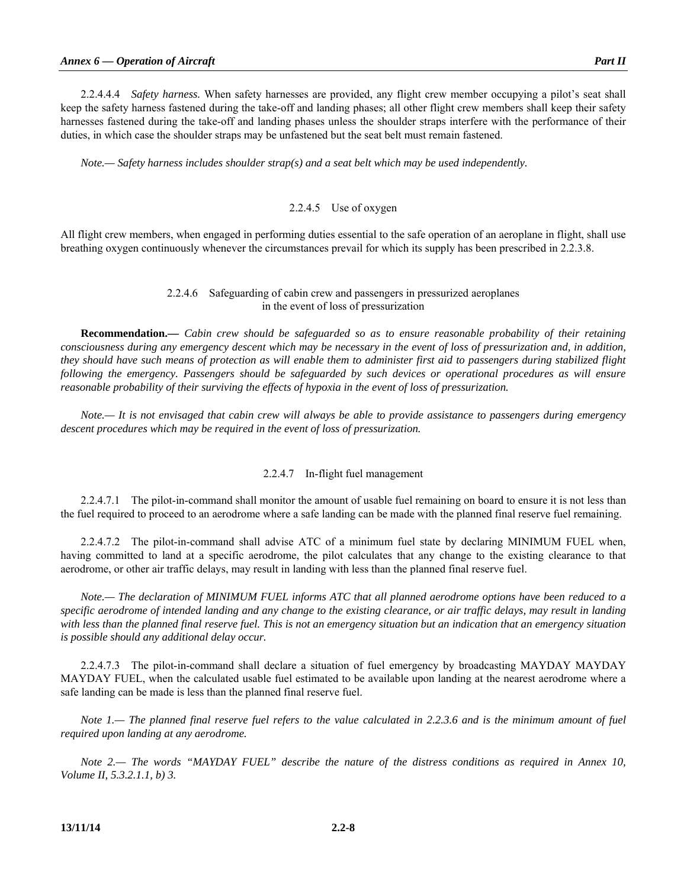2.2.4.4.4 *Safety harness.* When safety harnesses are provided, any flight crew member occupying a pilot's seat shall keep the safety harness fastened during the take-off and landing phases; all other flight crew members shall keep their safety harnesses fastened during the take-off and landing phases unless the shoulder straps interfere with the performance of their duties, in which case the shoulder straps may be unfastened but the seat belt must remain fastened.

 *Note.— Safety harness includes shoulder strap(s) and a seat belt which may be used independently.* 

#### 2.2.4.5 Use of oxygen

All flight crew members, when engaged in performing duties essential to the safe operation of an aeroplane in flight, shall use breathing oxygen continuously whenever the circumstances prevail for which its supply has been prescribed in 2.2.3.8.

#### 2.2.4.6 Safeguarding of cabin crew and passengers in pressurized aeroplanes in the event of loss of pressurization

 **Recommendation.—** *Cabin crew should be safeguarded so as to ensure reasonable probability of their retaining consciousness during any emergency descent which may be necessary in the event of loss of pressurization and, in addition, they should have such means of protection as will enable them to administer first aid to passengers during stabilized flight following the emergency. Passengers should be safeguarded by such devices or operational procedures as will ensure reasonable probability of their surviving the effects of hypoxia in the event of loss of pressurization.* 

*Note.— It is not envisaged that cabin crew will always be able to provide assistance to passengers during emergency descent procedures which may be required in the event of loss of pressurization.* 

### 2.2.4.7 In-flight fuel management

 2.2.4.7.1 The pilot-in-command shall monitor the amount of usable fuel remaining on board to ensure it is not less than the fuel required to proceed to an aerodrome where a safe landing can be made with the planned final reserve fuel remaining.

 2.2.4.7.2 The pilot-in-command shall advise ATC of a minimum fuel state by declaring MINIMUM FUEL when, having committed to land at a specific aerodrome, the pilot calculates that any change to the existing clearance to that aerodrome, or other air traffic delays, may result in landing with less than the planned final reserve fuel.

*Note.— The declaration of MINIMUM FUEL informs ATC that all planned aerodrome options have been reduced to a specific aerodrome of intended landing and any change to the existing clearance, or air traffic delays, may result in landing with less than the planned final reserve fuel. This is not an emergency situation but an indication that an emergency situation is possible should any additional delay occur.* 

 2.2.4.7.3 The pilot-in-command shall declare a situation of fuel emergency by broadcasting MAYDAY MAYDAY MAYDAY FUEL, when the calculated usable fuel estimated to be available upon landing at the nearest aerodrome where a safe landing can be made is less than the planned final reserve fuel.

*Note 1.*— The planned final reserve fuel refers to the value calculated in 2.2.3.6 and is the minimum amount of fuel *required upon landing at any aerodrome.* 

 *Note 2.— The words "MAYDAY FUEL" describe the nature of the distress conditions as required in Annex 10, Volume II, 5.3.2.1.1, b) 3.*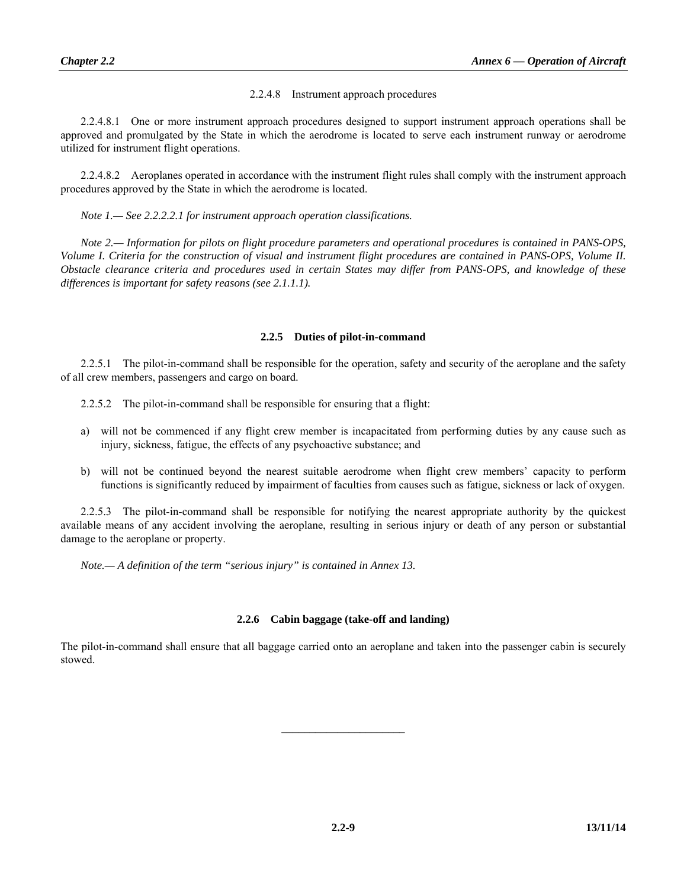## 2.2.4.8 Instrument approach procedures

 2.2.4.8.1 One or more instrument approach procedures designed to support instrument approach operations shall be approved and promulgated by the State in which the aerodrome is located to serve each instrument runway or aerodrome utilized for instrument flight operations.

 2.2.4.8.2 Aeroplanes operated in accordance with the instrument flight rules shall comply with the instrument approach procedures approved by the State in which the aerodrome is located.

 *Note 1.— See 2.2.2.2.1 for instrument approach operation classifications.* 

 *Note 2.— Information for pilots on flight procedure parameters and operational procedures is contained in PANS-OPS, Volume I. Criteria for the construction of visual and instrument flight procedures are contained in PANS-OPS, Volume II. Obstacle clearance criteria and procedures used in certain States may differ from PANS-OPS, and knowledge of these differences is important for safety reasons (see 2.1.1.1).* 

## **2.2.5 Duties of pilot-in-command**

 2.2.5.1 The pilot-in-command shall be responsible for the operation, safety and security of the aeroplane and the safety of all crew members, passengers and cargo on board.

2.2.5.2 The pilot-in-command shall be responsible for ensuring that a flight:

- a) will not be commenced if any flight crew member is incapacitated from performing duties by any cause such as injury, sickness, fatigue, the effects of any psychoactive substance; and
- b) will not be continued beyond the nearest suitable aerodrome when flight crew members' capacity to perform functions is significantly reduced by impairment of faculties from causes such as fatigue, sickness or lack of oxygen.

 2.2.5.3 The pilot-in-command shall be responsible for notifying the nearest appropriate authority by the quickest available means of any accident involving the aeroplane, resulting in serious injury or death of any person or substantial damage to the aeroplane or property.

*Note.— A definition of the term "serious injury" is contained in Annex 13.* 

## **2.2.6 Cabin baggage (take-off and landing)**

The pilot-in-command shall ensure that all baggage carried onto an aeroplane and taken into the passenger cabin is securely stowed.

 $\mathcal{L}=\{1,2,3,4,5\}$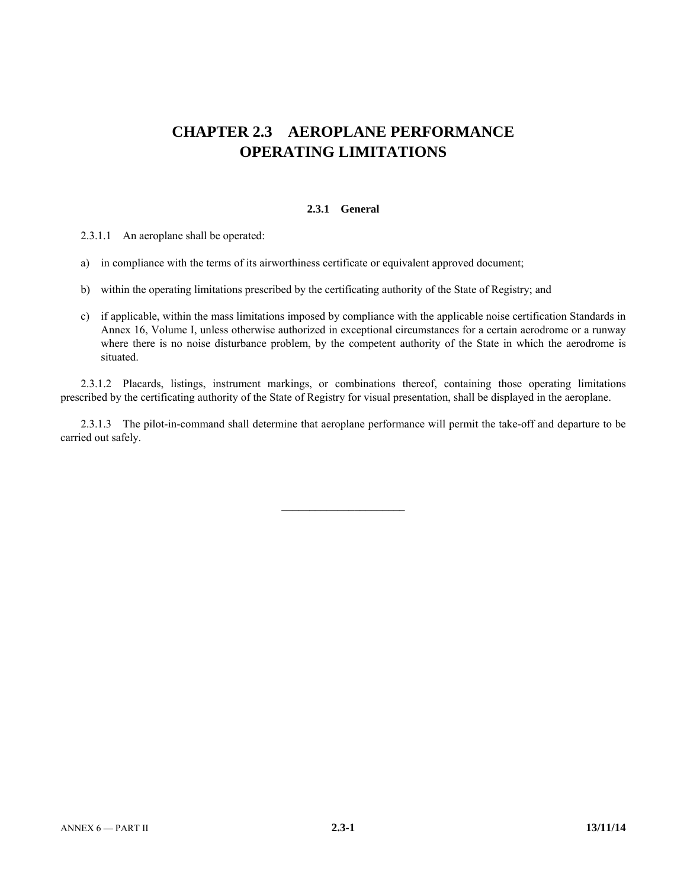## **CHAPTER 2.3 AEROPLANE PERFORMANCE OPERATING LIMITATIONS**

## **2.3.1 General**

2.3.1.1 An aeroplane shall be operated:

- a) in compliance with the terms of its airworthiness certificate or equivalent approved document;
- b) within the operating limitations prescribed by the certificating authority of the State of Registry; and
- c) if applicable, within the mass limitations imposed by compliance with the applicable noise certification Standards in Annex 16, Volume I, unless otherwise authorized in exceptional circumstances for a certain aerodrome or a runway where there is no noise disturbance problem, by the competent authority of the State in which the aerodrome is situated.

 2.3.1.2 Placards, listings, instrument markings, or combinations thereof, containing those operating limitations prescribed by the certificating authority of the State of Registry for visual presentation, shall be displayed in the aeroplane.

 2.3.1.3 The pilot-in-command shall determine that aeroplane performance will permit the take-off and departure to be carried out safely.

 $\mathcal{L}_\text{max}$  , where  $\mathcal{L}_\text{max}$  and  $\mathcal{L}_\text{max}$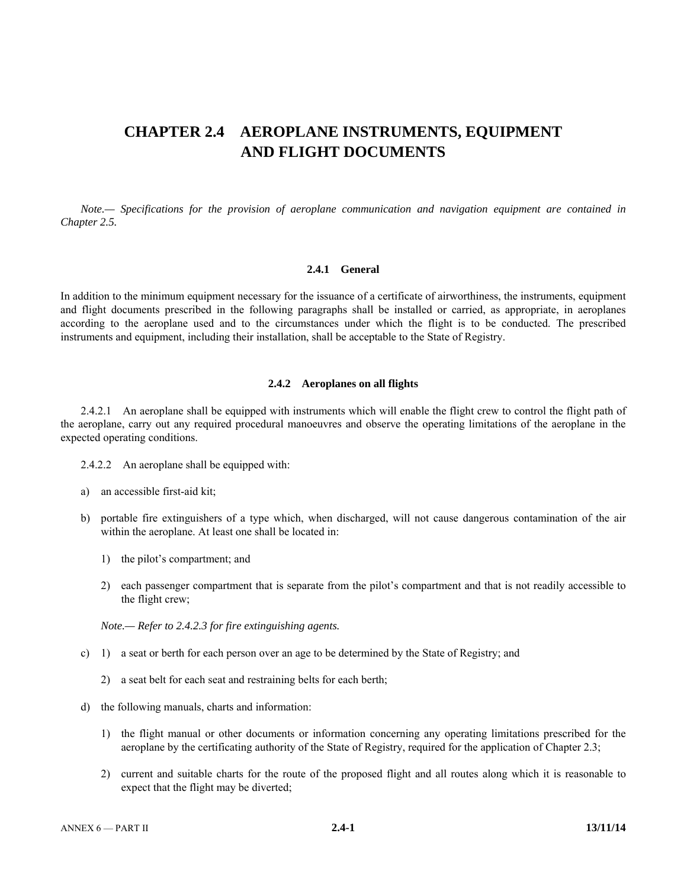## **CHAPTER 2.4 AEROPLANE INSTRUMENTS, EQUIPMENT AND FLIGHT DOCUMENTS**

 *Note.— Specifications for the provision of aeroplane communication and navigation equipment are contained in Chapter 2.5.* 

#### **2.4.1 General**

In addition to the minimum equipment necessary for the issuance of a certificate of airworthiness, the instruments, equipment and flight documents prescribed in the following paragraphs shall be installed or carried, as appropriate, in aeroplanes according to the aeroplane used and to the circumstances under which the flight is to be conducted. The prescribed instruments and equipment, including their installation, shall be acceptable to the State of Registry.

#### **2.4.2 Aeroplanes on all flights**

 2.4.2.1 An aeroplane shall be equipped with instruments which will enable the flight crew to control the flight path of the aeroplane, carry out any required procedural manoeuvres and observe the operating limitations of the aeroplane in the expected operating conditions.

- 2.4.2.2 An aeroplane shall be equipped with:
- a) an accessible first-aid kit;
- b) portable fire extinguishers of a type which, when discharged, will not cause dangerous contamination of the air within the aeroplane. At least one shall be located in:
	- 1) the pilot's compartment; and
	- 2) each passenger compartment that is separate from the pilot's compartment and that is not readily accessible to the flight crew;

*Note.— Refer to 2.4.2.3 for fire extinguishing agents.* 

- c) 1) a seat or berth for each person over an age to be determined by the State of Registry; and
	- 2) a seat belt for each seat and restraining belts for each berth;
- d) the following manuals, charts and information:
	- 1) the flight manual or other documents or information concerning any operating limitations prescribed for the aeroplane by the certificating authority of the State of Registry, required for the application of Chapter 2.3;
	- 2) current and suitable charts for the route of the proposed flight and all routes along which it is reasonable to expect that the flight may be diverted;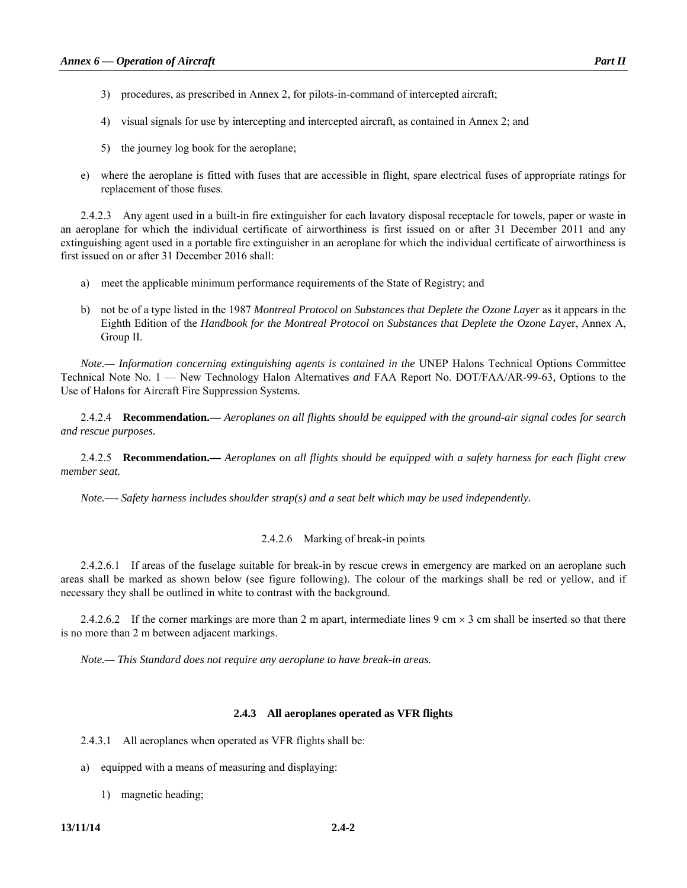- 3) procedures, as prescribed in Annex 2, for pilots-in-command of intercepted aircraft;
- 4) visual signals for use by intercepting and intercepted aircraft, as contained in Annex 2; and
- 5) the journey log book for the aeroplane;
- e) where the aeroplane is fitted with fuses that are accessible in flight, spare electrical fuses of appropriate ratings for replacement of those fuses.

 2.4.2.3 Any agent used in a built-in fire extinguisher for each lavatory disposal receptacle for towels, paper or waste in an aeroplane for which the individual certificate of airworthiness is first issued on or after 31 December 2011 and any extinguishing agent used in a portable fire extinguisher in an aeroplane for which the individual certificate of airworthiness is first issued on or after 31 December 2016 shall:

- a) meet the applicable minimum performance requirements of the State of Registry; and
- b) not be of a type listed in the 1987 *Montreal Protocol on Substances that Deplete the Ozone Layer* as it appears in the Eighth Edition of the *Handbook for the Montreal Protocol on Substances that Deplete the Ozone La*yer, Annex A, Group II.

*Note.— Information concerning extinguishing agents is contained in the UNEP Halons Technical Options Committee* Technical Note No. 1 — New Technology Halon Alternatives *and* FAA Report No. DOT/FAA/AR-99-63, Options to the Use of Halons for Aircraft Fire Suppression Systems*.* 

 2.4.2.4 **Recommendation.—** *Aeroplanes on all flights should be equipped with the ground-air signal codes for search and rescue purposes.* 

 2.4.2.5 **Recommendation.—** *Aeroplanes on all flights should be equipped with a safety harness for each flight crew member seat.* 

 *Note.—- Safety harness includes shoulder strap(s) and a seat belt which may be used independently.* 

#### 2.4.2.6 Marking of break-in points

 2.4.2.6.1 If areas of the fuselage suitable for break-in by rescue crews in emergency are marked on an aeroplane such areas shall be marked as shown below (see figure following). The colour of the markings shall be red or yellow, and if necessary they shall be outlined in white to contrast with the background.

2.4.2.6.2 If the corner markings are more than 2 m apart, intermediate lines 9 cm  $\times$  3 cm shall be inserted so that there is no more than 2 m between adjacent markings.

 *Note.— This Standard does not require any aeroplane to have break-in areas.* 

#### **2.4.3 All aeroplanes operated as VFR flights**

2.4.3.1 All aeroplanes when operated as VFR flights shall be:

- a) equipped with a means of measuring and displaying:
	- 1) magnetic heading;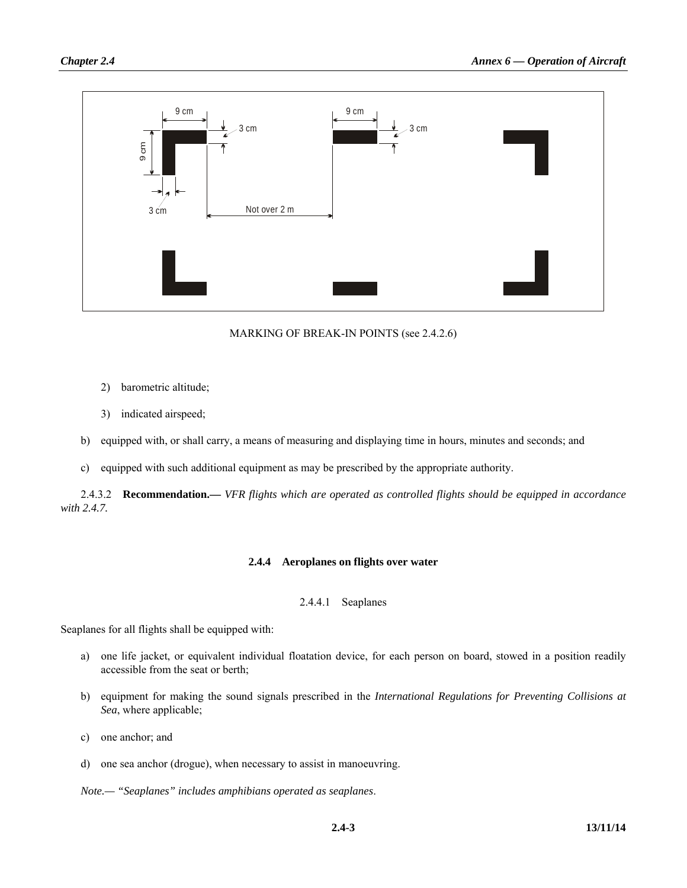

MARKING OF BREAK-IN POINTS (see 2.4.2.6)

- 2) barometric altitude;
- 3) indicated airspeed;
- b) equipped with, or shall carry, a means of measuring and displaying time in hours, minutes and seconds; and
- c) equipped with such additional equipment as may be prescribed by the appropriate authority.

 2.4.3.2 **Recommendation.—** *VFR flights which are operated as controlled flights should be equipped in accordance with 2.4.7.* 

## **2.4.4 Aeroplanes on flights over water**

#### 2.4.4.1 Seaplanes

Seaplanes for all flights shall be equipped with:

- a) one life jacket, or equivalent individual floatation device, for each person on board, stowed in a position readily accessible from the seat or berth;
- b) equipment for making the sound signals prescribed in the *International Regulations for Preventing Collisions at Sea*, where applicable;
- c) one anchor; and
- d) one sea anchor (drogue), when necessary to assist in manoeuvring.

 *Note.— "Seaplanes" includes amphibians operated as seaplanes*.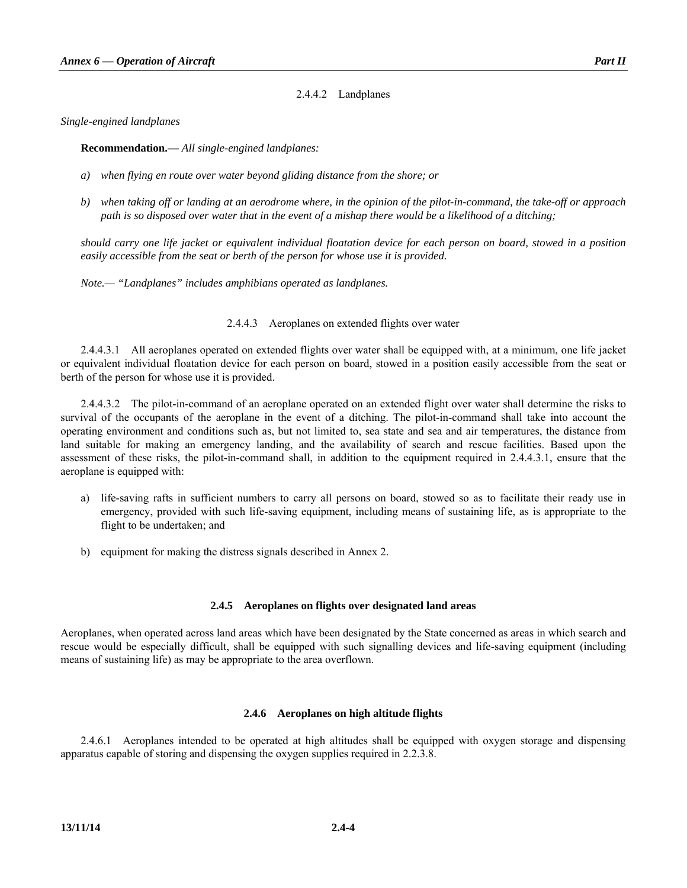2.4.4.2 Landplanes

*Single-engined landplanes*

 **Recommendation.—** *All single-engined landplanes:* 

- *a) when flying en route over water beyond gliding distance from the shore; or*
- *b) when taking off or landing at an aerodrome where, in the opinion of the pilot-in-command, the take-off or approach path is so disposed over water that in the event of a mishap there would be a likelihood of a ditching;*

 *should carry one life jacket or equivalent individual floatation device for each person on board, stowed in a position easily accessible from the seat or berth of the person for whose use it is provided.* 

 *Note.— "Landplanes" includes amphibians operated as landplanes.* 

#### 2.4.4.3 Aeroplanes on extended flights over water

 2.4.4.3.1 All aeroplanes operated on extended flights over water shall be equipped with, at a minimum, one life jacket or equivalent individual floatation device for each person on board, stowed in a position easily accessible from the seat or berth of the person for whose use it is provided.

 2.4.4.3.2 The pilot-in-command of an aeroplane operated on an extended flight over water shall determine the risks to survival of the occupants of the aeroplane in the event of a ditching. The pilot-in-command shall take into account the operating environment and conditions such as, but not limited to, sea state and sea and air temperatures, the distance from land suitable for making an emergency landing, and the availability of search and rescue facilities. Based upon the assessment of these risks, the pilot-in-command shall, in addition to the equipment required in 2.4.4.3.1, ensure that the aeroplane is equipped with:

- a) life-saving rafts in sufficient numbers to carry all persons on board, stowed so as to facilitate their ready use in emergency, provided with such life-saving equipment, including means of sustaining life, as is appropriate to the flight to be undertaken; and
- b) equipment for making the distress signals described in Annex 2.

#### **2.4.5 Aeroplanes on flights over designated land areas**

Aeroplanes, when operated across land areas which have been designated by the State concerned as areas in which search and rescue would be especially difficult, shall be equipped with such signalling devices and life-saving equipment (including means of sustaining life) as may be appropriate to the area overflown.

#### **2.4.6 Aeroplanes on high altitude flights**

 2.4.6.1 Aeroplanes intended to be operated at high altitudes shall be equipped with oxygen storage and dispensing apparatus capable of storing and dispensing the oxygen supplies required in 2.2.3.8.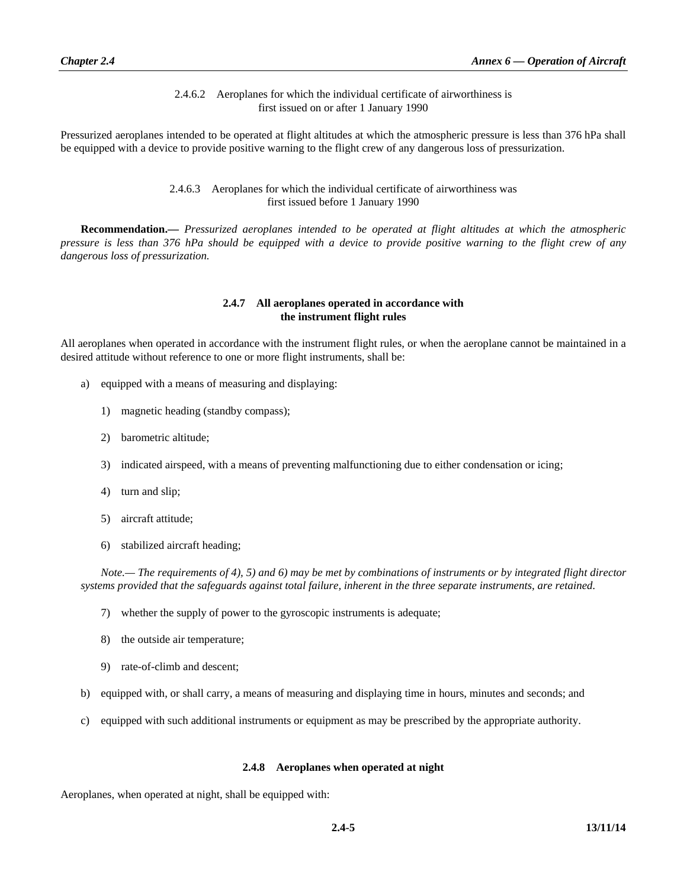## 2.4.6.2 Aeroplanes for which the individual certificate of airworthiness is first issued on or after 1 January 1990

Pressurized aeroplanes intended to be operated at flight altitudes at which the atmospheric pressure is less than 376 hPa shall be equipped with a device to provide positive warning to the flight crew of any dangerous loss of pressurization.

## 2.4.6.3 Aeroplanes for which the individual certificate of airworthiness was first issued before 1 January 1990

 **Recommendation.—** *Pressurized aeroplanes intended to be operated at flight altitudes at which the atmospheric pressure is less than 376 hPa should be equipped with a device to provide positive warning to the flight crew of any dangerous loss of pressurization.* 

## **2.4.7 All aeroplanes operated in accordance with the instrument flight rules**

All aeroplanes when operated in accordance with the instrument flight rules, or when the aeroplane cannot be maintained in a desired attitude without reference to one or more flight instruments, shall be:

- a) equipped with a means of measuring and displaying:
	- 1) magnetic heading (standby compass);
	- 2) barometric altitude;
	- 3) indicated airspeed, with a means of preventing malfunctioning due to either condensation or icing;
	- 4) turn and slip;
	- 5) aircraft attitude;
	- 6) stabilized aircraft heading;

 *Note.— The requirements of 4), 5) and 6) may be met by combinations of instruments or by integrated flight director systems provided that the safeguards against total failure, inherent in the three separate instruments, are retained.* 

- 7) whether the supply of power to the gyroscopic instruments is adequate;
- 8) the outside air temperature;
- 9) rate-of-climb and descent;
- b) equipped with, or shall carry, a means of measuring and displaying time in hours, minutes and seconds; and
- c) equipped with such additional instruments or equipment as may be prescribed by the appropriate authority.

#### **2.4.8 Aeroplanes when operated at night**

Aeroplanes, when operated at night, shall be equipped with: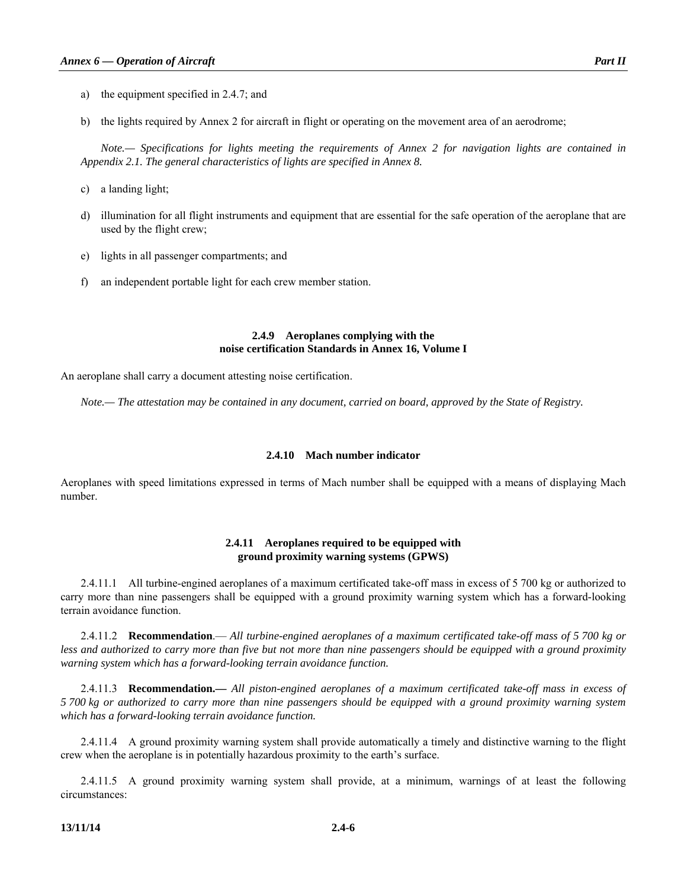- a) the equipment specified in 2.4.7; and
- b) the lights required by Annex 2 for aircraft in flight or operating on the movement area of an aerodrome;

 *Note.— Specifications for lights meeting the requirements of Annex 2 for navigation lights are contained in Appendix 2.1. The general characteristics of lights are specified in Annex 8.* 

- c) a landing light;
- d) illumination for all flight instruments and equipment that are essential for the safe operation of the aeroplane that are used by the flight crew;
- e) lights in all passenger compartments; and
- f) an independent portable light for each crew member station.

## **2.4.9 Aeroplanes complying with the noise certification Standards in Annex 16, Volume I**

An aeroplane shall carry a document attesting noise certification.

 *Note.— The attestation may be contained in any document, carried on board, approved by the State of Registry.* 

#### **2.4.10 Mach number indicator**

Aeroplanes with speed limitations expressed in terms of Mach number shall be equipped with a means of displaying Mach number.

#### **2.4.11 Aeroplanes required to be equipped with ground proximity warning systems (GPWS)**

 2.4.11.1 All turbine-engined aeroplanes of a maximum certificated take-off mass in excess of 5 700 kg or authorized to carry more than nine passengers shall be equipped with a ground proximity warning system which has a forward-looking terrain avoidance function.

 2.4.11.2 **Recommendation**.— *All turbine-engined aeroplanes of a maximum certificated take-off mass of 5 700 kg or less and authorized to carry more than five but not more than nine passengers should be equipped with a ground proximity warning system which has a forward-looking terrain avoidance function.*

 2.4.11.3 **Recommendation.—** *All piston-engined aeroplanes of a maximum certificated take-off mass in excess of 5 700 kg or authorized to carry more than nine passengers should be equipped with a ground proximity warning system which has a forward-looking terrain avoidance function.* 

 2.4.11.4 A ground proximity warning system shall provide automatically a timely and distinctive warning to the flight crew when the aeroplane is in potentially hazardous proximity to the earth's surface.

 2.4.11.5 A ground proximity warning system shall provide, at a minimum, warnings of at least the following circumstances: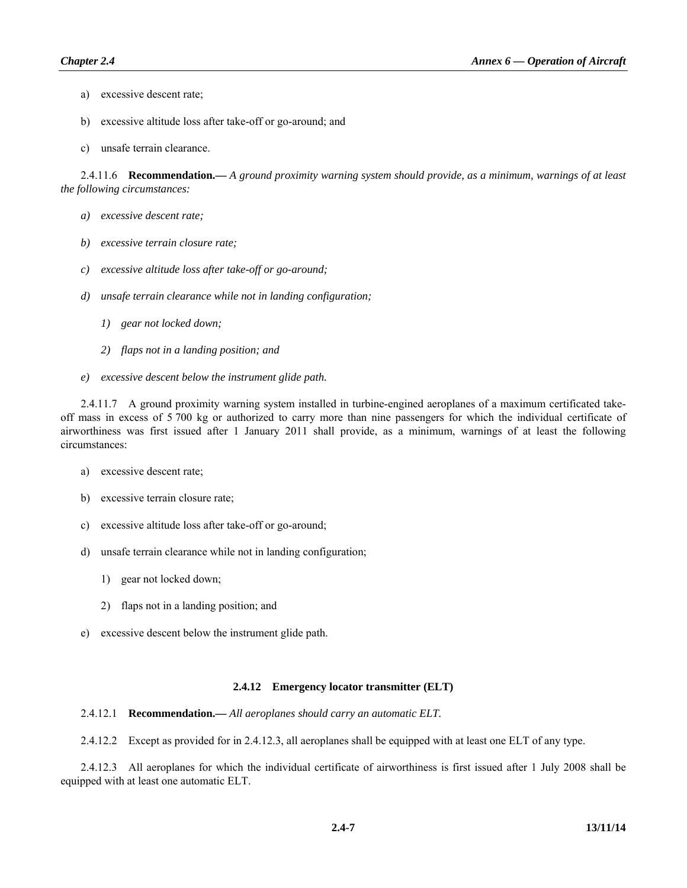- a) excessive descent rate;
- b) excessive altitude loss after take-off or go-around; and
- c) unsafe terrain clearance.

 2.4.11.6 **Recommendation.—** *A ground proximity warning system should provide, as a minimum, warnings of at least the following circumstances:* 

- *a) excessive descent rate;*
- *b) excessive terrain closure rate;*
- *c) excessive altitude loss after take-off or go-around;*
- *d) unsafe terrain clearance while not in landing configuration;* 
	- *1) gear not locked down;*
	- *2) flaps not in a landing position; and*
- *e) excessive descent below the instrument glide path.*

 2.4.11.7 A ground proximity warning system installed in turbine-engined aeroplanes of a maximum certificated takeoff mass in excess of 5 700 kg or authorized to carry more than nine passengers for which the individual certificate of airworthiness was first issued after 1 January 2011 shall provide, as a minimum, warnings of at least the following circumstances:

- a) excessive descent rate;
- b) excessive terrain closure rate;
- c) excessive altitude loss after take-off or go-around;
- d) unsafe terrain clearance while not in landing configuration;
	- 1) gear not locked down;
	- 2) flaps not in a landing position; and
- e) excessive descent below the instrument glide path.

#### **2.4.12 Emergency locator transmitter (ELT)**

- 2.4.12.1 **Recommendation.—** *All aeroplanes should carry an automatic ELT.*
- 2.4.12.2 Except as provided for in 2.4.12.3, all aeroplanes shall be equipped with at least one ELT of any type.

 2.4.12.3 All aeroplanes for which the individual certificate of airworthiness is first issued after 1 July 2008 shall be equipped with at least one automatic ELT.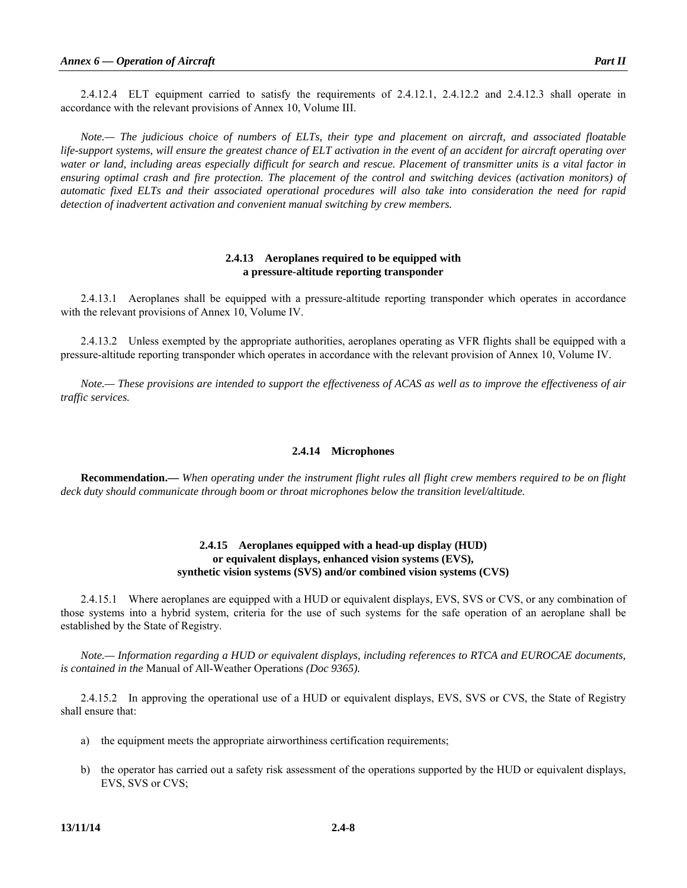2.4.12.4 ELT equipment carried to satisfy the requirements of 2.4.12.1, 2.4.12.2 and 2.4.12.3 shall operate in accordance with the relevant provisions of Annex 10, Volume III.

 *Note.— The judicious choice of numbers of ELTs, their type and placement on aircraft, and associated floatable life-support systems, will ensure the greatest chance of ELT activation in the event of an accident for aircraft operating over water or land, including areas especially difficult for search and rescue. Placement of transmitter units is a vital factor in ensuring optimal crash and fire protection. The placement of the control and switching devices (activation monitors) of automatic fixed ELTs and their associated operational procedures will also take into consideration the need for rapid detection of inadvertent activation and convenient manual switching by crew members.* 

#### **2.4.13 Aeroplanes required to be equipped with a pressure-altitude reporting transponder**

 2.4.13.1 Aeroplanes shall be equipped with a pressure-altitude reporting transponder which operates in accordance with the relevant provisions of Annex 10, Volume IV.

 2.4.13.2 Unless exempted by the appropriate authorities, aeroplanes operating as VFR flights shall be equipped with a pressure-altitude reporting transponder which operates in accordance with the relevant provision of Annex 10, Volume IV.

 *Note.— These provisions are intended to support the effectiveness of ACAS as well as to improve the effectiveness of air traffic services.* 

#### **2.4.14 Microphones**

 **Recommendation.—** *When operating under the instrument flight rules all flight crew members required to be on flight deck duty should communicate through boom or throat microphones below the transition level/altitude.*

## **2.4.15 Aeroplanes equipped with a head-up display (HUD) or equivalent displays, enhanced vision systems (EVS), synthetic vision systems (SVS) and/or combined vision systems (CVS)**

 2.4.15.1 Where aeroplanes are equipped with a HUD or equivalent displays, EVS, SVS or CVS, or any combination of those systems into a hybrid system, criteria for the use of such systems for the safe operation of an aeroplane shall be established by the State of Registry.

 *Note.— Information regarding a HUD or equivalent displays, including references to RTCA and EUROCAE documents, is contained in the* Manual of All-Weather Operations *(Doc 9365).*

 2.4.15.2 In approving the operational use of a HUD or equivalent displays, EVS, SVS or CVS, the State of Registry shall ensure that:

- a) the equipment meets the appropriate airworthiness certification requirements;
- b) the operator has carried out a safety risk assessment of the operations supported by the HUD or equivalent displays, EVS, SVS or CVS;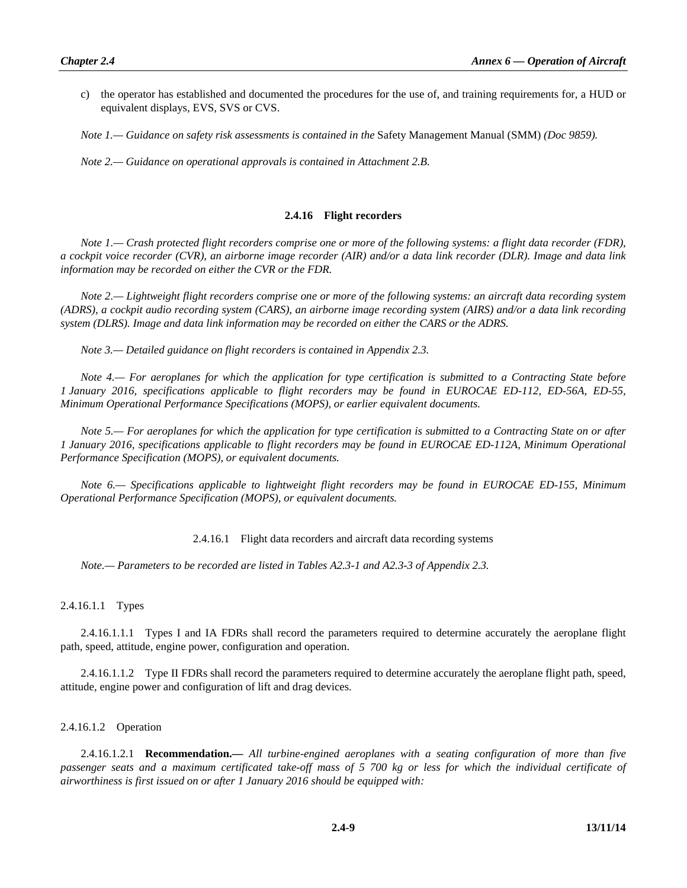c) the operator has established and documented the procedures for the use of, and training requirements for, a HUD or equivalent displays, EVS, SVS or CVS.

*Note 1.— Guidance on safety risk assessments is contained in the* Safety Management Manual (SMM) *(Doc 9859).*

 *Note 2.— Guidance on operational approvals is contained in Attachment 2.B.* 

#### **2.4.16 Flight recorders**

 *Note 1.— Crash protected flight recorders comprise one or more of the following systems: a flight data recorder (FDR), a cockpit voice recorder (CVR), an airborne image recorder (AIR) and/or a data link recorder (DLR). Image and data link information may be recorded on either the CVR or the FDR.* 

 *Note 2.— Lightweight flight recorders comprise one or more of the following systems: an aircraft data recording system (ADRS), a cockpit audio recording system (CARS), an airborne image recording system (AIRS) and/or a data link recording system (DLRS). Image and data link information may be recorded on either the CARS or the ADRS.* 

 *Note 3.— Detailed guidance on flight recorders is contained in Appendix 2.3.* 

 *Note 4.— For aeroplanes for which the application for type certification is submitted to a Contracting State before 1 January 2016, specifications applicable to flight recorders may be found in EUROCAE ED-112, ED-56A, ED-55, Minimum Operational Performance Specifications (MOPS), or earlier equivalent documents.* 

 *Note 5.— For aeroplanes for which the application for type certification is submitted to a Contracting State on or after 1 January 2016, specifications applicable to flight recorders may be found in EUROCAE ED-112A, Minimum Operational Performance Specification (MOPS), or equivalent documents.* 

 *Note 6.— Specifications applicable to lightweight flight recorders may be found in EUROCAE ED-155, Minimum Operational Performance Specification (MOPS), or equivalent documents.* 

2.4.16.1 Flight data recorders and aircraft data recording systems

 *Note.— Parameters to be recorded are listed in Tables A2.3-1 and A2.3-3 of Appendix 2.3.*

2.4.16.1.1 Types

 2.4.16.1.1.1 Types I and IA FDRs shall record the parameters required to determine accurately the aeroplane flight path, speed, attitude, engine power, configuration and operation.

 2.4.16.1.1.2 Type II FDRs shall record the parameters required to determine accurately the aeroplane flight path, speed, attitude, engine power and configuration of lift and drag devices.

#### 2.4.16.1.2 Operation

 2.4.16.1.2.1 **Recommendation.***— All turbine-engined aeroplanes with a seating configuration of more than five*  passenger seats and a maximum certificated take-off mass of 5 700 kg or less for which the individual certificate of *airworthiness is first issued on or after 1 January 2016 should be equipped with:*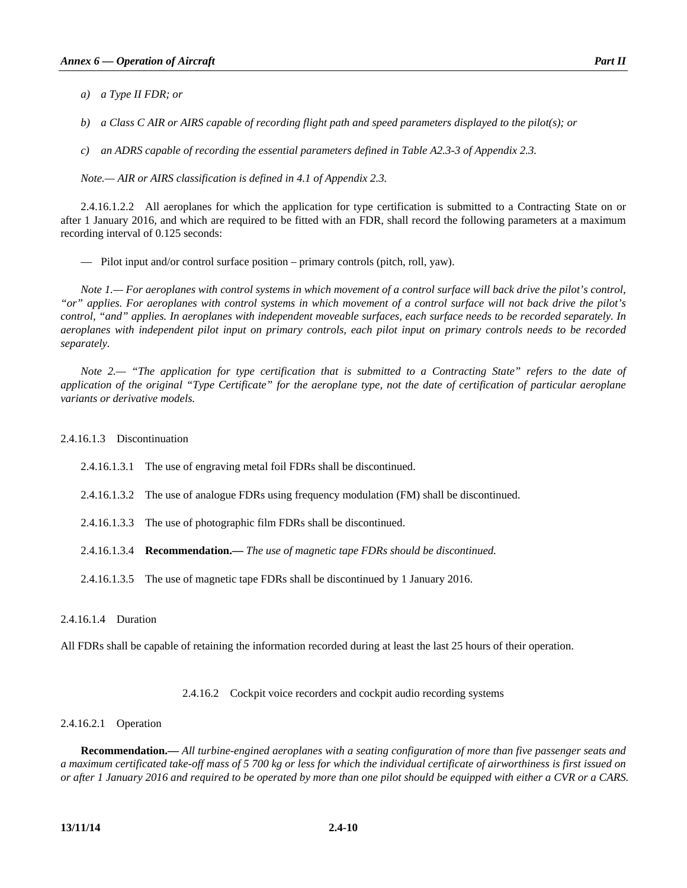*a) a Type II FDR; or* 

 *b) a Class C AIR or AIRS capable of recording flight path and speed parameters displayed to the pilot(s); or* 

 *c) an ADRS capable of recording the essential parameters defined in Table A2.3-3 of Appendix 2.3.* 

 *Note.— AIR or AIRS classification is defined in 4.1 of Appendix 2.3.* 

 2.4.16.1.2.2 All aeroplanes for which the application for type certification is submitted to a Contracting State on or after 1 January 2016, and which are required to be fitted with an FDR, shall record the following parameters at a maximum recording interval of 0.125 seconds:

— Pilot input and/or control surface position – primary controls (pitch, roll, yaw).

*Note 1.— For aeroplanes with control systems in which movement of a control surface will back drive the pilot's control, "or" applies. For aeroplanes with control systems in which movement of a control surface will not back drive the pilot's control, "and" applies. In aeroplanes with independent moveable surfaces, each surface needs to be recorded separately. In aeroplanes with independent pilot input on primary controls, each pilot input on primary controls needs to be recorded separately.* 

 *Note 2.— "The application for type certification that is submitted to a Contracting State" refers to the date of application of the original "Type Certificate" for the aeroplane type, not the date of certification of particular aeroplane variants or derivative models.*

#### 2.4.16.1.3 Discontinuation

- 2.4.16.1.3.1 The use of engraving metal foil FDRs shall be discontinued.
- 2.4.16.1.3.2 The use of analogue FDRs using frequency modulation (FM) shall be discontinued.
- 2.4.16.1.3.3 The use of photographic film FDRs shall be discontinued.

2.4.16.1.3.4 **Recommendation.***— The use of magnetic tape FDRs should be discontinued.*

2.4.16.1.3.5 The use of magnetic tape FDRs shall be discontinued by 1 January 2016.

#### 2.4.16.1.4 Duration

All FDRs shall be capable of retaining the information recorded during at least the last 25 hours of their operation.

2.4.16.2 Cockpit voice recorders and cockpit audio recording systems

#### 2.4.16.2.1 Operation

**Recommendation.—** *All turbine-engined aeroplanes with a seating configuration of more than five passenger seats and a maximum certificated take-off mass of 5 700 kg or less for which the individual certificate of airworthiness is first issued on or after 1 January 2016 and required to be operated by more than one pilot should be equipped with either a CVR or a CARS.*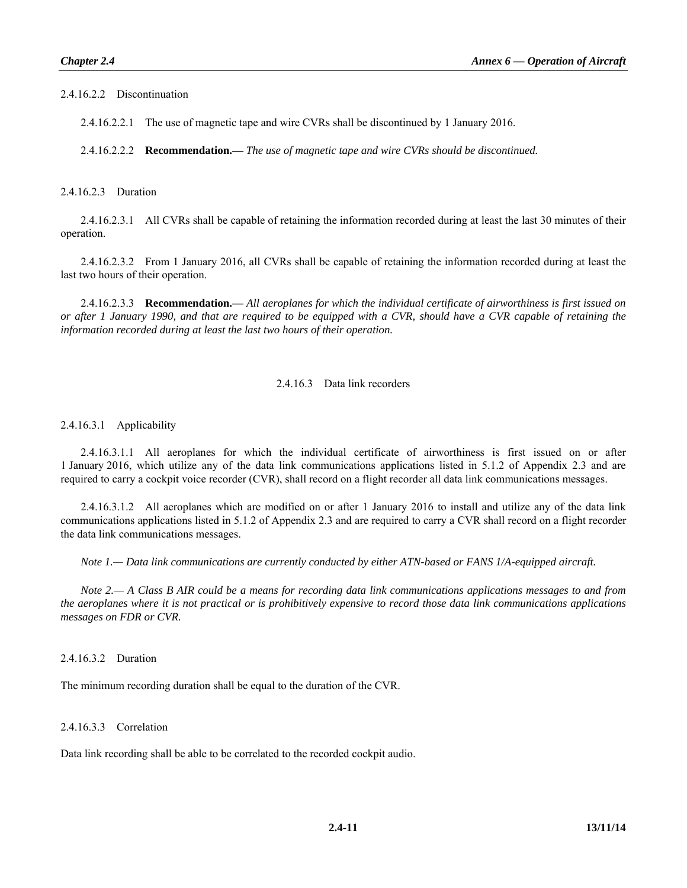2.4.16.2.2 Discontinuation

2.4.16.2.2.1 The use of magnetic tape and wire CVRs shall be discontinued by 1 January 2016.

2.4.16.2.2.2 **Recommendation.—** *The use of magnetic tape and wire CVRs should be discontinued.*

## 2.4.16.2.3 Duration

 2.4.16.2.3.1 All CVRs shall be capable of retaining the information recorded during at least the last 30 minutes of their operation.

 2.4.16.2.3.2 From 1 January 2016, all CVRs shall be capable of retaining the information recorded during at least the last two hours of their operation.

 2.4.16.2.3.3 **Recommendation.—** *All aeroplanes for which the individual certificate of airworthiness is first issued on or after 1 January 1990, and that are required to be equipped with a CVR, should have a CVR capable of retaining the information recorded during at least the last two hours of their operation.*

## 2.4.16.3 Data link recorders

2.4.16.3.1 Applicability

 2.4.16.3.1.1 All aeroplanes for which the individual certificate of airworthiness is first issued on or after 1 January 2016, which utilize any of the data link communications applications listed in 5.1.2 of Appendix 2.3 and are required to carry a cockpit voice recorder (CVR), shall record on a flight recorder all data link communications messages.

 2.4.16.3.1.2 All aeroplanes which are modified on or after 1 January 2016 to install and utilize any of the data link communications applications listed in 5.1.2 of Appendix 2.3 and are required to carry a CVR shall record on a flight recorder the data link communications messages.

 *Note 1.— Data link communications are currently conducted by either ATN-based or FANS 1/A-equipped aircraft.* 

*Note 2.— A Class B AIR could be a means for recording data link communications applications messages to and from the aeroplanes where it is not practical or is prohibitively expensive to record those data link communications applications messages on FDR or CVR.* 

2.4.16.3.2 Duration

The minimum recording duration shall be equal to the duration of the CVR.

2.4.16.3.3 Correlation

Data link recording shall be able to be correlated to the recorded cockpit audio.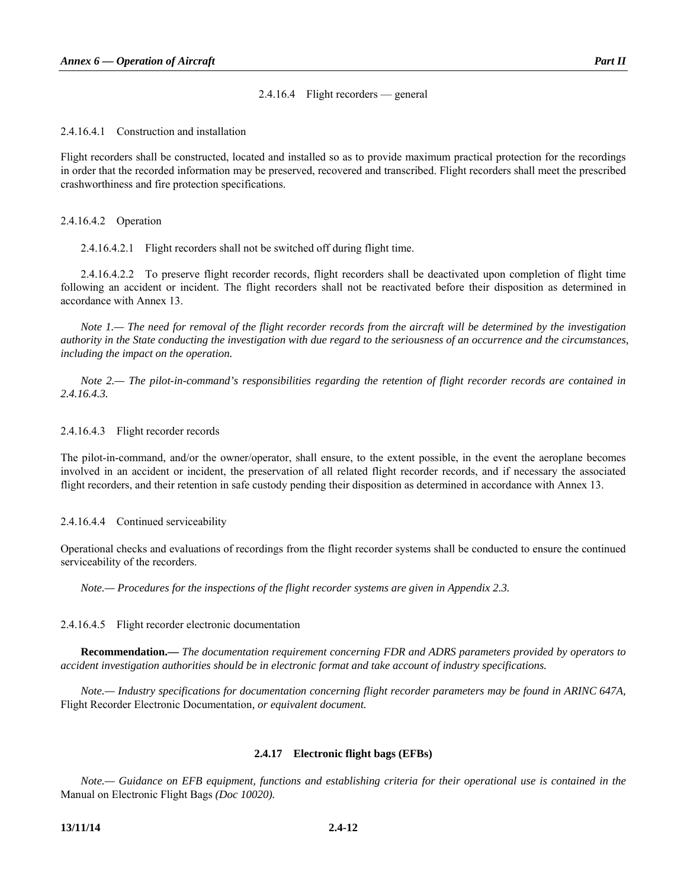## 2.4.16.4 Flight recorders — general

#### 2.4.16.4.1 Construction and installation

Flight recorders shall be constructed, located and installed so as to provide maximum practical protection for the recordings in order that the recorded information may be preserved, recovered and transcribed. Flight recorders shall meet the prescribed crashworthiness and fire protection specifications.

#### 2.4.16.4.2 Operation

2.4.16.4.2.1 Flight recorders shall not be switched off during flight time.

 2.4.16.4.2.2 To preserve flight recorder records, flight recorders shall be deactivated upon completion of flight time following an accident or incident. The flight recorders shall not be reactivated before their disposition as determined in accordance with Annex 13.

*Note 1.— The need for removal of the flight recorder records from the aircraft will be determined by the investigation authority in the State conducting the investigation with due regard to the seriousness of an occurrence and the circumstances, including the impact on the operation.* 

*Note 2.— The pilot-in-command's responsibilities regarding the retention of flight recorder records are contained in 2.4.16.4.3.* 

#### 2.4.16.4.3 Flight recorder records

The pilot-in-command, and/or the owner/operator, shall ensure, to the extent possible, in the event the aeroplane becomes involved in an accident or incident, the preservation of all related flight recorder records, and if necessary the associated flight recorders, and their retention in safe custody pending their disposition as determined in accordance with Annex 13.

#### 2.4.16.4.4 Continued serviceability

Operational checks and evaluations of recordings from the flight recorder systems shall be conducted to ensure the continued serviceability of the recorders.

 *Note.— Procedures for the inspections of the flight recorder systems are given in Appendix 2.3.* 

2.4.16.4.5 Flight recorder electronic documentation

 **Recommendation.—** *The documentation requirement concerning FDR and ADRS parameters provided by operators to accident investigation authorities should be in electronic format and take account of industry specifications.* 

 *Note.— Industry specifications for documentation concerning flight recorder parameters may be found in ARINC 647A,*  Flight Recorder Electronic Documentation*, or equivalent document.*

#### **2.4.17 Electronic flight bags (EFBs)**

 *Note.— Guidance on EFB equipment, functions and establishing criteria for their operational use is contained in the*  Manual on Electronic Flight Bags *(Doc 10020).*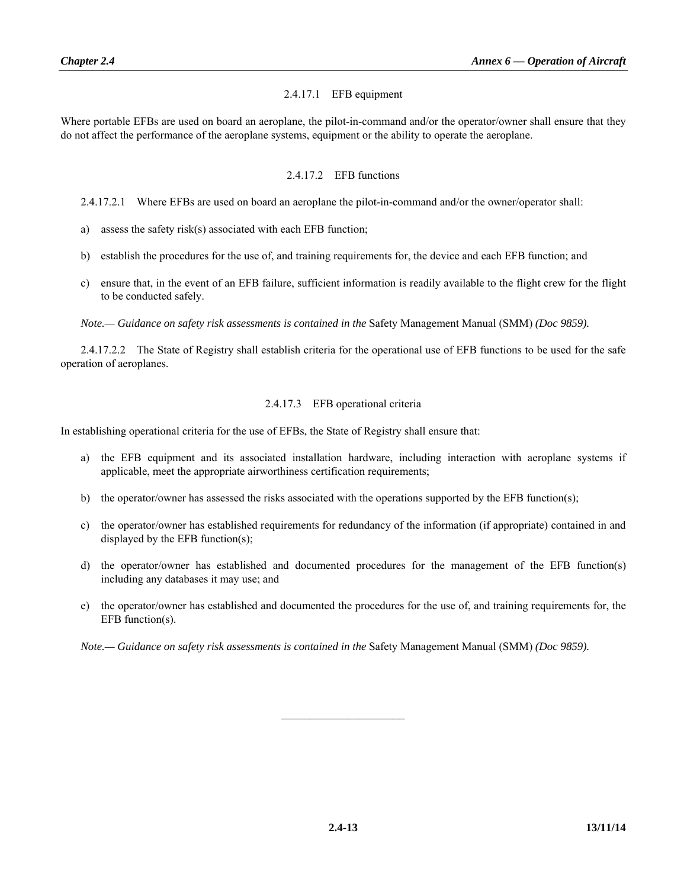## 2.4.17.1 EFB equipment

Where portable EFBs are used on board an aeroplane, the pilot-in-command and/or the operator/owner shall ensure that they do not affect the performance of the aeroplane systems, equipment or the ability to operate the aeroplane.

## 2.4.17.2 EFB functions

- 2.4.17.2.1 Where EFBs are used on board an aeroplane the pilot-in-command and/or the owner/operator shall:
- a) assess the safety risk(s) associated with each EFB function;
- b) establish the procedures for the use of, and training requirements for, the device and each EFB function; and
- c) ensure that, in the event of an EFB failure, sufficient information is readily available to the flight crew for the flight to be conducted safely.

 *Note.— Guidance on safety risk assessments is contained in the* Safety Management Manual (SMM) *(Doc 9859).* 

 2.4.17.2.2 The State of Registry shall establish criteria for the operational use of EFB functions to be used for the safe operation of aeroplanes.

#### 2.4.17.3 EFB operational criteria

In establishing operational criteria for the use of EFBs, the State of Registry shall ensure that:

- a) the EFB equipment and its associated installation hardware, including interaction with aeroplane systems if applicable, meet the appropriate airworthiness certification requirements;
- b) the operator/owner has assessed the risks associated with the operations supported by the EFB function(s);
- c) the operator/owner has established requirements for redundancy of the information (if appropriate) contained in and displayed by the EFB function(s);
- d) the operator/owner has established and documented procedures for the management of the EFB function(s) including any databases it may use; and
- e) the operator/owner has established and documented the procedures for the use of, and training requirements for, the EFB function(s).

 *Note.— Guidance on safety risk assessments is contained in the* Safety Management Manual (SMM) *(Doc 9859).* 

 $\mathcal{L}_\text{max}$  , where  $\mathcal{L}_\text{max}$  and  $\mathcal{L}_\text{max}$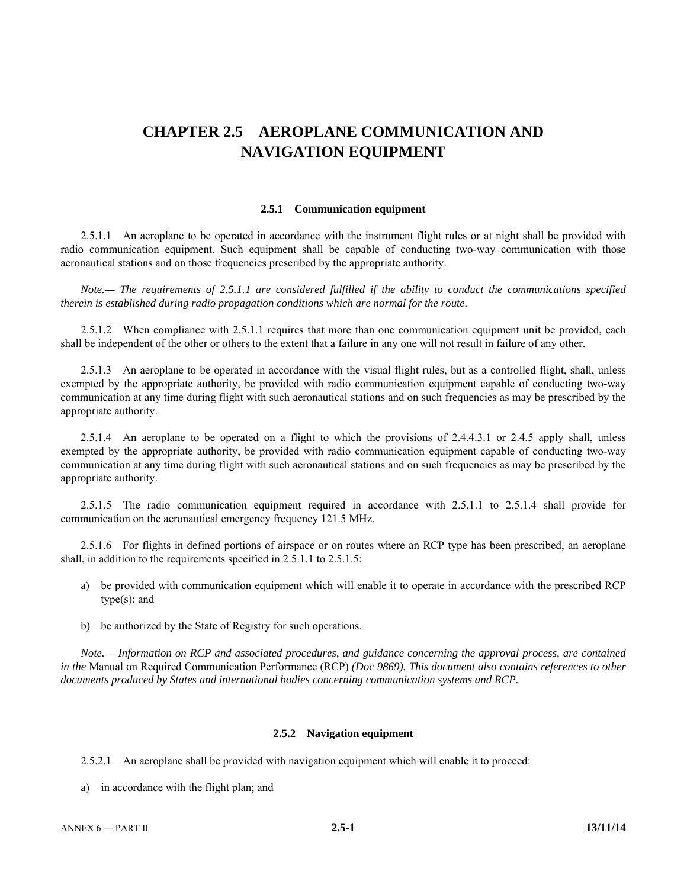## **CHAPTER 2.5 AEROPLANE COMMUNICATION AND NAVIGATION EQUIPMENT**

#### **2.5.1 Communication equipment**

 2.5.1.1 An aeroplane to be operated in accordance with the instrument flight rules or at night shall be provided with radio communication equipment. Such equipment shall be capable of conducting two-way communication with those aeronautical stations and on those frequencies prescribed by the appropriate authority.

 *Note.— The requirements of 2.5.1.1 are considered fulfilled if the ability to conduct the communications specified therein is established during radio propagation conditions which are normal for the route.* 

 2.5.1.2 When compliance with 2.5.1.1 requires that more than one communication equipment unit be provided, each shall be independent of the other or others to the extent that a failure in any one will not result in failure of any other.

 2.5.1.3 An aeroplane to be operated in accordance with the visual flight rules, but as a controlled flight, shall, unless exempted by the appropriate authority, be provided with radio communication equipment capable of conducting two-way communication at any time during flight with such aeronautical stations and on such frequencies as may be prescribed by the appropriate authority.

 2.5.1.4 An aeroplane to be operated on a flight to which the provisions of 2.4.4.3.1 or 2.4.5 apply shall, unless exempted by the appropriate authority, be provided with radio communication equipment capable of conducting two-way communication at any time during flight with such aeronautical stations and on such frequencies as may be prescribed by the appropriate authority.

 2.5.1.5 The radio communication equipment required in accordance with 2.5.1.1 to 2.5.1.4 shall provide for communication on the aeronautical emergency frequency 121.5 MHz.

 2.5.1.6For flights in defined portions of airspace or on routes where an RCP type has been prescribed, an aeroplane shall, in addition to the requirements specified in 2.5.1.1 to 2.5.1.5:

- a) be provided with communication equipment which will enable it to operate in accordance with the prescribed RCP type(s); and
- b) be authorized by the State of Registry for such operations.

 *Note.— Information on RCP and associated procedures, and guidance concerning the approval process, are contained in the* Manual on Required Communication Performance (RCP) *(Doc 9869). This document also contains references to other documents produced by States and international bodies concerning communication systems and RCP.* 

### **2.5.2 Navigation equipment**

2.5.2.1 An aeroplane shall be provided with navigation equipment which will enable it to proceed:

a) in accordance with the flight plan; and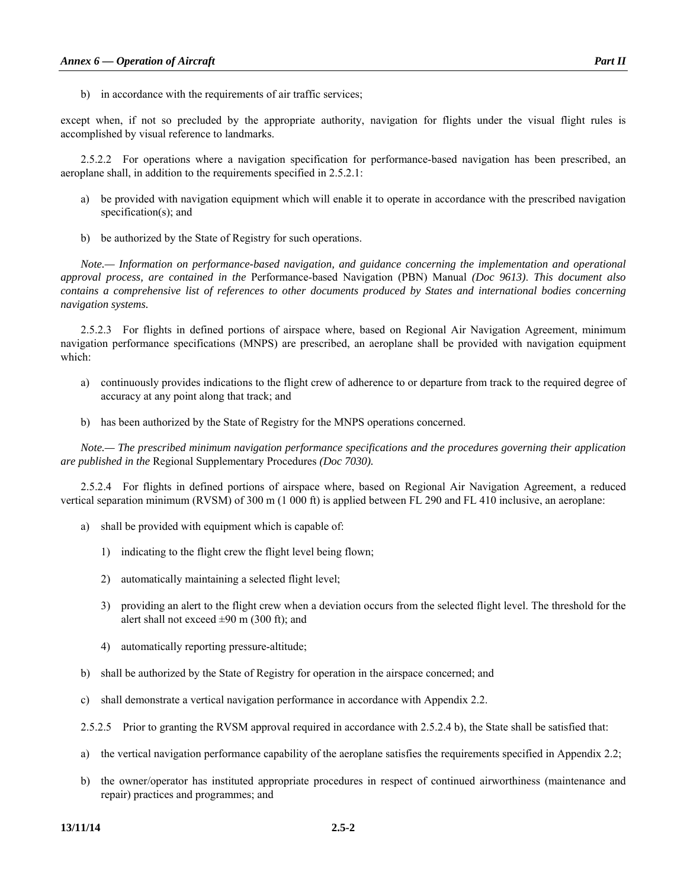b) in accordance with the requirements of air traffic services;

except when, if not so precluded by the appropriate authority, navigation for flights under the visual flight rules is accomplished by visual reference to landmarks.

 2.5.2.2 For operations where a navigation specification for performance-based navigation has been prescribed, an aeroplane shall, in addition to the requirements specified in 2.5.2.1:

- a) be provided with navigation equipment which will enable it to operate in accordance with the prescribed navigation specification(s); and
- b) be authorized by the State of Registry for such operations.

*Note.— Information on performance-based navigation, and guidance concerning the implementation and operational approval process, are contained in the* Performance-based Navigation (PBN) Manual *(Doc 9613)*. *This document also contains a comprehensive list of references to other documents produced by States and international bodies concerning navigation systems.* 

 2.5.2.3 For flights in defined portions of airspace where, based on Regional Air Navigation Agreement, minimum navigation performance specifications (MNPS) are prescribed, an aeroplane shall be provided with navigation equipment which:

- a) continuously provides indications to the flight crew of adherence to or departure from track to the required degree of accuracy at any point along that track; and
- b) has been authorized by the State of Registry for the MNPS operations concerned.

*Note.— The prescribed minimum navigation performance specifications and the procedures governing their application are published in the* Regional Supplementary Procedures *(Doc 7030).* 

 2.5.2.4 For flights in defined portions of airspace where, based on Regional Air Navigation Agreement, a reduced vertical separation minimum (RVSM) of 300 m (1 000 ft) is applied between FL 290 and FL 410 inclusive, an aeroplane:

- a) shall be provided with equipment which is capable of:
	- 1) indicating to the flight crew the flight level being flown;
	- 2) automatically maintaining a selected flight level;
	- 3) providing an alert to the flight crew when a deviation occurs from the selected flight level. The threshold for the alert shall not exceed  $\pm 90$  m (300 ft); and
	- 4) automatically reporting pressure-altitude;
- b) shall be authorized by the State of Registry for operation in the airspace concerned; and
- c) shall demonstrate a vertical navigation performance in accordance with Appendix 2.2.
- 2.5.2.5 Prior to granting the RVSM approval required in accordance with 2.5.2.4 b), the State shall be satisfied that:
- a) the vertical navigation performance capability of the aeroplane satisfies the requirements specified in Appendix 2.2;
- b) the owner/operator has instituted appropriate procedures in respect of continued airworthiness (maintenance and repair) practices and programmes; and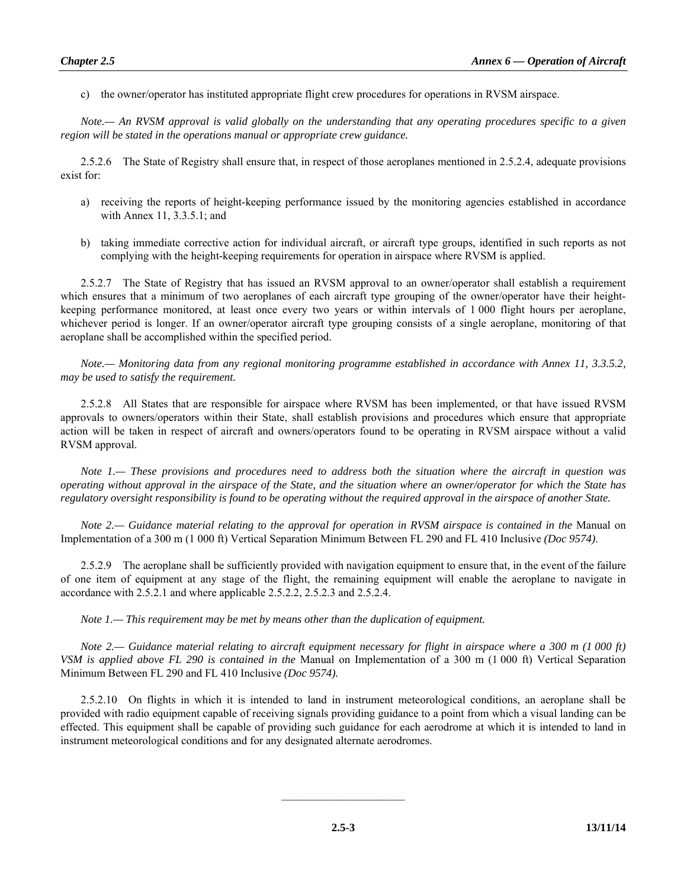c) the owner/operator has instituted appropriate flight crew procedures for operations in RVSM airspace.

*Note.— An RVSM approval is valid globally on the understanding that any operating procedures specific to a given region will be stated in the operations manual or appropriate crew guidance.* 

 2.5.2.6 The State of Registry shall ensure that, in respect of those aeroplanes mentioned in 2.5.2.4, adequate provisions exist for:

- a) receiving the reports of height-keeping performance issued by the monitoring agencies established in accordance with Annex 11, 3.3.5.1; and
- b) taking immediate corrective action for individual aircraft, or aircraft type groups, identified in such reports as not complying with the height-keeping requirements for operation in airspace where RVSM is applied.

 2.5.2.7 The State of Registry that has issued an RVSM approval to an owner/operator shall establish a requirement which ensures that a minimum of two aeroplanes of each aircraft type grouping of the owner/operator have their heightkeeping performance monitored, at least once every two years or within intervals of 1 000 flight hours per aeroplane, whichever period is longer. If an owner/operator aircraft type grouping consists of a single aeroplane, monitoring of that aeroplane shall be accomplished within the specified period.

 *Note.— Monitoring data from any regional monitoring programme established in accordance with Annex 11, 3.3.5.2, may be used to satisfy the requirement.*

 2.5.2.8 All States that are responsible for airspace where RVSM has been implemented, or that have issued RVSM approvals to owners/operators within their State, shall establish provisions and procedures which ensure that appropriate action will be taken in respect of aircraft and owners/operators found to be operating in RVSM airspace without a valid RVSM approval.

 *Note 1.— These provisions and procedures need to address both the situation where the aircraft in question was operating without approval in the airspace of the State, and the situation where an owner/operator for which the State has regulatory oversight responsibility is found to be operating without the required approval in the airspace of another State.* 

*Note 2.— Guidance material relating to the approval for operation in RVSM airspace is contained in the Manual on* Implementation of a 300 m (1 000 ft) Vertical Separation Minimum Between FL 290 and FL 410 Inclusive *(Doc 9574)*.

 2.5.2.9 The aeroplane shall be sufficiently provided with navigation equipment to ensure that, in the event of the failure of one item of equipment at any stage of the flight, the remaining equipment will enable the aeroplane to navigate in accordance with 2.5.2.1 and where applicable 2.5.2.2, 2.5.2.3 and 2.5.2.4.

*Note 1.— This requirement may be met by means other than the duplication of equipment.* 

 *Note 2.— Guidance material relating to aircraft equipment necessary for flight in airspace where a 300 m (1 000 ft) VSM is applied above FL 290 is contained in the* Manual on Implementation of a 300 m (1 000 ft) Vertical Separation Minimum Between FL 290 and FL 410 Inclusive *(Doc 9574).* 

 2.5.2.10 On flights in which it is intended to land in instrument meteorological conditions, an aeroplane shall be provided with radio equipment capable of receiving signals providing guidance to a point from which a visual landing can be effected. This equipment shall be capable of providing such guidance for each aerodrome at which it is intended to land in instrument meteorological conditions and for any designated alternate aerodromes.

\_\_\_\_\_\_\_\_\_\_\_\_\_\_\_\_\_\_\_\_\_\_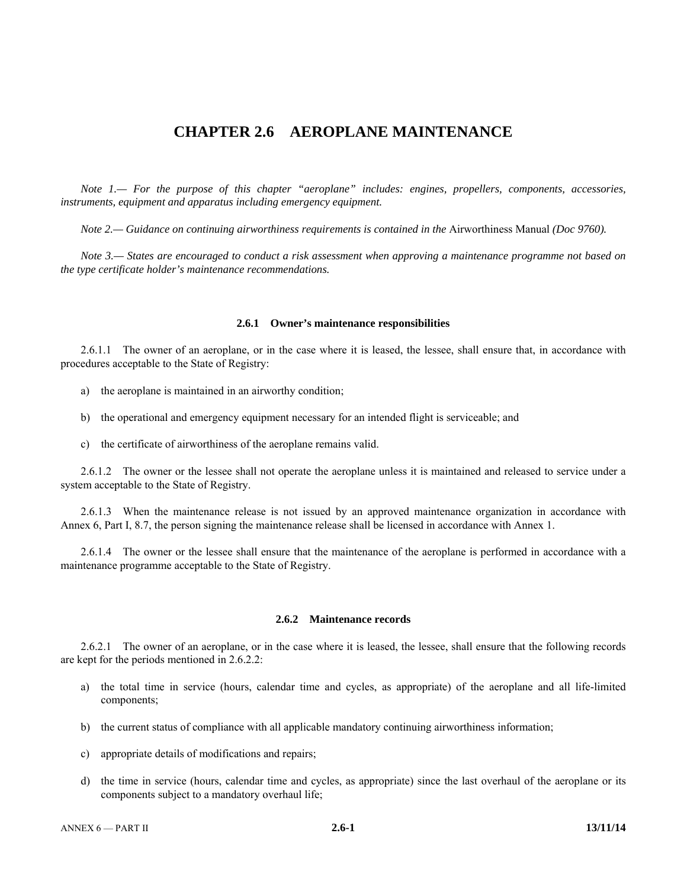## **CHAPTER 2.6 AEROPLANE MAINTENANCE**

 *Note 1.— For the purpose of this chapter "aeroplane" includes: engines, propellers, components, accessories, instruments, equipment and apparatus including emergency equipment.* 

*Note 2.— Guidance on continuing airworthiness requirements is contained in the Airworthiness Manual (Doc 9760).* 

 *Note 3.— States are encouraged to conduct a risk assessment when approving a maintenance programme not based on the type certificate holder's maintenance recommendations.* 

#### **2.6.1 Owner's maintenance responsibilities**

 2.6.1.1 The owner of an aeroplane, or in the case where it is leased, the lessee, shall ensure that, in accordance with procedures acceptable to the State of Registry:

- a) the aeroplane is maintained in an airworthy condition;
- b) the operational and emergency equipment necessary for an intended flight is serviceable; and
- c) the certificate of airworthiness of the aeroplane remains valid.

 2.6.1.2 The owner or the lessee shall not operate the aeroplane unless it is maintained and released to service under a system acceptable to the State of Registry.

 2.6.1.3 When the maintenance release is not issued by an approved maintenance organization in accordance with Annex 6, Part I, 8.7, the person signing the maintenance release shall be licensed in accordance with Annex 1.

 2.6.1.4 The owner or the lessee shall ensure that the maintenance of the aeroplane is performed in accordance with a maintenance programme acceptable to the State of Registry.

#### **2.6.2 Maintenance records**

 2.6.2.1 The owner of an aeroplane, or in the case where it is leased, the lessee, shall ensure that the following records are kept for the periods mentioned in 2.6.2.2:

- a) the total time in service (hours, calendar time and cycles, as appropriate) of the aeroplane and all life-limited components;
- b) the current status of compliance with all applicable mandatory continuing airworthiness information;
- c) appropriate details of modifications and repairs;
- d) the time in service (hours, calendar time and cycles, as appropriate) since the last overhaul of the aeroplane or its components subject to a mandatory overhaul life;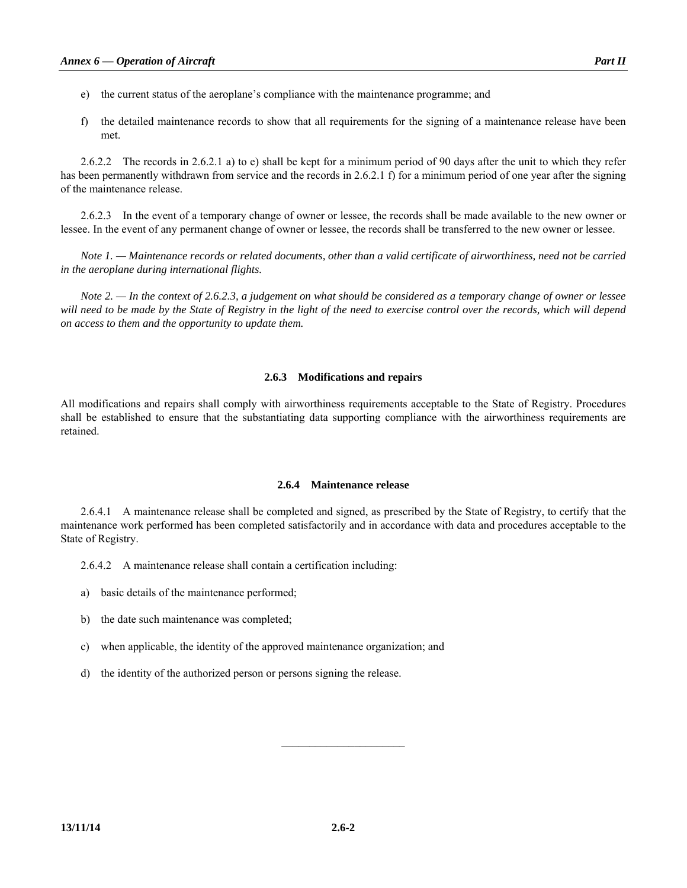- e) the current status of the aeroplane's compliance with the maintenance programme; and
- f) the detailed maintenance records to show that all requirements for the signing of a maintenance release have been met.

 2.6.2.2 The records in 2.6.2.1 a) to e) shall be kept for a minimum period of 90 days after the unit to which they refer has been permanently withdrawn from service and the records in 2.6.2.1 f) for a minimum period of one year after the signing of the maintenance release.

 2.6.2.3 In the event of a temporary change of owner or lessee, the records shall be made available to the new owner or lessee. In the event of any permanent change of owner or lessee, the records shall be transferred to the new owner or lessee.

 *Note 1. — Maintenance records or related documents, other than a valid certificate of airworthiness, need not be carried in the aeroplane during international flights.* 

 *Note 2. — In the context of 2.6.2.3, a judgement on what should be considered as a temporary change of owner or lessee will need to be made by the State of Registry in the light of the need to exercise control over the records, which will depend on access to them and the opportunity to update them.* 

#### **2.6.3 Modifications and repairs**

All modifications and repairs shall comply with airworthiness requirements acceptable to the State of Registry. Procedures shall be established to ensure that the substantiating data supporting compliance with the airworthiness requirements are retained.

#### **2.6.4 Maintenance release**

 2.6.4.1 A maintenance release shall be completed and signed, as prescribed by the State of Registry, to certify that the maintenance work performed has been completed satisfactorily and in accordance with data and procedures acceptable to the State of Registry.

2.6.4.2 A maintenance release shall contain a certification including:

- a) basic details of the maintenance performed;
- b) the date such maintenance was completed;
- c) when applicable, the identity of the approved maintenance organization; and
- d) the identity of the authorized person or persons signing the release.

 $\mathcal{L}_\text{max}$  , where  $\mathcal{L}_\text{max}$  and  $\mathcal{L}_\text{max}$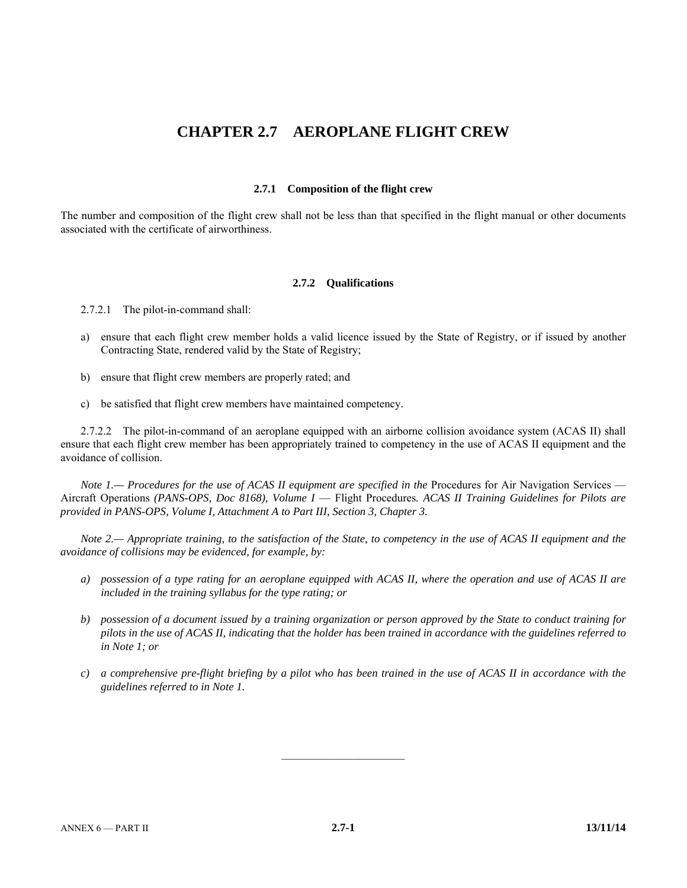## **CHAPTER 2.7 AEROPLANE FLIGHT CREW**

#### **2.7.1 Composition of the flight crew**

The number and composition of the flight crew shall not be less than that specified in the flight manual or other documents associated with the certificate of airworthiness.

## **2.7.2 Qualifications**

2.7.2.1 The pilot-in-command shall:

- a) ensure that each flight crew member holds a valid licence issued by the State of Registry, or if issued by another Contracting State, rendered valid by the State of Registry;
- b) ensure that flight crew members are properly rated; and
- c) be satisfied that flight crew members have maintained competency.

 2.7.2.2 The pilot-in-command of an aeroplane equipped with an airborne collision avoidance system (ACAS II) shall ensure that each flight crew member has been appropriately trained to competency in the use of ACAS II equipment and the avoidance of collision.

*Note 1.*— Procedures for the use of ACAS II equipment are specified in the Procedures for Air Navigation Services — Aircraft Operations *(PANS-OPS, Doc 8168), Volume I* — Flight Procedures*. ACAS II Training Guidelines for Pilots are provided in PANS-OPS, Volume I, Attachment A to Part III, Section 3, Chapter 3.* 

 *Note 2.— Appropriate training, to the satisfaction of the State, to competency in the use of ACAS II equipment and the avoidance of collisions may be evidenced, for example, by:* 

- *a) possession of a type rating for an aeroplane equipped with ACAS II, where the operation and use of ACAS II are included in the training syllabus for the type rating; or*
- *b) possession of a document issued by a training organization or person approved by the State to conduct training for pilots in the use of ACAS II, indicating that the holder has been trained in accordance with the guidelines referred to in Note 1; or*
- *c) a comprehensive pre-flight briefing by a pilot who has been trained in the use of ACAS II in accordance with the guidelines referred to in Note 1.*

 $\mathcal{L}_\text{max}$  , where  $\mathcal{L}_\text{max}$  and  $\mathcal{L}_\text{max}$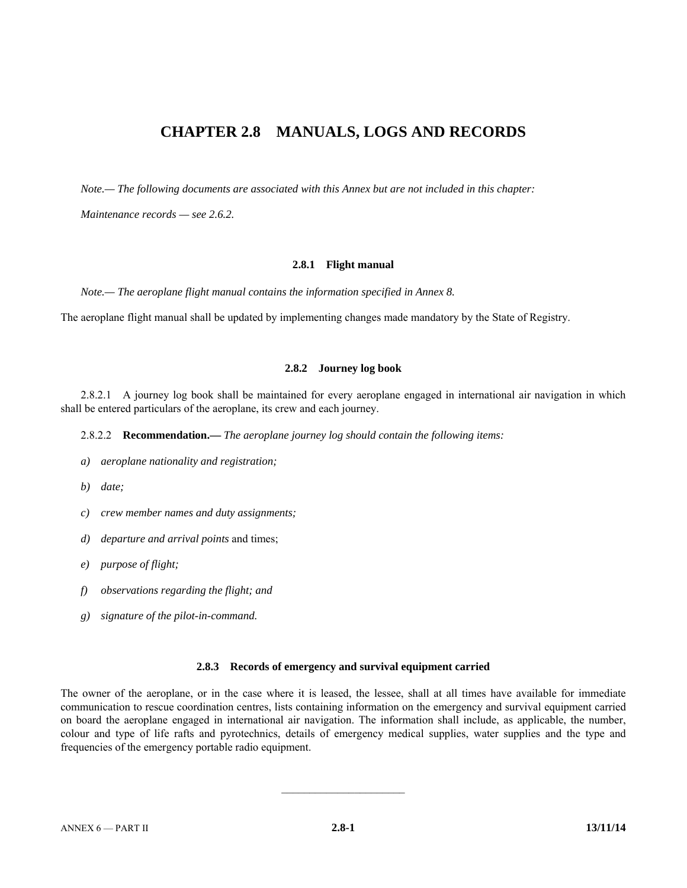## **CHAPTER 2.8 MANUALS, LOGS AND RECORDS**

*Note.— The following documents are associated with this Annex but are not included in this chapter:* 

 *Maintenance records — see 2.6.2.* 

#### **2.8.1 Flight manual**

 *Note.— The aeroplane flight manual contains the information specified in Annex 8.* 

The aeroplane flight manual shall be updated by implementing changes made mandatory by the State of Registry.

#### **2.8.2 Journey log book**

 2.8.2.1 A journey log book shall be maintained for every aeroplane engaged in international air navigation in which shall be entered particulars of the aeroplane, its crew and each journey.

2.8.2.2 **Recommendation.—** *The aeroplane journey log should contain the following items:* 

- *a) aeroplane nationality and registration;*
- *b) date;*
- *c) crew member names and duty assignments;*
- *d) departure and arrival points* and times;
- *e) purpose of flight;*
- *f) observations regarding the flight; and*
- *g) signature of the pilot-in-command.*

## **2.8.3 Records of emergency and survival equipment carried**

The owner of the aeroplane, or in the case where it is leased, the lessee, shall at all times have available for immediate communication to rescue coordination centres, lists containing information on the emergency and survival equipment carried on board the aeroplane engaged in international air navigation. The information shall include, as applicable, the number, colour and type of life rafts and pyrotechnics, details of emergency medical supplies, water supplies and the type and frequencies of the emergency portable radio equipment.

 $\mathcal{L}=\{1,2,3,4,5\}$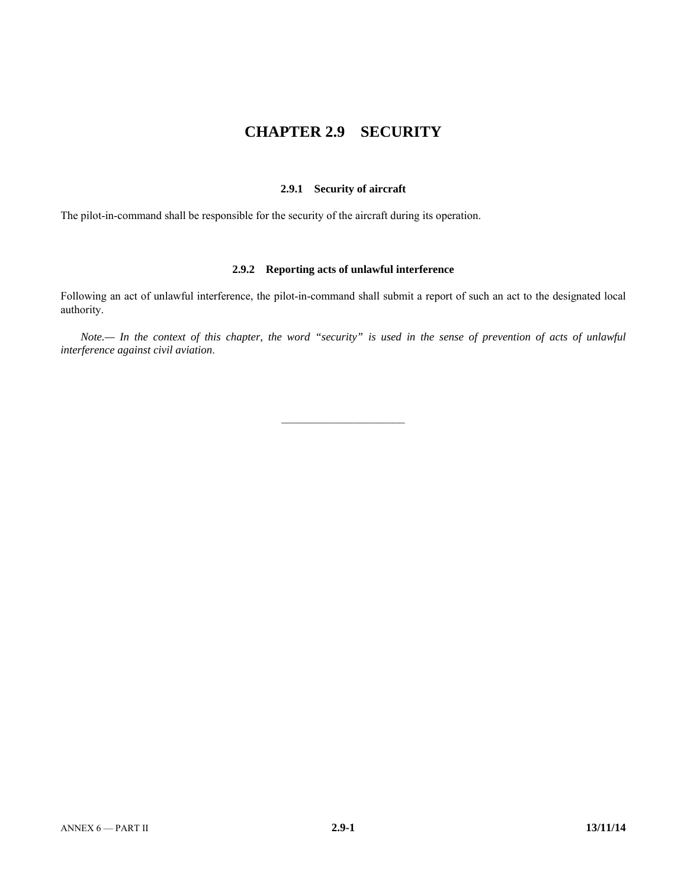# **CHAPTER 2.9 SECURITY**

## **2.9.1 Security of aircraft**

The pilot-in-command shall be responsible for the security of the aircraft during its operation.

## **2.9.2 Reporting acts of unlawful interference**

Following an act of unlawful interference, the pilot-in-command shall submit a report of such an act to the designated local authority.

 *Note.— In the context of this chapter, the word "security" is used in the sense of prevention of acts of unlawful interference against civil aviation*.

 $\mathcal{L}=\{1,2,3,4,5\}$ 

ANNEX 6 — PART II **2.9-1 13/11/14**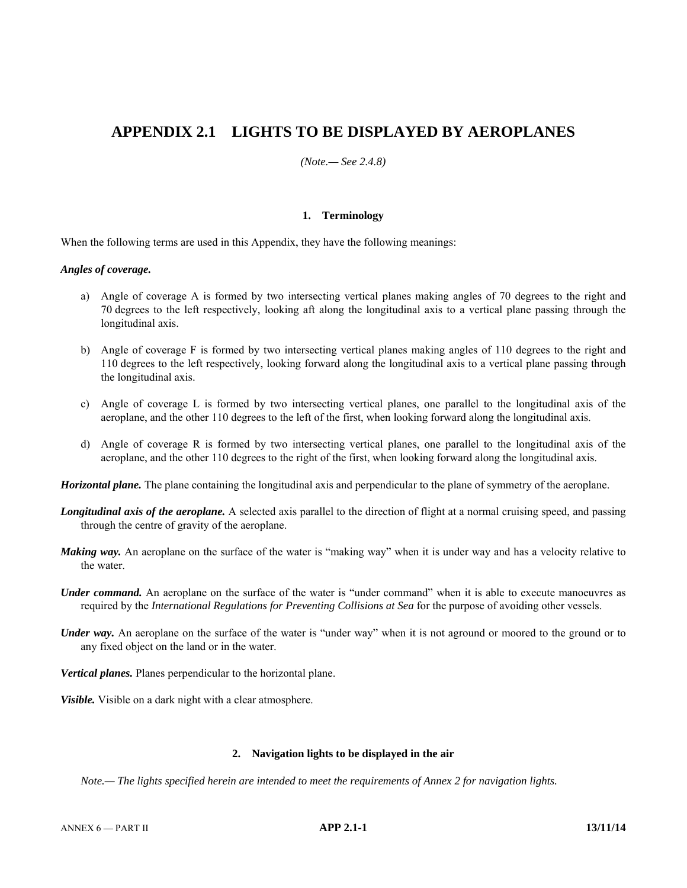# **APPENDIX 2.1 LIGHTS TO BE DISPLAYED BY AEROPLANES**

*(Note.— See 2.4.8)* 

## **1. Terminology**

When the following terms are used in this Appendix, they have the following meanings:

#### *Angles of coverage.*

- a) Angle of coverage A is formed by two intersecting vertical planes making angles of 70 degrees to the right and 70 degrees to the left respectively, looking aft along the longitudinal axis to a vertical plane passing through the longitudinal axis.
- b) Angle of coverage F is formed by two intersecting vertical planes making angles of 110 degrees to the right and 110 degrees to the left respectively, looking forward along the longitudinal axis to a vertical plane passing through the longitudinal axis.
- c) Angle of coverage L is formed by two intersecting vertical planes, one parallel to the longitudinal axis of the aeroplane, and the other 110 degrees to the left of the first, when looking forward along the longitudinal axis.
- d) Angle of coverage R is formed by two intersecting vertical planes, one parallel to the longitudinal axis of the aeroplane, and the other 110 degrees to the right of the first, when looking forward along the longitudinal axis.

*Horizontal plane.* The plane containing the longitudinal axis and perpendicular to the plane of symmetry of the aeroplane.

- *Longitudinal axis of the aeroplane.* A selected axis parallel to the direction of flight at a normal cruising speed, and passing through the centre of gravity of the aeroplane.
- *Making way.* An aeroplane on the surface of the water is "making way" when it is under way and has a velocity relative to the water.
- *Under command.* An aeroplane on the surface of the water is "under command" when it is able to execute manoeuvres as required by the *International Regulations for Preventing Collisions at Sea* for the purpose of avoiding other vessels.
- *Under way.* An aeroplane on the surface of the water is "under way" when it is not aground or moored to the ground or to any fixed object on the land or in the water.
- *Vertical planes.* Planes perpendicular to the horizontal plane.
- *Visible.* Visible on a dark night with a clear atmosphere.

#### **2. Navigation lights to be displayed in the air**

*Note.— The lights specified herein are intended to meet the requirements of Annex 2 for navigation lights.*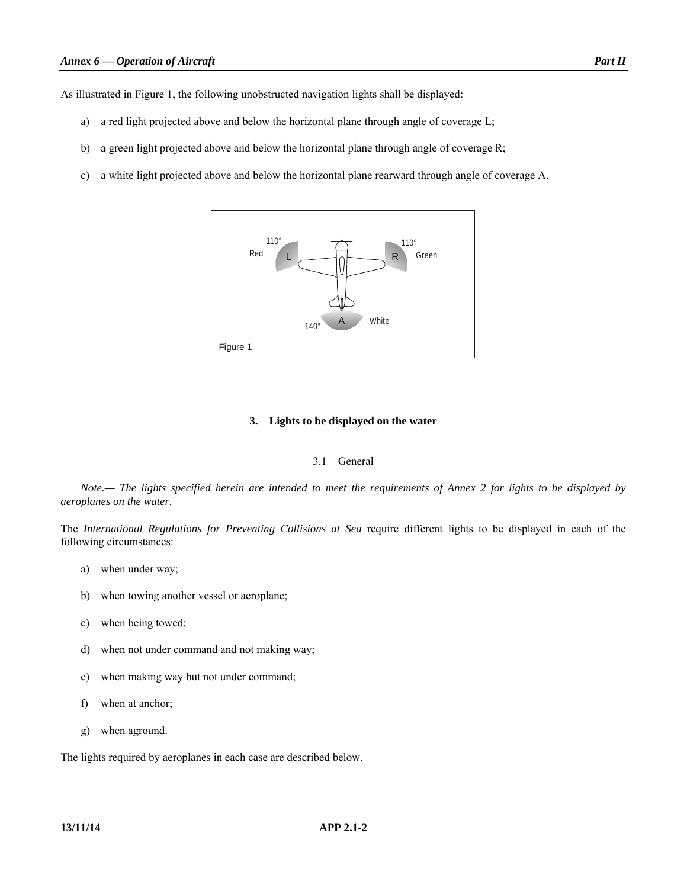As illustrated in Figure 1, the following unobstructed navigation lights shall be displayed:

- a) a red light projected above and below the horizontal plane through angle of coverage L;
- b) a green light projected above and below the horizontal plane through angle of coverage R;
- c) a white light projected above and below the horizontal plane rearward through angle of coverage A.



### **3. Lights to be displayed on the water**

#### 3.1 General

*Note.— The lights specified herein are intended to meet the requirements of Annex 2 for lights to be displayed by aeroplanes on the water.* 

The *International Regulations for Preventing Collisions at Sea* require different lights to be displayed in each of the following circumstances:

- a) when under way;
- b) when towing another vessel or aeroplane;
- c) when being towed;
- d) when not under command and not making way;
- e) when making way but not under command;
- f) when at anchor;
- g) when aground.

The lights required by aeroplanes in each case are described below.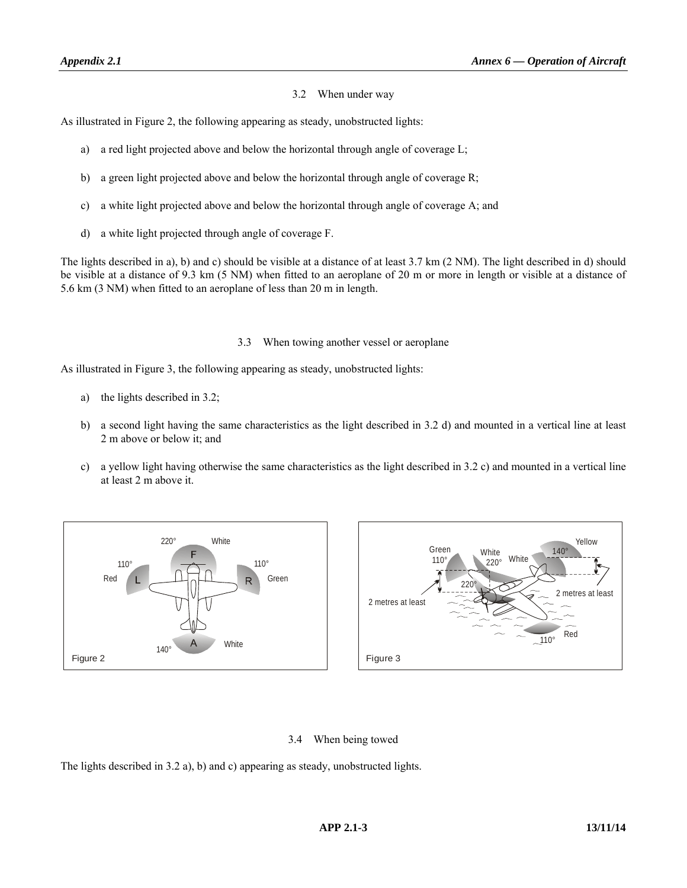## 3.2 When under way

As illustrated in Figure 2, the following appearing as steady, unobstructed lights:

- a) a red light projected above and below the horizontal through angle of coverage L;
- b) a green light projected above and below the horizontal through angle of coverage R;
- c) a white light projected above and below the horizontal through angle of coverage A; and
- d) a white light projected through angle of coverage F.

The lights described in a), b) and c) should be visible at a distance of at least 3.7 km (2 NM). The light described in d) should be visible at a distance of 9.3 km (5 NM) when fitted to an aeroplane of 20 m or more in length or visible at a distance of 5.6 km (3 NM) when fitted to an aeroplane of less than 20 m in length.

#### 3.3 When towing another vessel or aeroplane

As illustrated in Figure 3, the following appearing as steady, unobstructed lights:

- a) the lights described in 3.2;
- b) a second light having the same characteristics as the light described in 3.2 d) and mounted in a vertical line at least 2 m above or below it; and
- c) a yellow light having otherwise the same characteristics as the light described in 3.2 c) and mounted in a vertical line at least 2 m above it.





#### 3.4 When being towed

The lights described in 3.2 a), b) and c) appearing as steady, unobstructed lights.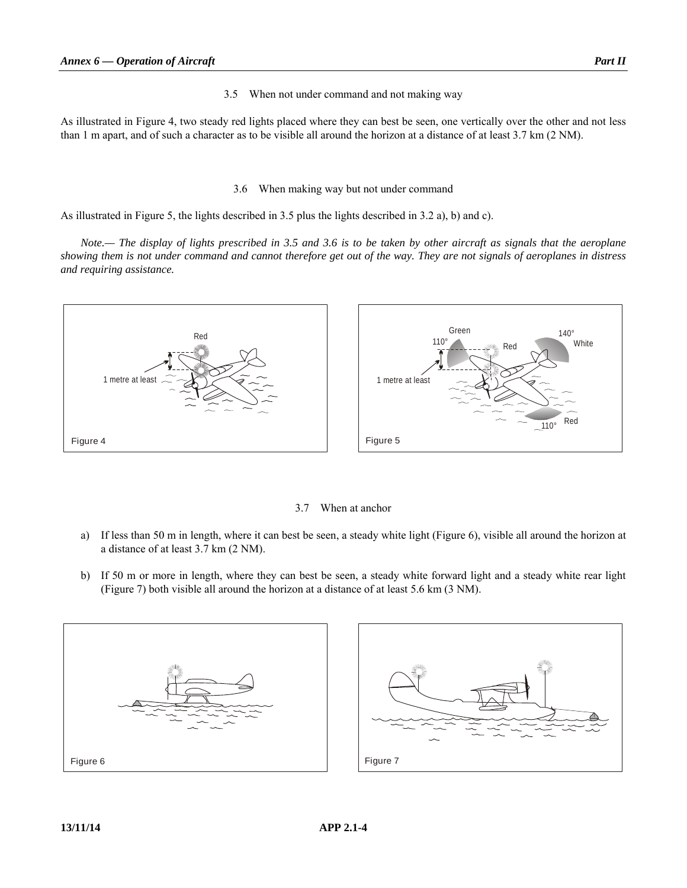3.5 When not under command and not making way

As illustrated in Figure 4, two steady red lights placed where they can best be seen, one vertically over the other and not less than 1 m apart, and of such a character as to be visible all around the horizon at a distance of at least 3.7 km (2 NM).

## 3.6 When making way but not under command

As illustrated in Figure 5, the lights described in 3.5 plus the lights described in 3.2 a), b) and c).

*Note.— The display of lights prescribed in 3.5 and 3.6 is to be taken by other aircraft as signals that the aeroplane showing them is not under command and cannot therefore get out of the way. They are not signals of aeroplanes in distress and requiring assistance.* 



## 3.7 When at anchor

- a) If less than 50 m in length, where it can best be seen, a steady white light (Figure 6), visible all around the horizon at a distance of at least 3.7 km (2 NM).
- b) If 50 m or more in length, where they can best be seen, a steady white forward light and a steady white rear light (Figure 7) both visible all around the horizon at a distance of at least 5.6 km (3 NM).

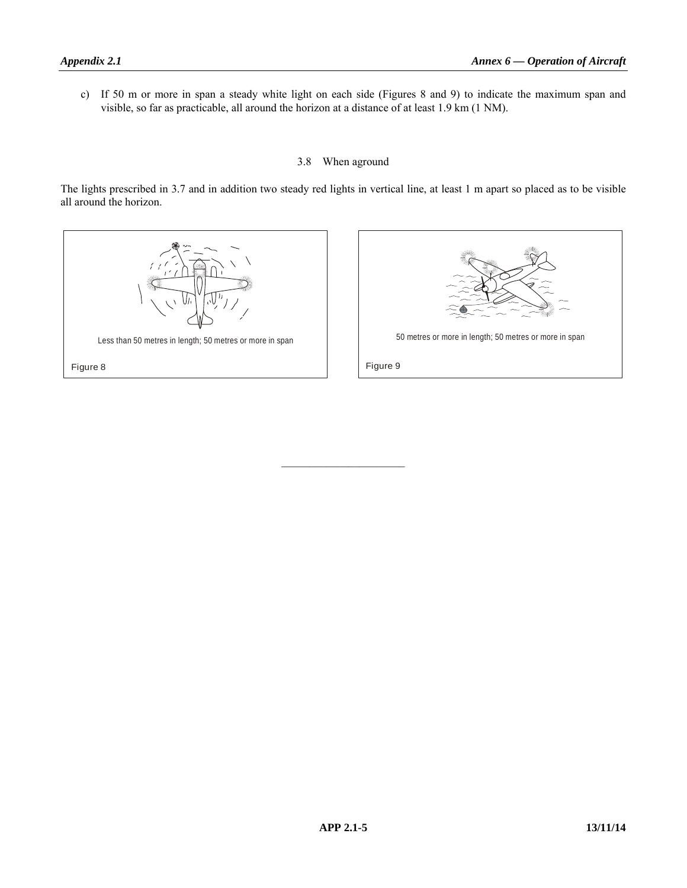c) If 50 m or more in span a steady white light on each side (Figures 8 and 9) to indicate the maximum span and visible, so far as practicable, all around the horizon at a distance of at least 1.9 km (1 NM).

## 3.8 When aground

The lights prescribed in 3.7 and in addition two steady red lights in vertical line, at least 1 m apart so placed as to be visible all around the horizon.



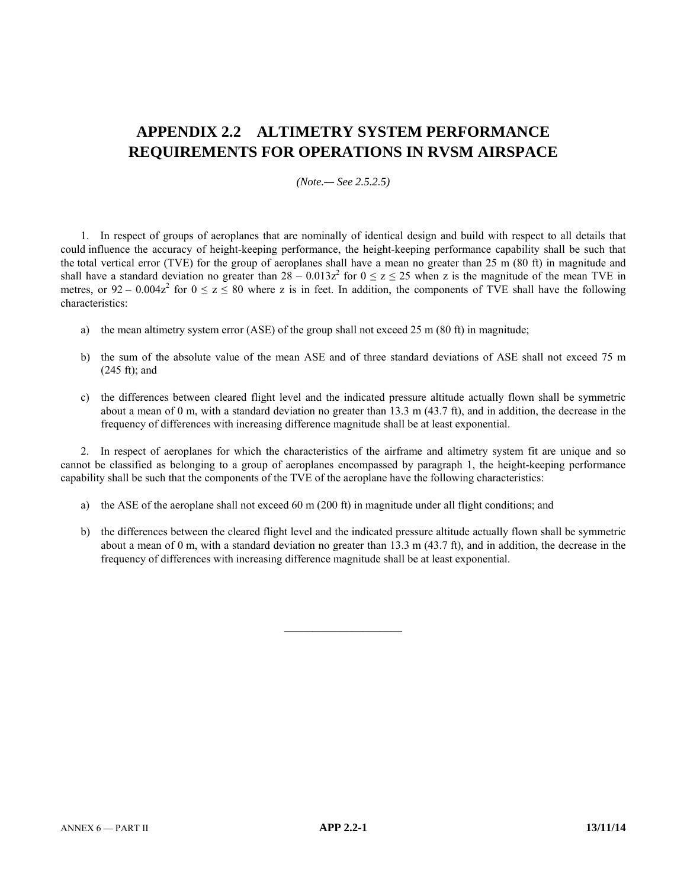# **APPENDIX 2.2 ALTIMETRY SYSTEM PERFORMANCE REQUIREMENTS FOR OPERATIONS IN RVSM AIRSPACE**

*(Note.— See 2.5.2.5)*

 1. In respect of groups of aeroplanes that are nominally of identical design and build with respect to all details that could influence the accuracy of height-keeping performance, the height-keeping performance capability shall be such that the total vertical error (TVE) for the group of aeroplanes shall have a mean no greater than 25 m (80 ft) in magnitude and shall have a standard deviation no greater than  $28 - 0.013z^2$  for  $0 \le z \le 25$  when z is the magnitude of the mean TVE in metres, or  $92 - 0.004z^2$  for  $0 \le z \le 80$  where z is in feet. In addition, the components of TVE shall have the following characteristics:

- a) the mean altimetry system error (ASE) of the group shall not exceed 25 m (80 ft) in magnitude;
- b) the sum of the absolute value of the mean ASE and of three standard deviations of ASE shall not exceed 75 m (245 ft); and
- c) the differences between cleared flight level and the indicated pressure altitude actually flown shall be symmetric about a mean of 0 m, with a standard deviation no greater than 13.3 m  $(43.7 \text{ ft})$ , and in addition, the decrease in the frequency of differences with increasing difference magnitude shall be at least exponential.

 2. In respect of aeroplanes for which the characteristics of the airframe and altimetry system fit are unique and so cannot be classified as belonging to a group of aeroplanes encompassed by paragraph 1, the height-keeping performance capability shall be such that the components of the TVE of the aeroplane have the following characteristics:

- a) the ASE of the aeroplane shall not exceed 60 m (200 ft) in magnitude under all flight conditions; and
- b) the differences between the cleared flight level and the indicated pressure altitude actually flown shall be symmetric about a mean of 0 m, with a standard deviation no greater than 13.3 m  $(43.7 \text{ ft})$ , and in addition, the decrease in the frequency of differences with increasing difference magnitude shall be at least exponential.

 $\overline{\phantom{a}}$  , where  $\overline{\phantom{a}}$  , where  $\overline{\phantom{a}}$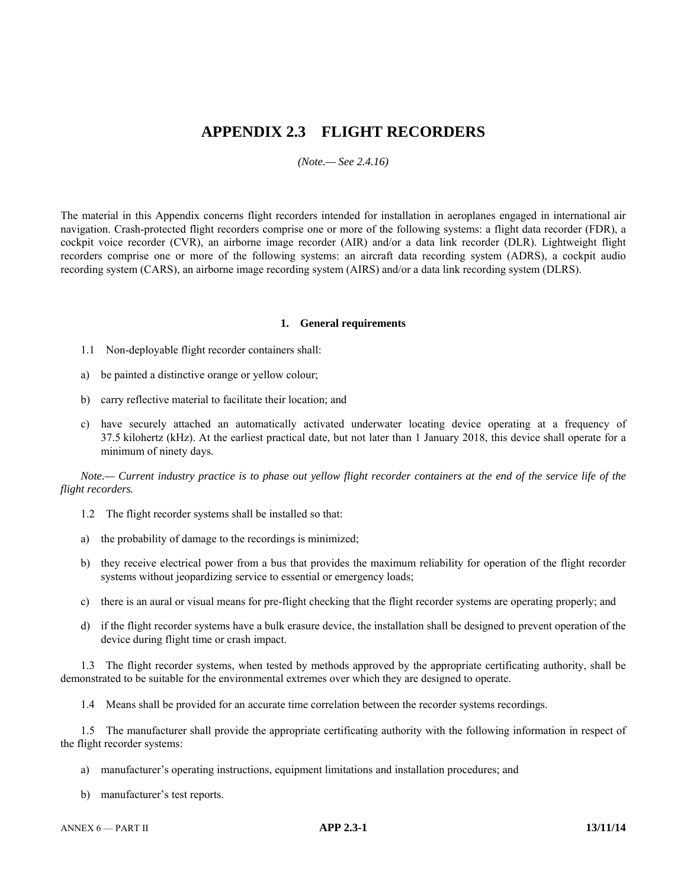## **APPENDIX 2.3 FLIGHT RECORDERS**

*(Note.— See 2.4.16)* 

The material in this Appendix concerns flight recorders intended for installation in aeroplanes engaged in international air navigation. Crash-protected flight recorders comprise one or more of the following systems: a flight data recorder (FDR), a cockpit voice recorder (CVR), an airborne image recorder (AIR) and/or a data link recorder (DLR). Lightweight flight recorders comprise one or more of the following systems: an aircraft data recording system (ADRS), a cockpit audio recording system (CARS), an airborne image recording system (AIRS) and/or a data link recording system (DLRS).

#### **1. General requirements**

- 1.1 Non-deployable flight recorder containers shall:
- a) be painted a distinctive orange or yellow colour;
- b) carry reflective material to facilitate their location; and
- c) have securely attached an automatically activated underwater locating device operating at a frequency of 37.5 kilohertz (kHz). At the earliest practical date, but not later than 1 January 2018, this device shall operate for a minimum of ninety days.

 *Note.— Current industry practice is to phase out yellow flight recorder containers at the end of the service life of the flight recorders.*

- 1.2 The flight recorder systems shall be installed so that:
- a) the probability of damage to the recordings is minimized;
- b) they receive electrical power from a bus that provides the maximum reliability for operation of the flight recorder systems without jeopardizing service to essential or emergency loads;
- c) there is an aural or visual means for pre-flight checking that the flight recorder systems are operating properly; and
- d) if the flight recorder systems have a bulk erasure device, the installation shall be designed to prevent operation of the device during flight time or crash impact.

 1.3 The flight recorder systems, when tested by methods approved by the appropriate certificating authority, shall be demonstrated to be suitable for the environmental extremes over which they are designed to operate.

1.4 Means shall be provided for an accurate time correlation between the recorder systems recordings.

 1.5 The manufacturer shall provide the appropriate certificating authority with the following information in respect of the flight recorder systems:

- a) manufacturer's operating instructions, equipment limitations and installation procedures; and
- b) manufacturer's test reports.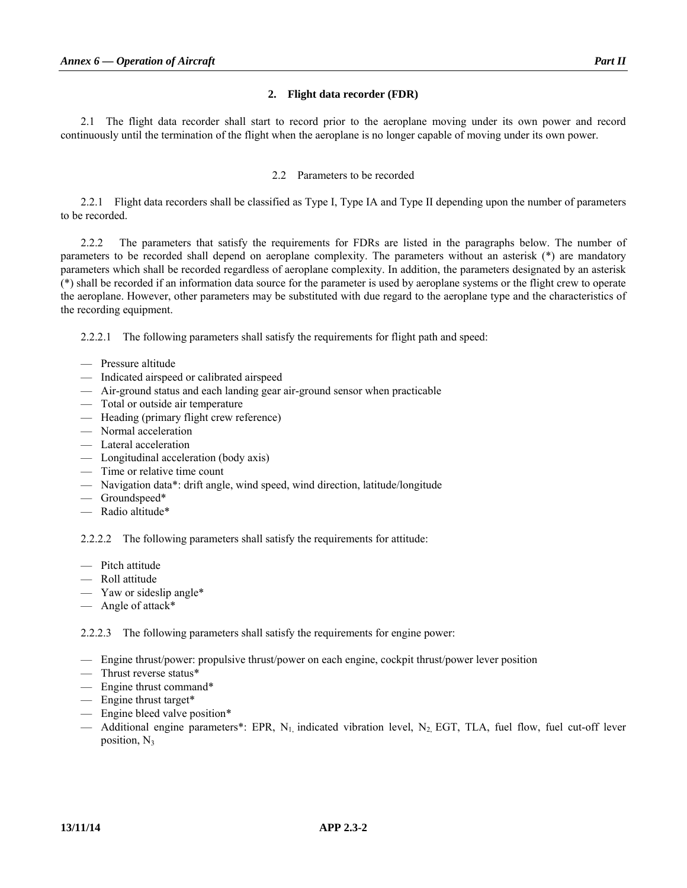## **2. Flight data recorder (FDR)**

 2.1 The flight data recorder shall start to record prior to the aeroplane moving under its own power and record continuously until the termination of the flight when the aeroplane is no longer capable of moving under its own power.

## 2.2 Parameters to be recorded

 2.2.1 Flight data recorders shall be classified as Type I, Type IA and Type II depending upon the number of parameters to be recorded.

 2.2.2 The parameters that satisfy the requirements for FDRs are listed in the paragraphs below. The number of parameters to be recorded shall depend on aeroplane complexity. The parameters without an asterisk (\*) are mandatory parameters which shall be recorded regardless of aeroplane complexity. In addition, the parameters designated by an asterisk (\*) shall be recorded if an information data source for the parameter is used by aeroplane systems or the flight crew to operate the aeroplane. However, other parameters may be substituted with due regard to the aeroplane type and the characteristics of the recording equipment.

2.2.2.1 The following parameters shall satisfy the requirements for flight path and speed:

- Pressure altitude
- Indicated airspeed or calibrated airspeed
- Air-ground status and each landing gear air-ground sensor when practicable
- Total or outside air temperature
- Heading (primary flight crew reference)
- Normal acceleration
- Lateral acceleration
- Longitudinal acceleration (body axis)
- Time or relative time count
- Navigation data\*: drift angle, wind speed, wind direction, latitude/longitude
- Groundspeed\*
- Radio altitude\*

2.2.2.2 The following parameters shall satisfy the requirements for attitude:

- Pitch attitude
- Roll attitude
- Yaw or sideslip angle\*
- Angle of attack\*

2.2.2.3 The following parameters shall satisfy the requirements for engine power:

- Engine thrust/power: propulsive thrust/power on each engine, cockpit thrust/power lever position
- Thrust reverse status\*
- Engine thrust command\*
- Engine thrust target\*
- Engine bleed valve position\*
- Additional engine parameters\*: EPR,  $N_1$  indicated vibration level,  $N_2$  EGT, TLA, fuel flow, fuel cut-off lever position,  $N_3$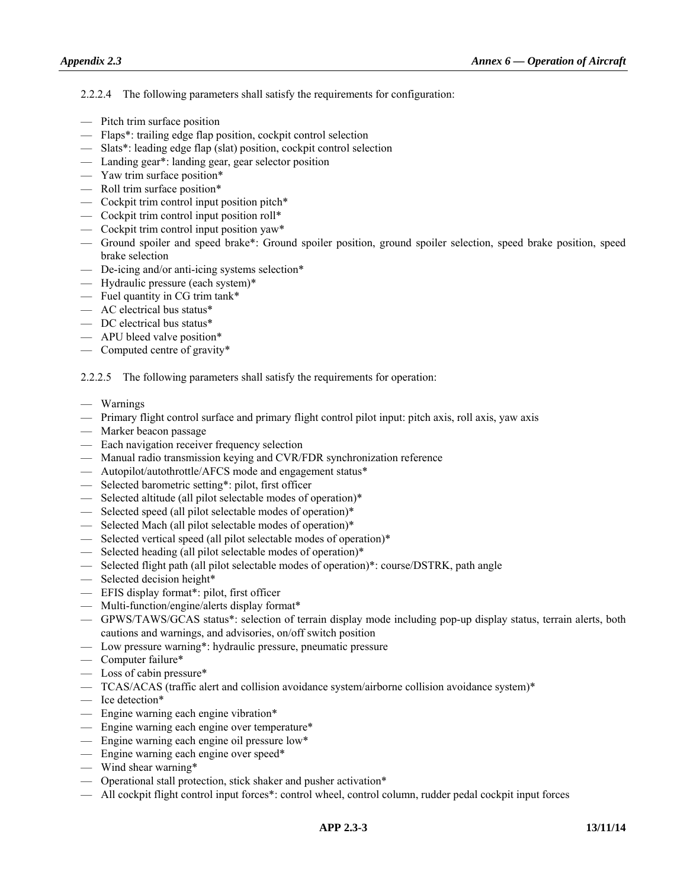2.2.2.4 The following parameters shall satisfy the requirements for configuration:

- Pitch trim surface position
- Flaps\*: trailing edge flap position, cockpit control selection
- Slats\*: leading edge flap (slat) position, cockpit control selection
- Landing gear\*: landing gear, gear selector position
- Yaw trim surface position\*
- Roll trim surface position\*
- Cockpit trim control input position pitch\*
- Cockpit trim control input position roll\*
- Cockpit trim control input position yaw\*
- Ground spoiler and speed brake\*: Ground spoiler position, ground spoiler selection, speed brake position, speed brake selection
- De-icing and/or anti-icing systems selection\*
- Hydraulic pressure (each system)\*
- Fuel quantity in CG trim tank\*
- AC electrical bus status\*
- DC electrical bus status\*
- APU bleed valve position\*
- Computed centre of gravity\*

2.2.2.5 The following parameters shall satisfy the requirements for operation:

- Warnings
- Primary flight control surface and primary flight control pilot input: pitch axis, roll axis, yaw axis
- Marker beacon passage
- Each navigation receiver frequency selection
- Manual radio transmission keying and CVR/FDR synchronization reference
- Autopilot/autothrottle/AFCS mode and engagement status\*
- Selected barometric setting\*: pilot, first officer
- Selected altitude (all pilot selectable modes of operation)\*
- Selected speed (all pilot selectable modes of operation)\*
- Selected Mach (all pilot selectable modes of operation)\*
- Selected vertical speed (all pilot selectable modes of operation)\*
- Selected heading (all pilot selectable modes of operation)\*
- Selected flight path (all pilot selectable modes of operation)\*: course/DSTRK, path angle
- Selected decision height\*
- EFIS display format\*: pilot, first officer
- Multi-function/engine/alerts display format\*
- GPWS/TAWS/GCAS status\*: selection of terrain display mode including pop-up display status, terrain alerts, both cautions and warnings, and advisories, on/off switch position
- Low pressure warning\*: hydraulic pressure, pneumatic pressure
- Computer failure\*
- Loss of cabin pressure\*
- TCAS/ACAS (traffic alert and collision avoidance system/airborne collision avoidance system)\*
- Ice detection\*
- Engine warning each engine vibration\*
- Engine warning each engine over temperature\*
- Engine warning each engine oil pressure low\*
- Engine warning each engine over speed\*
- Wind shear warning\*
- Operational stall protection, stick shaker and pusher activation\*
- All cockpit flight control input forces\*: control wheel, control column, rudder pedal cockpit input forces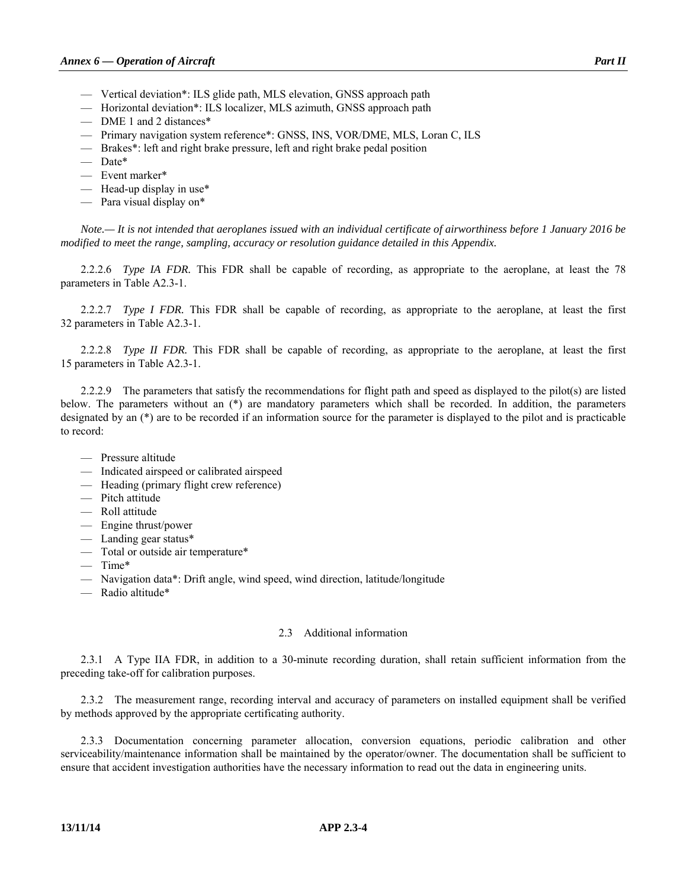- Vertical deviation\*: ILS glide path, MLS elevation, GNSS approach path
- Horizontal deviation\*: ILS localizer, MLS azimuth, GNSS approach path
- DME 1 and 2 distances\*
- Primary navigation system reference\*: GNSS, INS, VOR/DME, MLS, Loran C, ILS
- Brakes\*: left and right brake pressure, left and right brake pedal position
- Date\*
- Event marker\*
- Head-up display in use\*
- Para visual display on\*

*Note.— It is not intended that aeroplanes issued with an individual certificate of airworthiness before 1 January 2016 be modified to meet the range, sampling, accuracy or resolution guidance detailed in this Appendix.* 

2.2.2.6 *Type IA FDR.* This FDR shall be capable of recording, as appropriate to the aeroplane, at least the 78 parameters in Table A2.3-1.

2.2.2.7 *Type I FDR*. This FDR shall be capable of recording, as appropriate to the aeroplane, at least the first 32 parameters in Table A2.3-1.

2.2.2.8 *Type II FDR*. This FDR shall be capable of recording, as appropriate to the aeroplane, at least the first 15 parameters in Table A2.3-1.

 2.2.2.9 The parameters that satisfy the recommendations for flight path and speed as displayed to the pilot(s) are listed below. The parameters without an (\*) are mandatory parameters which shall be recorded. In addition, the parameters designated by an (\*) are to be recorded if an information source for the parameter is displayed to the pilot and is practicable to record:

- Pressure altitude
- Indicated airspeed or calibrated airspeed
- Heading (primary flight crew reference)
- Pitch attitude
- Roll attitude
- Engine thrust/power
- Landing gear status\*
- Total or outside air temperature\*
- Time\*
- Navigation data\*: Drift angle, wind speed, wind direction, latitude/longitude
- Radio altitude\*

#### 2.3 Additional information

 2.3.1 A Type IIA FDR, in addition to a 30-minute recording duration, shall retain sufficient information from the preceding take-off for calibration purposes.

 2.3.2 The measurement range, recording interval and accuracy of parameters on installed equipment shall be verified by methods approved by the appropriate certificating authority.

 2.3.3 Documentation concerning parameter allocation, conversion equations, periodic calibration and other serviceability/maintenance information shall be maintained by the operator/owner. The documentation shall be sufficient to ensure that accident investigation authorities have the necessary information to read out the data in engineering units.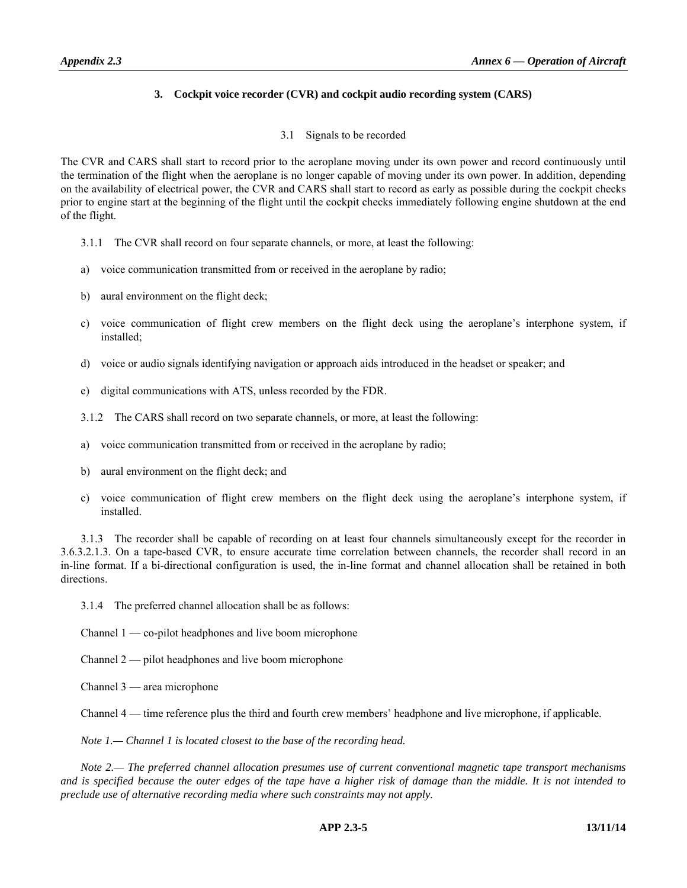## **3. Cockpit voice recorder (CVR) and cockpit audio recording system (CARS)**

## 3.1 Signals to be recorded

The CVR and CARS shall start to record prior to the aeroplane moving under its own power and record continuously until the termination of the flight when the aeroplane is no longer capable of moving under its own power. In addition, depending on the availability of electrical power, the CVR and CARS shall start to record as early as possible during the cockpit checks prior to engine start at the beginning of the flight until the cockpit checks immediately following engine shutdown at the end of the flight.

- 3.1.1 The CVR shall record on four separate channels, or more, at least the following:
- a) voice communication transmitted from or received in the aeroplane by radio;
- b) aural environment on the flight deck;
- c) voice communication of flight crew members on the flight deck using the aeroplane's interphone system, if installed;
- d) voice or audio signals identifying navigation or approach aids introduced in the headset or speaker; and
- e) digital communications with ATS, unless recorded by the FDR.
- 3.1.2 The CARS shall record on two separate channels, or more, at least the following:
- a) voice communication transmitted from or received in the aeroplane by radio;
- b) aural environment on the flight deck; and
- c) voice communication of flight crew members on the flight deck using the aeroplane's interphone system, if installed.

 3.1.3 The recorder shall be capable of recording on at least four channels simultaneously except for the recorder in 3.6.3.2.1.3. On a tape-based CVR, to ensure accurate time correlation between channels, the recorder shall record in an in-line format. If a bi-directional configuration is used, the in-line format and channel allocation shall be retained in both directions.

- 3.1.4 The preferred channel allocation shall be as follows:
- $Channel 1$  co-pilot headphones and live boom microphone
- Channel 2 pilot headphones and live boom microphone
- Channel 3 area microphone
- Channel 4 time reference plus the third and fourth crew members' headphone and live microphone, if applicable.
- *Note 1.— Channel 1 is located closest to the base of the recording head.*

*Note 2.— The preferred channel allocation presumes use of current conventional magnetic tape transport mechanisms and is specified because the outer edges of the tape have a higher risk of damage than the middle. It is not intended to preclude use of alternative recording media where such constraints may not apply.*

#### **APP 2.3-5 13/11/14**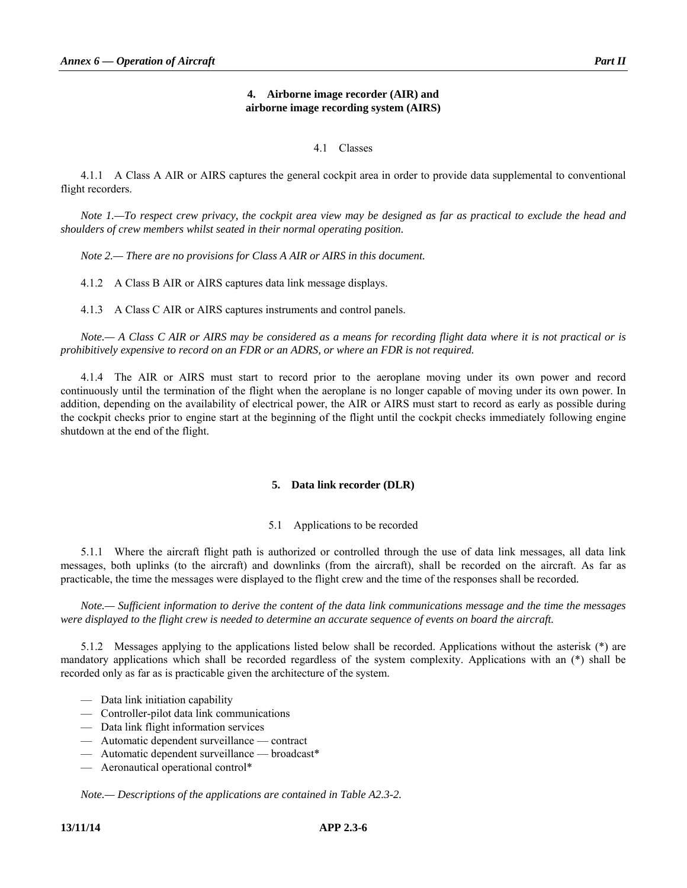## **4. Airborne image recorder (AIR) and airborne image recording system (AIRS)**

## 4.1 Classes

 4.1.1 A Class A AIR or AIRS captures the general cockpit area in order to provide data supplemental to conventional flight recorders.

*Note 1.—To respect crew privacy, the cockpit area view may be designed as far as practical to exclude the head and shoulders of crew members whilst seated in their normal operating position.* 

 *Note 2.— There are no provisions for Class A AIR or AIRS in this document.* 

4.1.2 A Class B AIR or AIRS captures data link message displays.

4.1.3 A Class C AIR or AIRS captures instruments and control panels.

 *Note.— A Class C AIR or AIRS may be considered as a means for recording flight data where it is not practical or is prohibitively expensive to record on an FDR or an ADRS, or where an FDR is not required.* 

 4.1.4 The AIR or AIRS must start to record prior to the aeroplane moving under its own power and record continuously until the termination of the flight when the aeroplane is no longer capable of moving under its own power. In addition, depending on the availability of electrical power, the AIR or AIRS must start to record as early as possible during the cockpit checks prior to engine start at the beginning of the flight until the cockpit checks immediately following engine shutdown at the end of the flight.

#### **5. Data link recorder (DLR)**

#### 5.1 Applications to be recorded

 5.1.1 Where the aircraft flight path is authorized or controlled through the use of data link messages, all data link messages, both uplinks (to the aircraft) and downlinks (from the aircraft), shall be recorded on the aircraft. As far as practicable, the time the messages were displayed to the flight crew and the time of the responses shall be recorded*.* 

 *Note.— Sufficient information to derive the content of the data link communications message and the time the messages were displayed to the flight crew is needed to determine an accurate sequence of events on board the aircraft.* 

 5.1.2 Messages applying to the applications listed below shall be recorded. Applications without the asterisk (\*) are mandatory applications which shall be recorded regardless of the system complexity. Applications with an (\*) shall be recorded only as far as is practicable given the architecture of the system.

- Data link initiation capability
- Controller-pilot data link communications
- Data link flight information services
- Automatic dependent surveillance contract
- Automatic dependent surveillance broadcast\*
- Aeronautical operational control\*

*Note.— Descriptions of the applications are contained in Table A2.3-2.*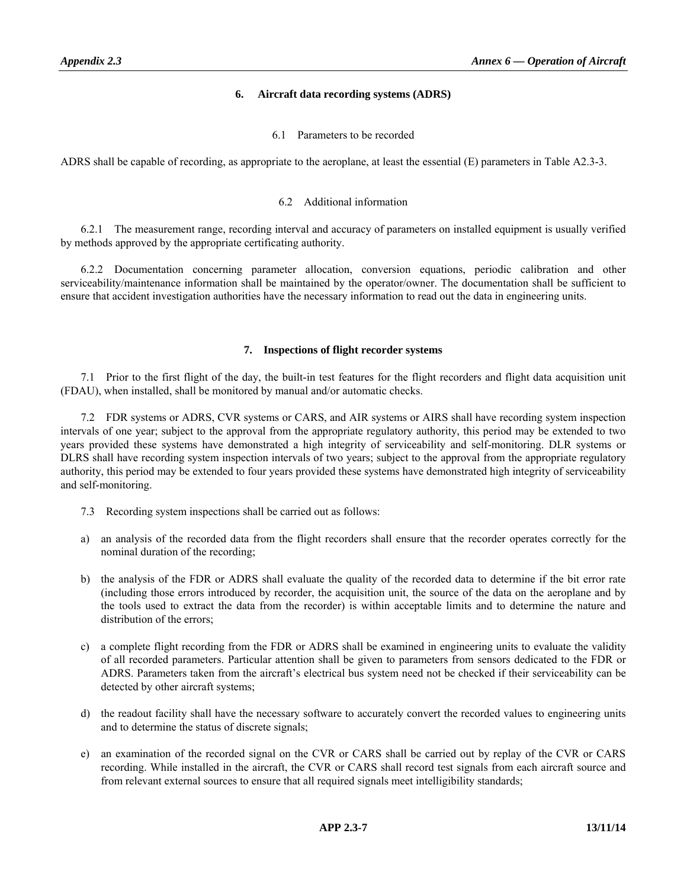## **6. Aircraft data recording systems (ADRS)**

#### 6.1 Parameters to be recorded

ADRS shall be capable of recording, as appropriate to the aeroplane, at least the essential (E) parameters in Table A2.3-3.

### 6.2 Additional information

 6.2.1 The measurement range, recording interval and accuracy of parameters on installed equipment is usually verified by methods approved by the appropriate certificating authority.

 6.2.2 Documentation concerning parameter allocation, conversion equations, periodic calibration and other serviceability/maintenance information shall be maintained by the operator/owner. The documentation shall be sufficient to ensure that accident investigation authorities have the necessary information to read out the data in engineering units.

## **7. Inspections of flight recorder systems**

 7.1 Prior to the first flight of the day, the built-in test features for the flight recorders and flight data acquisition unit (FDAU), when installed, shall be monitored by manual and/or automatic checks.

 7.2 FDR systems or ADRS, CVR systems or CARS, and AIR systems or AIRS shall have recording system inspection intervals of one year; subject to the approval from the appropriate regulatory authority, this period may be extended to two years provided these systems have demonstrated a high integrity of serviceability and self-monitoring. DLR systems or DLRS shall have recording system inspection intervals of two years; subject to the approval from the appropriate regulatory authority, this period may be extended to four years provided these systems have demonstrated high integrity of serviceability and self-monitoring.

- 7.3 Recording system inspections shall be carried out as follows:
- a) an analysis of the recorded data from the flight recorders shall ensure that the recorder operates correctly for the nominal duration of the recording;
- b) the analysis of the FDR or ADRS shall evaluate the quality of the recorded data to determine if the bit error rate (including those errors introduced by recorder, the acquisition unit, the source of the data on the aeroplane and by the tools used to extract the data from the recorder) is within acceptable limits and to determine the nature and distribution of the errors:
- c) a complete flight recording from the FDR or ADRS shall be examined in engineering units to evaluate the validity of all recorded parameters. Particular attention shall be given to parameters from sensors dedicated to the FDR or ADRS. Parameters taken from the aircraft's electrical bus system need not be checked if their serviceability can be detected by other aircraft systems;
- d) the readout facility shall have the necessary software to accurately convert the recorded values to engineering units and to determine the status of discrete signals;
- e) an examination of the recorded signal on the CVR or CARS shall be carried out by replay of the CVR or CARS recording. While installed in the aircraft, the CVR or CARS shall record test signals from each aircraft source and from relevant external sources to ensure that all required signals meet intelligibility standards;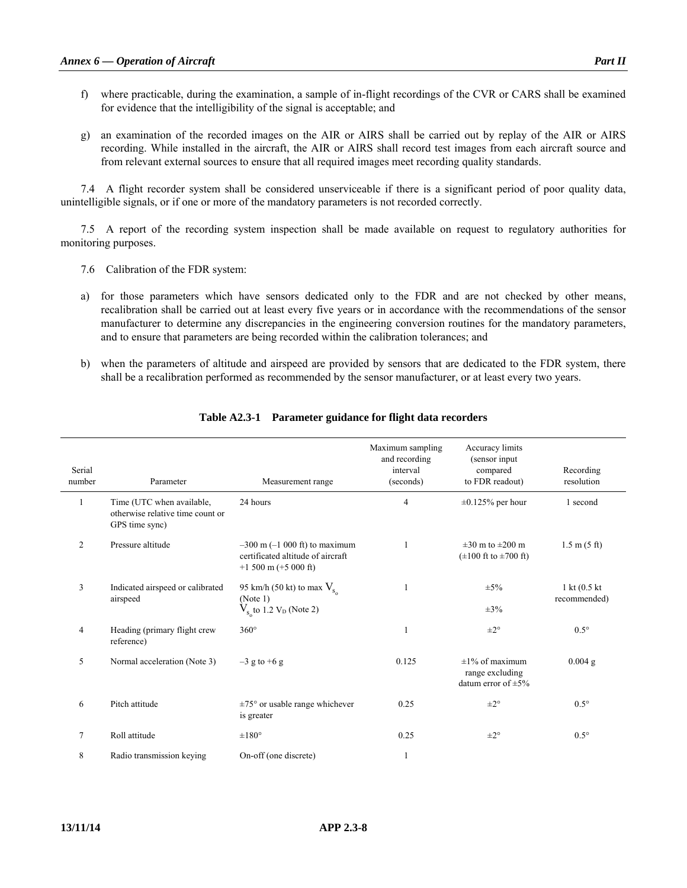- f) where practicable, during the examination, a sample of in-flight recordings of the CVR or CARS shall be examined for evidence that the intelligibility of the signal is acceptable; and
- g) an examination of the recorded images on the AIR or AIRS shall be carried out by replay of the AIR or AIRS recording. While installed in the aircraft, the AIR or AIRS shall record test images from each aircraft source and from relevant external sources to ensure that all required images meet recording quality standards.

 7.4 A flight recorder system shall be considered unserviceable if there is a significant period of poor quality data, unintelligible signals, or if one or more of the mandatory parameters is not recorded correctly.

 7.5 A report of the recording system inspection shall be made available on request to regulatory authorities for monitoring purposes.

- 7.6 Calibration of the FDR system:
- a) for those parameters which have sensors dedicated only to the FDR and are not checked by other means, recalibration shall be carried out at least every five years or in accordance with the recommendations of the sensor manufacturer to determine any discrepancies in the engineering conversion routines for the mandatory parameters, and to ensure that parameters are being recorded within the calibration tolerances; and
- b) when the parameters of altitude and airspeed are provided by sensors that are dedicated to the FDR system, there shall be a recalibration performed as recommended by the sensor manufacturer, or at least every two years.

| Serial<br>number | Parameter                                                                       | Measurement range                                                                                | Maximum sampling<br>and recording<br>interval<br>(seconds) | Accuracy limits<br>(sensor input)<br>compared<br>to FDR readout)           | Recording<br>resolution                 |
|------------------|---------------------------------------------------------------------------------|--------------------------------------------------------------------------------------------------|------------------------------------------------------------|----------------------------------------------------------------------------|-----------------------------------------|
| 1                | Time (UTC when available,<br>otherwise relative time count or<br>GPS time sync) | 24 hours                                                                                         | $\overline{4}$                                             | $\pm 0.125\%$ per hour                                                     | 1 second                                |
| $\overline{c}$   | Pressure altitude                                                               | $-300$ m $(-1000$ ft) to maximum<br>certificated altitude of aircraft<br>$+1500$ m ( $+5000$ ft) | -1                                                         | $\pm 30$ m to $\pm 200$ m<br>$(\pm 100 \text{ ft to } \pm 700 \text{ ft})$ | $1.5 \text{ m} (5 \text{ ft})$          |
| 3                | Indicated airspeed or calibrated<br>airspeed                                    | 95 km/h (50 kt) to max $V_{s_0}$<br>(Note 1)<br>$V_{s_0}$ to 1.2 $V_D$ (Note 2)                  | 1                                                          | $\pm 5\%$<br>$\pm 3\%$                                                     | $1 \text{ kt}$ (0.5 kt)<br>recommended) |
| 4                | Heading (primary flight crew<br>reference)                                      | $360^\circ$                                                                                      | $\mathbf{1}$                                               | $\pm 2^{\circ}$                                                            | $0.5^\circ$                             |
| 5                | Normal acceleration (Note 3)                                                    | $-3$ g to +6 g                                                                                   | 0.125                                                      | $\pm 1\%$ of maximum<br>range excluding<br>datum error of $\pm$ 5%         | $0.004$ g                               |
| 6                | Pitch attitude                                                                  | $\pm 75^{\circ}$ or usable range whichever<br>is greater                                         | 0.25                                                       | $\pm 2^{\circ}$                                                            | $0.5^\circ$                             |
| 7                | Roll attitude                                                                   | $\pm 180^\circ$                                                                                  | 0.25                                                       | $\pm 2^{\circ}$                                                            | $0.5^\circ$                             |
| 8                | Radio transmission keying                                                       | On-off (one discrete)                                                                            | 1                                                          |                                                                            |                                         |

## **Table A2.3-1 Parameter guidance for flight data recorders**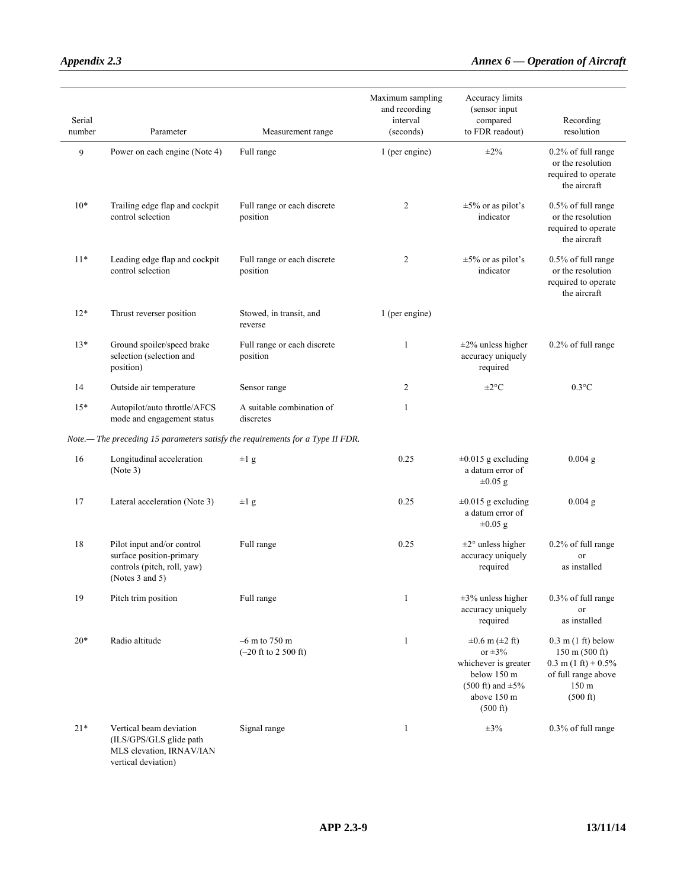| Serial |                                                                                                          |                                           | Maximum sampling<br>and recording<br>interval | Accuracy limits<br>(sensor input<br>compared                                                                                                              | Recording                                                                                                                                  |
|--------|----------------------------------------------------------------------------------------------------------|-------------------------------------------|-----------------------------------------------|-----------------------------------------------------------------------------------------------------------------------------------------------------------|--------------------------------------------------------------------------------------------------------------------------------------------|
| number | Parameter                                                                                                | Measurement range                         | (seconds)                                     | to FDR readout)                                                                                                                                           | resolution                                                                                                                                 |
| 9      | Power on each engine (Note 4)                                                                            | Full range                                | 1 (per engine)                                | $\pm 2\%$                                                                                                                                                 | 0.2% of full range<br>or the resolution<br>required to operate<br>the aircraft                                                             |
| $10*$  | Trailing edge flap and cockpit<br>control selection                                                      | Full range or each discrete<br>position   | 2                                             | $\pm 5\%$ or as pilot's<br>indicator                                                                                                                      | 0.5% of full range<br>or the resolution<br>required to operate<br>the aircraft                                                             |
| $11*$  | Leading edge flap and cockpit<br>control selection                                                       | Full range or each discrete<br>position   | 2                                             | $\pm 5\%$ or as pilot's<br>indicator                                                                                                                      | 0.5% of full range<br>or the resolution<br>required to operate<br>the aircraft                                                             |
| $12*$  | Thrust reverser position                                                                                 | Stowed, in transit, and<br>reverse        | 1 (per engine)                                |                                                                                                                                                           |                                                                                                                                            |
| $13*$  | Ground spoiler/speed brake<br>selection (selection and<br>position)                                      | Full range or each discrete<br>position   | 1                                             | $\pm 2\%$ unless higher<br>accuracy uniquely<br>required                                                                                                  | 0.2% of full range                                                                                                                         |
| 14     | Outside air temperature                                                                                  | Sensor range                              | 2                                             | $\pm 2^{\circ}C$                                                                                                                                          | $0.3$ °C                                                                                                                                   |
| $15*$  | Autopilot/auto throttle/AFCS<br>mode and engagement status                                               | A suitable combination of<br>discretes    | 1                                             |                                                                                                                                                           |                                                                                                                                            |
|        | Note.— The preceding 15 parameters satisfy the requirements for a Type II FDR.                           |                                           |                                               |                                                                                                                                                           |                                                                                                                                            |
| 16     | Longitudinal acceleration<br>(Note 3)                                                                    | $\pm 1$ g                                 | 0.25                                          | $\pm 0.015$ g excluding<br>a datum error of<br>$\pm 0.05$ g                                                                                               | $0.004$ g                                                                                                                                  |
| 17     | Lateral acceleration (Note 3)                                                                            | $\pm 1$ g                                 | 0.25                                          | $\pm 0.015$ g excluding<br>a datum error of<br>$\pm 0.05$ g                                                                                               | $0.004$ g                                                                                                                                  |
| 18     | Pilot input and/or control<br>surface position-primary<br>controls (pitch, roll, yaw)<br>(Notes 3 and 5) | Full range                                | 0.25                                          | $\pm 2^{\circ}$ unless higher<br>accuracy uniquely<br>required                                                                                            | 0.2% of full range<br>or<br>as installed                                                                                                   |
| 19     | Pitch trim position                                                                                      | Full range                                | $\mathbf{1}$                                  | $\pm 3\%$ unless higher<br>accuracy uniquely<br>required                                                                                                  | 0.3% of full range<br>or<br>as installed                                                                                                   |
| $20*$  | Radio altitude                                                                                           | $-6$ m to 750 m<br>$(-20$ ft to 2 500 ft) | $\mathbf{1}$                                  | $\pm 0.6$ m ( $\pm 2$ ft)<br>or $\pm 3\%$<br>whichever is greater<br>below 150 m<br>$(500 \text{ ft})$ and $\pm 5\%$<br>above 150 m<br>$(500 \text{ ft})$ | $0.3$ m $(1 \text{ ft})$ below<br>150 m (500 ft)<br>$0.3$ m $(1 \text{ ft}) + 0.5\%$<br>of full range above<br>150 m<br>$(500 \text{ ft})$ |
| $21*$  | Vertical beam deviation<br>(ILS/GPS/GLS glide path<br>MLS elevation, IRNAV/IAN<br>vertical deviation)    | Signal range                              | $\mathbf{1}$                                  | $\pm 3\%$                                                                                                                                                 | 0.3% of full range                                                                                                                         |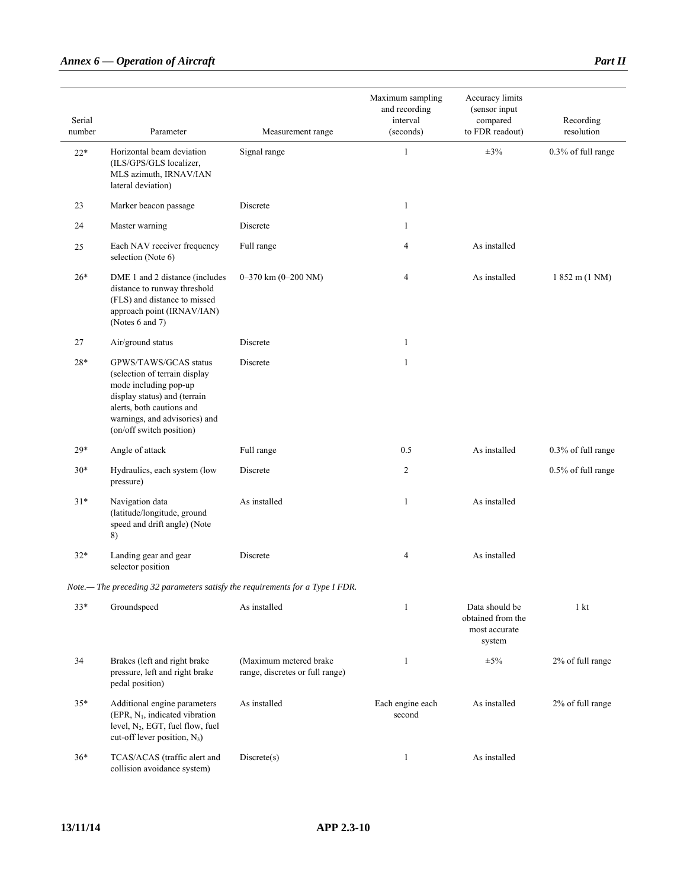| Serial |                                                                                                                                                                                                           |                                                           | Maximum sampling<br>and recording<br>interval | Accuracy limits<br>(sensor input<br>compared                   | Recording                       |
|--------|-----------------------------------------------------------------------------------------------------------------------------------------------------------------------------------------------------------|-----------------------------------------------------------|-----------------------------------------------|----------------------------------------------------------------|---------------------------------|
| number | Parameter                                                                                                                                                                                                 | Measurement range                                         | (seconds)                                     | to FDR readout)                                                | resolution                      |
| $22*$  | Horizontal beam deviation<br>(ILS/GPS/GLS localizer,<br>MLS azimuth, IRNAV/IAN<br>lateral deviation)                                                                                                      | Signal range                                              | 1                                             | $\pm 3\%$                                                      | 0.3% of full range              |
| 23     | Marker beacon passage                                                                                                                                                                                     | Discrete                                                  | $\mathbf{1}$                                  |                                                                |                                 |
| 24     | Master warning                                                                                                                                                                                            | Discrete                                                  | 1                                             |                                                                |                                 |
| 25     | Each NAV receiver frequency<br>selection (Note 6)                                                                                                                                                         | Full range                                                | $\overline{4}$                                | As installed                                                   |                                 |
| $26*$  | DME 1 and 2 distance (includes<br>distance to runway threshold<br>(FLS) and distance to missed<br>approach point (IRNAV/IAN)<br>(Notes 6 and 7)                                                           | 0-370 km (0-200 NM)                                       | 4                                             | As installed                                                   | $1852 \text{ m} (1 \text{ NM})$ |
| 27     | Air/ground status                                                                                                                                                                                         | Discrete                                                  | $\mathbf{1}$                                  |                                                                |                                 |
| 28*    | GPWS/TAWS/GCAS status<br>(selection of terrain display<br>mode including pop-up<br>display status) and (terrain<br>alerts, both cautions and<br>warnings, and advisories) and<br>(on/off switch position) | Discrete                                                  | 1                                             |                                                                |                                 |
| $29*$  | Angle of attack                                                                                                                                                                                           | Full range                                                | 0.5                                           | As installed                                                   | 0.3% of full range              |
| $30*$  | Hydraulics, each system (low<br>pressure)                                                                                                                                                                 | Discrete                                                  | $\overline{c}$                                |                                                                | 0.5% of full range              |
| $31*$  | Navigation data<br>(latitude/longitude, ground<br>speed and drift angle) (Note<br>8)                                                                                                                      | As installed                                              | 1                                             | As installed                                                   |                                 |
| $32*$  | Landing gear and gear<br>selector position                                                                                                                                                                | Discrete                                                  | 4                                             | As installed                                                   |                                 |
|        | Note.- The preceding 32 parameters satisfy the requirements for a Type I FDR.                                                                                                                             |                                                           |                                               |                                                                |                                 |
| $33*$  | Groundspeed                                                                                                                                                                                               | As installed                                              | $\mathbf{1}$                                  | Data should be<br>obtained from the<br>most accurate<br>system | 1 <sub>kt</sub>                 |
| 34     | Brakes (left and right brake<br>pressure, left and right brake<br>pedal position)                                                                                                                         | (Maximum metered brake<br>range, discretes or full range) | $\mathbf{1}$                                  | $\pm 5\%$                                                      | 2% of full range                |
| $35*$  | Additional engine parameters<br>$(EPR, N1, indicated vibration)$<br>level, $N_2$ , EGT, fuel flow, fuel<br>cut-off lever position, N <sub>3</sub> )                                                       | As installed                                              | Each engine each<br>second                    | As installed                                                   | 2% of full range                |
| $36*$  | TCAS/ACAS (traffic alert and<br>collision avoidance system)                                                                                                                                               | Discrete(s)                                               | $\mathbf{1}$                                  | As installed                                                   |                                 |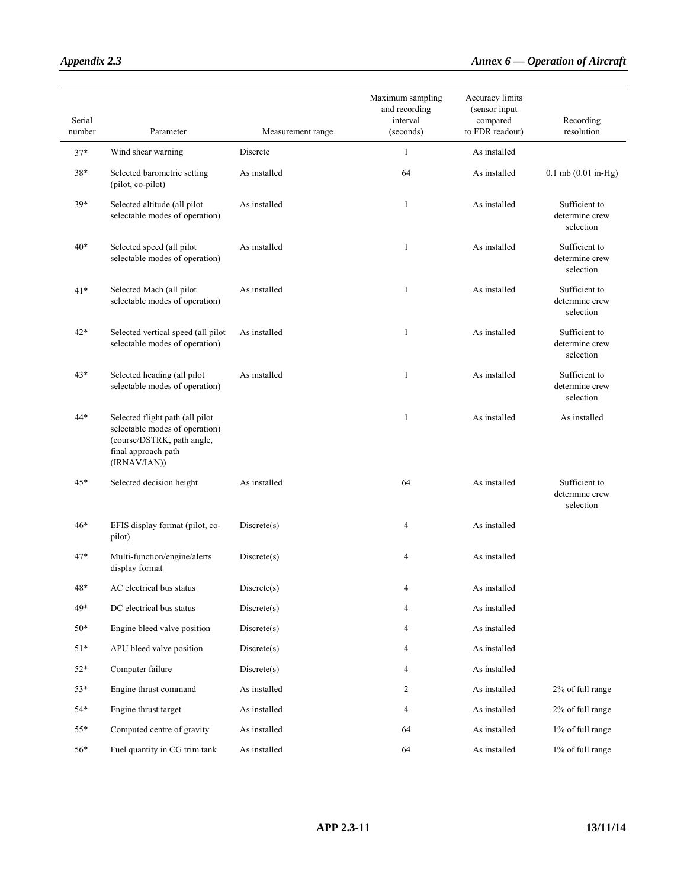| Serial<br>number | Parameter                                                                                                                              | Measurement range | Maximum sampling<br>and recording<br>interval<br>(seconds) | Accuracy limits<br>(sensor input<br>compared<br>to FDR readout) | Recording<br>resolution                      |
|------------------|----------------------------------------------------------------------------------------------------------------------------------------|-------------------|------------------------------------------------------------|-----------------------------------------------------------------|----------------------------------------------|
| $37*$            | Wind shear warning                                                                                                                     | Discrete          | 1                                                          | As installed                                                    |                                              |
| 38*              | Selected barometric setting<br>(pilot, co-pilot)                                                                                       | As installed      | 64                                                         | As installed                                                    | $0.1$ mb $(0.01$ in-Hg)                      |
| $39*$            | Selected altitude (all pilot<br>selectable modes of operation)                                                                         | As installed      | 1                                                          | As installed                                                    | Sufficient to<br>determine crew<br>selection |
| 40*              | Selected speed (all pilot<br>selectable modes of operation)                                                                            | As installed      | $\mathbf{1}$                                               | As installed                                                    | Sufficient to<br>determine crew<br>selection |
| $41*$            | Selected Mach (all pilot<br>selectable modes of operation)                                                                             | As installed      | $\mathbf{1}$                                               | As installed                                                    | Sufficient to<br>determine crew<br>selection |
| $42*$            | Selected vertical speed (all pilot<br>selectable modes of operation)                                                                   | As installed      | 1                                                          | As installed                                                    | Sufficient to<br>determine crew<br>selection |
| 43*              | Selected heading (all pilot<br>selectable modes of operation)                                                                          | As installed      | $\mathbf{1}$                                               | As installed                                                    | Sufficient to<br>determine crew<br>selection |
| 44*              | Selected flight path (all pilot<br>selectable modes of operation)<br>(course/DSTRK, path angle,<br>final approach path<br>(IRNAV/IAN)) |                   | 1                                                          | As installed                                                    | As installed                                 |
| 45*              | Selected decision height                                                                                                               | As installed      | 64                                                         | As installed                                                    | Sufficient to<br>determine crew<br>selection |
| 46*              | EFIS display format (pilot, co-<br>pilot)                                                                                              | Discrete(s)       | 4                                                          | As installed                                                    |                                              |
| 47*              | Multi-function/engine/alerts<br>display format                                                                                         | Discrete(s)       | 4                                                          | As installed                                                    |                                              |
| 48*              | AC electrical bus status                                                                                                               | Discrete(s)       | 4                                                          | As installed                                                    |                                              |
| 49*              | DC electrical bus status                                                                                                               | Discrete(s)       | 4                                                          | As installed                                                    |                                              |
| $50*$            | Engine bleed valve position                                                                                                            | Discrete(s)       | 4                                                          | As installed                                                    |                                              |
| $51*$            | APU bleed valve position                                                                                                               | Discrete(s)       | 4                                                          | As installed                                                    |                                              |
| $52*$            | Computer failure                                                                                                                       | Discrete(s)       | 4                                                          | As installed                                                    |                                              |
| 53*              | Engine thrust command                                                                                                                  | As installed      | $\overline{2}$                                             | As installed                                                    | 2% of full range                             |
| 54*              | Engine thrust target                                                                                                                   | As installed      | $\overline{4}$                                             | As installed                                                    | 2% of full range                             |
| $55*$            | Computed centre of gravity                                                                                                             | As installed      | 64                                                         | As installed                                                    | 1% of full range                             |
| 56*              | Fuel quantity in CG trim tank                                                                                                          | As installed      | 64                                                         | As installed                                                    | 1% of full range                             |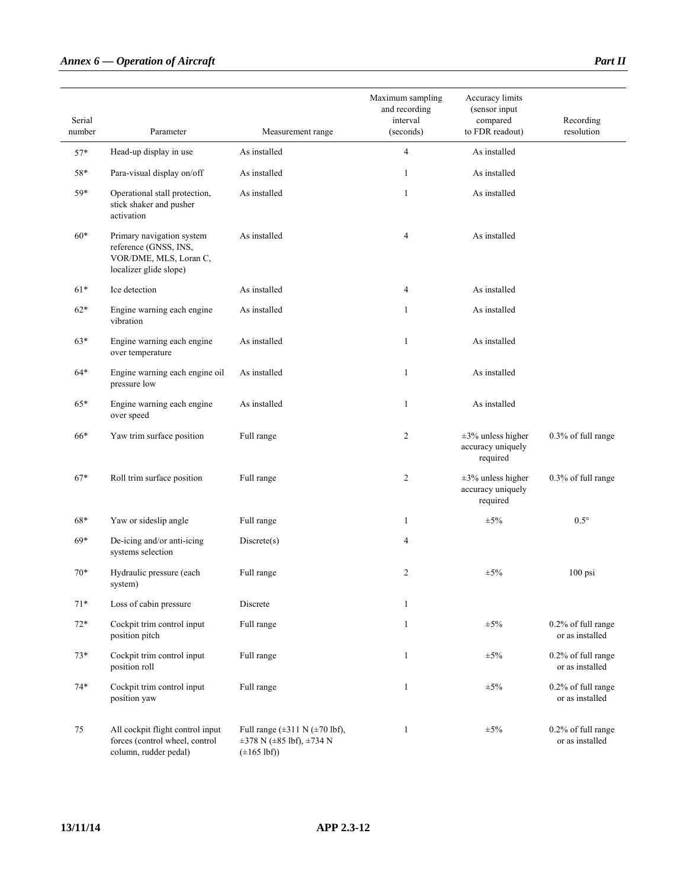| Serial<br>number | Parameter                                                                                              | Measurement range                                                                                                               | Maximum sampling<br>and recording<br>interval<br>(seconds) | Accuracy limits<br>(sensor input<br>compared<br>to FDR readout) | Recording<br>resolution               |
|------------------|--------------------------------------------------------------------------------------------------------|---------------------------------------------------------------------------------------------------------------------------------|------------------------------------------------------------|-----------------------------------------------------------------|---------------------------------------|
| $57*$            | Head-up display in use                                                                                 | As installed                                                                                                                    | $\overline{4}$                                             | As installed                                                    |                                       |
| 58*              | Para-visual display on/off                                                                             | As installed                                                                                                                    | $\mathbf{1}$                                               | As installed                                                    |                                       |
| 59*              | Operational stall protection,<br>stick shaker and pusher<br>activation                                 | As installed                                                                                                                    | $\mathbf{1}$                                               | As installed                                                    |                                       |
| $60*$            | Primary navigation system<br>reference (GNSS, INS,<br>VOR/DME, MLS, Loran C,<br>localizer glide slope) | As installed                                                                                                                    | $\overline{4}$                                             | As installed                                                    |                                       |
| $61*$            | Ice detection                                                                                          | As installed                                                                                                                    | $\overline{4}$                                             | As installed                                                    |                                       |
| $62*$            | Engine warning each engine<br>vibration                                                                | As installed                                                                                                                    | $\mathbf{1}$                                               | As installed                                                    |                                       |
| $63*$            | Engine warning each engine<br>over temperature                                                         | As installed                                                                                                                    | $\mathbf{1}$                                               | As installed                                                    |                                       |
| $64*$            | Engine warning each engine oil<br>pressure low                                                         | As installed                                                                                                                    | $\mathbf{1}$                                               | As installed                                                    |                                       |
| $65*$            | Engine warning each engine<br>over speed                                                               | As installed                                                                                                                    | $\mathbf{1}$                                               | As installed                                                    |                                       |
| 66*              | Yaw trim surface position                                                                              | Full range                                                                                                                      | 2                                                          | $\pm 3\%$ unless higher<br>accuracy uniquely<br>required        | 0.3% of full range                    |
| $67*$            | Roll trim surface position                                                                             | Full range                                                                                                                      | 2                                                          | $\pm 3\%$ unless higher<br>accuracy uniquely<br>required        | 0.3% of full range                    |
| 68*              | Yaw or sideslip angle                                                                                  | Full range                                                                                                                      | 1                                                          | $\pm 5\%$                                                       | $0.5^\circ$                           |
| $69*$            | De-icing and/or anti-icing<br>systems selection                                                        | Discrete(s)                                                                                                                     | $\overline{4}$                                             |                                                                 |                                       |
| $70*$            | Hydraulic pressure (each<br>system)                                                                    | Full range                                                                                                                      | 2                                                          | $\pm 5\%$                                                       | $100$ psi                             |
| $71*$            | Loss of cabin pressure                                                                                 | Discrete                                                                                                                        | $\mathbf{1}$                                               |                                                                 |                                       |
| $72*$            | Cockpit trim control input<br>position pitch                                                           | Full range                                                                                                                      | $\mathbf{1}$                                               | $\pm 5\%$                                                       | 0.2% of full range<br>or as installed |
| $73*$            | Cockpit trim control input<br>position roll                                                            | Full range                                                                                                                      | $\mathbf{1}$                                               | $\pm 5\%$                                                       | 0.2% of full range<br>or as installed |
| $74*$            | Cockpit trim control input<br>position yaw                                                             | Full range                                                                                                                      | $\mathbf{1}$                                               | $\pm 5\%$                                                       | 0.2% of full range<br>or as installed |
| 75               | All cockpit flight control input<br>forces (control wheel, control<br>column, rudder pedal)            | Full range $(\pm 311 \text{ N } (\pm 70 \text{ lbf})$ ,<br>$\pm 378$ N ( $\pm 85$ lbf), $\pm 734$ N<br>$(\pm 165 \text{ lbf}))$ | $\mathbf{1}$                                               | $\pm 5\%$                                                       | 0.2% of full range<br>or as installed |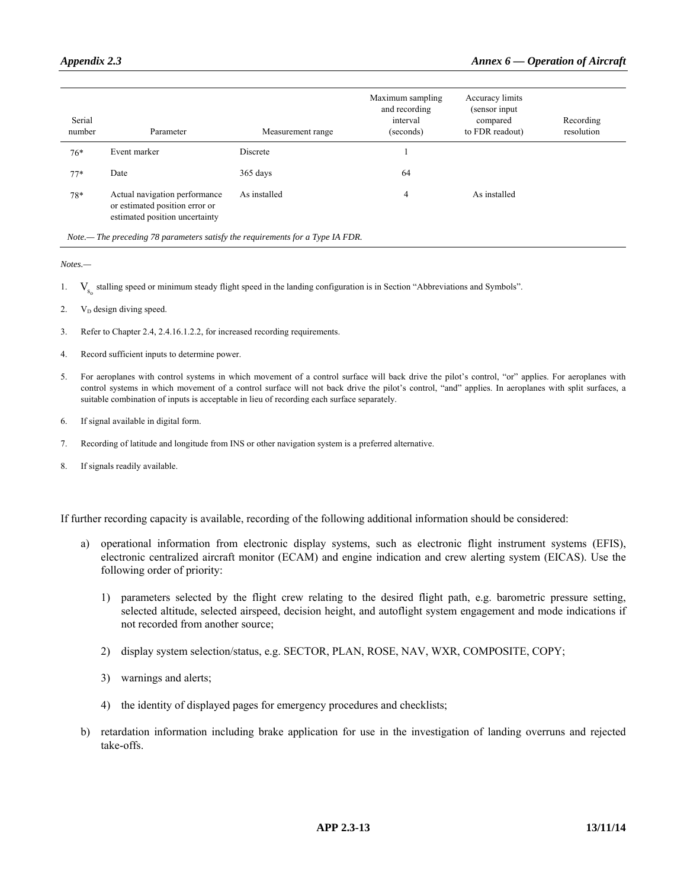| Serial<br>number | Parameter                                                                                         | Measurement range | Maximum sampling<br>and recording<br>interval<br>(seconds) | Accuracy limits<br>(sensor input)<br>compared<br>to FDR readout) | Recording<br>resolution |
|------------------|---------------------------------------------------------------------------------------------------|-------------------|------------------------------------------------------------|------------------------------------------------------------------|-------------------------|
| $76*$            | Event marker                                                                                      | Discrete          |                                                            |                                                                  |                         |
| $77*$            | Date                                                                                              | $365$ days        | 64                                                         |                                                                  |                         |
| 78*              | Actual navigation performance<br>or estimated position error or<br>estimated position uncertainty | As installed      | 4                                                          | As installed                                                     |                         |

*Note.— The preceding 78 parameters satisfy the requirements for a Type IA FDR.*

*Notes.—* 

- 1.  $V_{s_0}$  stalling speed or minimum steady flight speed in the landing configuration is in Section "Abbreviations and Symbols".
- 2.  $V_D$  design diving speed.
- 3. Refer to Chapter 2.4, 2.4.16.1.2.2, for increased recording requirements.
- 4. Record sufficient inputs to determine power.
- 5. For aeroplanes with control systems in which movement of a control surface will back drive the pilot's control, "or" applies. For aeroplanes with control systems in which movement of a control surface will not back drive the pilot's control, "and" applies. In aeroplanes with split surfaces, a suitable combination of inputs is acceptable in lieu of recording each surface separately.
- 6. If signal available in digital form.
- 7. Recording of latitude and longitude from INS or other navigation system is a preferred alternative.
- 8. If signals readily available.

If further recording capacity is available, recording of the following additional information should be considered:

- a) operational information from electronic display systems, such as electronic flight instrument systems (EFIS), electronic centralized aircraft monitor (ECAM) and engine indication and crew alerting system (EICAS). Use the following order of priority:
	- 1) parameters selected by the flight crew relating to the desired flight path, e.g. barometric pressure setting, selected altitude, selected airspeed, decision height, and autoflight system engagement and mode indications if not recorded from another source;
	- 2) display system selection/status, e.g. SECTOR, PLAN, ROSE, NAV, WXR, COMPOSITE, COPY;
	- 3) warnings and alerts;
	- 4) the identity of displayed pages for emergency procedures and checklists;
- b) retardation information including brake application for use in the investigation of landing overruns and rejected take-offs.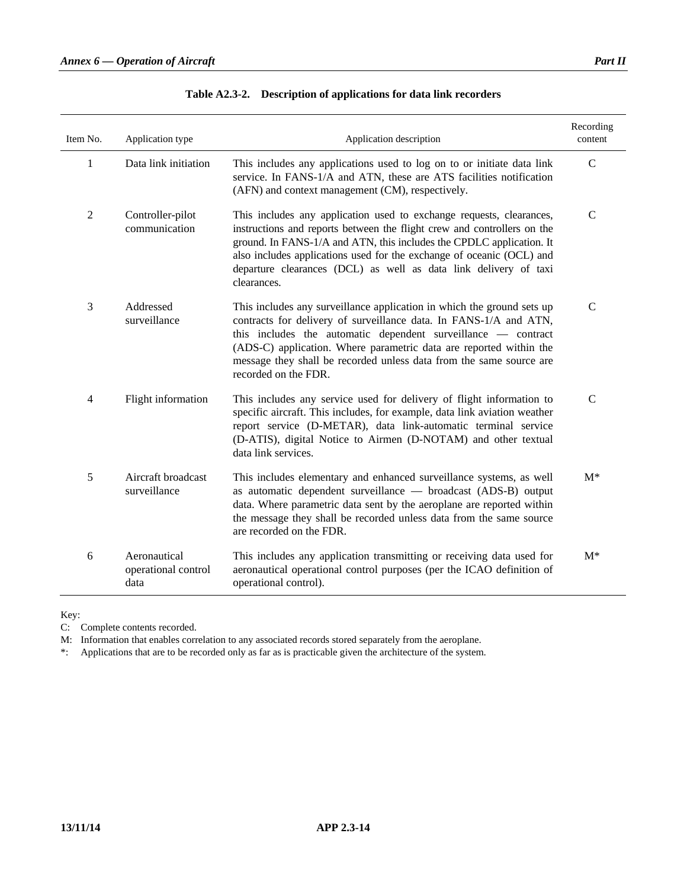| Item No.       | Application type                            | Application description                                                                                                                                                                                                                                                                                                                                                             | Recording<br>content |
|----------------|---------------------------------------------|-------------------------------------------------------------------------------------------------------------------------------------------------------------------------------------------------------------------------------------------------------------------------------------------------------------------------------------------------------------------------------------|----------------------|
| $\mathbf{1}$   | Data link initiation                        | This includes any applications used to log on to or initiate data link<br>service. In FANS-1/A and ATN, these are ATS facilities notification<br>(AFN) and context management (CM), respectively.                                                                                                                                                                                   | $\mathbf C$          |
| $\overline{2}$ | Controller-pilot<br>communication           | This includes any application used to exchange requests, clearances,<br>instructions and reports between the flight crew and controllers on the<br>ground. In FANS-1/A and ATN, this includes the CPDLC application. It<br>also includes applications used for the exchange of oceanic (OCL) and<br>departure clearances (DCL) as well as data link delivery of taxi<br>clearances. | $\mathcal{C}$        |
| 3              | Addressed<br>surveillance                   | This includes any surveillance application in which the ground sets up<br>contracts for delivery of surveillance data. In FANS-1/A and ATN,<br>this includes the automatic dependent surveillance — contract<br>(ADS-C) application. Where parametric data are reported within the<br>message they shall be recorded unless data from the same source are<br>recorded on the FDR.   | $\mathcal{C}$        |
| 4              | Flight information                          | This includes any service used for delivery of flight information to<br>specific aircraft. This includes, for example, data link aviation weather<br>report service (D-METAR), data link-automatic terminal service<br>(D-ATIS), digital Notice to Airmen (D-NOTAM) and other textual<br>data link services.                                                                        | $\mathcal{C}$        |
| 5              | Aircraft broadcast<br>surveillance          | This includes elementary and enhanced surveillance systems, as well<br>as automatic dependent surveillance - broadcast (ADS-B) output<br>data. Where parametric data sent by the aeroplane are reported within<br>the message they shall be recorded unless data from the same source<br>are recorded on the FDR.                                                                   | $M^*$                |
| 6              | Aeronautical<br>operational control<br>data | This includes any application transmitting or receiving data used for<br>aeronautical operational control purposes (per the ICAO definition of<br>operational control).                                                                                                                                                                                                             | $M^*$                |

| Table A2.3-2. Description of applications for data link recorders |  |  |  |  |
|-------------------------------------------------------------------|--|--|--|--|
|-------------------------------------------------------------------|--|--|--|--|

Key:

C: Complete contents recorded.

M: Information that enables correlation to any associated records stored separately from the aeroplane.

\*: Applications that are to be recorded only as far as is practicable given the architecture of the system.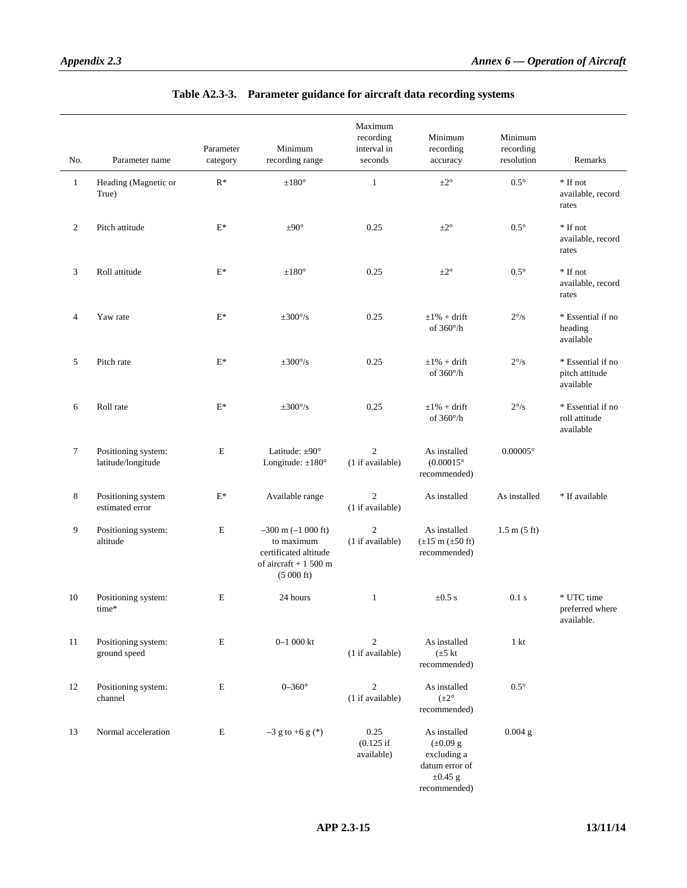| No.          | Parameter name                            | Parameter<br>category | Minimum<br>recording range                                                                                   | Maximum<br>recording<br>interval in<br>seconds | Minimum<br>recording<br>accuracy                                                               | Minimum<br>recording<br>resolution | Remarks                                          |
|--------------|-------------------------------------------|-----------------------|--------------------------------------------------------------------------------------------------------------|------------------------------------------------|------------------------------------------------------------------------------------------------|------------------------------------|--------------------------------------------------|
| $\mathbf{1}$ | Heading (Magnetic or<br>True)             | $\mathbb{R}^*$        | $\pm 180^\circ$                                                                                              | $\mathbf{1}$                                   | $\pm 2^{\circ}$                                                                                | $0.5^{\circ}$                      | * If not<br>available, record<br>rates           |
| 2            | Pitch attitude                            | $\mathbf{E}^*$        | $\pm 90^\circ$                                                                                               | 0.25                                           | $\pm 2^{\circ}$                                                                                | $0.5^{\circ}$                      | * If not<br>available, record<br>rates           |
| 3            | Roll attitude                             | $E^*$                 | $\pm 180^\circ$                                                                                              | 0.25                                           | $\pm 2^{\circ}$                                                                                | $0.5^{\circ}$                      | * If not<br>available, record<br>rates           |
| 4            | Yaw rate                                  | $\mathbf{E}^*$        | $\pm 300^{\circ}/s$                                                                                          | 0.25                                           | $\pm 1\% + drift$<br>of $360^{\circ}/h$                                                        | $2^{\circ}/s$                      | * Essential if no<br>heading<br>available        |
| 5            | Pitch rate                                | $E^*$                 | $\pm 300^{\circ}/s$                                                                                          | 0.25                                           | $\pm 1\%$ + drift<br>of $360^\circ/h$                                                          | $2^{\circ}/\mathrm{s}$             | * Essential if no<br>pitch attitude<br>available |
| 6            | Roll rate                                 | $E^*$                 | $\pm 300^{\circ}/s$                                                                                          | 0.25                                           | $\pm 1\% +$ drift<br>of 360°/h                                                                 | $2^{\circ}/s$                      | * Essential if no<br>roll attitude<br>available  |
| 7            | Positioning system:<br>latitude/longitude | $\mathbf E$           | Latitude: $\pm 90^\circ$<br>Longitude: $\pm 180^\circ$                                                       | $\mathfrak{2}$<br>(1 if available)             | As installed<br>$(0.00015^{\circ}$<br>recommended)                                             | $0.00005^\circ$                    |                                                  |
| 8            | Positioning system<br>estimated error     | $E^*$                 | Available range                                                                                              | $\mathfrak{2}$<br>(1 if available)             | As installed                                                                                   | As installed                       | * If available                                   |
| 9            | Positioning system:<br>altitude           | E                     | $-300$ m $(-1000$ ft)<br>to maximum<br>certificated altitude<br>of aircraft $+1500$ m<br>$(5000 \text{ ft})$ | $\overline{2}$<br>(1 if available)             | As installed<br>$(\pm 15 \text{ m } (\pm 50 \text{ ft})$<br>recommended)                       | $1.5 \text{ m} (5 \text{ ft})$     |                                                  |
| 10           | Positioning system:<br>time*              | E                     | 24 hours                                                                                                     | $\mathbf{1}$                                   | $\pm 0.5$ s                                                                                    | 0.1 s                              | * UTC time<br>preferred where<br>available.      |
| 11           | Positioning system:<br>ground speed       | E                     | $0\text{--}1$ 000 kt                                                                                         | $\overline{2}$<br>(1 if available)             | As installed<br>$(\pm 5 \text{ kt})$<br>recommended)                                           | $1\ \rm kt$                        |                                                  |
| 12           | Positioning system:<br>channel            | ${\bf E}$             | $0 - 360^\circ$                                                                                              | $\sqrt{2}$<br>(1 if available)                 | As installed<br>$(\pm 2^{\circ}$<br>recommended)                                               | $0.5^\circ$                        |                                                  |
| 13           | Normal acceleration                       | ${\bf E}$             | $-3$ g to +6 g (*)                                                                                           | 0.25<br>$(0.125$ if<br>available)              | As installed<br>$(\pm 0.09$ g<br>excluding a<br>datum error of<br>$\pm 0.45$ g<br>recommended) | $0.004$ g                          |                                                  |

## **Table A2.3-3. Parameter guidance for aircraft data recording systems**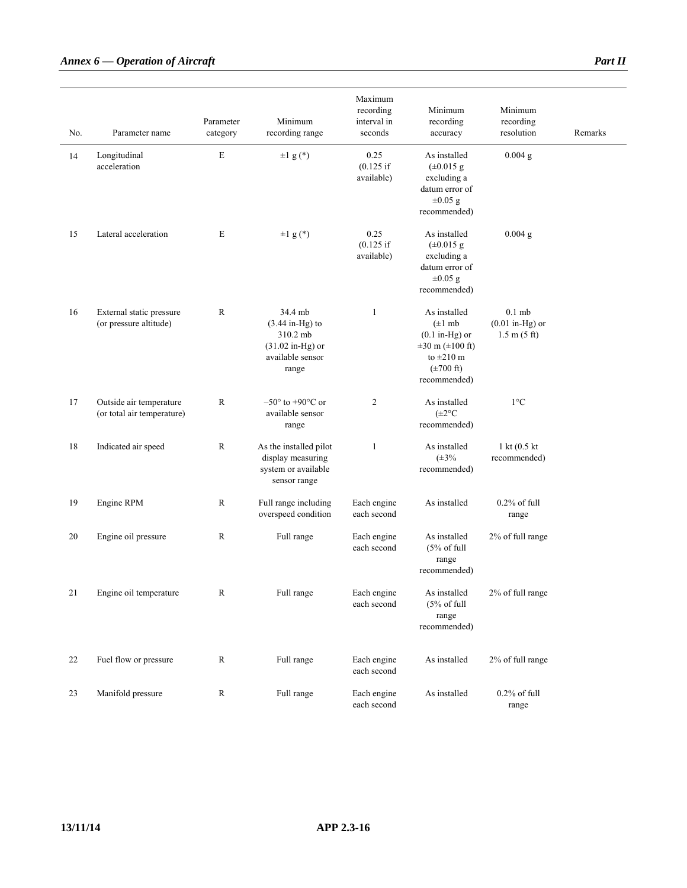|     |                                                       | Parameter    | Minimum                                                                                                     | Maximum<br>recording<br>interval in | Minimum<br>recording                                                                                                                              | Minimum<br>recording                                            |         |
|-----|-------------------------------------------------------|--------------|-------------------------------------------------------------------------------------------------------------|-------------------------------------|---------------------------------------------------------------------------------------------------------------------------------------------------|-----------------------------------------------------------------|---------|
| No. | Parameter name                                        | category     | recording range                                                                                             | seconds                             | accuracy                                                                                                                                          | resolution                                                      | Remarks |
| 14  | Longitudinal<br>acceleration                          | E            | $\pm 1$ g (*)                                                                                               | 0.25<br>$(0.125$ if<br>available)   | As installed<br>$(\pm 0.015$ g<br>excluding a<br>datum error of<br>$\pm 0.05$ g<br>recommended)                                                   | $0.004$ g                                                       |         |
| 15  | Lateral acceleration                                  | E            | $\pm 1$ g (*)                                                                                               | 0.25<br>$(0.125$ if<br>available)   | As installed<br>$(\pm 0.015$ g<br>excluding a<br>datum error of<br>$\pm 0.05$ g<br>recommended)                                                   | $0.004$ g                                                       |         |
| 16  | External static pressure<br>(or pressure altitude)    | $\mathbf R$  | 34.4 mb<br>$(3.44 \text{ in-Hg})$ to<br>310.2 mb<br>$(31.02 \text{ in-Hg})$ or<br>available sensor<br>range | $\mathbf{1}$                        | As installed<br>$(\pm 1$ mb<br>$(0.1 \text{ in-Hg})$ or<br>$\pm 30$ m ( $\pm 100$ ft)<br>to $\pm 210$ m<br>$(\pm 700 \text{ ft})$<br>recommended) | $0.1$ mb<br>$(0.01$ in-Hg) or<br>$1.5 \text{ m} (5 \text{ ft})$ |         |
| 17  | Outside air temperature<br>(or total air temperature) | $\mathbb{R}$ | $-50^{\circ}$ to +90 $^{\circ}$ C or<br>available sensor<br>range                                           | $\overline{c}$                      | As installed<br>$(\pm 2^{\circ}C)$<br>recommended)                                                                                                | $1^{\circ}C$                                                    |         |
| 18  | Indicated air speed                                   | $\mathbf R$  | As the installed pilot<br>display measuring<br>system or available<br>sensor range                          | $\mathbf{1}$                        | As installed<br>$(\pm 3\%$<br>recommended)                                                                                                        | $1 \text{ kt} (0.5 \text{ kt})$<br>recommended)                 |         |
| 19  | Engine RPM                                            | $\mathbb{R}$ | Full range including<br>overspeed condition                                                                 | Each engine<br>each second          | As installed                                                                                                                                      | $0.2\%$ of full<br>range                                        |         |
| 20  | Engine oil pressure                                   | R            | Full range                                                                                                  | Each engine<br>each second          | As installed<br>(5% of full<br>range<br>recommended)                                                                                              | 2% of full range                                                |         |
| 21  | Engine oil temperature                                | $\mathbb{R}$ | Full range                                                                                                  | Each engine<br>each second          | As installed<br>(5% of full<br>range<br>recommended)                                                                                              | 2% of full range                                                |         |
| 22  | Fuel flow or pressure                                 | $\mathbb{R}$ | Full range                                                                                                  | Each engine<br>each second          | As installed                                                                                                                                      | 2% of full range                                                |         |
| 23  | Manifold pressure                                     | $\mathbf R$  | Full range                                                                                                  | Each engine<br>each second          | As installed                                                                                                                                      | $0.2\%$ of full<br>range                                        |         |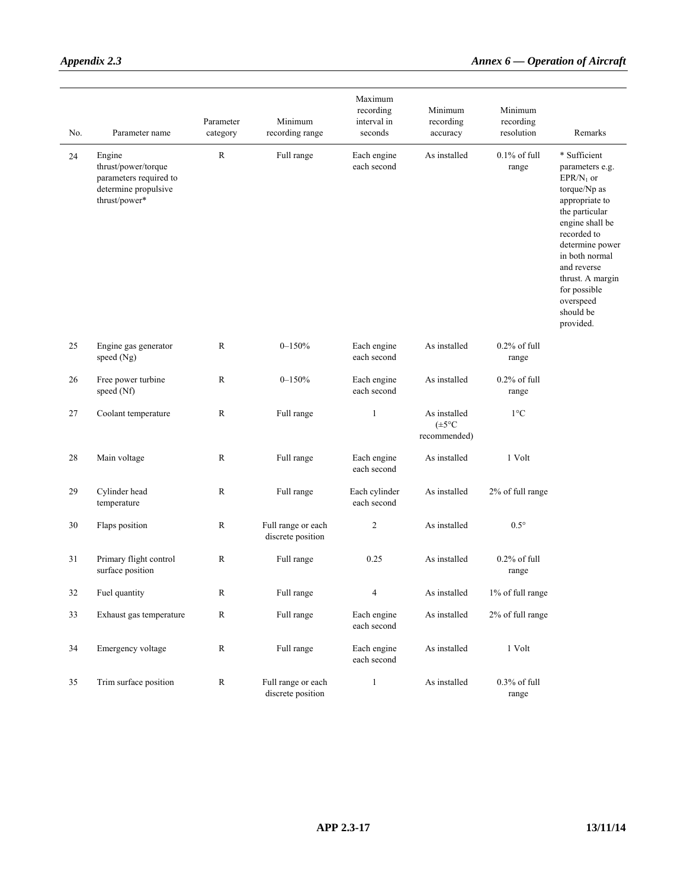| No. | Parameter name                                                                                   | Parameter<br>category | Minimum<br>recording range              | Maximum<br>recording<br>interval in<br>seconds | Minimum<br>recording<br>accuracy                   | Minimum<br>recording<br>resolution | Remarks                                                                                                                                                                                                                                                              |
|-----|--------------------------------------------------------------------------------------------------|-----------------------|-----------------------------------------|------------------------------------------------|----------------------------------------------------|------------------------------------|----------------------------------------------------------------------------------------------------------------------------------------------------------------------------------------------------------------------------------------------------------------------|
| 24  | Engine<br>thrust/power/torque<br>parameters required to<br>determine propulsive<br>thrust/power* | $\mathbf R$           | Full range                              | Each engine<br>each second                     | As installed                                       | $0.1\%$ of full<br>range           | * Sufficient<br>parameters e.g.<br>$EPR/N_1$ or<br>torque/Np as<br>appropriate to<br>the particular<br>engine shall be<br>recorded to<br>determine power<br>in both normal<br>and reverse<br>thrust. A margin<br>for possible<br>overspeed<br>should be<br>provided. |
| 25  | Engine gas generator<br>speed (Ng)                                                               | $\mathbf R$           | $0 - 150%$                              | Each engine<br>each second                     | As installed                                       | $0.2\%$ of full<br>range           |                                                                                                                                                                                                                                                                      |
| 26  | Free power turbine<br>speed (Nf)                                                                 | $\mathbb{R}$          | $0 - 150%$                              | Each engine<br>each second                     | As installed                                       | $0.2\%$ of full<br>range           |                                                                                                                                                                                                                                                                      |
| 27  | Coolant temperature                                                                              | $\mathbf R$           | Full range                              | 1                                              | As installed<br>$(\pm 5^{\circ}C)$<br>recommended) | $1^{\circ}C$                       |                                                                                                                                                                                                                                                                      |
| 28  | Main voltage                                                                                     | $\mathbf R$           | Full range                              | Each engine<br>each second                     | As installed                                       | 1 Volt                             |                                                                                                                                                                                                                                                                      |
| 29  | Cylinder head<br>temperature                                                                     | $\mathbb{R}$          | Full range                              | Each cylinder<br>each second                   | As installed                                       | 2% of full range                   |                                                                                                                                                                                                                                                                      |
| 30  | Flaps position                                                                                   | $\mathbf R$           | Full range or each<br>discrete position | $\overline{c}$                                 | As installed                                       | $0.5^\circ$                        |                                                                                                                                                                                                                                                                      |
| 31  | Primary flight control<br>surface position                                                       | $\mathbf R$           | Full range                              | 0.25                                           | As installed                                       | $0.2\%$ of full<br>range           |                                                                                                                                                                                                                                                                      |
| 32  | Fuel quantity                                                                                    | $\mathbb{R}$          | Full range                              | $\overline{4}$                                 | As installed                                       | 1% of full range                   |                                                                                                                                                                                                                                                                      |
| 33  | Exhaust gas temperature                                                                          | $\mathbf R$           | Full range                              | Each engine<br>each second                     | As installed                                       | 2% of full range                   |                                                                                                                                                                                                                                                                      |
| 34  | Emergency voltage                                                                                | ${\bf R}$             | Full range                              | Each engine<br>each second                     | As installed                                       | 1 Volt                             |                                                                                                                                                                                                                                                                      |
| 35  | Trim surface position                                                                            | $\mathbf R$           | Full range or each<br>discrete position | $\mathbf{1}$                                   | As installed                                       | $0.3\%$ of full<br>range           |                                                                                                                                                                                                                                                                      |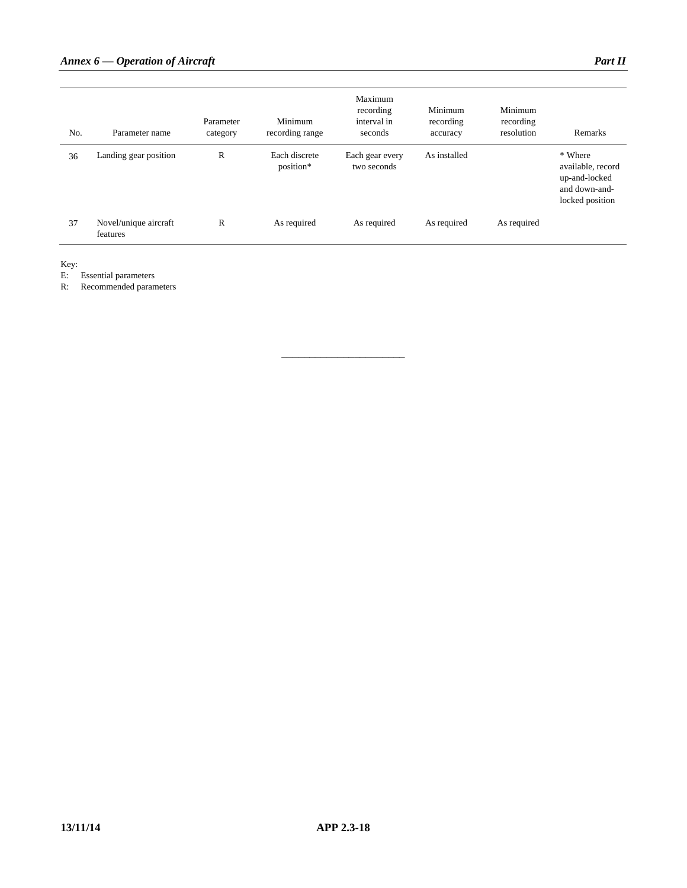| No. | Parameter name                    | Parameter<br>category | Minimum<br>recording range | Maximum<br>recording<br>interval in<br>seconds | Minimum<br>recording<br>accuracy | Minimum<br>recording<br>resolution | Remarks                                                                           |
|-----|-----------------------------------|-----------------------|----------------------------|------------------------------------------------|----------------------------------|------------------------------------|-----------------------------------------------------------------------------------|
| 36  | Landing gear position             | R                     | Each discrete<br>position* | Each gear every<br>two seconds                 | As installed                     |                                    | * Where<br>available, record<br>up-and-locked<br>and down-and-<br>locked position |
| 37  | Novel/unique aircraft<br>features | $\mathbb{R}$          | As required                | As required                                    | As required                      | As required                        |                                                                                   |

\_\_\_\_\_\_\_\_\_\_\_\_\_\_\_\_\_\_\_\_\_\_

Key:

E: Essential parameters

R: Recommended parameters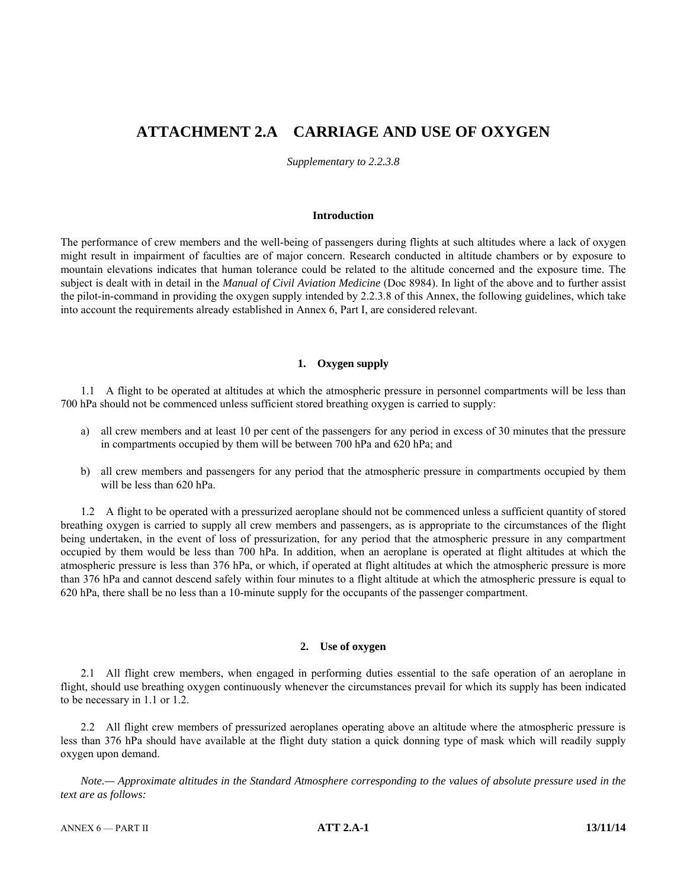# **ATTACHMENT 2.A CARRIAGE AND USE OF OXYGEN**

*Supplementary to 2.2.3.8* 

#### **Introduction**

The performance of crew members and the well-being of passengers during flights at such altitudes where a lack of oxygen might result in impairment of faculties are of major concern. Research conducted in altitude chambers or by exposure to mountain elevations indicates that human tolerance could be related to the altitude concerned and the exposure time. The subject is dealt with in detail in the *Manual of Civil Aviation Medicine* (Doc 8984). In light of the above and to further assist the pilot-in-command in providing the oxygen supply intended by 2.2.3.8 of this Annex, the following guidelines, which take into account the requirements already established in Annex 6, Part I, are considered relevant.

# **1. Oxygen supply**

 1.1 A flight to be operated at altitudes at which the atmospheric pressure in personnel compartments will be less than 700 hPa should not be commenced unless sufficient stored breathing oxygen is carried to supply:

- a) all crew members and at least 10 per cent of the passengers for any period in excess of 30 minutes that the pressure in compartments occupied by them will be between 700 hPa and 620 hPa; and
- b) all crew members and passengers for any period that the atmospheric pressure in compartments occupied by them will be less than 620 hPa.

 1.2 A flight to be operated with a pressurized aeroplane should not be commenced unless a sufficient quantity of stored breathing oxygen is carried to supply all crew members and passengers, as is appropriate to the circumstances of the flight being undertaken, in the event of loss of pressurization, for any period that the atmospheric pressure in any compartment occupied by them would be less than 700 hPa. In addition, when an aeroplane is operated at flight altitudes at which the atmospheric pressure is less than 376 hPa, or which, if operated at flight altitudes at which the atmospheric pressure is more than 376 hPa and cannot descend safely within four minutes to a flight altitude at which the atmospheric pressure is equal to 620 hPa, there shall be no less than a 10-minute supply for the occupants of the passenger compartment.

# **2. Use of oxygen**

 2.1 All flight crew members, when engaged in performing duties essential to the safe operation of an aeroplane in flight, should use breathing oxygen continuously whenever the circumstances prevail for which its supply has been indicated to be necessary in 1.1 or 1.2.

 2.2 All flight crew members of pressurized aeroplanes operating above an altitude where the atmospheric pressure is less than 376 hPa should have available at the flight duty station a quick donning type of mask which will readily supply oxygen upon demand.

 *Note.— Approximate altitudes in the Standard Atmosphere corresponding to the values of absolute pressure used in the text are as follows:*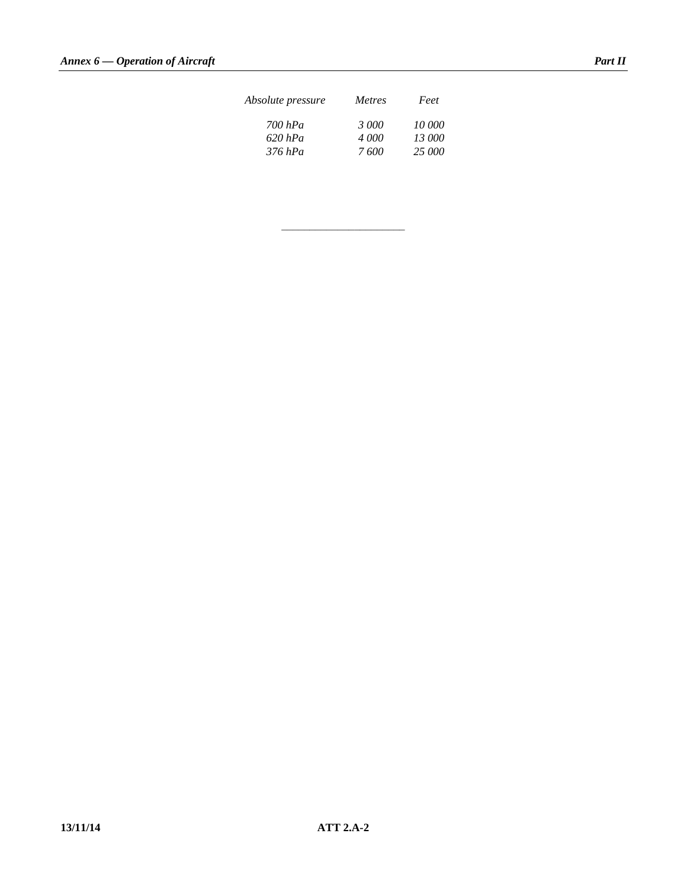| Absolute pressure | <i>Metres</i> | Feet   |
|-------------------|---------------|--------|
| $700$ hPa         | 3000          | 10 000 |
| $620$ hPa         | 4 000         | 13 000 |
| 376 hPa           | 7600          | 25 000 |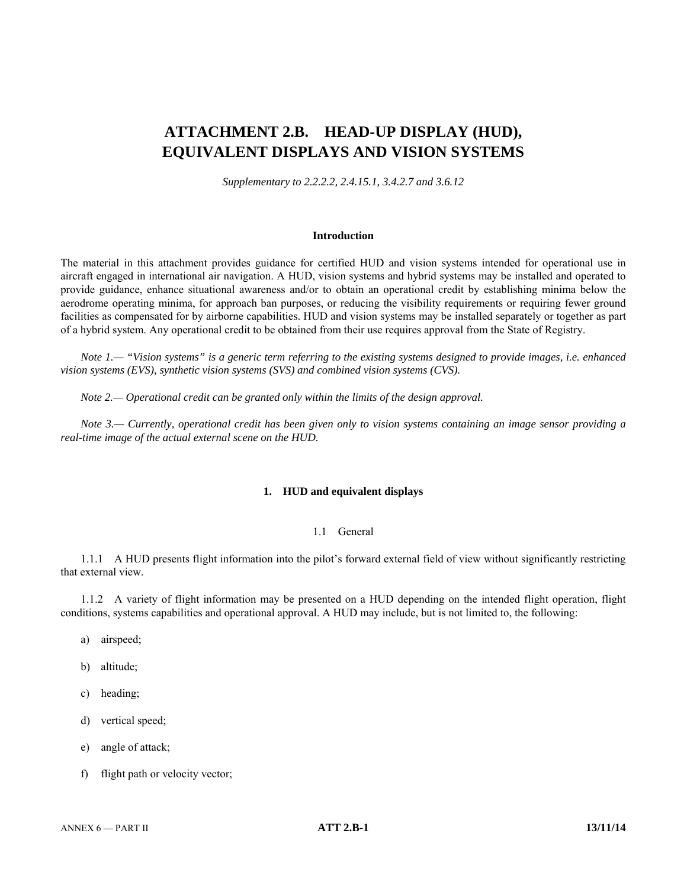# **ATTACHMENT 2.B. HEAD-UP DISPLAY (HUD), EQUIVALENT DISPLAYS AND VISION SYSTEMS**

*Supplementary to 2.2.2.2, 2.4.15.1, 3.4.2.7 and 3.6.12* 

#### **Introduction**

The material in this attachment provides guidance for certified HUD and vision systems intended for operational use in aircraft engaged in international air navigation. A HUD, vision systems and hybrid systems may be installed and operated to provide guidance, enhance situational awareness and/or to obtain an operational credit by establishing minima below the aerodrome operating minima, for approach ban purposes, or reducing the visibility requirements or requiring fewer ground facilities as compensated for by airborne capabilities. HUD and vision systems may be installed separately or together as part of a hybrid system. Any operational credit to be obtained from their use requires approval from the State of Registry.

 *Note 1.— "Vision systems" is a generic term referring to the existing systems designed to provide images, i.e. enhanced vision systems (EVS), synthetic vision systems (SVS) and combined vision systems (CVS).* 

 *Note 2.— Operational credit can be granted only within the limits of the design approval.* 

 *Note 3.— Currently, operational credit has been given only to vision systems containing an image sensor providing a real-time image of the actual external scene on the HUD.* 

#### **1. HUD and equivalent displays**

#### 1.1 General

 1.1.1 A HUD presents flight information into the pilot's forward external field of view without significantly restricting that external view.

 1.1.2 A variety of flight information may be presented on a HUD depending on the intended flight operation, flight conditions, systems capabilities and operational approval. A HUD may include, but is not limited to, the following:

- a) airspeed;
- b) altitude;
- c) heading;
- d) vertical speed;
- e) angle of attack;
- f) flight path or velocity vector;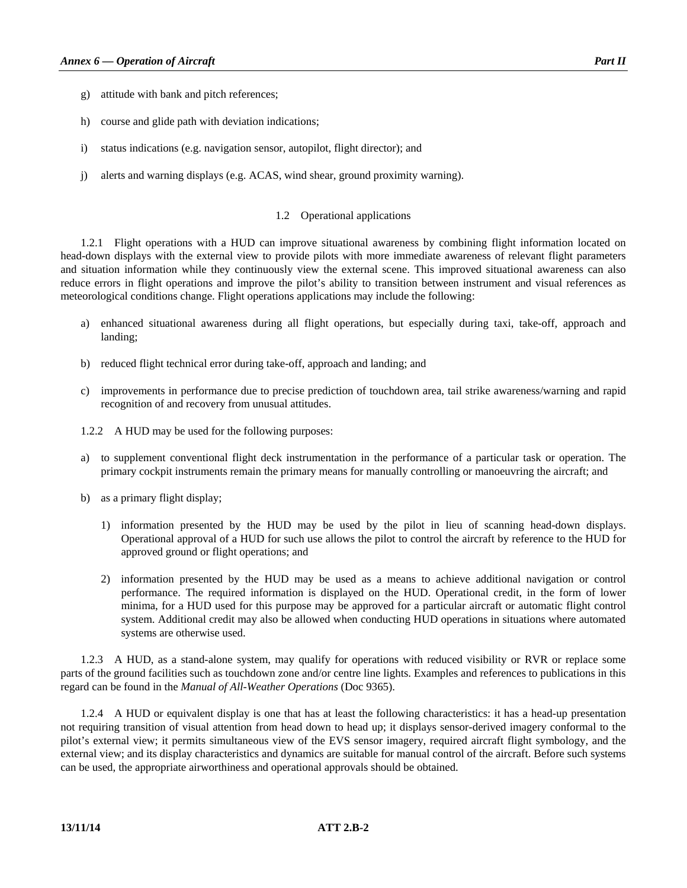- g) attitude with bank and pitch references;
- h) course and glide path with deviation indications;
- i) status indications (e.g. navigation sensor, autopilot, flight director); and
- j) alerts and warning displays (e.g. ACAS, wind shear, ground proximity warning).

#### 1.2 Operational applications

 1.2.1 Flight operations with a HUD can improve situational awareness by combining flight information located on head-down displays with the external view to provide pilots with more immediate awareness of relevant flight parameters and situation information while they continuously view the external scene. This improved situational awareness can also reduce errors in flight operations and improve the pilot's ability to transition between instrument and visual references as meteorological conditions change. Flight operations applications may include the following:

- a) enhanced situational awareness during all flight operations, but especially during taxi, take-off, approach and landing;
- b) reduced flight technical error during take-off, approach and landing; and
- c) improvements in performance due to precise prediction of touchdown area, tail strike awareness/warning and rapid recognition of and recovery from unusual attitudes.
- 1.2.2 A HUD may be used for the following purposes:
- a) to supplement conventional flight deck instrumentation in the performance of a particular task or operation. The primary cockpit instruments remain the primary means for manually controlling or manoeuvring the aircraft; and
- b) as a primary flight display;
	- 1) information presented by the HUD may be used by the pilot in lieu of scanning head-down displays. Operational approval of a HUD for such use allows the pilot to control the aircraft by reference to the HUD for approved ground or flight operations; and
	- 2) information presented by the HUD may be used as a means to achieve additional navigation or control performance. The required information is displayed on the HUD. Operational credit, in the form of lower minima, for a HUD used for this purpose may be approved for a particular aircraft or automatic flight control system. Additional credit may also be allowed when conducting HUD operations in situations where automated systems are otherwise used.

 1.2.3 A HUD, as a stand-alone system, may qualify for operations with reduced visibility or RVR or replace some parts of the ground facilities such as touchdown zone and/or centre line lights. Examples and references to publications in this regard can be found in the *Manual of All-Weather Operations* (Doc 9365).

 1.2.4 A HUD or equivalent display is one that has at least the following characteristics: it has a head-up presentation not requiring transition of visual attention from head down to head up; it displays sensor-derived imagery conformal to the pilot's external view; it permits simultaneous view of the EVS sensor imagery, required aircraft flight symbology, and the external view; and its display characteristics and dynamics are suitable for manual control of the aircraft. Before such systems can be used, the appropriate airworthiness and operational approvals should be obtained.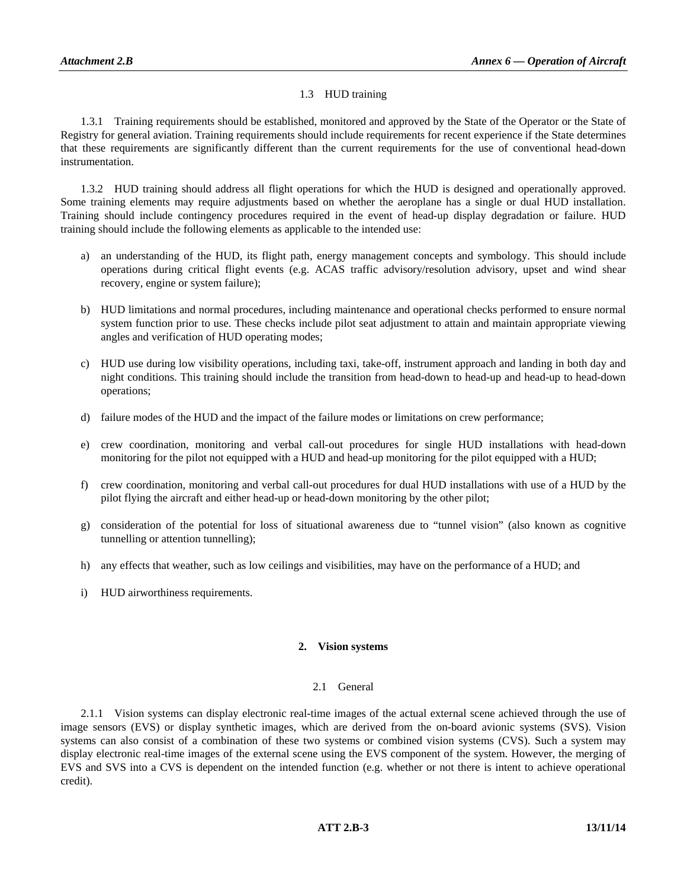### 1.3 HUD training

 1.3.1 Training requirements should be established, monitored and approved by the State of the Operator or the State of Registry for general aviation. Training requirements should include requirements for recent experience if the State determines that these requirements are significantly different than the current requirements for the use of conventional head-down instrumentation.

 1.3.2 HUD training should address all flight operations for which the HUD is designed and operationally approved. Some training elements may require adjustments based on whether the aeroplane has a single or dual HUD installation. Training should include contingency procedures required in the event of head-up display degradation or failure. HUD training should include the following elements as applicable to the intended use:

- a) an understanding of the HUD, its flight path, energy management concepts and symbology. This should include operations during critical flight events (e.g. ACAS traffic advisory/resolution advisory, upset and wind shear recovery, engine or system failure);
- b) HUD limitations and normal procedures, including maintenance and operational checks performed to ensure normal system function prior to use. These checks include pilot seat adjustment to attain and maintain appropriate viewing angles and verification of HUD operating modes;
- c) HUD use during low visibility operations, including taxi, take-off, instrument approach and landing in both day and night conditions. This training should include the transition from head-down to head-up and head-up to head-down operations;
- d) failure modes of the HUD and the impact of the failure modes or limitations on crew performance;
- e) crew coordination, monitoring and verbal call-out procedures for single HUD installations with head-down monitoring for the pilot not equipped with a HUD and head-up monitoring for the pilot equipped with a HUD;
- f) crew coordination, monitoring and verbal call-out procedures for dual HUD installations with use of a HUD by the pilot flying the aircraft and either head-up or head-down monitoring by the other pilot;
- g) consideration of the potential for loss of situational awareness due to "tunnel vision" (also known as cognitive tunnelling or attention tunnelling);
- h) any effects that weather, such as low ceilings and visibilities, may have on the performance of a HUD; and
- i) HUD airworthiness requirements.

#### **2. Vision systems**

#### 2.1 General

 2.1.1 Vision systems can display electronic real-time images of the actual external scene achieved through the use of image sensors (EVS) or display synthetic images, which are derived from the on-board avionic systems (SVS). Vision systems can also consist of a combination of these two systems or combined vision systems (CVS). Such a system may display electronic real-time images of the external scene using the EVS component of the system. However, the merging of EVS and SVS into a CVS is dependent on the intended function (e.g. whether or not there is intent to achieve operational credit).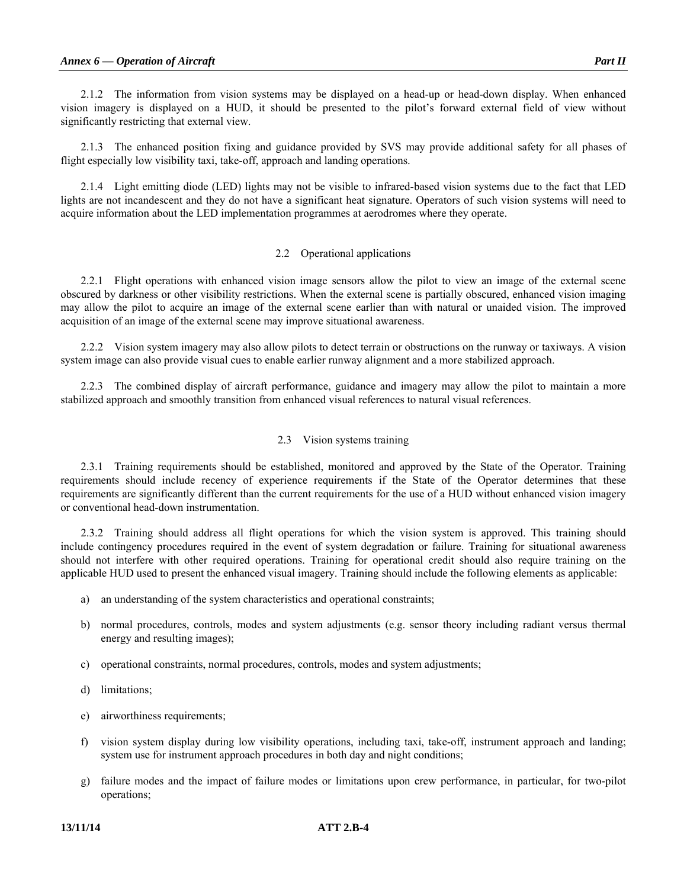2.1.2 The information from vision systems may be displayed on a head-up or head-down display. When enhanced vision imagery is displayed on a HUD, it should be presented to the pilot's forward external field of view without significantly restricting that external view.

 2.1.3 The enhanced position fixing and guidance provided by SVS may provide additional safety for all phases of flight especially low visibility taxi, take-off, approach and landing operations.

 2.1.4 Light emitting diode (LED) lights may not be visible to infrared-based vision systems due to the fact that LED lights are not incandescent and they do not have a significant heat signature. Operators of such vision systems will need to acquire information about the LED implementation programmes at aerodromes where they operate.

#### 2.2 Operational applications

 2.2.1 Flight operations with enhanced vision image sensors allow the pilot to view an image of the external scene obscured by darkness or other visibility restrictions. When the external scene is partially obscured, enhanced vision imaging may allow the pilot to acquire an image of the external scene earlier than with natural or unaided vision. The improved acquisition of an image of the external scene may improve situational awareness.

 2.2.2 Vision system imagery may also allow pilots to detect terrain or obstructions on the runway or taxiways. A vision system image can also provide visual cues to enable earlier runway alignment and a more stabilized approach.

 2.2.3 The combined display of aircraft performance, guidance and imagery may allow the pilot to maintain a more stabilized approach and smoothly transition from enhanced visual references to natural visual references.

### 2.3 Vision systems training

 2.3.1 Training requirements should be established, monitored and approved by the State of the Operator. Training requirements should include recency of experience requirements if the State of the Operator determines that these requirements are significantly different than the current requirements for the use of a HUD without enhanced vision imagery or conventional head-down instrumentation.

 2.3.2 Training should address all flight operations for which the vision system is approved. This training should include contingency procedures required in the event of system degradation or failure. Training for situational awareness should not interfere with other required operations. Training for operational credit should also require training on the applicable HUD used to present the enhanced visual imagery. Training should include the following elements as applicable:

- a) an understanding of the system characteristics and operational constraints;
- b) normal procedures, controls, modes and system adjustments (e.g. sensor theory including radiant versus thermal energy and resulting images);
- c) operational constraints, normal procedures, controls, modes and system adjustments;
- d) limitations;
- e) airworthiness requirements;
- f) vision system display during low visibility operations, including taxi, take-off, instrument approach and landing; system use for instrument approach procedures in both day and night conditions;
- g) failure modes and the impact of failure modes or limitations upon crew performance, in particular, for two-pilot operations;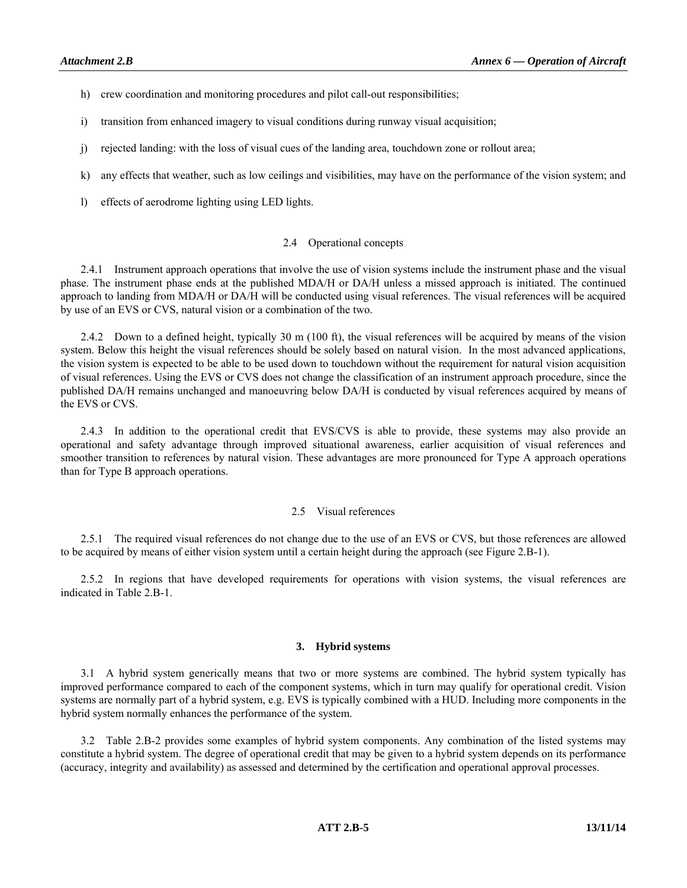- h) crew coordination and monitoring procedures and pilot call-out responsibilities;
- i) transition from enhanced imagery to visual conditions during runway visual acquisition;
- j) rejected landing: with the loss of visual cues of the landing area, touchdown zone or rollout area;
- k) any effects that weather, such as low ceilings and visibilities, may have on the performance of the vision system; and
- l) effects of aerodrome lighting using LED lights.

#### 2.4 Operational concepts

 2.4.1 Instrument approach operations that involve the use of vision systems include the instrument phase and the visual phase. The instrument phase ends at the published MDA/H or DA/H unless a missed approach is initiated. The continued approach to landing from MDA/H or DA/H will be conducted using visual references. The visual references will be acquired by use of an EVS or CVS, natural vision or a combination of the two.

 2.4.2 Down to a defined height, typically 30 m (100 ft), the visual references will be acquired by means of the vision system. Below this height the visual references should be solely based on natural vision. In the most advanced applications, the vision system is expected to be able to be used down to touchdown without the requirement for natural vision acquisition of visual references. Using the EVS or CVS does not change the classification of an instrument approach procedure, since the published DA/H remains unchanged and manoeuvring below DA/H is conducted by visual references acquired by means of the EVS or CVS.

 2.4.3 In addition to the operational credit that EVS/CVS is able to provide, these systems may also provide an operational and safety advantage through improved situational awareness, earlier acquisition of visual references and smoother transition to references by natural vision. These advantages are more pronounced for Type A approach operations than for Type B approach operations.

#### 2.5 Visual references

 2.5.1 The required visual references do not change due to the use of an EVS or CVS, but those references are allowed to be acquired by means of either vision system until a certain height during the approach (see Figure 2.B-1).

 2.5.2 In regions that have developed requirements for operations with vision systems, the visual references are indicated in Table 2.B-1.

#### **3. Hybrid systems**

 3.1 A hybrid system generically means that two or more systems are combined. The hybrid system typically has improved performance compared to each of the component systems, which in turn may qualify for operational credit. Vision systems are normally part of a hybrid system, e.g. EVS is typically combined with a HUD. Including more components in the hybrid system normally enhances the performance of the system.

 3.2 Table 2.B-2 provides some examples of hybrid system components. Any combination of the listed systems may constitute a hybrid system. The degree of operational credit that may be given to a hybrid system depends on its performance (accuracy, integrity and availability) as assessed and determined by the certification and operational approval processes.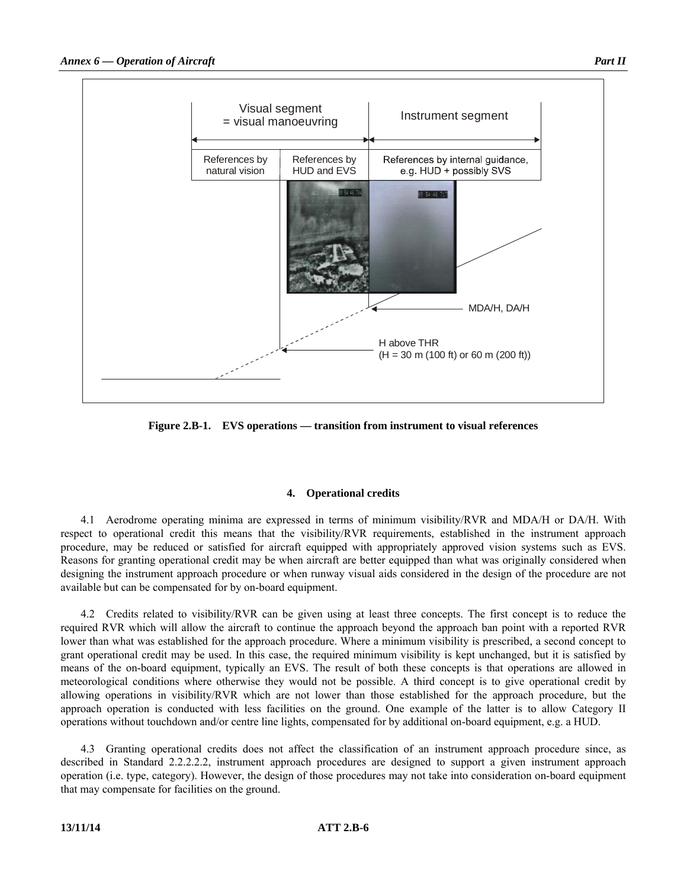

**Figure 2.B-1. EVS operations — transition from instrument to visual references** 

#### **4. Operational credits**

 4.1 Aerodrome operating minima are expressed in terms of minimum visibility/RVR and MDA/H or DA/H. With respect to operational credit this means that the visibility/RVR requirements, established in the instrument approach procedure, may be reduced or satisfied for aircraft equipped with appropriately approved vision systems such as EVS. Reasons for granting operational credit may be when aircraft are better equipped than what was originally considered when designing the instrument approach procedure or when runway visual aids considered in the design of the procedure are not available but can be compensated for by on-board equipment.

 4.2 Credits related to visibility/RVR can be given using at least three concepts. The first concept is to reduce the required RVR which will allow the aircraft to continue the approach beyond the approach ban point with a reported RVR lower than what was established for the approach procedure. Where a minimum visibility is prescribed, a second concept to grant operational credit may be used. In this case, the required minimum visibility is kept unchanged, but it is satisfied by means of the on-board equipment, typically an EVS. The result of both these concepts is that operations are allowed in meteorological conditions where otherwise they would not be possible. A third concept is to give operational credit by allowing operations in visibility/RVR which are not lower than those established for the approach procedure, but the approach operation is conducted with less facilities on the ground. One example of the latter is to allow Category II operations without touchdown and/or centre line lights, compensated for by additional on-board equipment, e.g. a HUD.

 4.3 Granting operational credits does not affect the classification of an instrument approach procedure since, as described in Standard 2.2.2.2.2, instrument approach procedures are designed to support a given instrument approach operation (i.e. type, category). However, the design of those procedures may not take into consideration on-board equipment that may compensate for facilities on the ground.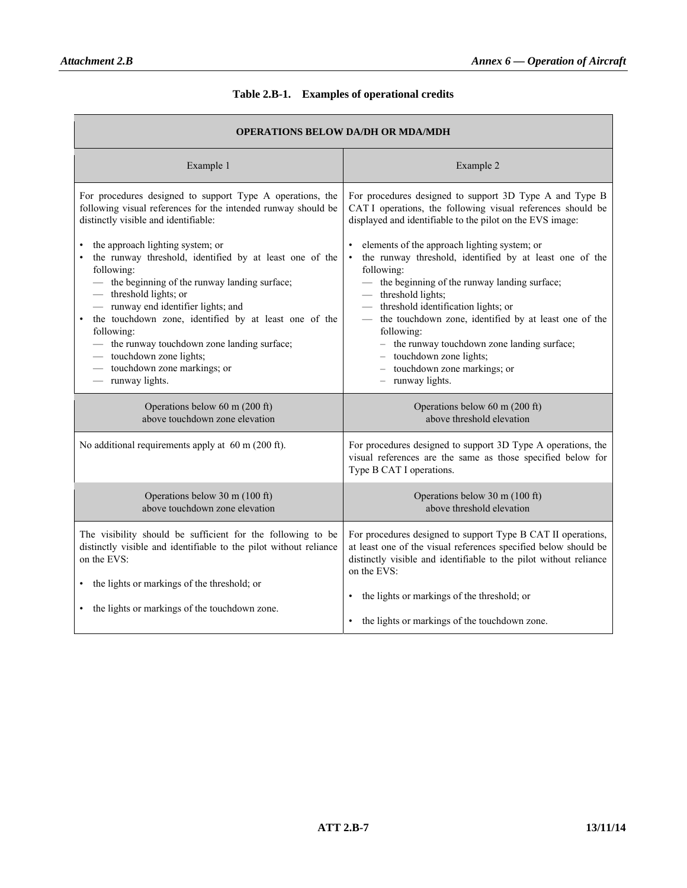|  | Table 2.B-1. Examples of operational credits |  |
|--|----------------------------------------------|--|
|--|----------------------------------------------|--|

| <b>OPERATIONS BELOW DA/DH OR MDA/MDH</b>                          |                                                                                                                                                         |  |  |  |
|-------------------------------------------------------------------|---------------------------------------------------------------------------------------------------------------------------------------------------------|--|--|--|
| Example 1                                                         | Example 2                                                                                                                                               |  |  |  |
| For procedures designed to support Type A operations, the         | For procedures designed to support 3D Type A and Type B                                                                                                 |  |  |  |
| following visual references for the intended runway should be     | CAT I operations, the following visual references should be                                                                                             |  |  |  |
| distinctly visible and identifiable:                              | displayed and identifiable to the pilot on the EVS image:                                                                                               |  |  |  |
| the approach lighting system; or                                  | elements of the approach lighting system; or                                                                                                            |  |  |  |
| the runway threshold, identified by at least one of the           | the runway threshold, identified by at least one of the                                                                                                 |  |  |  |
| following:                                                        | following:                                                                                                                                              |  |  |  |
| - the beginning of the runway landing surface;                    | - the beginning of the runway landing surface;                                                                                                          |  |  |  |
| - threshold lights; or                                            | threshold lights;                                                                                                                                       |  |  |  |
| - runway end identifier lights; and                               | threshold identification lights; or                                                                                                                     |  |  |  |
| the touchdown zone, identified by at least one of the             | the touchdown zone, identified by at least one of the                                                                                                   |  |  |  |
| following:                                                        | following:                                                                                                                                              |  |  |  |
| - the runway touchdown zone landing surface;                      | - the runway touchdown zone landing surface;                                                                                                            |  |  |  |
| - touchdown zone lights;                                          | $-$ touchdown zone lights;                                                                                                                              |  |  |  |
| touchdown zone markings; or                                       | - touchdown zone markings; or                                                                                                                           |  |  |  |
| - runway lights.                                                  | - runway lights.                                                                                                                                        |  |  |  |
| Operations below 60 m (200 ft)                                    | Operations below 60 m (200 ft)                                                                                                                          |  |  |  |
| above touchdown zone elevation                                    | above threshold elevation                                                                                                                               |  |  |  |
| No additional requirements apply at 60 m (200 ft).                | For procedures designed to support 3D Type A operations, the<br>visual references are the same as those specified below for<br>Type B CAT I operations. |  |  |  |
| Operations below 30 m (100 ft)                                    | Operations below 30 m (100 ft)                                                                                                                          |  |  |  |
| above touchdown zone elevation                                    | above threshold elevation                                                                                                                               |  |  |  |
| The visibility should be sufficient for the following to be       | For procedures designed to support Type B CAT II operations,                                                                                            |  |  |  |
| distinctly visible and identifiable to the pilot without reliance | at least one of the visual references specified below should be                                                                                         |  |  |  |
| on the EVS:                                                       | distinctly visible and identifiable to the pilot without reliance                                                                                       |  |  |  |
| the lights or markings of the threshold; or                       | on the EVS:                                                                                                                                             |  |  |  |
| ٠                                                                 | the lights or markings of the threshold; or                                                                                                             |  |  |  |
| the lights or markings of the touchdown zone.                     | the lights or markings of the touchdown zone.                                                                                                           |  |  |  |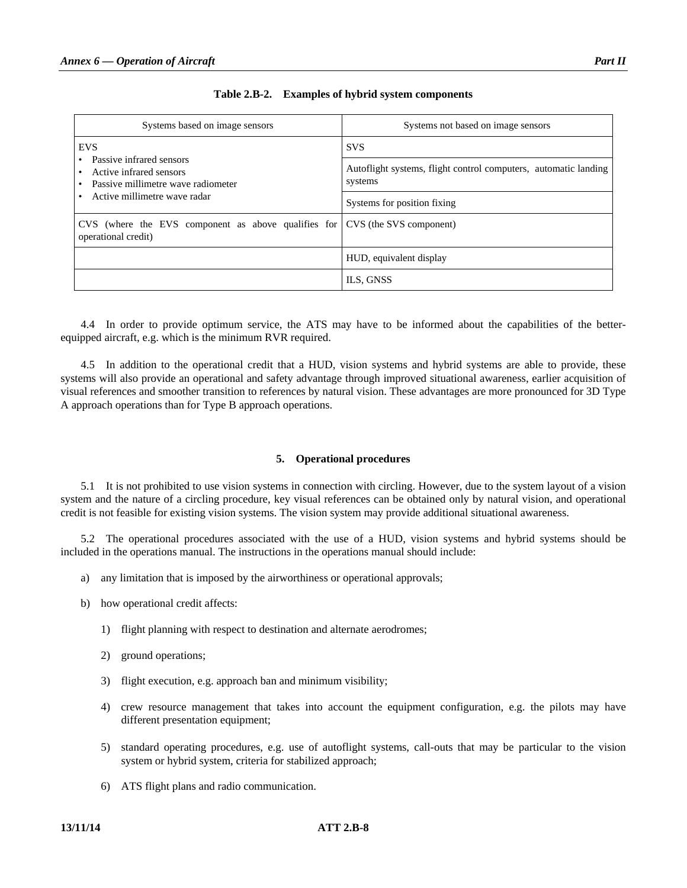| Systems based on image sensors                                                            | Systems not based on image sensors                                         |  |
|-------------------------------------------------------------------------------------------|----------------------------------------------------------------------------|--|
| <b>EVS</b>                                                                                | <b>SVS</b>                                                                 |  |
| Passive infrared sensors<br>Active infrared sensors<br>Passive millimetre wave radiometer | Autoflight systems, flight control computers, automatic landing<br>systems |  |
| Active millimetre wave radar                                                              | Systems for position fixing                                                |  |
| CVS (where the EVS component as above qualifies for<br>operational credit)                | CVS (the SVS component)                                                    |  |
|                                                                                           | HUD, equivalent display                                                    |  |
|                                                                                           | ILS, GNSS                                                                  |  |

| Table 2.B-2. Examples of hybrid system components |  |  |
|---------------------------------------------------|--|--|
|                                                   |  |  |

 4.4 In order to provide optimum service, the ATS may have to be informed about the capabilities of the betterequipped aircraft, e.g. which is the minimum RVR required.

 4.5 In addition to the operational credit that a HUD, vision systems and hybrid systems are able to provide, these systems will also provide an operational and safety advantage through improved situational awareness, earlier acquisition of visual references and smoother transition to references by natural vision. These advantages are more pronounced for 3D Type A approach operations than for Type B approach operations.

#### **5. Operational procedures**

 5.1 It is not prohibited to use vision systems in connection with circling. However, due to the system layout of a vision system and the nature of a circling procedure, key visual references can be obtained only by natural vision, and operational credit is not feasible for existing vision systems. The vision system may provide additional situational awareness.

 5.2 The operational procedures associated with the use of a HUD, vision systems and hybrid systems should be included in the operations manual. The instructions in the operations manual should include:

- a) any limitation that is imposed by the airworthiness or operational approvals;
- b) how operational credit affects:
	- 1) flight planning with respect to destination and alternate aerodromes;
	- 2) ground operations;
	- 3) flight execution, e.g. approach ban and minimum visibility;
	- 4) crew resource management that takes into account the equipment configuration, e.g. the pilots may have different presentation equipment;
	- 5) standard operating procedures, e.g. use of autoflight systems, call-outs that may be particular to the vision system or hybrid system, criteria for stabilized approach;
	- 6) ATS flight plans and radio communication.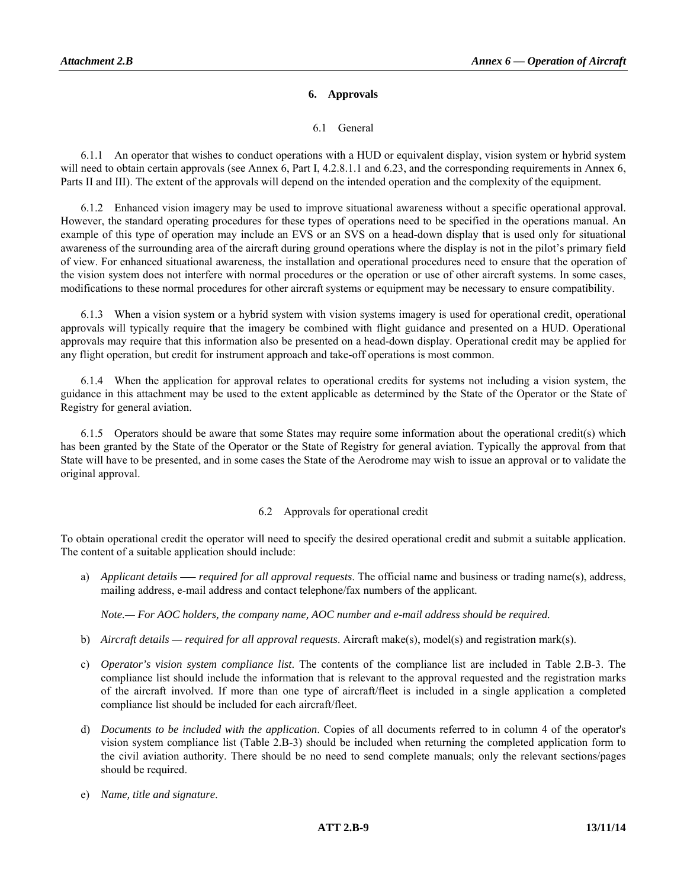# **6. Approvals**

# 6.1 General

 6.1.1 An operator that wishes to conduct operations with a HUD or equivalent display, vision system or hybrid system will need to obtain certain approvals (see Annex 6, Part I, 4.2.8.1.1 and 6.23, and the corresponding requirements in Annex 6, Parts II and III). The extent of the approvals will depend on the intended operation and the complexity of the equipment.

 6.1.2 Enhanced vision imagery may be used to improve situational awareness without a specific operational approval. However, the standard operating procedures for these types of operations need to be specified in the operations manual. An example of this type of operation may include an EVS or an SVS on a head-down display that is used only for situational awareness of the surrounding area of the aircraft during ground operations where the display is not in the pilot's primary field of view. For enhanced situational awareness, the installation and operational procedures need to ensure that the operation of the vision system does not interfere with normal procedures or the operation or use of other aircraft systems. In some cases, modifications to these normal procedures for other aircraft systems or equipment may be necessary to ensure compatibility.

 6.1.3 When a vision system or a hybrid system with vision systems imagery is used for operational credit, operational approvals will typically require that the imagery be combined with flight guidance and presented on a HUD. Operational approvals may require that this information also be presented on a head-down display. Operational credit may be applied for any flight operation, but credit for instrument approach and take-off operations is most common.

 6.1.4 When the application for approval relates to operational credits for systems not including a vision system, the guidance in this attachment may be used to the extent applicable as determined by the State of the Operator or the State of Registry for general aviation.

 6.1.5 Operators should be aware that some States may require some information about the operational credit(s) which has been granted by the State of the Operator or the State of Registry for general aviation. Typically the approval from that State will have to be presented, and in some cases the State of the Aerodrome may wish to issue an approval or to validate the original approval.

# 6.2 Approvals for operational credit

To obtain operational credit the operator will need to specify the desired operational credit and submit a suitable application. The content of a suitable application should include:

 a) *Applicant details —– required for all approval requests*. The official name and business or trading name(s), address, mailing address, e-mail address and contact telephone/fax numbers of the applicant.

 *Note.— For AOC holders, the company name, AOC number and e-mail address should be required.* 

- b) *Aircraft details required for all approval requests*. Aircraft make(s), model(s) and registration mark(s).
- c) *Operator's vision system compliance list*. The contents of the compliance list are included in Table 2.B-3. The compliance list should include the information that is relevant to the approval requested and the registration marks of the aircraft involved. If more than one type of aircraft/fleet is included in a single application a completed compliance list should be included for each aircraft/fleet.
- d) *Documents to be included with the application*. Copies of all documents referred to in column 4 of the operator's vision system compliance list (Table 2.B-3) should be included when returning the completed application form to the civil aviation authority. There should be no need to send complete manuals; only the relevant sections/pages should be required.
- e) *Name, title and signature*.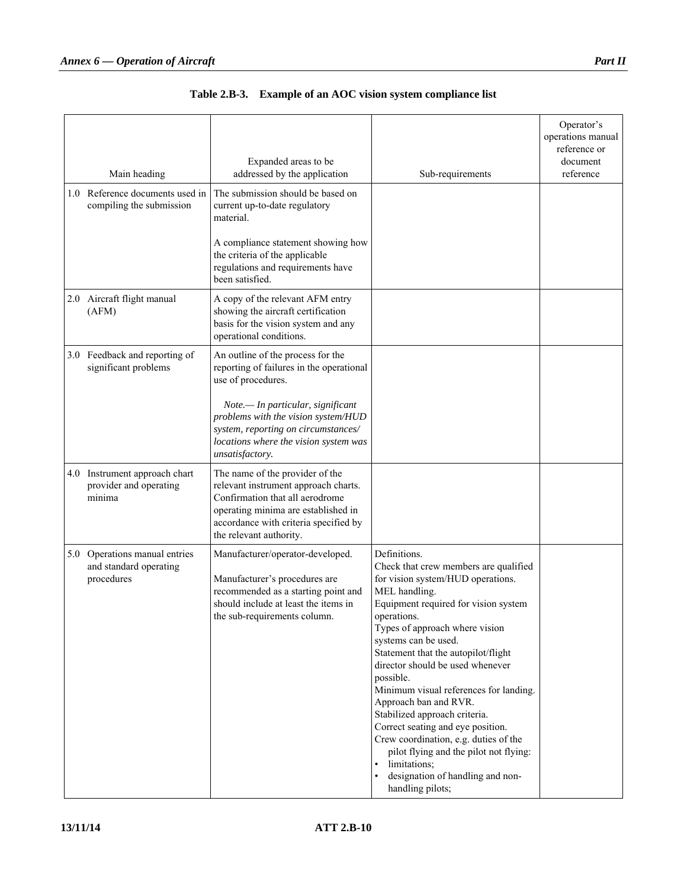|     | Main heading                                                      | Expanded areas to be<br>addressed by the application                                                                                                                                                                                                                               | Sub-requirements                                                                                                                                                                                                                                                                                                                                                                                                         | Operator's<br>operations manual<br>reference or<br>document<br>reference |
|-----|-------------------------------------------------------------------|------------------------------------------------------------------------------------------------------------------------------------------------------------------------------------------------------------------------------------------------------------------------------------|--------------------------------------------------------------------------------------------------------------------------------------------------------------------------------------------------------------------------------------------------------------------------------------------------------------------------------------------------------------------------------------------------------------------------|--------------------------------------------------------------------------|
|     | 1.0 Reference documents used in<br>compiling the submission       | The submission should be based on<br>current up-to-date regulatory<br>material.<br>A compliance statement showing how<br>the criteria of the applicable<br>regulations and requirements have<br>been satisfied.                                                                    |                                                                                                                                                                                                                                                                                                                                                                                                                          |                                                                          |
|     | 2.0 Aircraft flight manual<br>(AFM)                               | A copy of the relevant AFM entry<br>showing the aircraft certification<br>basis for the vision system and any<br>operational conditions.                                                                                                                                           |                                                                                                                                                                                                                                                                                                                                                                                                                          |                                                                          |
|     | 3.0 Feedback and reporting of<br>significant problems             | An outline of the process for the<br>reporting of failures in the operational<br>use of procedures.<br>Note.— In particular, significant<br>problems with the vision system/HUD<br>system, reporting on circumstances/<br>locations where the vision system was<br>unsatisfactory. |                                                                                                                                                                                                                                                                                                                                                                                                                          |                                                                          |
|     | 4.0 Instrument approach chart<br>provider and operating<br>minima | The name of the provider of the<br>relevant instrument approach charts.<br>Confirmation that all aerodrome<br>operating minima are established in<br>accordance with criteria specified by<br>the relevant authority.                                                              |                                                                                                                                                                                                                                                                                                                                                                                                                          |                                                                          |
| 5.0 | Operations manual entries<br>and standard operating<br>procedures | Manufacturer/operator-developed.<br>Manufacturer's procedures are<br>recommended as a starting point and<br>should include at least the items in<br>the sub-requirements column.                                                                                                   | Definitions.<br>Check that crew members are qualified<br>for vision system/HUD operations.<br>MEL handling.<br>Equipment required for vision system<br>operations.<br>Types of approach where vision<br>systems can be used.<br>Statement that the autopilot/flight<br>director should be used whenever<br>possible.<br>Minimum visual references for landing.<br>Approach ban and RVR.<br>Stabilized approach criteria. |                                                                          |

| Table 2.B-3. Example of an AOC vision system compliance list |  |  |
|--------------------------------------------------------------|--|--|
|                                                              |  |  |

Correct seating and eye position. Crew coordination, e.g. duties of the pilot flying and the pilot not flying:

• designation of handling and non-

• limitations;

handling pilots;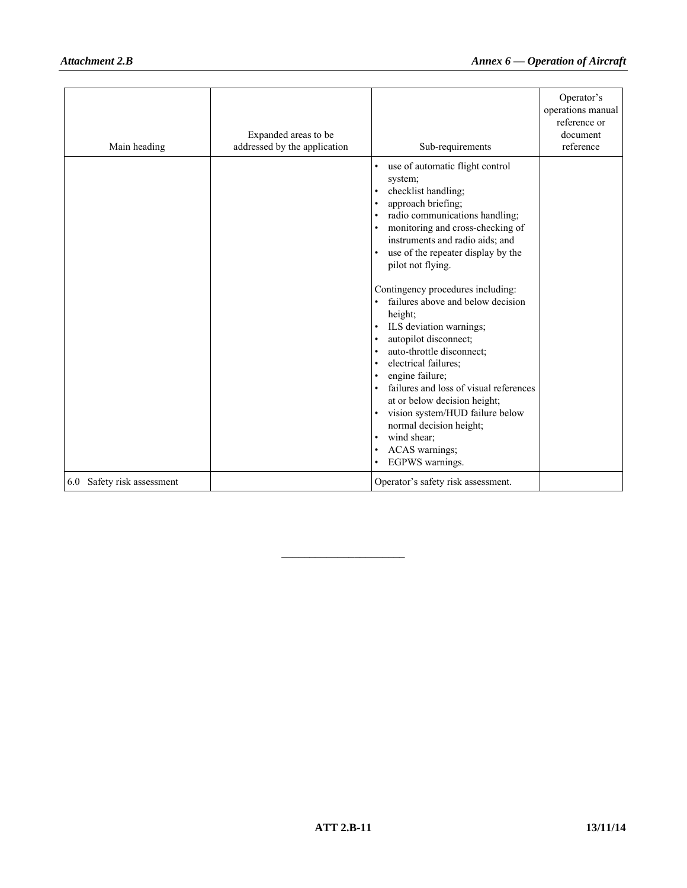| Main heading               | Expanded areas to be<br>addressed by the application | Sub-requirements                                                                                                                                                                                                                                                                                                                                                                                                                                                                                                                                                                                                                                                         | Operator's<br>operations manual<br>reference or<br>document<br>reference |
|----------------------------|------------------------------------------------------|--------------------------------------------------------------------------------------------------------------------------------------------------------------------------------------------------------------------------------------------------------------------------------------------------------------------------------------------------------------------------------------------------------------------------------------------------------------------------------------------------------------------------------------------------------------------------------------------------------------------------------------------------------------------------|--------------------------------------------------------------------------|
|                            |                                                      | use of automatic flight control<br>system;<br>checklist handling;<br>approach briefing;<br>radio communications handling;<br>monitoring and cross-checking of<br>instruments and radio aids; and<br>use of the repeater display by the<br>pilot not flying.<br>Contingency procedures including:<br>failures above and below decision<br>height;<br>ILS deviation warnings;<br>autopilot disconnect;<br>auto-throttle disconnect;<br>electrical failures;<br>engine failure;<br>failures and loss of visual references<br>at or below decision height;<br>vision system/HUD failure below<br>normal decision height;<br>wind shear;<br>ACAS warnings;<br>EGPWS warnings. |                                                                          |
| 6.0 Safety risk assessment |                                                      | Operator's safety risk assessment.                                                                                                                                                                                                                                                                                                                                                                                                                                                                                                                                                                                                                                       |                                                                          |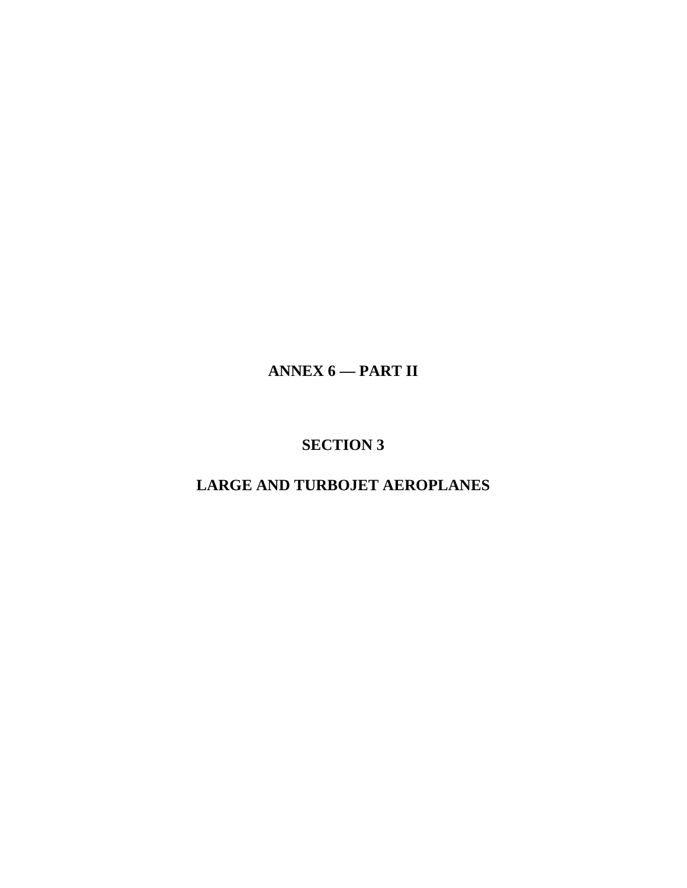**ANNEX 6 — PART II** 

# **SECTION 3**

# **LARGE AND TURBOJET AEROPLANES**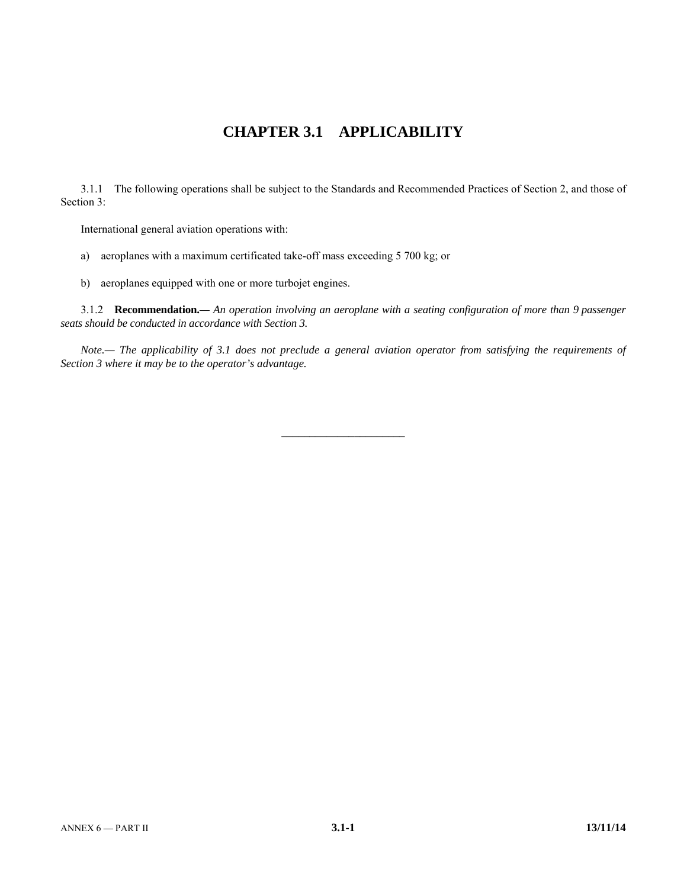# **CHAPTER 3.1 APPLICABILITY**

 3.1.1 The following operations shall be subject to the Standards and Recommended Practices of Section 2, and those of Section 3:

International general aviation operations with:

- a) aeroplanes with a maximum certificated take-off mass exceeding 5 700 kg; or
- b) aeroplanes equipped with one or more turbojet engines.

 3.1.2 **Recommendation.***— An operation involving an aeroplane with a seating configuration of more than 9 passenger seats should be conducted in accordance with Section 3.* 

 *Note.— The applicability of 3.1 does not preclude a general aviation operator from satisfying the requirements of Section 3 where it may be to the operator's advantage.*

 $\mathcal{L}=\{1,2,3,4,5\}$ 

ANNEX 6 — PART II **3.1-1 3.1-1 13/11/14**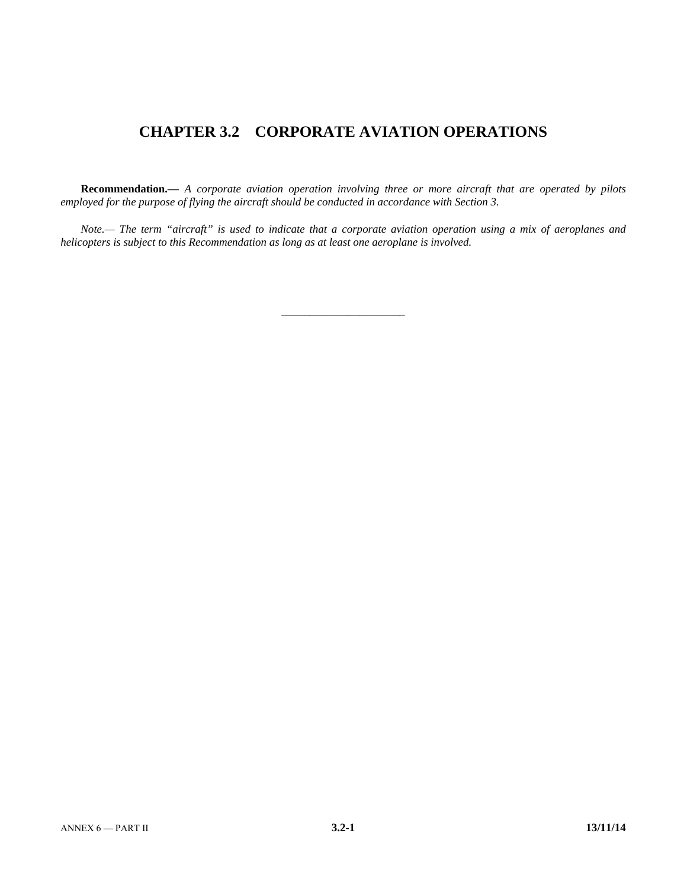# **CHAPTER 3.2 CORPORATE AVIATION OPERATIONS**

 **Recommendation.***— A corporate aviation operation involving three or more aircraft that are operated by pilots employed for the purpose of flying the aircraft should be conducted in accordance with Section 3.* 

 *Note.— The term "aircraft" is used to indicate that a corporate aviation operation using a mix of aeroplanes and helicopters is subject to this Recommendation as long as at least one aeroplane is involved.*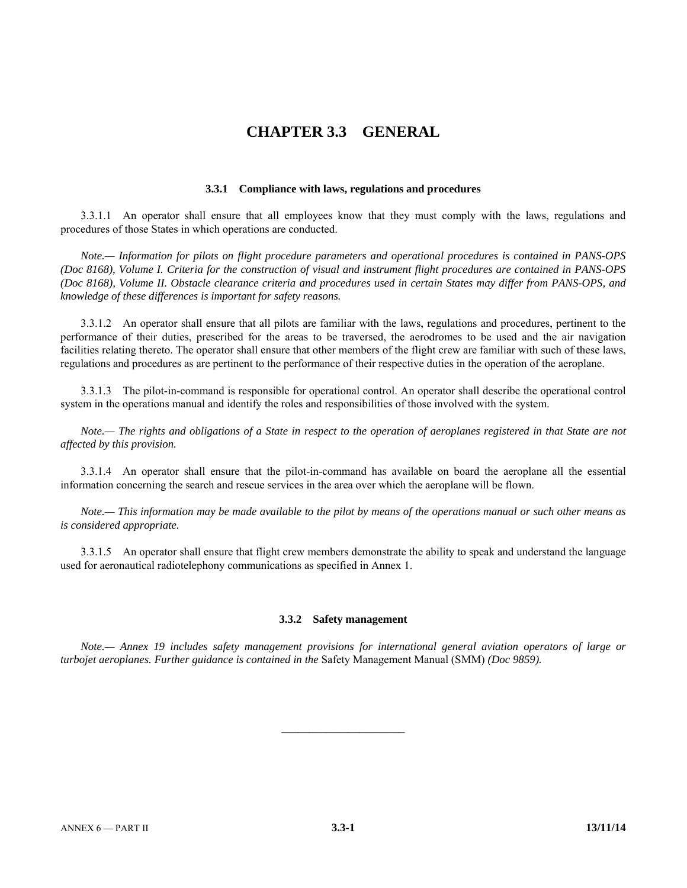# **CHAPTER 3.3 GENERAL**

### **3.3.1 Compliance with laws, regulations and procedures**

 3.3.1.1 An operator shall ensure that all employees know that they must comply with the laws, regulations and procedures of those States in which operations are conducted.

 *Note.— Information for pilots on flight procedure parameters and operational procedures is contained in PANS-OPS (Doc 8168), Volume I. Criteria for the construction of visual and instrument flight procedures are contained in PANS-OPS (Doc 8168), Volume II. Obstacle clearance criteria and procedures used in certain States may differ from PANS-OPS, and knowledge of these differences is important for safety reasons.* 

 3.3.1.2 An operator shall ensure that all pilots are familiar with the laws, regulations and procedures, pertinent to the performance of their duties, prescribed for the areas to be traversed, the aerodromes to be used and the air navigation facilities relating thereto. The operator shall ensure that other members of the flight crew are familiar with such of these laws, regulations and procedures as are pertinent to the performance of their respective duties in the operation of the aeroplane.

 3.3.1.3 The pilot-in-command is responsible for operational control. An operator shall describe the operational control system in the operations manual and identify the roles and responsibilities of those involved with the system.

*Note.— The rights and obligations of a State in respect to the operation of aeroplanes registered in that State are not affected by this provision.* 

 3.3.1.4 An operator shall ensure that the pilot-in-command has available on board the aeroplane all the essential information concerning the search and rescue services in the area over which the aeroplane will be flown.

*Note.— This information may be made available to the pilot by means of the operations manual or such other means as is considered appropriate.* 

 3.3.1.5 An operator shall ensure that flight crew members demonstrate the ability to speak and understand the language used for aeronautical radiotelephony communications as specified in Annex 1.

#### **3.3.2 Safety management**

 *Note.— Annex 19 includes safety management provisions for international general aviation operators of large or turbojet aeroplanes. Further guidance is contained in the* Safety Management Manual (SMM) *(Doc 9859).* 

 $\mathcal{L}_\text{max}$  , where  $\mathcal{L}_\text{max}$  and  $\mathcal{L}_\text{max}$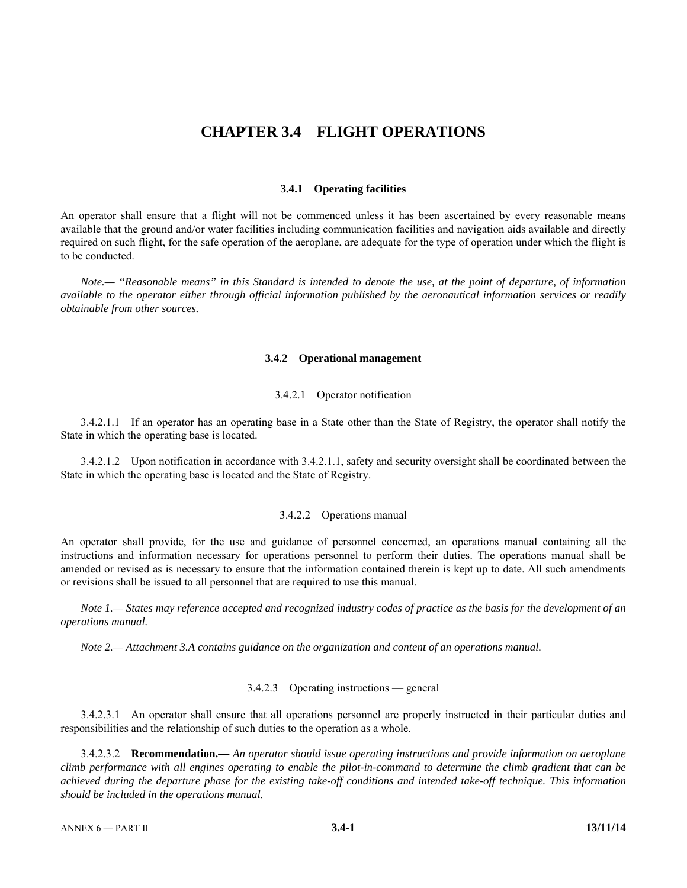# **CHAPTER 3.4 FLIGHT OPERATIONS**

#### **3.4.1 Operating facilities**

An operator shall ensure that a flight will not be commenced unless it has been ascertained by every reasonable means available that the ground and/or water facilities including communication facilities and navigation aids available and directly required on such flight, for the safe operation of the aeroplane, are adequate for the type of operation under which the flight is to be conducted.

*Note.— "Reasonable means" in this Standard is intended to denote the use, at the point of departure, of information available to the operator either through official information published by the aeronautical information services or readily obtainable from other sources.* 

#### **3.4.2 Operational management**

#### 3.4.2.1 Operator notification

 3.4.2.1.1 If an operator has an operating base in a State other than the State of Registry, the operator shall notify the State in which the operating base is located.

 3.4.2.1.2 Upon notification in accordance with 3.4.2.1.1, safety and security oversight shall be coordinated between the State in which the operating base is located and the State of Registry.

#### 3.4.2.2 Operations manual

An operator shall provide, for the use and guidance of personnel concerned, an operations manual containing all the instructions and information necessary for operations personnel to perform their duties. The operations manual shall be amended or revised as is necessary to ensure that the information contained therein is kept up to date. All such amendments or revisions shall be issued to all personnel that are required to use this manual.

 *Note 1.— States may reference accepted and recognized industry codes of practice as the basis for the development of an operations manual.* 

 *Note 2.— Attachment 3.A contains guidance on the organization and content of an operations manual.* 

#### 3.4.2.3 Operating instructions — general

 3.4.2.3.1 An operator shall ensure that all operations personnel are properly instructed in their particular duties and responsibilities and the relationship of such duties to the operation as a whole.

 3.4.2.3.2 **Recommendation.—** *An operator should issue operating instructions and provide information on aeroplane climb performance with all engines operating to enable the pilot-in-command to determine the climb gradient that can be achieved during the departure phase for the existing take-off conditions and intended take-off technique. This information should be included in the operations manual.*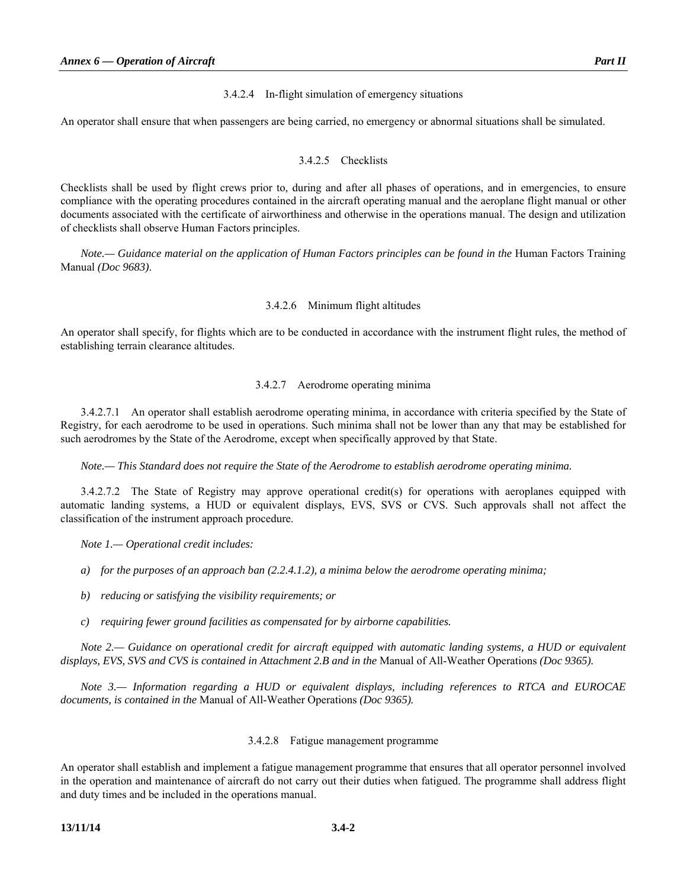An operator shall ensure that when passengers are being carried, no emergency or abnormal situations shall be simulated.

### 3.4.2.5 Checklists

Checklists shall be used by flight crews prior to, during and after all phases of operations, and in emergencies, to ensure compliance with the operating procedures contained in the aircraft operating manual and the aeroplane flight manual or other documents associated with the certificate of airworthiness and otherwise in the operations manual. The design and utilization of checklists shall observe Human Factors principles.

*Note.— Guidance material on the application of Human Factors principles can be found in the Human Factors Training* Manual *(Doc 9683)*.

#### 3.4.2.6 Minimum flight altitudes

An operator shall specify, for flights which are to be conducted in accordance with the instrument flight rules, the method of establishing terrain clearance altitudes.

#### 3.4.2.7 Aerodrome operating minima

 3.4.2.7.1 An operator shall establish aerodrome operating minima, in accordance with criteria specified by the State of Registry, for each aerodrome to be used in operations. Such minima shall not be lower than any that may be established for such aerodromes by the State of the Aerodrome, except when specifically approved by that State.

*Note.— This Standard does not require the State of the Aerodrome to establish aerodrome operating minima.* 

 3.4.2.7.2 The State of Registry may approve operational credit(s) for operations with aeroplanes equipped with automatic landing systems, a HUD or equivalent displays, EVS, SVS or CVS. Such approvals shall not affect the classification of the instrument approach procedure.

*Note 1.— Operational credit includes:* 

- *a) for the purposes of an approach ban (2.2.4.1.2), a minima below the aerodrome operating minima;*
- *b) reducing or satisfying the visibility requirements; or*
- *c) requiring fewer ground facilities as compensated for by airborne capabilities.*

*Note 2.*— Guidance on operational credit for aircraft equipped with automatic landing systems, a HUD or equivalent *displays, EVS, SVS and CVS is contained in Attachment 2.B and in the* Manual of All-Weather Operations *(Doc 9365).* 

 *Note 3.— Information regarding a HUD or equivalent displays, including references to RTCA and EUROCAE documents, is contained in the* Manual of All-Weather Operations *(Doc 9365).* 

#### 3.4.2.8 Fatigue management programme

An operator shall establish and implement a fatigue management programme that ensures that all operator personnel involved in the operation and maintenance of aircraft do not carry out their duties when fatigued. The programme shall address flight and duty times and be included in the operations manual.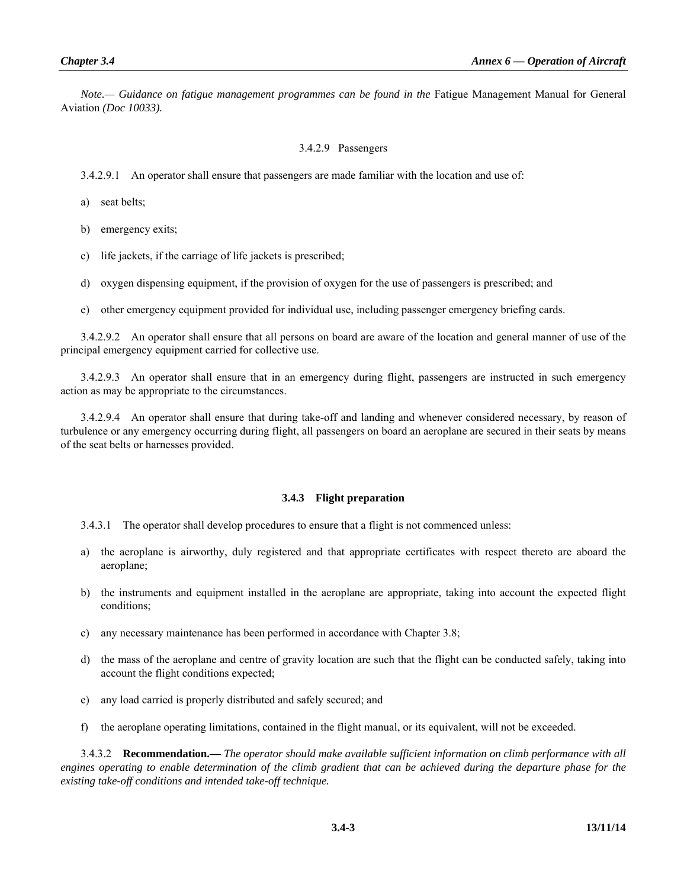*Note.— Guidance on fatigue management programmes can be found in the Fatigue Management Manual for General* Aviation *(Doc 10033).*

### 3.4.2.9 Passengers

3.4.2.9.1 An operator shall ensure that passengers are made familiar with the location and use of:

a) seat belts;

- b) emergency exits;
- c) life jackets, if the carriage of life jackets is prescribed;
- d) oxygen dispensing equipment, if the provision of oxygen for the use of passengers is prescribed; and
- e) other emergency equipment provided for individual use, including passenger emergency briefing cards.

 3.4.2.9.2 An operator shall ensure that all persons on board are aware of the location and general manner of use of the principal emergency equipment carried for collective use.

 3.4.2.9.3 An operator shall ensure that in an emergency during flight, passengers are instructed in such emergency action as may be appropriate to the circumstances.

 3.4.2.9.4 An operator shall ensure that during take-off and landing and whenever considered necessary, by reason of turbulence or any emergency occurring during flight, all passengers on board an aeroplane are secured in their seats by means of the seat belts or harnesses provided.

### **3.4.3 Flight preparation**

3.4.3.1 The operator shall develop procedures to ensure that a flight is not commenced unless:

- a) the aeroplane is airworthy, duly registered and that appropriate certificates with respect thereto are aboard the aeroplane;
- b) the instruments and equipment installed in the aeroplane are appropriate, taking into account the expected flight conditions;
- c) any necessary maintenance has been performed in accordance with Chapter 3.8;
- d) the mass of the aeroplane and centre of gravity location are such that the flight can be conducted safely, taking into account the flight conditions expected;
- e) any load carried is properly distributed and safely secured; and
- f) the aeroplane operating limitations, contained in the flight manual, or its equivalent, will not be exceeded.

 3.4.3.2**Recommendation.—** *The operator should make available sufficient information on climb performance with all engines operating to enable determination of the climb gradient that can be achieved during the departure phase for the existing take-off conditions and intended take-off technique.*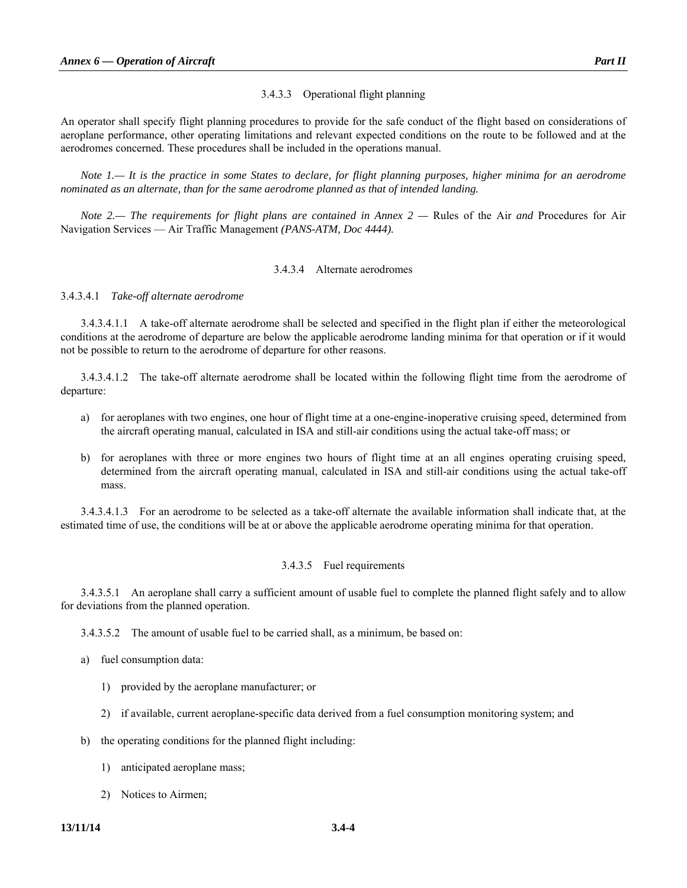### 3.4.3.3 Operational flight planning

An operator shall specify flight planning procedures to provide for the safe conduct of the flight based on considerations of aeroplane performance, other operating limitations and relevant expected conditions on the route to be followed and at the aerodromes concerned. These procedures shall be included in the operations manual.

 *Note 1.— It is the practice in some States to declare, for flight planning purposes, higher minima for an aerodrome nominated as an alternate, than for the same aerodrome planned as that of intended landing.* 

*Note 2.— The requirements for flight plans are contained in Annex 2 — Rules of the Air and Procedures for Air* Navigation Services — Air Traffic Management *(PANS-ATM, Doc 4444).*

### 3.4.3.4 Alternate aerodromes

#### 3.4.3.4.1 *Take-off alternate aerodrome*

 3.4.3.4.1.1 A take-off alternate aerodrome shall be selected and specified in the flight plan if either the meteorological conditions at the aerodrome of departure are below the applicable aerodrome landing minima for that operation or if it would not be possible to return to the aerodrome of departure for other reasons.

 3.4.3.4.1.2 The take-off alternate aerodrome shall be located within the following flight time from the aerodrome of departure:

- a) for aeroplanes with two engines, one hour of flight time at a one-engine-inoperative cruising speed, determined from the aircraft operating manual, calculated in ISA and still-air conditions using the actual take-off mass; or
- b) for aeroplanes with three or more engines two hours of flight time at an all engines operating cruising speed, determined from the aircraft operating manual, calculated in ISA and still-air conditions using the actual take-off mass.

 3.4.3.4.1.3 For an aerodrome to be selected as a take-off alternate the available information shall indicate that, at the estimated time of use, the conditions will be at or above the applicable aerodrome operating minima for that operation.

# 3.4.3.5 Fuel requirements

 3.4.3.5.1 An aeroplane shall carry a sufficient amount of usable fuel to complete the planned flight safely and to allow for deviations from the planned operation.

3.4.3.5.2 The amount of usable fuel to be carried shall, as a minimum, be based on:

- a) fuel consumption data:
	- 1) provided by the aeroplane manufacturer; or
	- 2) if available, current aeroplane-specific data derived from a fuel consumption monitoring system; and
- b) the operating conditions for the planned flight including:
	- 1) anticipated aeroplane mass;
	- 2) Notices to Airmen;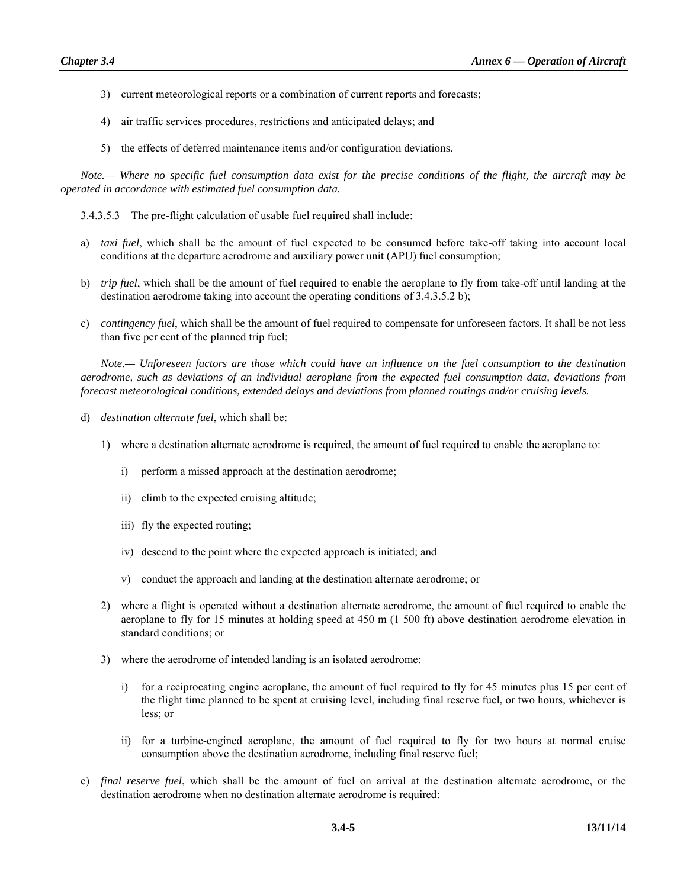- 3) current meteorological reports or a combination of current reports and forecasts;
- 4) air traffic services procedures, restrictions and anticipated delays; and
- 5) the effects of deferred maintenance items and/or configuration deviations.

*Note.— Where no specific fuel consumption data exist for the precise conditions of the flight, the aircraft may be operated in accordance with estimated fuel consumption data.* 

3.4.3.5.3 The pre-flight calculation of usable fuel required shall include:

- a) *taxi fuel*, which shall be the amount of fuel expected to be consumed before take-off taking into account local conditions at the departure aerodrome and auxiliary power unit (APU) fuel consumption;
- b) *trip fuel*, which shall be the amount of fuel required to enable the aeroplane to fly from take-off until landing at the destination aerodrome taking into account the operating conditions of 3.4.3.5.2 b);
- c) *contingency fuel*, which shall be the amount of fuel required to compensate for unforeseen factors. It shall be not less than five per cent of the planned trip fuel;

*Note.— Unforeseen factors are those which could have an influence on the fuel consumption to the destination aerodrome, such as deviations of an individual aeroplane from the expected fuel consumption data, deviations from forecast meteorological conditions, extended delays and deviations from planned routings and/or cruising levels.* 

- d) *destination alternate fuel*, which shall be:
	- 1) where a destination alternate aerodrome is required, the amount of fuel required to enable the aeroplane to:
		- i) perform a missed approach at the destination aerodrome;
		- ii) climb to the expected cruising altitude;
		- iii) fly the expected routing;
		- iv) descend to the point where the expected approach is initiated; and
		- v) conduct the approach and landing at the destination alternate aerodrome; or
	- 2) where a flight is operated without a destination alternate aerodrome, the amount of fuel required to enable the aeroplane to fly for 15 minutes at holding speed at 450 m (1 500 ft) above destination aerodrome elevation in standard conditions; or
	- 3) where the aerodrome of intended landing is an isolated aerodrome:
		- i) for a reciprocating engine aeroplane, the amount of fuel required to fly for 45 minutes plus 15 per cent of the flight time planned to be spent at cruising level, including final reserve fuel, or two hours, whichever is less; or
		- ii) for a turbine-engined aeroplane, the amount of fuel required to fly for two hours at normal cruise consumption above the destination aerodrome, including final reserve fuel;
- e) *final reserve fuel*, which shall be the amount of fuel on arrival at the destination alternate aerodrome, or the destination aerodrome when no destination alternate aerodrome is required: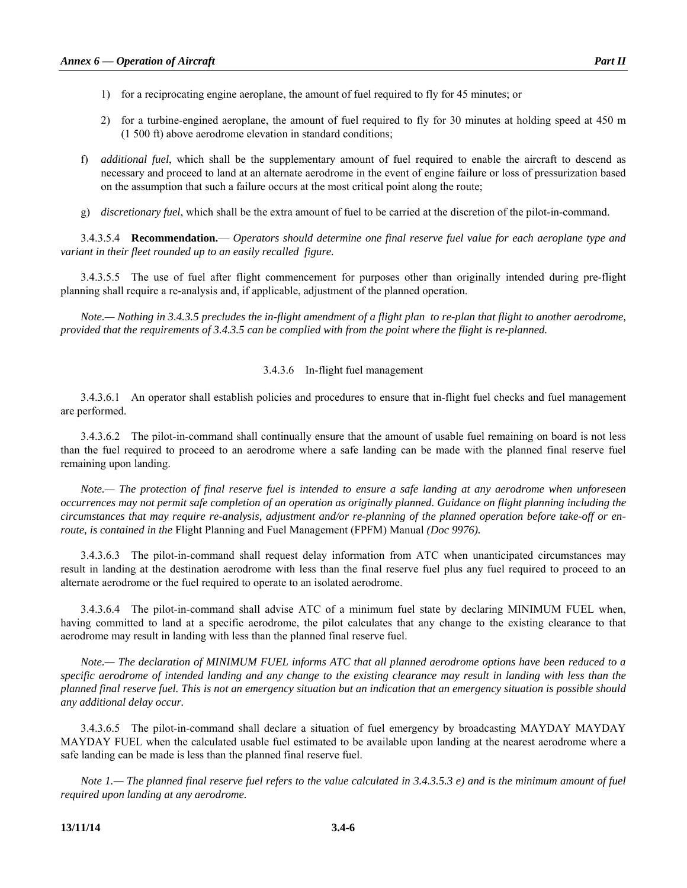- 1) for a reciprocating engine aeroplane, the amount of fuel required to fly for 45 minutes; or
- 2) for a turbine-engined aeroplane, the amount of fuel required to fly for 30 minutes at holding speed at 450 m (1 500 ft) above aerodrome elevation in standard conditions;
- f) *additional fuel*, which shall be the supplementary amount of fuel required to enable the aircraft to descend as necessary and proceed to land at an alternate aerodrome in the event of engine failure or loss of pressurization based on the assumption that such a failure occurs at the most critical point along the route;
- g) *discretionary fuel*, which shall be the extra amount of fuel to be carried at the discretion of the pilot-in-command.

 3.4.3.5.4 **Recommendation.**— *Operators should determine one final reserve fuel value for each aeroplane type and variant in their fleet rounded up to an easily recalled figure.* 

 3.4.3.5.5 The use of fuel after flight commencement for purposes other than originally intended during pre-flight planning shall require a re-analysis and, if applicable, adjustment of the planned operation.

*Note.— Nothing in 3.4.3.5 precludes the in-flight amendment of a flight plan to re-plan that flight to another aerodrome, provided that the requirements of 3.4.3.5 can be complied with from the point where the flight is re-planned.* 

# 3.4.3.6 In-flight fuel management

 3.4.3.6.1 An operator shall establish policies and procedures to ensure that in-flight fuel checks and fuel management are performed.

 3.4.3.6.2 The pilot-in-command shall continually ensure that the amount of usable fuel remaining on board is not less than the fuel required to proceed to an aerodrome where a safe landing can be made with the planned final reserve fuel remaining upon landing.

*Note.— The protection of final reserve fuel is intended to ensure a safe landing at any aerodrome when unforeseen occurrences may not permit safe completion of an operation as originally planned. Guidance on flight planning including the circumstances that may require re-analysis, adjustment and/or re-planning of the planned operation before take-off or enroute, is contained in the* Flight Planning and Fuel Management (FPFM) Manual *(Doc 9976).*

 3.4.3.6.3 The pilot-in-command shall request delay information from ATC when unanticipated circumstances may result in landing at the destination aerodrome with less than the final reserve fuel plus any fuel required to proceed to an alternate aerodrome or the fuel required to operate to an isolated aerodrome.

 3.4.3.6.4 The pilot-in-command shall advise ATC of a minimum fuel state by declaring MINIMUM FUEL when, having committed to land at a specific aerodrome, the pilot calculates that any change to the existing clearance to that aerodrome may result in landing with less than the planned final reserve fuel.

*Note.— The declaration of MINIMUM FUEL informs ATC that all planned aerodrome options have been reduced to a specific aerodrome of intended landing and any change to the existing clearance may result in landing with less than the planned final reserve fuel. This is not an emergency situation but an indication that an emergency situation is possible should any additional delay occur.* 

 3.4.3.6.5 The pilot-in-command shall declare a situation of fuel emergency by broadcasting MAYDAY MAYDAY MAYDAY FUEL when the calculated usable fuel estimated to be available upon landing at the nearest aerodrome where a safe landing can be made is less than the planned final reserve fuel.

*Note 1.— The planned final reserve fuel refers to the value calculated in 3.4.3.5.3 e) and is the minimum amount of fuel required upon landing at any aerodrome.*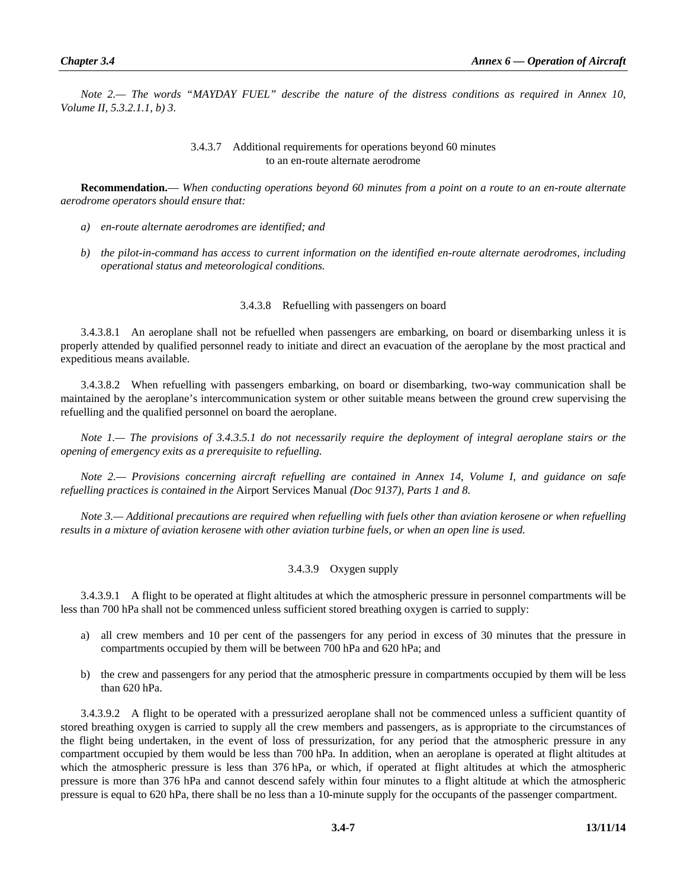*Note 2.— The words "MAYDAY FUEL" describe the nature of the distress conditions as required in Annex 10, Volume II, 5.3.2.1.1, b) 3.* 

### 3.4.3.7 Additional requirements for operations beyond 60 minutes to an en-route alternate aerodrome

 **Recommendation.**— *When conducting operations beyond 60 minutes from a point on a route to an en-route alternate aerodrome operators should ensure that:* 

- *a) en-route alternate aerodromes are identified; and*
- *b) the pilot-in-command has access to current information on the identified en-route alternate aerodromes, including operational status and meteorological conditions.*

#### 3.4.3.8 Refuelling with passengers on board

 3.4.3.8.1 An aeroplane shall not be refuelled when passengers are embarking, on board or disembarking unless it is properly attended by qualified personnel ready to initiate and direct an evacuation of the aeroplane by the most practical and expeditious means available.

 3.4.3.8.2 When refuelling with passengers embarking, on board or disembarking, two-way communication shall be maintained by the aeroplane's intercommunication system or other suitable means between the ground crew supervising the refuelling and the qualified personnel on board the aeroplane.

*Note 1.*— The provisions of 3.4.3.5.1 do not necessarily require the deployment of integral aeroplane stairs or the *opening of emergency exits as a prerequisite to refuelling.* 

*Note 2.— Provisions concerning aircraft refuelling are contained in Annex 14, Volume I, and guidance on safe refuelling practices is contained in the* Airport Services Manual *(Doc 9137), Parts 1 and 8.* 

*Note 3.— Additional precautions are required when refuelling with fuels other than aviation kerosene or when refuelling results in a mixture of aviation kerosene with other aviation turbine fuels, or when an open line is used.* 

### 3.4.3.9 Oxygen supply

 3.4.3.9.1 A flight to be operated at flight altitudes at which the atmospheric pressure in personnel compartments will be less than 700 hPa shall not be commenced unless sufficient stored breathing oxygen is carried to supply:

- a) all crew members and 10 per cent of the passengers for any period in excess of 30 minutes that the pressure in compartments occupied by them will be between 700 hPa and 620 hPa; and
- b) the crew and passengers for any period that the atmospheric pressure in compartments occupied by them will be less than 620 hPa.

 3.4.3.9.2 A flight to be operated with a pressurized aeroplane shall not be commenced unless a sufficient quantity of stored breathing oxygen is carried to supply all the crew members and passengers, as is appropriate to the circumstances of the flight being undertaken, in the event of loss of pressurization, for any period that the atmospheric pressure in any compartment occupied by them would be less than 700 hPa. In addition, when an aeroplane is operated at flight altitudes at which the atmospheric pressure is less than 376 hPa, or which, if operated at flight altitudes at which the atmospheric pressure is more than 376 hPa and cannot descend safely within four minutes to a flight altitude at which the atmospheric pressure is equal to 620 hPa, there shall be no less than a 10-minute supply for the occupants of the passenger compartment.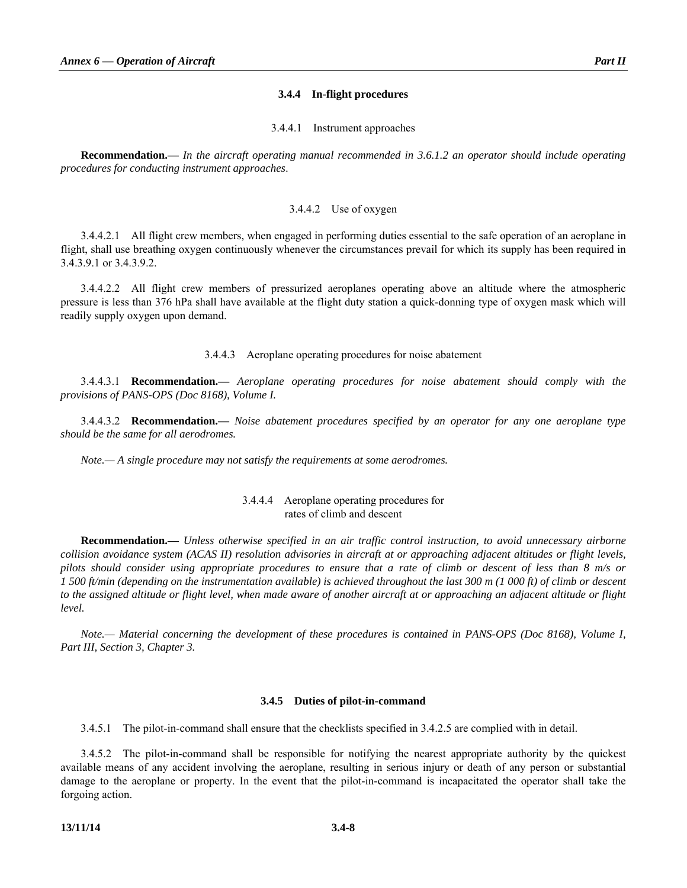#### **3.4.4 In-flight procedures**

#### 3.4.4.1 Instrument approaches

 **Recommendation.—** *In the aircraft operating manual recommended in 3.6.1.2 an operator should include operating procedures for conducting instrument approaches*.

#### 3.4.4.2 Use of oxygen

 3.4.4.2.1 All flight crew members, when engaged in performing duties essential to the safe operation of an aeroplane in flight, shall use breathing oxygen continuously whenever the circumstances prevail for which its supply has been required in 3.4.3.9.1 or 3.4.3.9.2.

 3.4.4.2.2 All flight crew members of pressurized aeroplanes operating above an altitude where the atmospheric pressure is less than 376 hPa shall have available at the flight duty station a quick-donning type of oxygen mask which will readily supply oxygen upon demand.

3.4.4.3 Aeroplane operating procedures for noise abatement

 3.4.4.3.1 **Recommendation.—** *Aeroplane operating procedures for noise abatement should comply with the provisions of PANS-OPS (Doc 8168), Volume I.* 

 3.4.4.3.2 **Recommendation.—** *Noise abatement procedures specified by an operator for any one aeroplane type should be the same for all aerodromes.* 

 *Note.— A single procedure may not satisfy the requirements at some aerodromes.* 

### 3.4.4.4 Aeroplane operating procedures for rates of climb and descent

 **Recommendation.—** *Unless otherwise specified in an air traffic control instruction, to avoid unnecessary airborne collision avoidance system (ACAS II) resolution advisories in aircraft at or approaching adjacent altitudes or flight levels, pilots should consider using appropriate procedures to ensure that a rate of climb or descent of less than 8 m/s or 1 500 ft/min (depending on the instrumentation available) is achieved throughout the last 300 m (1 000 ft) of climb or descent to the assigned altitude or flight level, when made aware of another aircraft at or approaching an adjacent altitude or flight level.* 

 *Note.— Material concerning the development of these procedures is contained in PANS-OPS (Doc 8168), Volume I, Part III, Section 3, Chapter 3.* 

#### **3.4.5 Duties of pilot-in-command**

3.4.5.1 The pilot-in-command shall ensure that the checklists specified in 3.4.2.5 are complied with in detail.

 3.4.5.2 The pilot-in-command shall be responsible for notifying the nearest appropriate authority by the quickest available means of any accident involving the aeroplane, resulting in serious injury or death of any person or substantial damage to the aeroplane or property. In the event that the pilot-in-command is incapacitated the operator shall take the forgoing action.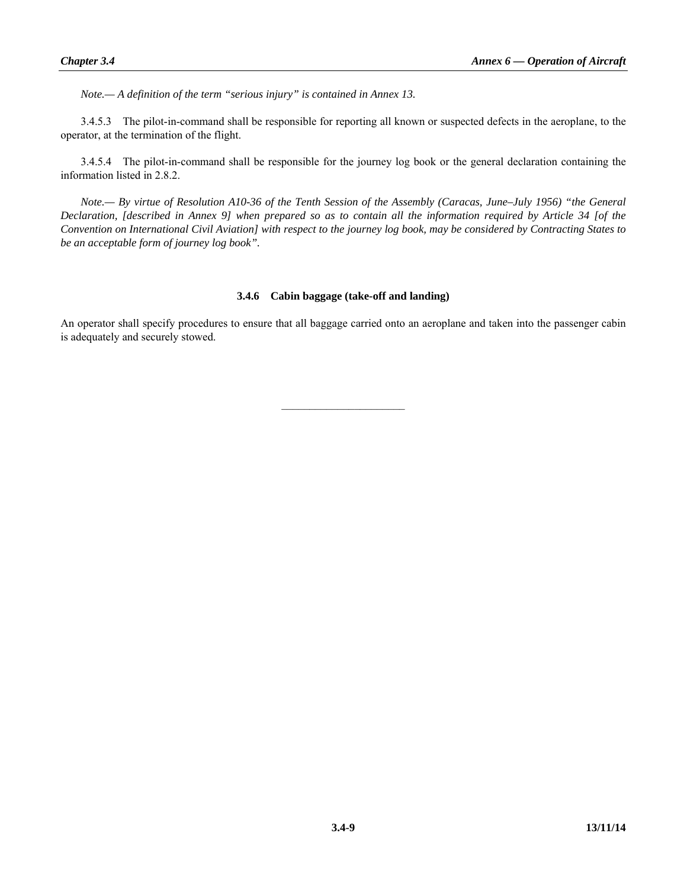*Note.— A definition of the term "serious injury" is contained in Annex 13.*

 3.4.5.3 The pilot-in-command shall be responsible for reporting all known or suspected defects in the aeroplane, to the operator, at the termination of the flight.

 3.4.5.4 The pilot-in-command shall be responsible for the journey log book or the general declaration containing the information listed in 2.8.2.

*Note.— By virtue of Resolution A10-36 of the Tenth Session of the Assembly (Caracas, June–July 1956) "the General Declaration, [described in Annex 9] when prepared so as to contain all the information required by Article 34 [of the Convention on International Civil Aviation] with respect to the journey log book, may be considered by Contracting States to be an acceptable form of journey log book".* 

# **3.4.6 Cabin baggage (take-off and landing)**

An operator shall specify procedures to ensure that all baggage carried onto an aeroplane and taken into the passenger cabin is adequately and securely stowed.

 $\mathcal{L}=\{1,2,3,4,5\}$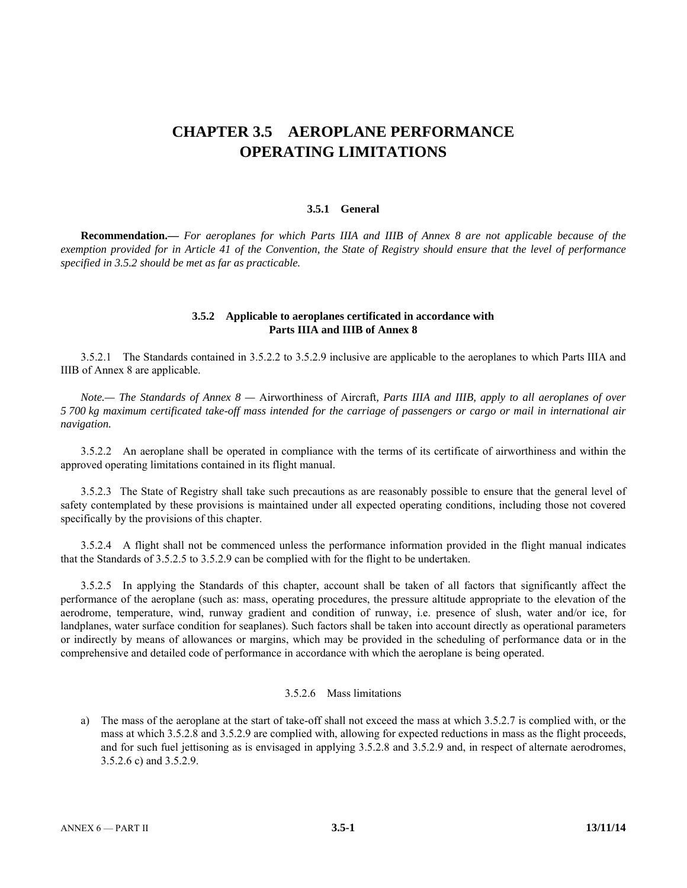# **CHAPTER 3.5 AEROPLANE PERFORMANCE OPERATING LIMITATIONS**

#### **3.5.1 General**

 **Recommendation.—** *For aeroplanes for which Parts IIIA and IIIB of Annex 8 are not applicable because of the exemption provided for in Article 41 of the Convention, the State of Registry should ensure that the level of performance specified in 3.5.2 should be met as far as practicable.* 

#### **3.5.2 Applicable to aeroplanes certificated in accordance with Parts IIIA and IIIB of Annex 8**

 3.5.2.1 The Standards contained in 3.5.2.2 to 3.5.2.9 inclusive are applicable to the aeroplanes to which Parts IIIA and IIIB of Annex 8 are applicable.

*Note.— The Standards of Annex 8 —* Airworthiness of Aircraft*, Parts IIIA and IIIB, apply to all aeroplanes of over 5 700 kg maximum certificated take-off mass intended for the carriage of passengers or cargo or mail in international air navigation.* 

 3.5.2.2 An aeroplane shall be operated in compliance with the terms of its certificate of airworthiness and within the approved operating limitations contained in its flight manual.

 3.5.2.3 The State of Registry shall take such precautions as are reasonably possible to ensure that the general level of safety contemplated by these provisions is maintained under all expected operating conditions, including those not covered specifically by the provisions of this chapter.

 3.5.2.4 A flight shall not be commenced unless the performance information provided in the flight manual indicates that the Standards of 3.5.2.5 to 3.5.2.9 can be complied with for the flight to be undertaken.

 3.5.2.5 In applying the Standards of this chapter, account shall be taken of all factors that significantly affect the performance of the aeroplane (such as: mass, operating procedures, the pressure altitude appropriate to the elevation of the aerodrome, temperature, wind, runway gradient and condition of runway, i.e. presence of slush, water and/or ice, for landplanes, water surface condition for seaplanes). Such factors shall be taken into account directly as operational parameters or indirectly by means of allowances or margins, which may be provided in the scheduling of performance data or in the comprehensive and detailed code of performance in accordance with which the aeroplane is being operated.

### 3.5.2.6 Mass limitations

 a) The mass of the aeroplane at the start of take-off shall not exceed the mass at which 3.5.2.7 is complied with, or the mass at which 3.5.2.8 and 3.5.2.9 are complied with, allowing for expected reductions in mass as the flight proceeds, and for such fuel jettisoning as is envisaged in applying 3.5.2.8 and 3.5.2.9 and, in respect of alternate aerodromes, 3.5.2.6 c) and 3.5.2.9.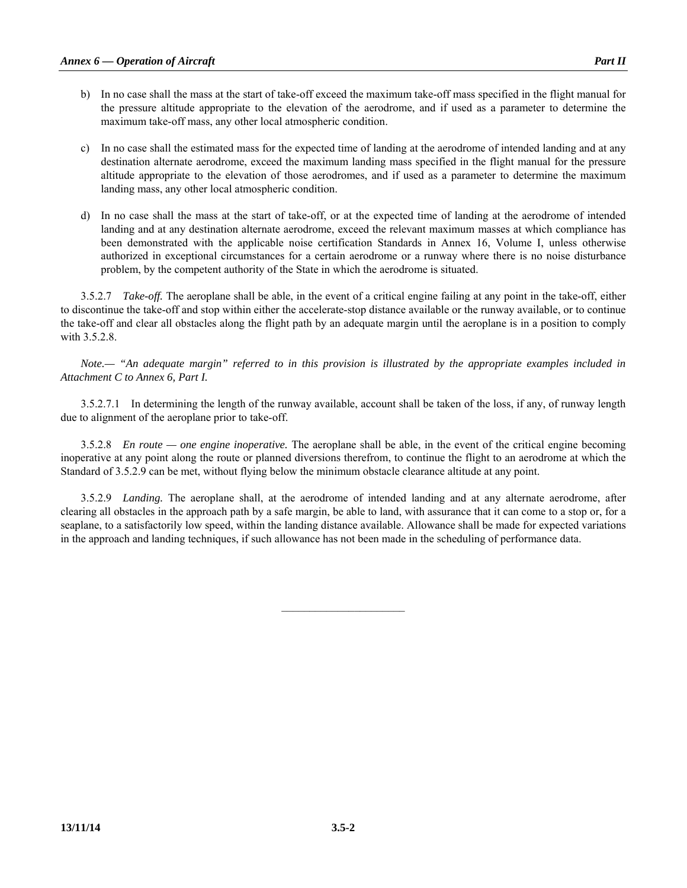- b) In no case shall the mass at the start of take-off exceed the maximum take-off mass specified in the flight manual for the pressure altitude appropriate to the elevation of the aerodrome, and if used as a parameter to determine the maximum take-off mass, any other local atmospheric condition.
- c) In no case shall the estimated mass for the expected time of landing at the aerodrome of intended landing and at any destination alternate aerodrome, exceed the maximum landing mass specified in the flight manual for the pressure altitude appropriate to the elevation of those aerodromes, and if used as a parameter to determine the maximum landing mass, any other local atmospheric condition.
- d) In no case shall the mass at the start of take-off, or at the expected time of landing at the aerodrome of intended landing and at any destination alternate aerodrome, exceed the relevant maximum masses at which compliance has been demonstrated with the applicable noise certification Standards in Annex 16, Volume I, unless otherwise authorized in exceptional circumstances for a certain aerodrome or a runway where there is no noise disturbance problem, by the competent authority of the State in which the aerodrome is situated.

 3.5.2.7 *Take-off.* The aeroplane shall be able, in the event of a critical engine failing at any point in the take-off, either to discontinue the take-off and stop within either the accelerate-stop distance available or the runway available, or to continue the take-off and clear all obstacles along the flight path by an adequate margin until the aeroplane is in a position to comply with 3.5.2.8.

*Note.— "An adequate margin" referred to in this provision is illustrated by the appropriate examples included in Attachment C to Annex 6, Part I.* 

 3.5.2.7.1 In determining the length of the runway available, account shall be taken of the loss, if any, of runway length due to alignment of the aeroplane prior to take-off.

 3.5.2.8 *En route — one engine inoperative.* The aeroplane shall be able, in the event of the critical engine becoming inoperative at any point along the route or planned diversions therefrom, to continue the flight to an aerodrome at which the Standard of 3.5.2.9 can be met, without flying below the minimum obstacle clearance altitude at any point.

 3.5.2.9 *Landing.* The aeroplane shall, at the aerodrome of intended landing and at any alternate aerodrome, after clearing all obstacles in the approach path by a safe margin, be able to land, with assurance that it can come to a stop or, for a seaplane, to a satisfactorily low speed, within the landing distance available. Allowance shall be made for expected variations in the approach and landing techniques, if such allowance has not been made in the scheduling of performance data.

 $\mathcal{L}=\{1,2,3,4,5\}$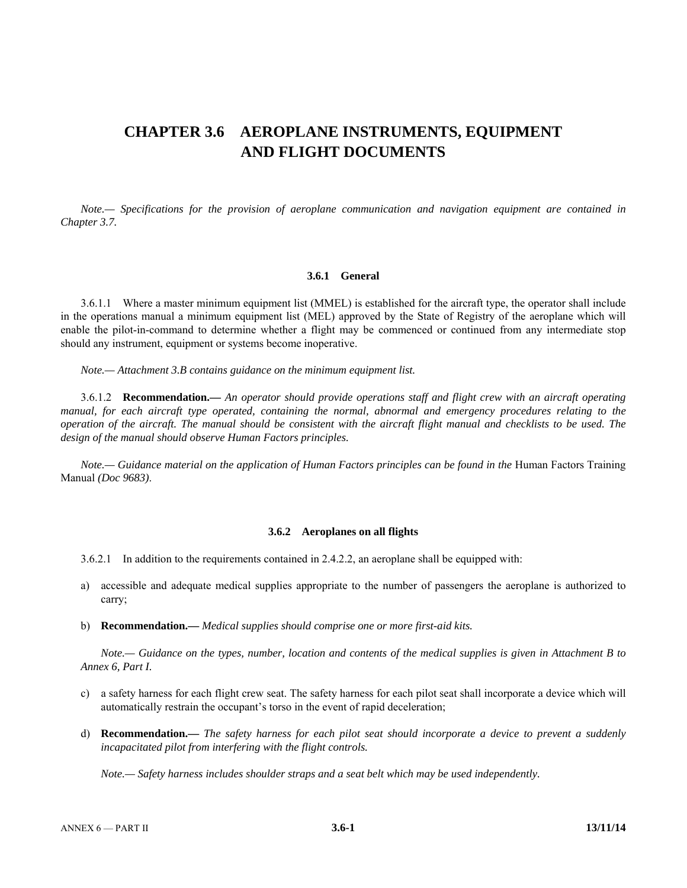# **CHAPTER 3.6 AEROPLANE INSTRUMENTS, EQUIPMENT AND FLIGHT DOCUMENTS**

*Note.— Specifications for the provision of aeroplane communication and navigation equipment are contained in Chapter 3.7.* 

#### **3.6.1 General**

 3.6.1.1 Where a master minimum equipment list (MMEL) is established for the aircraft type, the operator shall include in the operations manual a minimum equipment list (MEL) approved by the State of Registry of the aeroplane which will enable the pilot-in-command to determine whether a flight may be commenced or continued from any intermediate stop should any instrument, equipment or systems become inoperative.

 *Note.— Attachment 3.B contains guidance on the minimum equipment list.*

 3.6.1.2 **Recommendation.—** *An operator should provide operations staff and flight crew with an aircraft operating manual, for each aircraft type operated, containing the normal, abnormal and emergency procedures relating to the operation of the aircraft. The manual should be consistent with the aircraft flight manual and checklists to be used. The design of the manual should observe Human Factors principles.* 

*Note.— Guidance material on the application of Human Factors principles can be found in the Human Factors Training* Manual *(Doc 9683)*.

#### **3.6.2 Aeroplanes on all flights**

3.6.2.1 In addition to the requirements contained in 2.4.2.2, an aeroplane shall be equipped with:

- a) accessible and adequate medical supplies appropriate to the number of passengers the aeroplane is authorized to carry;
- b) **Recommendation.—** *Medical supplies should comprise one or more first-aid kits.*

 *Note.— Guidance on the types, number, location and contents of the medical supplies is given in Attachment B to Annex 6, Part I.* 

- c) a safety harness for each flight crew seat. The safety harness for each pilot seat shall incorporate a device which will automatically restrain the occupant's torso in the event of rapid deceleration;
- d) **Recommendation.—** *The safety harness for each pilot seat should incorporate a device to prevent a suddenly incapacitated pilot from interfering with the flight controls.*

 *Note.— Safety harness includes shoulder straps and a seat belt which may be used independently.*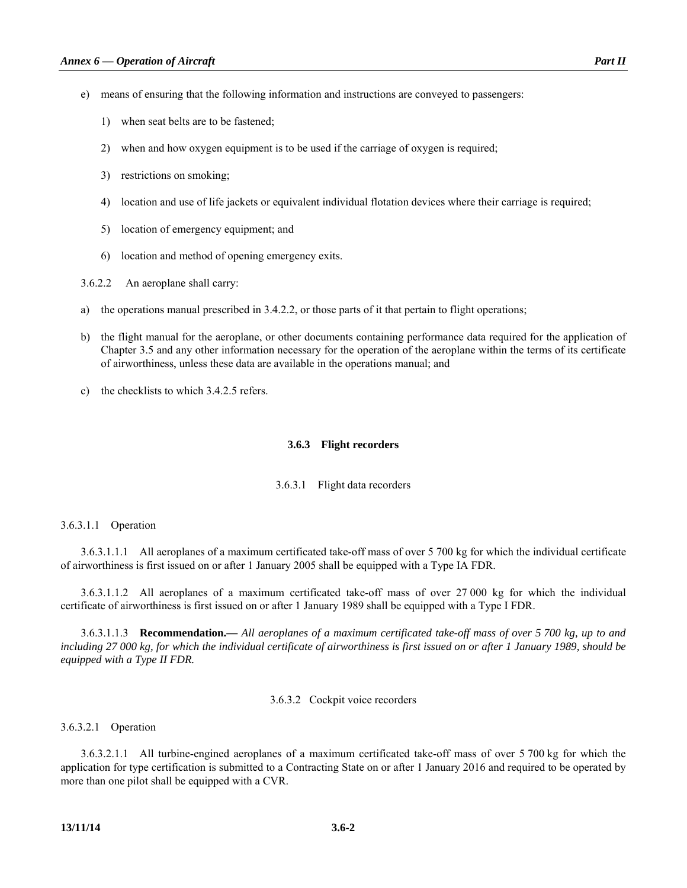- e) means of ensuring that the following information and instructions are conveyed to passengers:
	- 1) when seat belts are to be fastened;
	- 2) when and how oxygen equipment is to be used if the carriage of oxygen is required;
	- 3) restrictions on smoking;
	- 4) location and use of life jackets or equivalent individual flotation devices where their carriage is required;
	- 5) location of emergency equipment; and
	- 6) location and method of opening emergency exits.

3.6.2.2 An aeroplane shall carry:

- a) the operations manual prescribed in 3.4.2.2, or those parts of it that pertain to flight operations;
- b) the flight manual for the aeroplane, or other documents containing performance data required for the application of Chapter 3.5 and any other information necessary for the operation of the aeroplane within the terms of its certificate of airworthiness, unless these data are available in the operations manual; and
- c) the checklists to which 3.4.2.5 refers.

# **3.6.3 Flight recorders**

#### 3.6.3.1 Flight data recorders

#### 3.6.3.1.1 Operation

 3.6.3.1.1.1 All aeroplanes of a maximum certificated take-off mass of over 5 700 kg for which the individual certificate of airworthiness is first issued on or after 1 January 2005 shall be equipped with a Type IA FDR.

 3.6.3.1.1.2 All aeroplanes of a maximum certificated take-off mass of over 27 000 kg for which the individual certificate of airworthiness is first issued on or after 1 January 1989 shall be equipped with a Type I FDR.

 3.6.3.1.1.3 **Recommendation.—** *All aeroplanes of a maximum certificated take-off mass of over 5 700 kg, up to and including 27 000 kg, for which the individual certificate of airworthiness is first issued on or after 1 January 1989, should be equipped with a Type II FDR.*

#### 3.6.3.2 Cockpit voice recorders

#### 3.6.3.2.1 Operation

 3.6.3.2.1.1 All turbine-engined aeroplanes of a maximum certificated take-off mass of over 5 700 kg for which the application for type certification is submitted to a Contracting State on or after 1 January 2016 and required to be operated by more than one pilot shall be equipped with a CVR.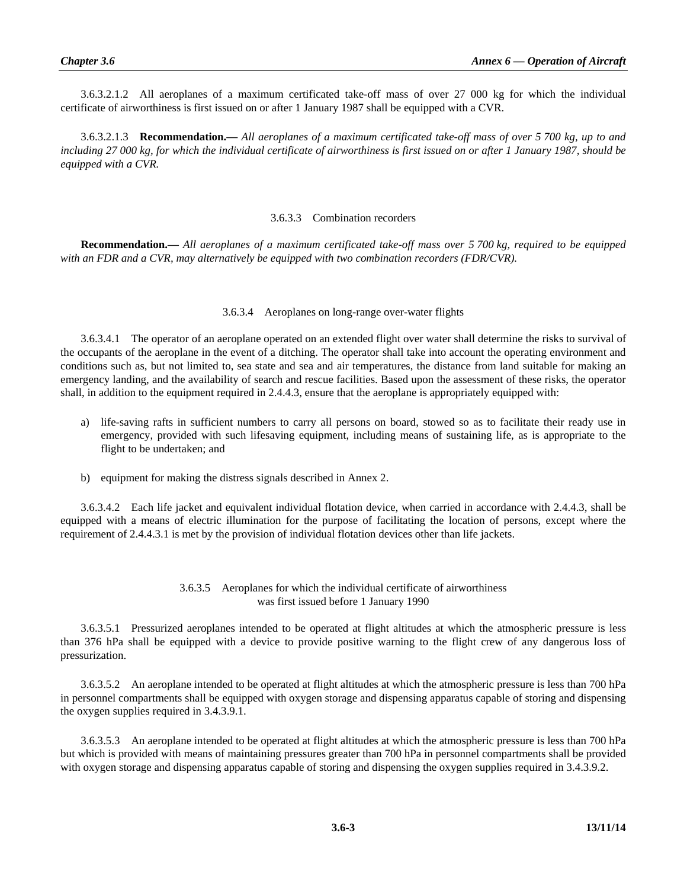3.6.3.2.1.2 All aeroplanes of a maximum certificated take-off mass of over 27 000 kg for which the individual certificate of airworthiness is first issued on or after 1 January 1987 shall be equipped with a CVR.

 3.6.3.2.1.3 **Recommendation.—** *All aeroplanes of a maximum certificated take-off mass of over 5 700 kg, up to and including 27 000 kg, for which the individual certificate of airworthiness is first issued on or after 1 January 1987, should be equipped with a CVR.*

### 3.6.3.3 Combination recorders

**Recommendation.—** *All aeroplanes of a maximum certificated take-off mass over 5 700 kg, required to be equipped with an FDR and a CVR, may alternatively be equipped with two combination recorders (FDR/CVR).* 

#### 3.6.3.4 Aeroplanes on long-range over-water flights

 3.6.3.4.1 The operator of an aeroplane operated on an extended flight over water shall determine the risks to survival of the occupants of the aeroplane in the event of a ditching. The operator shall take into account the operating environment and conditions such as, but not limited to, sea state and sea and air temperatures, the distance from land suitable for making an emergency landing, and the availability of search and rescue facilities. Based upon the assessment of these risks, the operator shall, in addition to the equipment required in 2.4.4.3, ensure that the aeroplane is appropriately equipped with:

- a) life-saving rafts in sufficient numbers to carry all persons on board, stowed so as to facilitate their ready use in emergency, provided with such lifesaving equipment, including means of sustaining life, as is appropriate to the flight to be undertaken; and
- b) equipment for making the distress signals described in Annex 2.

 3.6.3.4.2 Each life jacket and equivalent individual flotation device, when carried in accordance with 2.4.4.3, shall be equipped with a means of electric illumination for the purpose of facilitating the location of persons, except where the requirement of 2.4.4.3.1 is met by the provision of individual flotation devices other than life jackets.

### 3.6.3.5 Aeroplanes for which the individual certificate of airworthiness was first issued before 1 January 1990

 3.6.3.5.1 Pressurized aeroplanes intended to be operated at flight altitudes at which the atmospheric pressure is less than 376 hPa shall be equipped with a device to provide positive warning to the flight crew of any dangerous loss of pressurization.

 3.6.3.5.2 An aeroplane intended to be operated at flight altitudes at which the atmospheric pressure is less than 700 hPa in personnel compartments shall be equipped with oxygen storage and dispensing apparatus capable of storing and dispensing the oxygen supplies required in 3.4.3.9.1.

 3.6.3.5.3 An aeroplane intended to be operated at flight altitudes at which the atmospheric pressure is less than 700 hPa but which is provided with means of maintaining pressures greater than 700 hPa in personnel compartments shall be provided with oxygen storage and dispensing apparatus capable of storing and dispensing the oxygen supplies required in 3.4.3.9.2.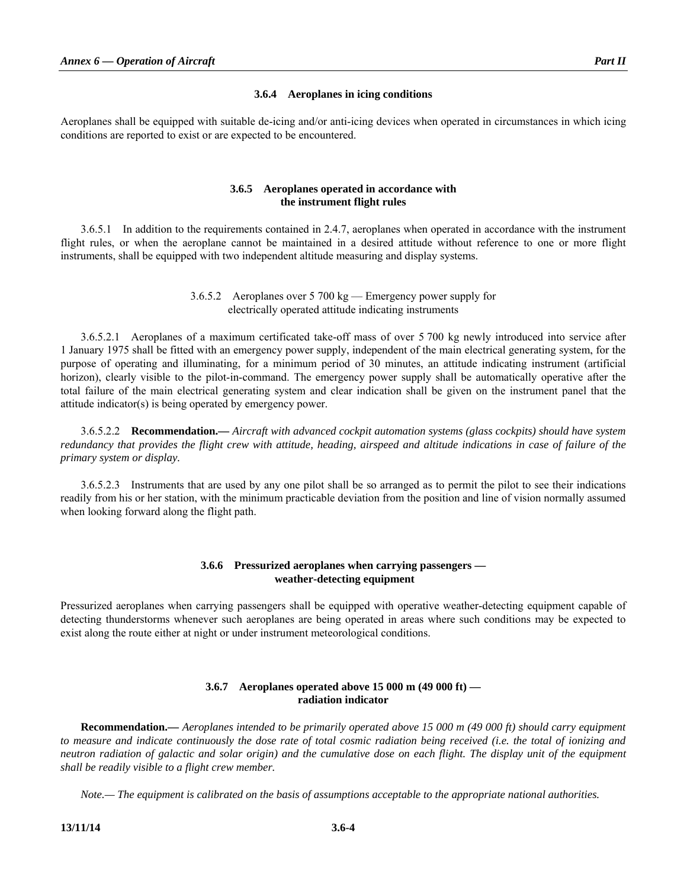#### **3.6.4 Aeroplanes in icing conditions**

Aeroplanes shall be equipped with suitable de-icing and/or anti-icing devices when operated in circumstances in which icing conditions are reported to exist or are expected to be encountered.

## **3.6.5 Aeroplanes operated in accordance with the instrument flight rules**

 3.6.5.1 In addition to the requirements contained in 2.4.7, aeroplanes when operated in accordance with the instrument flight rules, or when the aeroplane cannot be maintained in a desired attitude without reference to one or more flight instruments, shall be equipped with two independent altitude measuring and display systems.

## 3.6.5.2 Aeroplanes over 5 700 kg — Emergency power supply for electrically operated attitude indicating instruments

 3.6.5.2.1 Aeroplanes of a maximum certificated take-off mass of over 5 700 kg newly introduced into service after 1 January 1975 shall be fitted with an emergency power supply, independent of the main electrical generating system, for the purpose of operating and illuminating, for a minimum period of 30 minutes, an attitude indicating instrument (artificial horizon), clearly visible to the pilot-in-command. The emergency power supply shall be automatically operative after the total failure of the main electrical generating system and clear indication shall be given on the instrument panel that the attitude indicator(s) is being operated by emergency power.

 3.6.5.2.2 **Recommendation.***— Aircraft with advanced cockpit automation systems (glass cockpits) should have system redundancy that provides the flight crew with attitude, heading, airspeed and altitude indications in case of failure of the primary system or display.* 

 3.6.5.2.3 Instruments that are used by any one pilot shall be so arranged as to permit the pilot to see their indications readily from his or her station, with the minimum practicable deviation from the position and line of vision normally assumed when looking forward along the flight path.

### **3.6.6 Pressurized aeroplanes when carrying passengers weather-detecting equipment**

Pressurized aeroplanes when carrying passengers shall be equipped with operative weather-detecting equipment capable of detecting thunderstorms whenever such aeroplanes are being operated in areas where such conditions may be expected to exist along the route either at night or under instrument meteorological conditions.

## **3.6.7 Aeroplanes operated above 15 000 m (49 000 ft) radiation indicator**

 **Recommendation.—** *Aeroplanes intended to be primarily operated above 15 000 m (49 000 ft) should carry equipment to measure and indicate continuously the dose rate of total cosmic radiation being received (i.e. the total of ionizing and neutron radiation of galactic and solar origin) and the cumulative dose on each flight. The display unit of the equipment shall be readily visible to a flight crew member.* 

 *Note.— The equipment is calibrated on the basis of assumptions acceptable to the appropriate national authorities.*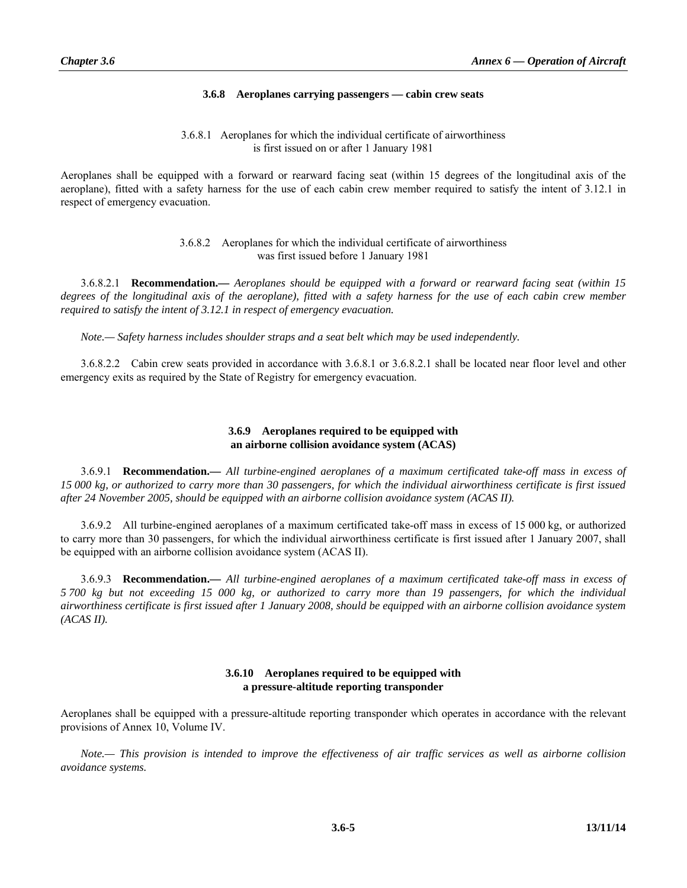#### **3.6.8 Aeroplanes carrying passengers — cabin crew seats**

Aeroplanes shall be equipped with a forward or rearward facing seat (within 15 degrees of the longitudinal axis of the aeroplane), fitted with a safety harness for the use of each cabin crew member required to satisfy the intent of 3.12.1 in respect of emergency evacuation.

## 3.6.8.2 Aeroplanes for which the individual certificate of airworthiness was first issued before 1 January 1981

 3.6.8.2.1 **Recommendation.—** *Aeroplanes should be equipped with a forward or rearward facing seat (within 15 degrees of the longitudinal axis of the aeroplane), fitted with a safety harness for the use of each cabin crew member required to satisfy the intent of 3.12.1 in respect of emergency evacuation.* 

 *Note.— Safety harness includes shoulder straps and a seat belt which may be used independently.*

 3.6.8.2.2 Cabin crew seats provided in accordance with 3.6.8.1 or 3.6.8.2.1 shall be located near floor level and other emergency exits as required by the State of Registry for emergency evacuation.

## **3.6.9 Aeroplanes required to be equipped with an airborne collision avoidance system (ACAS)**

 3.6.9.1 **Recommendation.—** *All turbine-engined aeroplanes of a maximum certificated take-off mass in excess of 15 000 kg, or authorized to carry more than 30 passengers, for which the individual airworthiness certificate is first issued after 24 November 2005, should be equipped with an airborne collision avoidance system (ACAS II).* 

 3.6.9.2 All turbine-engined aeroplanes of a maximum certificated take-off mass in excess of 15 000 kg, or authorized to carry more than 30 passengers, for which the individual airworthiness certificate is first issued after 1 January 2007, shall be equipped with an airborne collision avoidance system (ACAS II).

 3.6.9.3 **Recommendation.—** *All turbine-engined aeroplanes of a maximum certificated take-off mass in excess of 5 700 kg but not exceeding 15 000 kg, or authorized to carry more than 19 passengers, for which the individual airworthiness certificate is first issued after 1 January 2008, should be equipped with an airborne collision avoidance system (ACAS II).* 

## **3.6.10 Aeroplanes required to be equipped with a pressure-altitude reporting transponder**

Aeroplanes shall be equipped with a pressure-altitude reporting transponder which operates in accordance with the relevant provisions of Annex 10, Volume IV.

 *Note.— This provision is intended to improve the effectiveness of air traffic services as well as airborne collision avoidance systems.* 

<sup>3.6.8.1</sup> Aeroplanes for which the individual certificate of airworthiness is first issued on or after 1 January 1981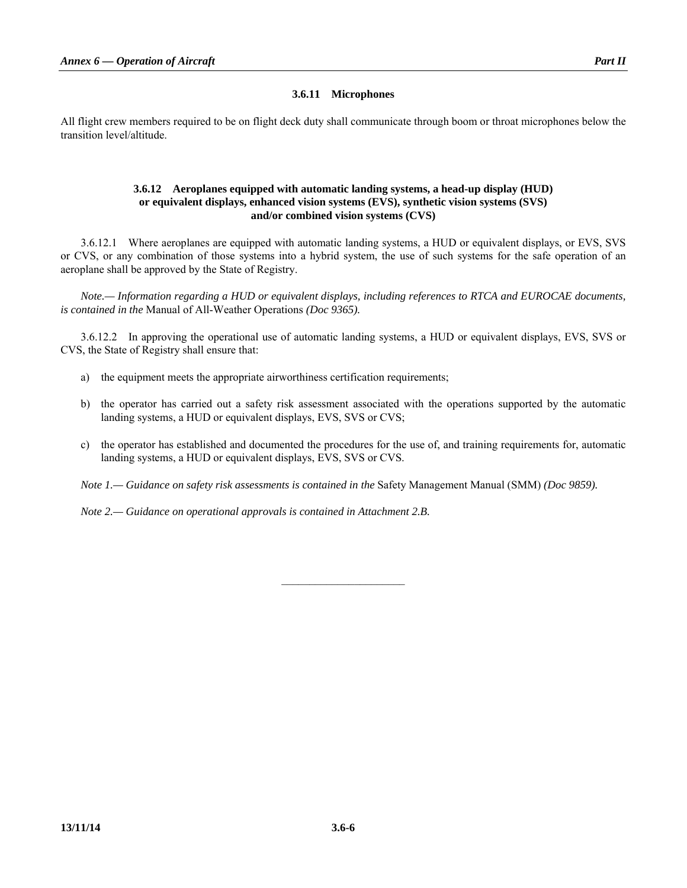## **3.6.11 Microphones**

All flight crew members required to be on flight deck duty shall communicate through boom or throat microphones below the transition level/altitude.

## **3.6.12 Aeroplanes equipped with automatic landing systems, a head-up display (HUD) or equivalent displays, enhanced vision systems (EVS), synthetic vision systems (SVS) and/or combined vision systems (CVS)**

 3.6.12.1 Where aeroplanes are equipped with automatic landing systems, a HUD or equivalent displays, or EVS, SVS or CVS, or any combination of those systems into a hybrid system, the use of such systems for the safe operation of an aeroplane shall be approved by the State of Registry.

 *Note.— Information regarding a HUD or equivalent displays, including references to RTCA and EUROCAE documents, is contained in the* Manual of All-Weather Operations *(Doc 9365).*

 3.6.12.2 In approving the operational use of automatic landing systems, a HUD or equivalent displays, EVS, SVS or CVS, the State of Registry shall ensure that:

- a) the equipment meets the appropriate airworthiness certification requirements;
- b) the operator has carried out a safety risk assessment associated with the operations supported by the automatic landing systems, a HUD or equivalent displays, EVS, SVS or CVS;
- c) the operator has established and documented the procedures for the use of, and training requirements for, automatic landing systems, a HUD or equivalent displays, EVS, SVS or CVS.

*Note 1.— Guidance on safety risk assessments is contained in the* Safety Management Manual (SMM) *(Doc 9859).* 

 $\mathcal{L}_\text{max}$  , where  $\mathcal{L}_\text{max}$  and  $\mathcal{L}_\text{max}$ 

 *Note 2.— Guidance on operational approvals is contained in Attachment 2.B.*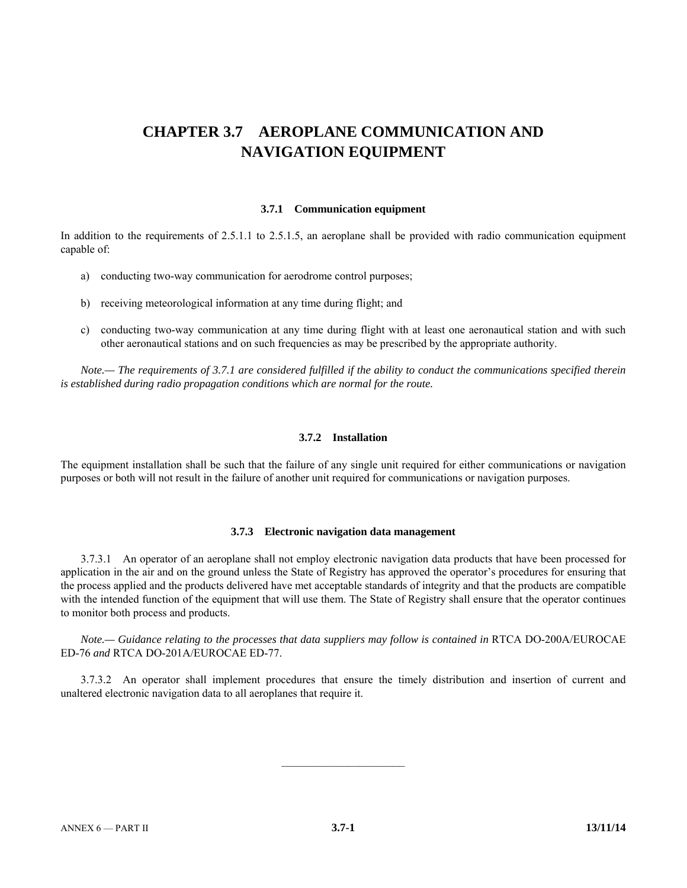# **CHAPTER 3.7 AEROPLANE COMMUNICATION AND NAVIGATION EQUIPMENT**

#### **3.7.1 Communication equipment**

In addition to the requirements of 2.5.1.1 to 2.5.1.5, an aeroplane shall be provided with radio communication equipment capable of:

- a) conducting two-way communication for aerodrome control purposes;
- b) receiving meteorological information at any time during flight; and
- c) conducting two-way communication at any time during flight with at least one aeronautical station and with such other aeronautical stations and on such frequencies as may be prescribed by the appropriate authority.

 *Note.— The requirements of 3.7.1 are considered fulfilled if the ability to conduct the communications specified therein is established during radio propagation conditions which are normal for the route.* 

## **3.7.2 Installation**

The equipment installation shall be such that the failure of any single unit required for either communications or navigation purposes or both will not result in the failure of another unit required for communications or navigation purposes.

#### **3.7.3 Electronic navigation data management**

 3.7.3.1 An operator of an aeroplane shall not employ electronic navigation data products that have been processed for application in the air and on the ground unless the State of Registry has approved the operator's procedures for ensuring that the process applied and the products delivered have met acceptable standards of integrity and that the products are compatible with the intended function of the equipment that will use them. The State of Registry shall ensure that the operator continues to monitor both process and products.

*Note.*— Guidance relating to the processes that data suppliers may follow is contained in RTCA DO-200A/EUROCAE ED-76 *and* RTCA DO-201A/EUROCAE ED-77.

 3.7.3.2 An operator shall implement procedures that ensure the timely distribution and insertion of current and unaltered electronic navigation data to all aeroplanes that require it.

 $\mathcal{L}=\{1,2,3,4,5\}$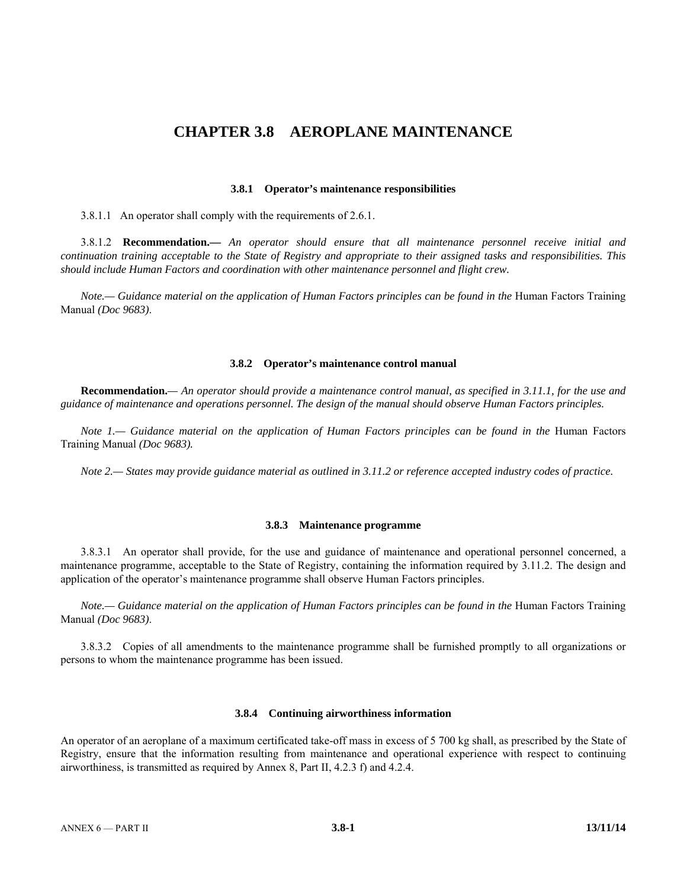## **CHAPTER 3.8 AEROPLANE MAINTENANCE**

#### **3.8.1 Operator's maintenance responsibilities**

3.8.1.1 An operator shall comply with the requirements of 2.6.1.

 3.8.1.2 **Recommendation.—** *An operator should ensure that all maintenance personnel receive initial and continuation training acceptable to the State of Registry and appropriate to their assigned tasks and responsibilities. This should include Human Factors and coordination with other maintenance personnel and flight crew.* 

*Note.*— Guidance material on the application of Human Factors principles can be found in the Human Factors Training Manual *(Doc 9683)*.

#### **3.8.2 Operator's maintenance control manual**

**Recommendation.***— An operator should provide a maintenance control manual, as specified in 3.11.1, for the use and guidance of maintenance and operations personnel. The design of the manual should observe Human Factors principles.*

*Note 1.*— Guidance material on the application of Human Factors principles can be found in the Human Factors Training Manual *(Doc 9683).* 

 *Note 2.— States may provide guidance material as outlined in 3.11.2 or reference accepted industry codes of practice.* 

#### **3.8.3 Maintenance programme**

 3.8.3.1 An operator shall provide, for the use and guidance of maintenance and operational personnel concerned, a maintenance programme, acceptable to the State of Registry, containing the information required by 3.11.2. The design and application of the operator's maintenance programme shall observe Human Factors principles.

*Note.— Guidance material on the application of Human Factors principles can be found in the Human Factors Training* Manual *(Doc 9683)*.

 3.8.3.2 Copies of all amendments to the maintenance programme shall be furnished promptly to all organizations or persons to whom the maintenance programme has been issued.

#### **3.8.4 Continuing airworthiness information**

An operator of an aeroplane of a maximum certificated take-off mass in excess of 5 700 kg shall, as prescribed by the State of Registry, ensure that the information resulting from maintenance and operational experience with respect to continuing airworthiness, is transmitted as required by Annex 8, Part II, 4.2.3 f) and 4.2.4.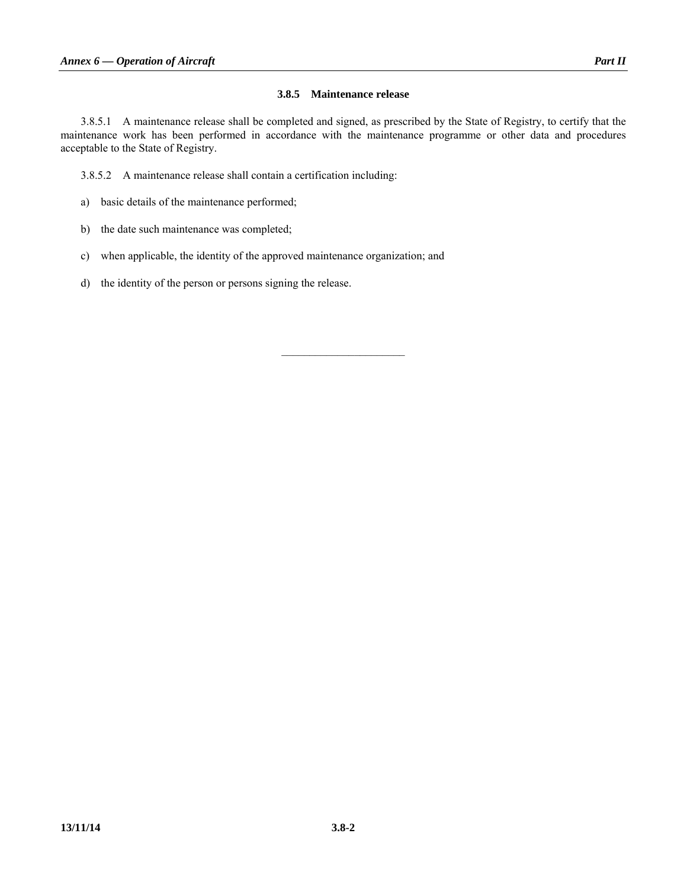## **3.8.5 Maintenance release**

 3.8.5.1 A maintenance release shall be completed and signed, as prescribed by the State of Registry, to certify that the maintenance work has been performed in accordance with the maintenance programme or other data and procedures acceptable to the State of Registry.

 $\mathcal{L}=\{1,2,3,4,5\}$ 

- 3.8.5.2 A maintenance release shall contain a certification including:
- a) basic details of the maintenance performed;
- b) the date such maintenance was completed;
- c) when applicable, the identity of the approved maintenance organization; and
- d) the identity of the person or persons signing the release.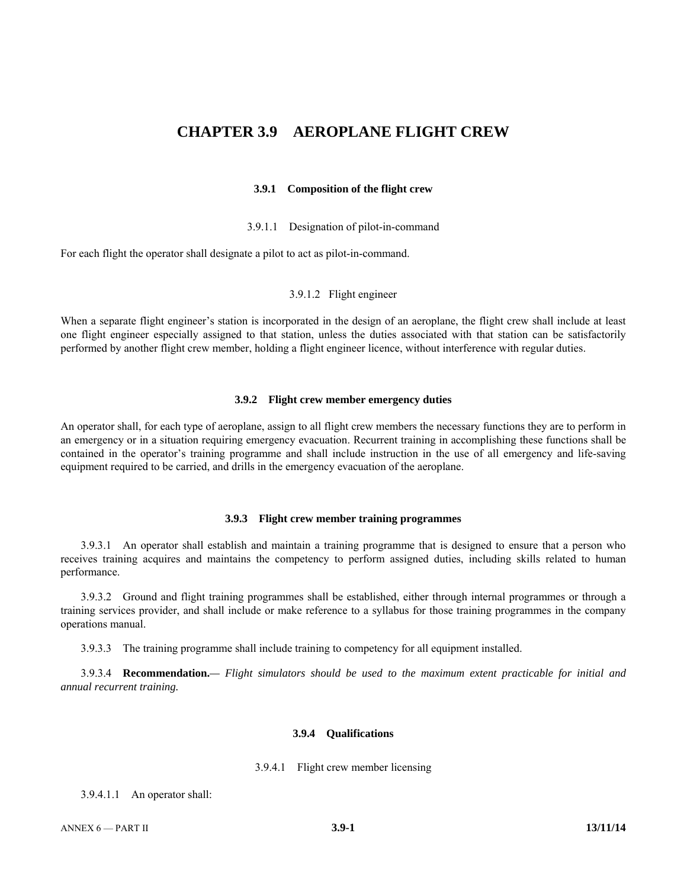## **CHAPTER 3.9 AEROPLANE FLIGHT CREW**

## **3.9.1 Composition of the flight crew**

3.9.1.1 Designation of pilot-in-command

For each flight the operator shall designate a pilot to act as pilot-in-command.

#### 3.9.1.2 Flight engineer

When a separate flight engineer's station is incorporated in the design of an aeroplane, the flight crew shall include at least one flight engineer especially assigned to that station, unless the duties associated with that station can be satisfactorily performed by another flight crew member, holding a flight engineer licence, without interference with regular duties.

## **3.9.2 Flight crew member emergency duties**

An operator shall, for each type of aeroplane, assign to all flight crew members the necessary functions they are to perform in an emergency or in a situation requiring emergency evacuation. Recurrent training in accomplishing these functions shall be contained in the operator's training programme and shall include instruction in the use of all emergency and life-saving equipment required to be carried, and drills in the emergency evacuation of the aeroplane.

## **3.9.3 Flight crew member training programmes**

 3.9.3.1 An operator shall establish and maintain a training programme that is designed to ensure that a person who receives training acquires and maintains the competency to perform assigned duties, including skills related to human performance.

 3.9.3.2 Ground and flight training programmes shall be established, either through internal programmes or through a training services provider, and shall include or make reference to a syllabus for those training programmes in the company operations manual.

3.9.3.3 The training programme shall include training to competency for all equipment installed.

 3.9.3.4 **Recommendation.***— Flight simulators should be used to the maximum extent practicable for initial and annual recurrent training.*

### **3.9.4 Qualifications**

### 3.9.4.1 Flight crew member licensing

3.9.4.1.1 An operator shall: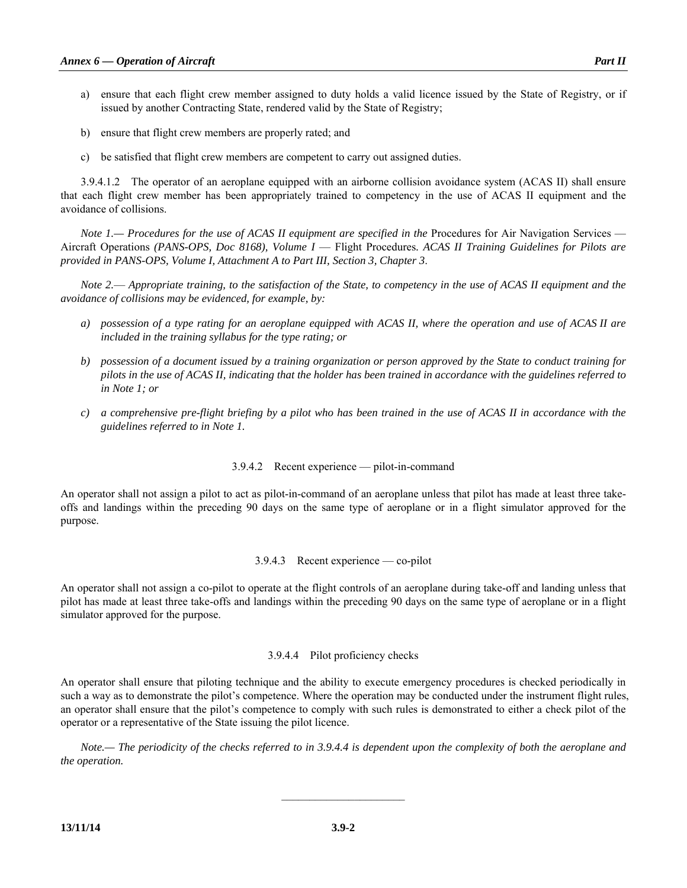- a) ensure that each flight crew member assigned to duty holds a valid licence issued by the State of Registry, or if issued by another Contracting State, rendered valid by the State of Registry;
- b) ensure that flight crew members are properly rated; and
- c) be satisfied that flight crew members are competent to carry out assigned duties.

 3.9.4.1.2 The operator of an aeroplane equipped with an airborne collision avoidance system (ACAS II) shall ensure that each flight crew member has been appropriately trained to competency in the use of ACAS II equipment and the avoidance of collisions.

*Note 1.*— Procedures for the use of ACAS II equipment are specified in the Procedures for Air Navigation Services — Aircraft Operations *(PANS-OPS, Doc 8168), Volume I* — Flight Procedures*. ACAS II Training Guidelines for Pilots are provided in PANS-OPS, Volume I, Attachment A to Part III, Section 3, Chapter 3*.

 *Note 2.*— *Appropriate training, to the satisfaction of the State, to competency in the use of ACAS II equipment and the avoidance of collisions may be evidenced, for example, by:* 

- *a) possession of a type rating for an aeroplane equipped with ACAS II, where the operation and use of ACAS II are included in the training syllabus for the type rating; or*
- *b) possession of a document issued by a training organization or person approved by the State to conduct training for pilots in the use of ACAS II, indicating that the holder has been trained in accordance with the guidelines referred to in Note 1; or*
- *c) a comprehensive pre-flight briefing by a pilot who has been trained in the use of ACAS II in accordance with the guidelines referred to in Note 1.*

### 3.9.4.2 Recent experience — pilot-in-command

An operator shall not assign a pilot to act as pilot-in-command of an aeroplane unless that pilot has made at least three takeoffs and landings within the preceding 90 days on the same type of aeroplane or in a flight simulator approved for the purpose.

### 3.9.4.3 Recent experience — co-pilot

An operator shall not assign a co-pilot to operate at the flight controls of an aeroplane during take-off and landing unless that pilot has made at least three take-offs and landings within the preceding 90 days on the same type of aeroplane or in a flight simulator approved for the purpose.

### 3.9.4.4 Pilot proficiency checks

An operator shall ensure that piloting technique and the ability to execute emergency procedures is checked periodically in such a way as to demonstrate the pilot's competence. Where the operation may be conducted under the instrument flight rules, an operator shall ensure that the pilot's competence to comply with such rules is demonstrated to either a check pilot of the operator or a representative of the State issuing the pilot licence.

 *Note.— The periodicity of the checks referred to in 3.9.4.4 is dependent upon the complexity of both the aeroplane and the operation.*

 $\mathcal{L}_\text{max}$  , where  $\mathcal{L}_\text{max}$  and  $\mathcal{L}_\text{max}$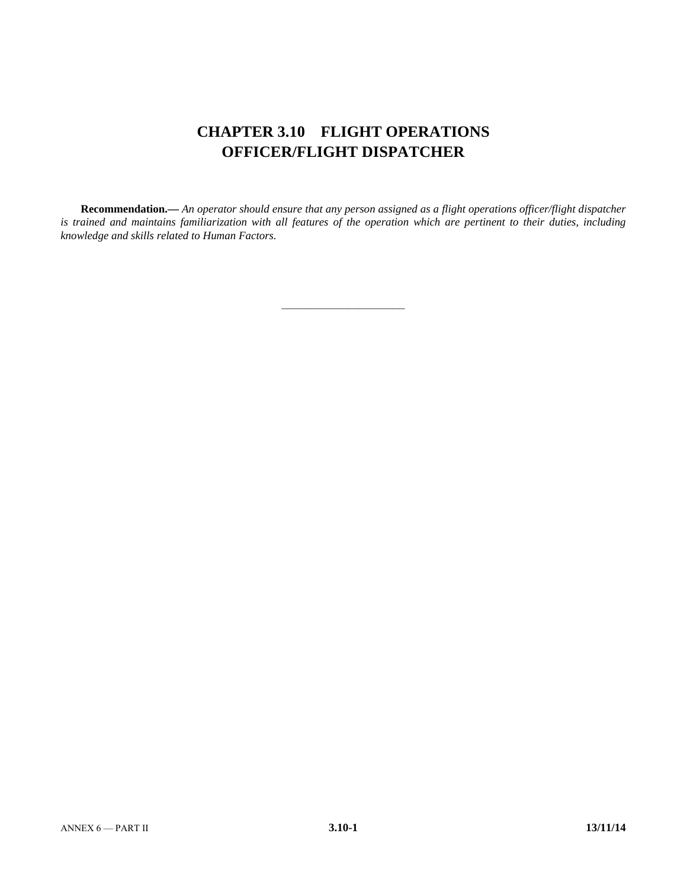# **CHAPTER 3.10 FLIGHT OPERATIONS OFFICER/FLIGHT DISPATCHER**

 **Recommendation.—** *An operator should ensure that any person assigned as a flight operations officer/flight dispatcher is trained and maintains familiarization with all features of the operation which are pertinent to their duties, including knowledge and skills related to Human Factors.*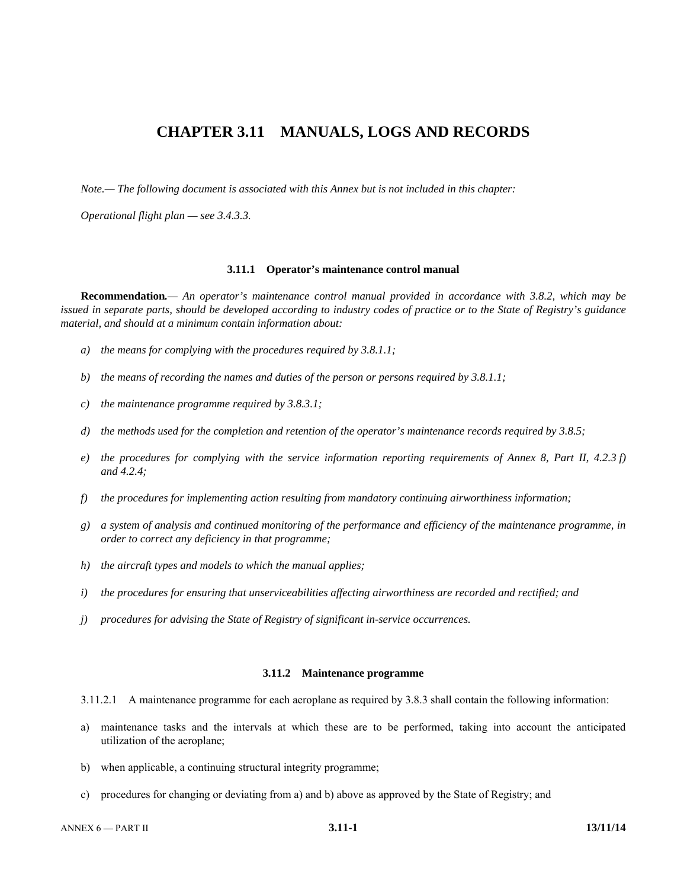## **CHAPTER 3.11 MANUALS, LOGS AND RECORDS**

*Note.— The following document is associated with this Annex but is not included in this chapter:* 

*Operational flight plan — see 3.4.3.3.* 

#### **3.11.1 Operator's maintenance control manual**

 **Recommendation***.— An operator's maintenance control manual provided in accordance with 3.8.2, which may be issued in separate parts, should be developed according to industry codes of practice or to the State of Registry's guidance material, and should at a minimum contain information about:* 

- *a) the means for complying with the procedures required by 3.8.1.1;*
- *b) the means of recording the names and duties of the person or persons required by 3.8.1.1;*
- *c) the maintenance programme required by 3.8.3.1;*
- *d) the methods used for the completion and retention of the operator's maintenance records required by 3.8.5;*
- *e) the procedures for complying with the service information reporting requirements of Annex 8, Part II, 4.2.3 f) and 4.2.4;*
- *f) the procedures for implementing action resulting from mandatory continuing airworthiness information;*
- *g) a system of analysis and continued monitoring of the performance and efficiency of the maintenance programme, in order to correct any deficiency in that programme;*
- *h) the aircraft types and models to which the manual applies;*
- *i) the procedures for ensuring that unserviceabilities affecting airworthiness are recorded and rectified; and*
- *j) procedures for advising the State of Registry of significant in-service occurrences.*

#### **3.11.2 Maintenance programme**

3.11.2.1 A maintenance programme for each aeroplane as required by 3.8.3 shall contain the following information:

- a) maintenance tasks and the intervals at which these are to be performed, taking into account the anticipated utilization of the aeroplane;
- b) when applicable, a continuing structural integrity programme;
- c) procedures for changing or deviating from a) and b) above as approved by the State of Registry; and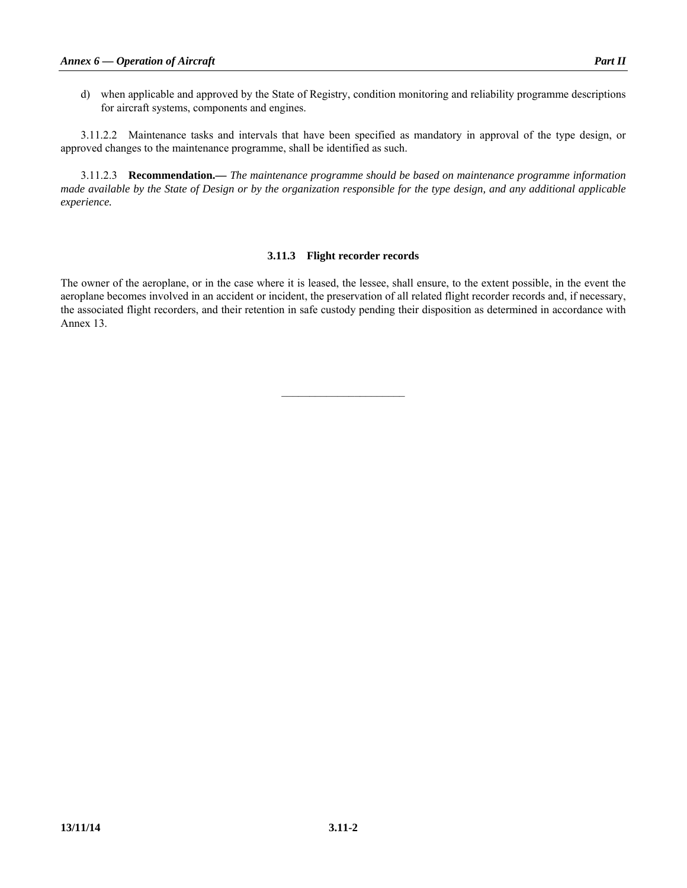3.11.2.2 Maintenance tasks and intervals that have been specified as mandatory in approval of the type design, or approved changes to the maintenance programme, shall be identified as such.

 3.11.2.3 **Recommendation.—** *The maintenance programme should be based on maintenance programme information made available by the State of Design or by the organization responsible for the type design, and any additional applicable experience.*

## **3.11.3 Flight recorder records**

The owner of the aeroplane, or in the case where it is leased, the lessee, shall ensure, to the extent possible, in the event the aeroplane becomes involved in an accident or incident, the preservation of all related flight recorder records and, if necessary, the associated flight recorders, and their retention in safe custody pending their disposition as determined in accordance with Annex 13.

 $\mathcal{L}_\text{max}$  , where  $\mathcal{L}_\text{max}$  and  $\mathcal{L}_\text{max}$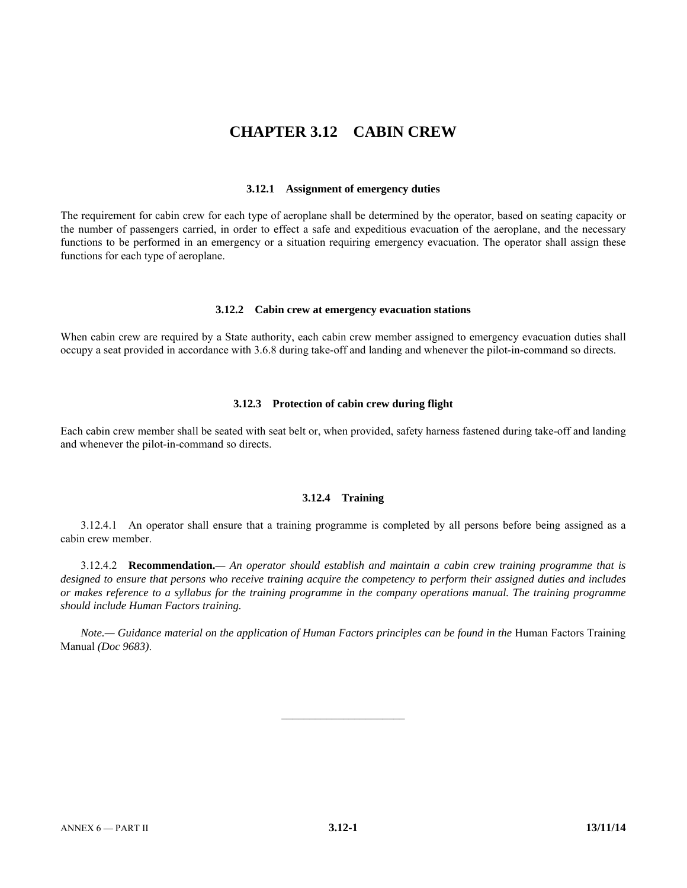## **CHAPTER 3.12 CABIN CREW**

## **3.12.1 Assignment of emergency duties**

The requirement for cabin crew for each type of aeroplane shall be determined by the operator, based on seating capacity or the number of passengers carried, in order to effect a safe and expeditious evacuation of the aeroplane, and the necessary functions to be performed in an emergency or a situation requiring emergency evacuation. The operator shall assign these functions for each type of aeroplane.

### **3.12.2 Cabin crew at emergency evacuation stations**

When cabin crew are required by a State authority, each cabin crew member assigned to emergency evacuation duties shall occupy a seat provided in accordance with 3.6.8 during take-off and landing and whenever the pilot-in-command so directs.

## **3.12.3 Protection of cabin crew during flight**

Each cabin crew member shall be seated with seat belt or, when provided, safety harness fastened during take-off and landing and whenever the pilot-in-command so directs.

## **3.12.4 Training**

 3.12.4.1 An operator shall ensure that a training programme is completed by all persons before being assigned as a cabin crew member.

 3.12.4.2 **Recommendation.***— An operator should establish and maintain a cabin crew training programme that is designed to ensure that persons who receive training acquire the competency to perform their assigned duties and includes or makes reference to a syllabus for the training programme in the company operations manual. The training programme should include Human Factors training.* 

*Note.— Guidance material on the application of Human Factors principles can be found in the Human Factors Training* Manual *(Doc 9683)*.

\_\_\_\_\_\_\_\_\_\_\_\_\_\_\_\_\_\_\_\_\_\_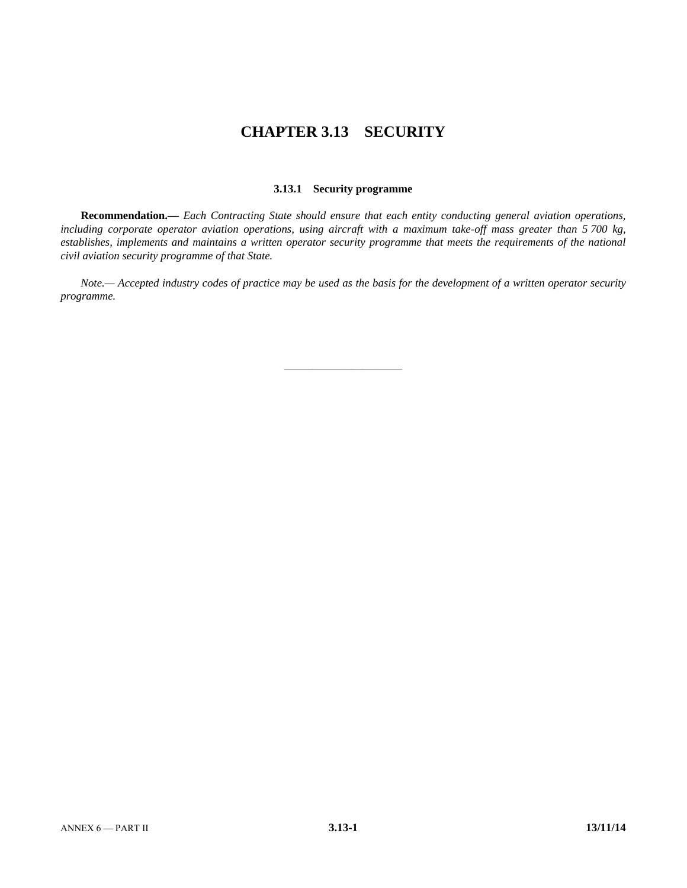# **CHAPTER 3.13 SECURITY**

## **3.13.1 Security programme**

 **Recommendation.—** *Each Contracting State should ensure that each entity conducting general aviation operations, including corporate operator aviation operations, using aircraft with a maximum take-off mass greater than 5 700 kg, establishes, implements and maintains a written operator security programme that meets the requirements of the national civil aviation security programme of that State.* 

*Note.— Accepted industry codes of practice may be used as the basis for the development of a written operator security programme.*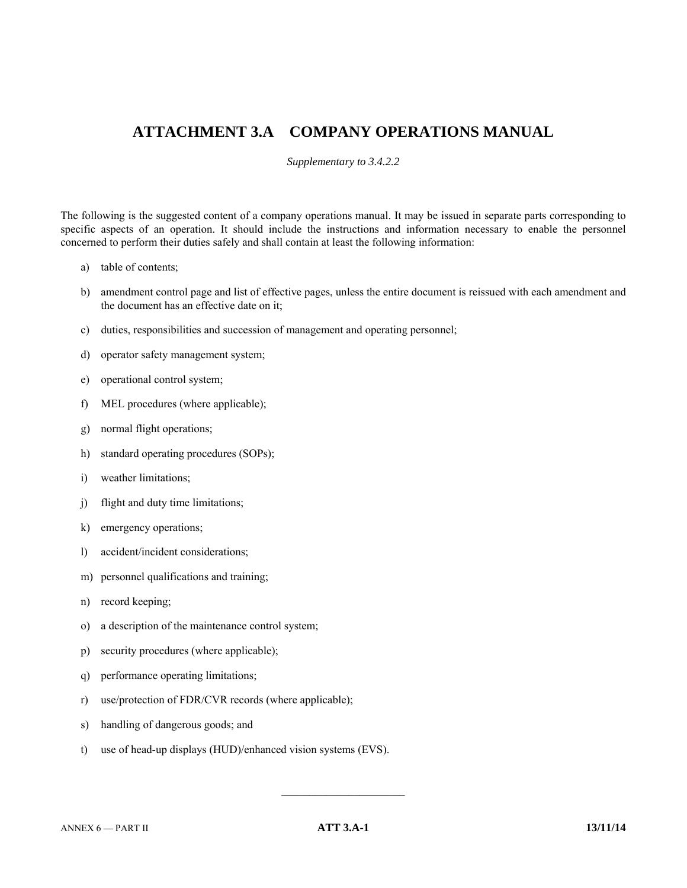# **ATTACHMENT 3.A COMPANY OPERATIONS MANUAL**

*Supplementary to 3.4.2.2* 

The following is the suggested content of a company operations manual. It may be issued in separate parts corresponding to specific aspects of an operation. It should include the instructions and information necessary to enable the personnel concerned to perform their duties safely and shall contain at least the following information:

- a) table of contents;
- b) amendment control page and list of effective pages, unless the entire document is reissued with each amendment and the document has an effective date on it;
- c) duties, responsibilities and succession of management and operating personnel;
- d) operator safety management system;
- e) operational control system;
- f) MEL procedures (where applicable);
- g) normal flight operations;
- h) standard operating procedures (SOPs);
- i) weather limitations;
- j) flight and duty time limitations;
- k) emergency operations;
- l) accident/incident considerations;
- m) personnel qualifications and training;
- n) record keeping;
- o) a description of the maintenance control system;
- p) security procedures (where applicable);
- q) performance operating limitations;
- r) use/protection of FDR/CVR records (where applicable);
- s) handling of dangerous goods; and
- t) use of head-up displays (HUD)/enhanced vision systems (EVS).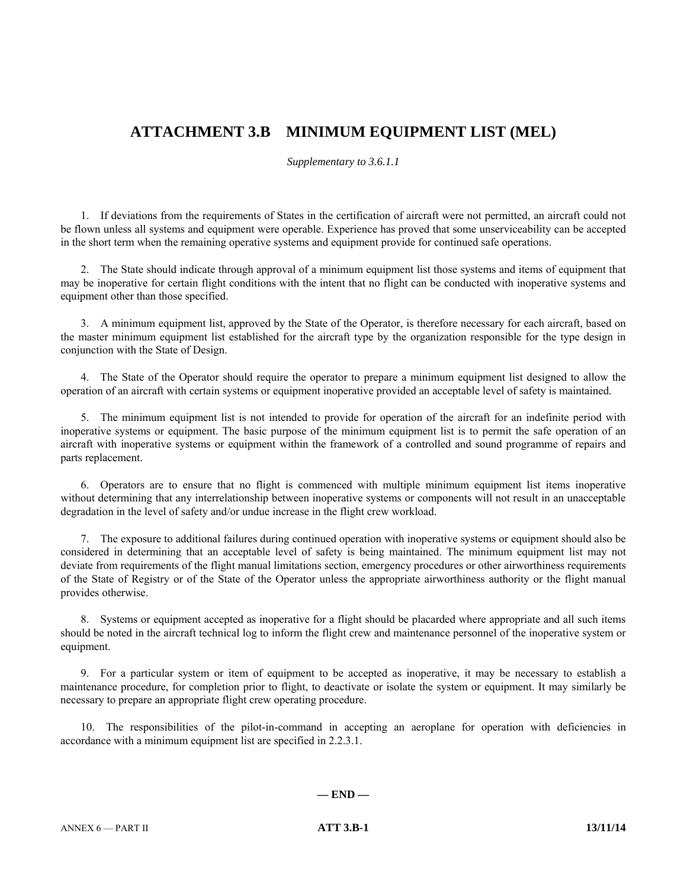# **ATTACHMENT 3.B MINIMUM EQUIPMENT LIST (MEL)**

*Supplementary to 3.6.1.1* 

 1. If deviations from the requirements of States in the certification of aircraft were not permitted, an aircraft could not be flown unless all systems and equipment were operable. Experience has proved that some unserviceability can be accepted in the short term when the remaining operative systems and equipment provide for continued safe operations.

 2. The State should indicate through approval of a minimum equipment list those systems and items of equipment that may be inoperative for certain flight conditions with the intent that no flight can be conducted with inoperative systems and equipment other than those specified.

 3. A minimum equipment list, approved by the State of the Operator, is therefore necessary for each aircraft, based on the master minimum equipment list established for the aircraft type by the organization responsible for the type design in conjunction with the State of Design.

 4. The State of the Operator should require the operator to prepare a minimum equipment list designed to allow the operation of an aircraft with certain systems or equipment inoperative provided an acceptable level of safety is maintained.

 5. The minimum equipment list is not intended to provide for operation of the aircraft for an indefinite period with inoperative systems or equipment. The basic purpose of the minimum equipment list is to permit the safe operation of an aircraft with inoperative systems or equipment within the framework of a controlled and sound programme of repairs and parts replacement.

 6. Operators are to ensure that no flight is commenced with multiple minimum equipment list items inoperative without determining that any interrelationship between inoperative systems or components will not result in an unacceptable degradation in the level of safety and/or undue increase in the flight crew workload.

 7. The exposure to additional failures during continued operation with inoperative systems or equipment should also be considered in determining that an acceptable level of safety is being maintained. The minimum equipment list may not deviate from requirements of the flight manual limitations section, emergency procedures or other airworthiness requirements of the State of Registry or of the State of the Operator unless the appropriate airworthiness authority or the flight manual provides otherwise.

 8. Systems or equipment accepted as inoperative for a flight should be placarded where appropriate and all such items should be noted in the aircraft technical log to inform the flight crew and maintenance personnel of the inoperative system or equipment.

 9. For a particular system or item of equipment to be accepted as inoperative, it may be necessary to establish a maintenance procedure, for completion prior to flight, to deactivate or isolate the system or equipment. It may similarly be necessary to prepare an appropriate flight crew operating procedure.

 10. The responsibilities of the pilot-in-command in accepting an aeroplane for operation with deficiencies in accordance with a minimum equipment list are specified in 2.2.3.1.

**— END —**